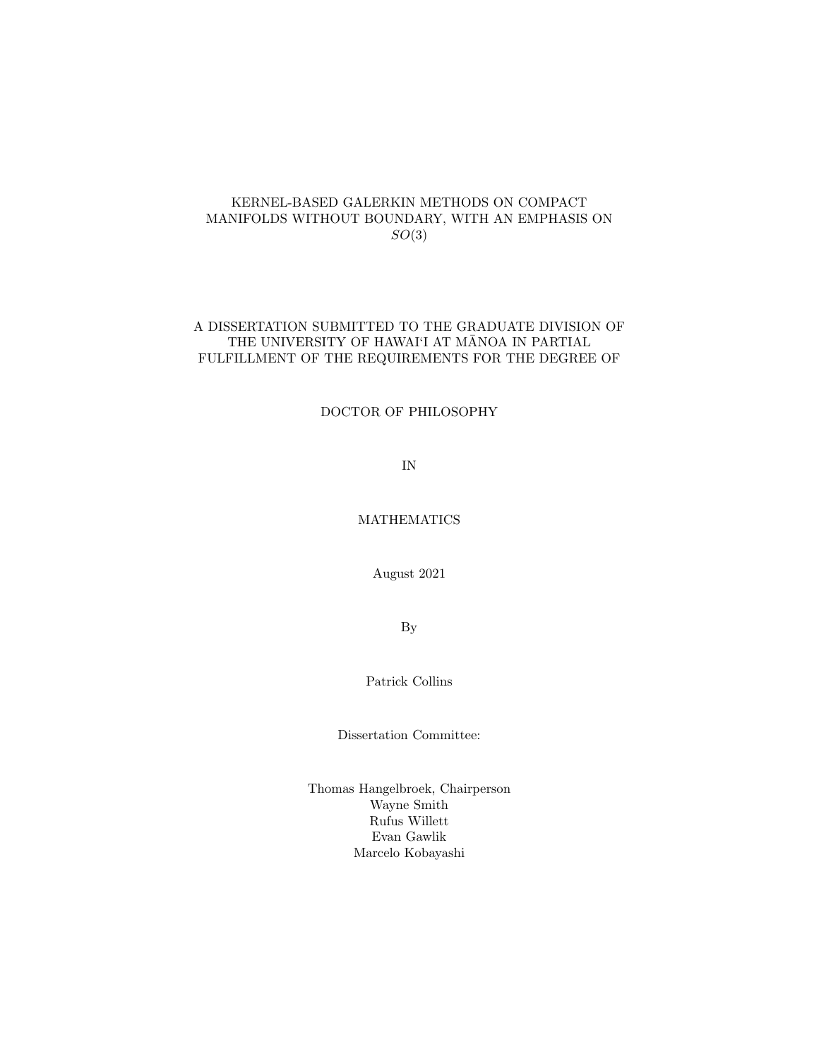#### KERNEL-BASED GALERKIN METHODS ON COMPACT MANIFOLDS WITHOUT BOUNDARY, WITH AN EMPHASIS ON  $SO(3)$

#### A DISSERTATION SUBMITTED TO THE GRADUATE DIVISION OF THE UNIVERSITY OF HAWAI'I AT MĀNOA IN PARTIAL FULFILLMENT OF THE REQUIREMENTS FOR THE DEGREE OF

#### DOCTOR OF PHILOSOPHY

IN

#### MATHEMATICS

August 2021

By

Patrick Collins

Dissertation Committee:

Thomas Hangelbroek, Chairperson Wayne Smith Rufus Willett Evan Gawlik Marcelo Kobayashi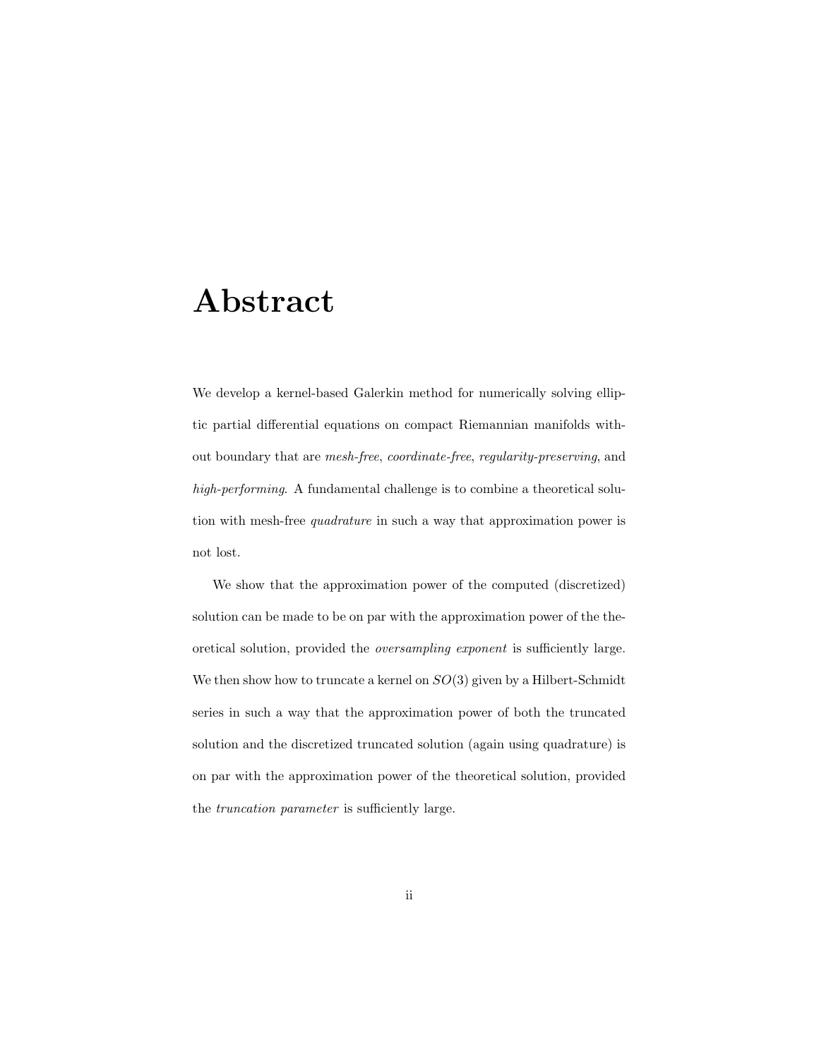## Abstract

We develop a kernel-based Galerkin method for numerically solving elliptic partial differential equations on compact Riemannian manifolds without boundary that are mesh-free, coordinate-free, regularity-preserving, and high-performing. A fundamental challenge is to combine a theoretical solution with mesh-free quadrature in such a way that approximation power is not lost.

We show that the approximation power of the computed (discretized) solution can be made to be on par with the approximation power of the theoretical solution, provided the oversampling exponent is sufficiently large. We then show how to truncate a kernel on  $SO(3)$  given by a Hilbert-Schmidt series in such a way that the approximation power of both the truncated solution and the discretized truncated solution (again using quadrature) is on par with the approximation power of the theoretical solution, provided the truncation parameter is sufficiently large.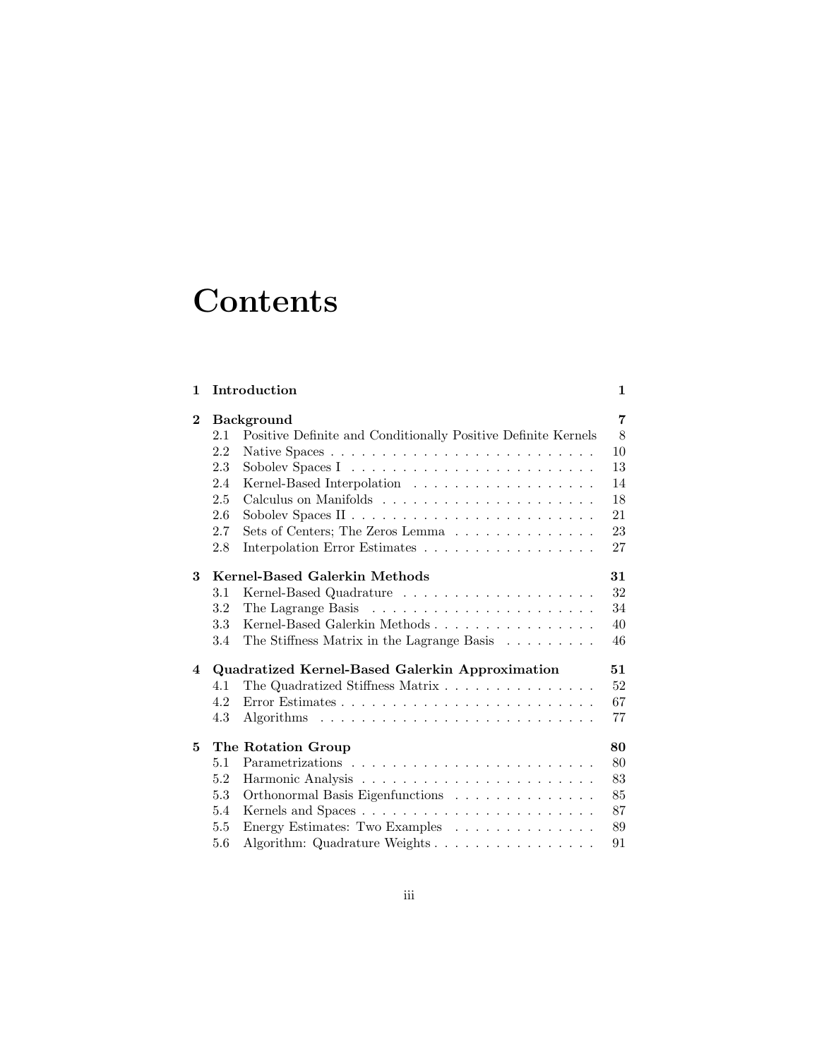# **Contents**

| 1           |     | Introduction                                                  | $\mathbf 1$ |
|-------------|-----|---------------------------------------------------------------|-------------|
| $\mathbf 2$ |     | <b>Background</b>                                             | 7           |
|             | 2.1 | Positive Definite and Conditionally Positive Definite Kernels | 8           |
|             | 2.2 |                                                               | 10          |
|             | 2.3 |                                                               | 13          |
|             | 2.4 |                                                               | 14          |
|             | 2.5 |                                                               | 18          |
|             | 2.6 |                                                               | 21          |
|             | 2.7 | Sets of Centers; The Zeros Lemma                              | 23          |
|             | 2.8 | Interpolation Error Estimates                                 | 27          |
| 3           |     | Kernel-Based Galerkin Methods                                 | 31          |
|             | 3.1 |                                                               | 32          |
|             | 3.2 |                                                               | 34          |
|             | 3.3 | Kernel-Based Galerkin Methods                                 | 40          |
|             | 3.4 | The Stiffness Matrix in the Lagrange Basis                    | 46          |
| 4           |     | Quadratized Kernel-Based Galerkin Approximation               | 51          |
|             | 4.1 | The Quadratized Stiffness Matrix                              | 52          |
|             | 4.2 |                                                               | 67          |
|             | 4.3 |                                                               | 77          |
| 5           |     | The Rotation Group                                            | 80          |
|             | 5.1 |                                                               | 80          |
|             | 5.2 |                                                               | 83          |
|             | 5.3 | Orthonormal Basis Eigenfunctions                              | 85          |
|             | 5.4 |                                                               | 87          |
|             | 5.5 | Energy Estimates: Two Examples                                | 89          |
|             | 5.6 | Algorithm: Quadrature Weights                                 | 91          |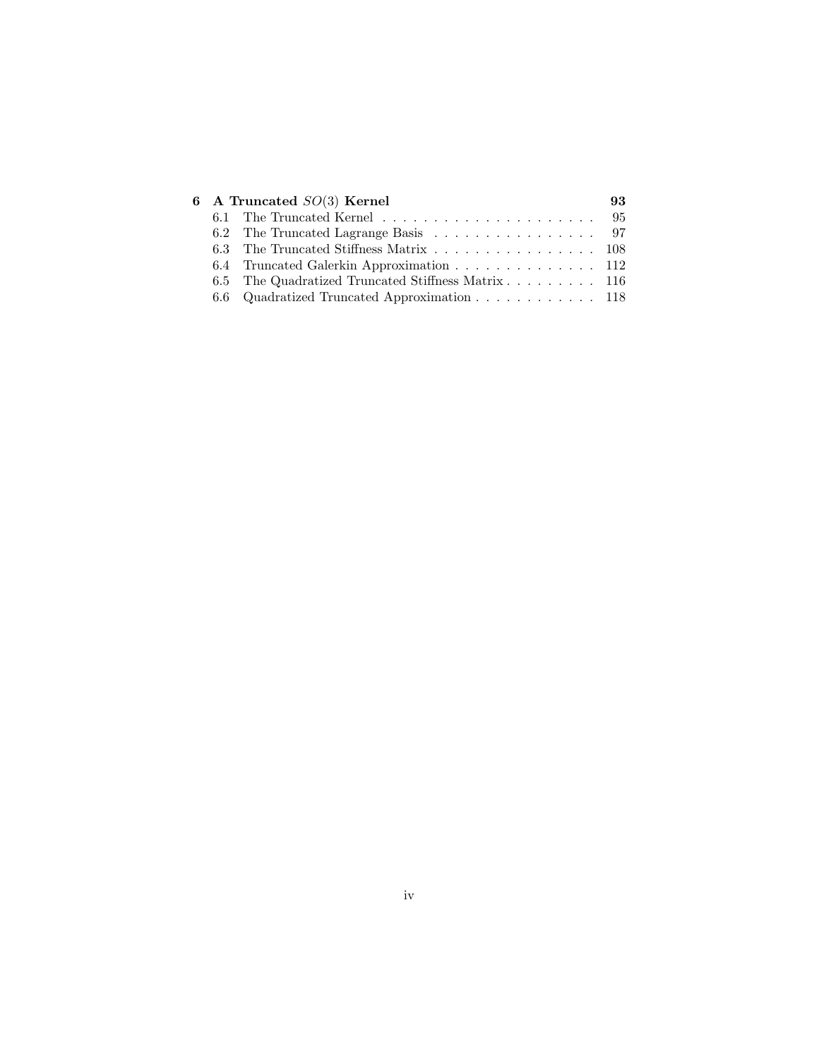|  | 6 A Truncated $SO(3)$ Kernel                       | 93 |
|--|----------------------------------------------------|----|
|  |                                                    |    |
|  |                                                    |    |
|  | 6.3 The Truncated Stiffness Matrix 108             |    |
|  | 6.4 Truncated Galerkin Approximation 112           |    |
|  | 6.5 The Quadratized Truncated Stiffness Matrix 116 |    |
|  | 6.6 Quadratized Truncated Approximation 118        |    |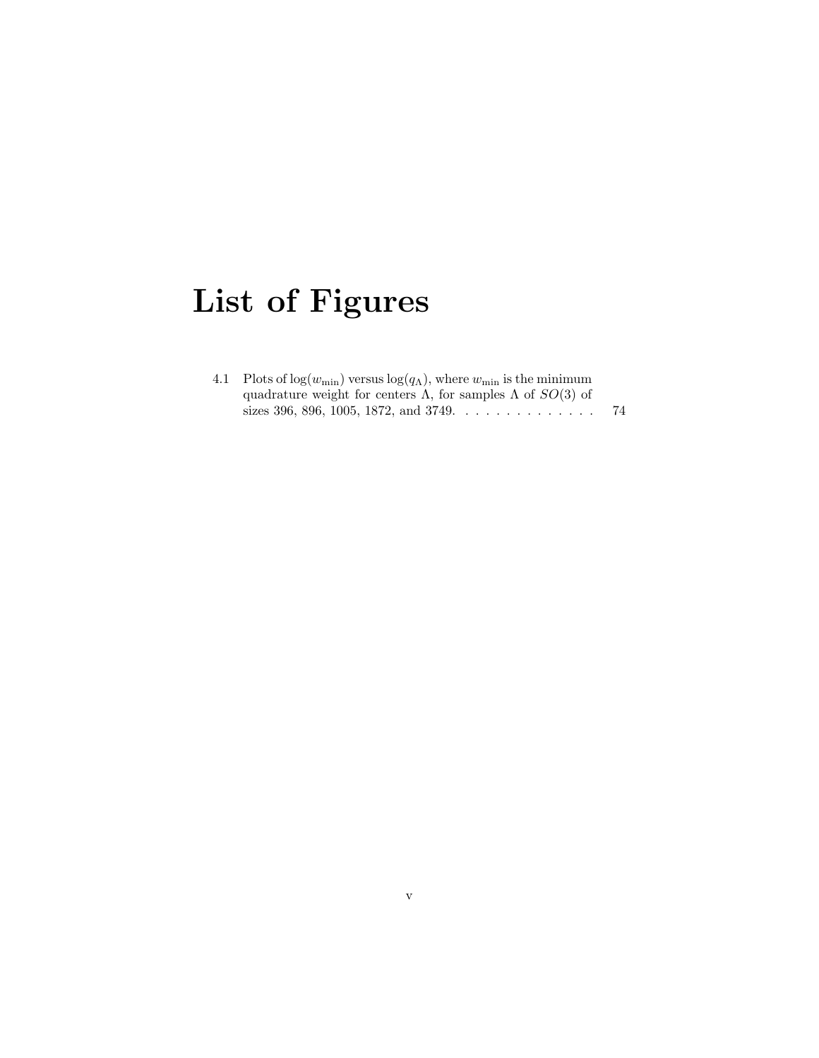# List of Figures

| 4.1 Plots of $log(w_{\min})$ versus $log(q_{\Lambda})$ , where $w_{\min}$ is the minimum |    |
|------------------------------------------------------------------------------------------|----|
| quadrature weight for centers $\Lambda$ , for samples $\Lambda$ of $SO(3)$ of            |    |
|                                                                                          | 74 |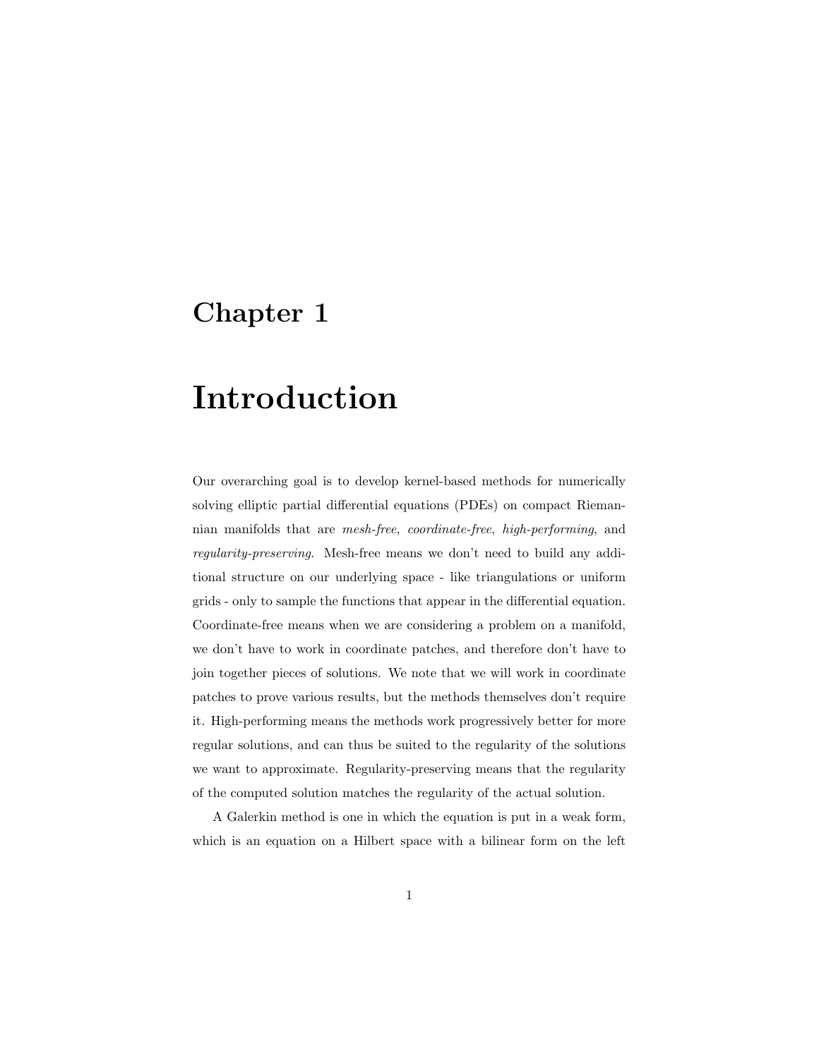### Chapter 1

# Introduction

Our overarching goal is to develop kernel-based methods for numerically solving elliptic partial differential equations (PDEs) on compact Riemannian manifolds that are mesh-free, coordinate-free, high-performing, and regularity-preserving. Mesh-free means we don't need to build any additional structure on our underlying space - like triangulations or uniform grids - only to sample the functions that appear in the differential equation. Coordinate-free means when we are considering a problem on a manifold, we don't have to work in coordinate patches, and therefore don't have to join together pieces of solutions. We note that we will work in coordinate patches to prove various results, but the methods themselves don't require it. High-performing means the methods work progressively better for more regular solutions, and can thus be suited to the regularity of the solutions we want to approximate. Regularity-preserving means that the regularity of the computed solution matches the regularity of the actual solution.

A Galerkin method is one in which the equation is put in a weak form, which is an equation on a Hilbert space with a bilinear form on the left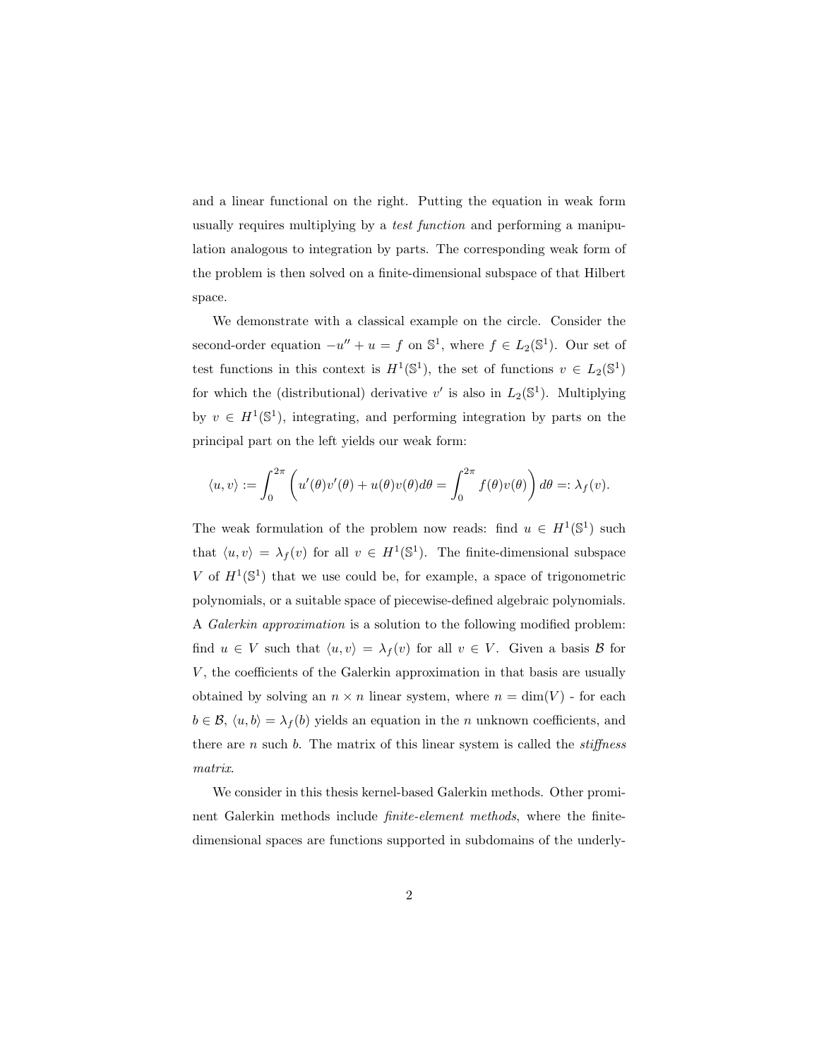and a linear functional on the right. Putting the equation in weak form usually requires multiplying by a test function and performing a manipulation analogous to integration by parts. The corresponding weak form of the problem is then solved on a finite-dimensional subspace of that Hilbert space.

We demonstrate with a classical example on the circle. Consider the second-order equation  $-u'' + u = f$  on  $\mathbb{S}^1$ , where  $f \in L_2(\mathbb{S}^1)$ . Our set of test functions in this context is  $H^1(\mathbb{S}^1)$ , the set of functions  $v \in L_2(\mathbb{S}^1)$ for which the (distributional) derivative  $v'$  is also in  $L_2(\mathbb{S}^1)$ . Multiplying by  $v \in H^1(\mathbb{S}^1)$ , integrating, and performing integration by parts on the principal part on the left yields our weak form:

$$
\langle u, v \rangle := \int_0^{2\pi} \left( u'(\theta) v'(\theta) + u(\theta) v(\theta) d\theta \right) = \int_0^{2\pi} f(\theta) v(\theta) dv =: \lambda_f(v).
$$

The weak formulation of the problem now reads: find  $u \in H^1(\mathbb{S}^1)$  such that  $\langle u, v \rangle = \lambda_f(v)$  for all  $v \in H^1(\mathbb{S}^1)$ . The finite-dimensional subspace V of  $H^1(\mathbb{S}^1)$  that we use could be, for example, a space of trigonometric polynomials, or a suitable space of piecewise-defined algebraic polynomials. A Galerkin approximation is a solution to the following modified problem: find  $u \in V$  such that  $\langle u, v \rangle = \lambda_f(v)$  for all  $v \in V$ . Given a basis  $\mathcal{B}$  for  $V$ , the coefficients of the Galerkin approximation in that basis are usually obtained by solving an  $n \times n$  linear system, where  $n = \dim(V)$  - for each  $b \in \mathcal{B}$ ,  $\langle u, b \rangle = \lambda_f (b)$  yields an equation in the *n* unknown coefficients, and there are  $n$  such  $b$ . The matrix of this linear system is called the *stiffness* matrix.

We consider in this thesis kernel-based Galerkin methods. Other prominent Galerkin methods include finite-element methods, where the finitedimensional spaces are functions supported in subdomains of the underly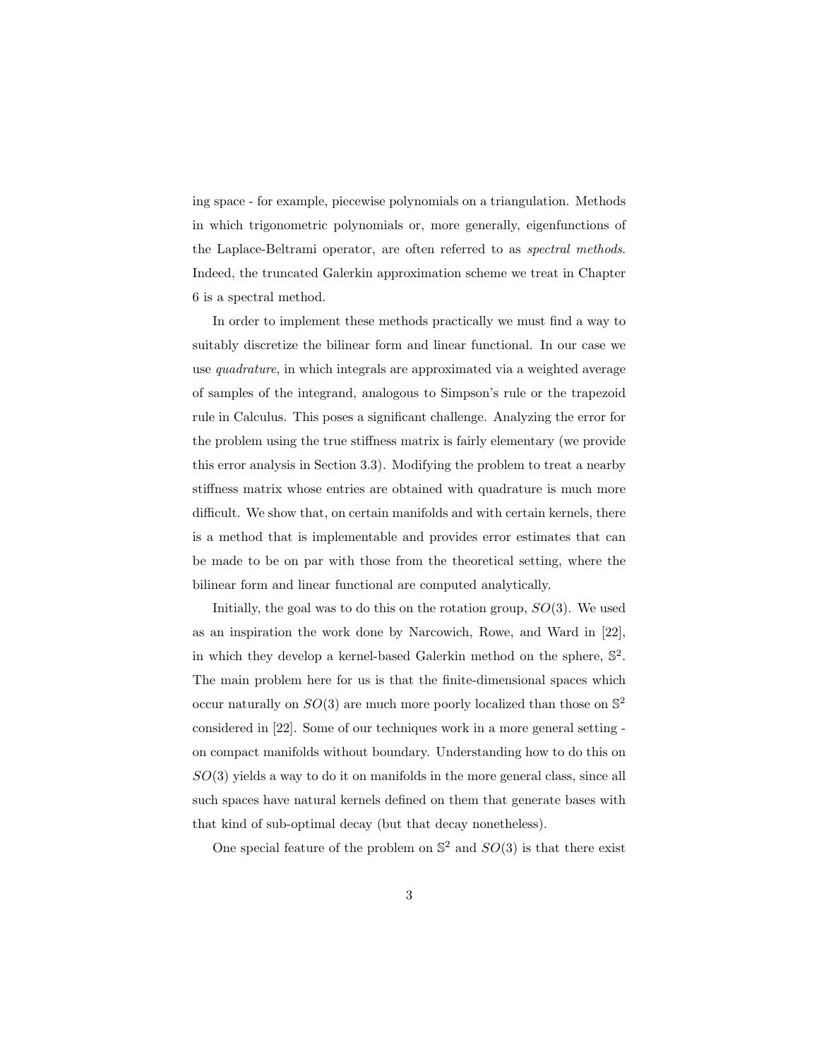ing space - for example, piecewise polynomials on a triangulation. Methods in which trigonometric polynomials or, more generally, eigenfunctions of the Laplace-Beltrami operator, are often referred to as spectral methods. Indeed, the truncated Galerkin approximation scheme we treat in Chapter 6 is a spectral method.

In order to implement these methods practically we must find a way to suitably discretize the bilinear form and linear functional. In our case we use quadrature, in which integrals are approximated via a weighted average of samples of the integrand, analogous to Simpson's rule or the trapezoid rule in Calculus. This poses a significant challenge. Analyzing the error for the problem using the true stiffness matrix is fairly elementary (we provide this error analysis in Section 3.3). Modifying the problem to treat a nearby stiffness matrix whose entries are obtained with quadrature is much more difficult. We show that, on certain manifolds and with certain kernels, there is a method that is implementable and provides error estimates that can be made to be on par with those from the theoretical setting, where the bilinear form and linear functional are computed analytically.

Initially, the goal was to do this on the rotation group,  $SO(3)$ . We used as an inspiration the work done by Narcowich, Rowe, and Ward in [22], in which they develop a kernel-based Galerkin method on the sphere,  $\mathbb{S}^2$ . The main problem here for us is that the finite-dimensional spaces which occur naturally on  $SO(3)$  are much more poorly localized than those on  $\mathbb{S}^2$ considered in [22]. Some of our techniques work in a more general setting on compact manifolds without boundary. Understanding how to do this on  $SO(3)$  yields a way to do it on manifolds in the more general class, since all such spaces have natural kernels defined on them that generate bases with that kind of sub-optimal decay (but that decay nonetheless).

One special feature of the problem on  $\mathbb{S}^2$  and  $SO(3)$  is that there exist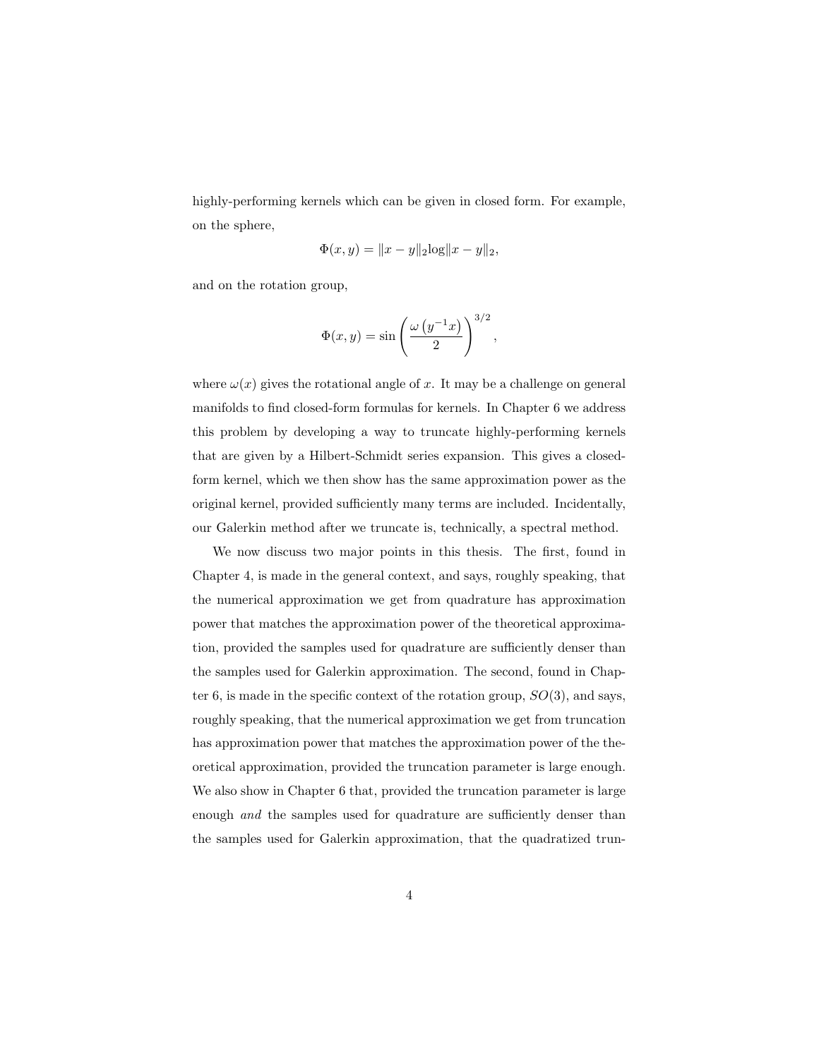highly-performing kernels which can be given in closed form. For example, on the sphere,

$$
\Phi(x, y) = ||x - y||_2 \log ||x - y||_2,
$$

and on the rotation group,

$$
\Phi(x,y) = \sin\left(\frac{\omega\left(y^{-1}x\right)}{2}\right)^{3/2},
$$

where  $\omega(x)$  gives the rotational angle of x. It may be a challenge on general manifolds to find closed-form formulas for kernels. In Chapter 6 we address this problem by developing a way to truncate highly-performing kernels that are given by a Hilbert-Schmidt series expansion. This gives a closedform kernel, which we then show has the same approximation power as the original kernel, provided sufficiently many terms are included. Incidentally, our Galerkin method after we truncate is, technically, a spectral method.

We now discuss two major points in this thesis. The first, found in Chapter 4, is made in the general context, and says, roughly speaking, that the numerical approximation we get from quadrature has approximation power that matches the approximation power of the theoretical approximation, provided the samples used for quadrature are sufficiently denser than the samples used for Galerkin approximation. The second, found in Chapter 6, is made in the specific context of the rotation group,  $SO(3)$ , and says, roughly speaking, that the numerical approximation we get from truncation has approximation power that matches the approximation power of the theoretical approximation, provided the truncation parameter is large enough. We also show in Chapter 6 that, provided the truncation parameter is large enough and the samples used for quadrature are sufficiently denser than the samples used for Galerkin approximation, that the quadratized trun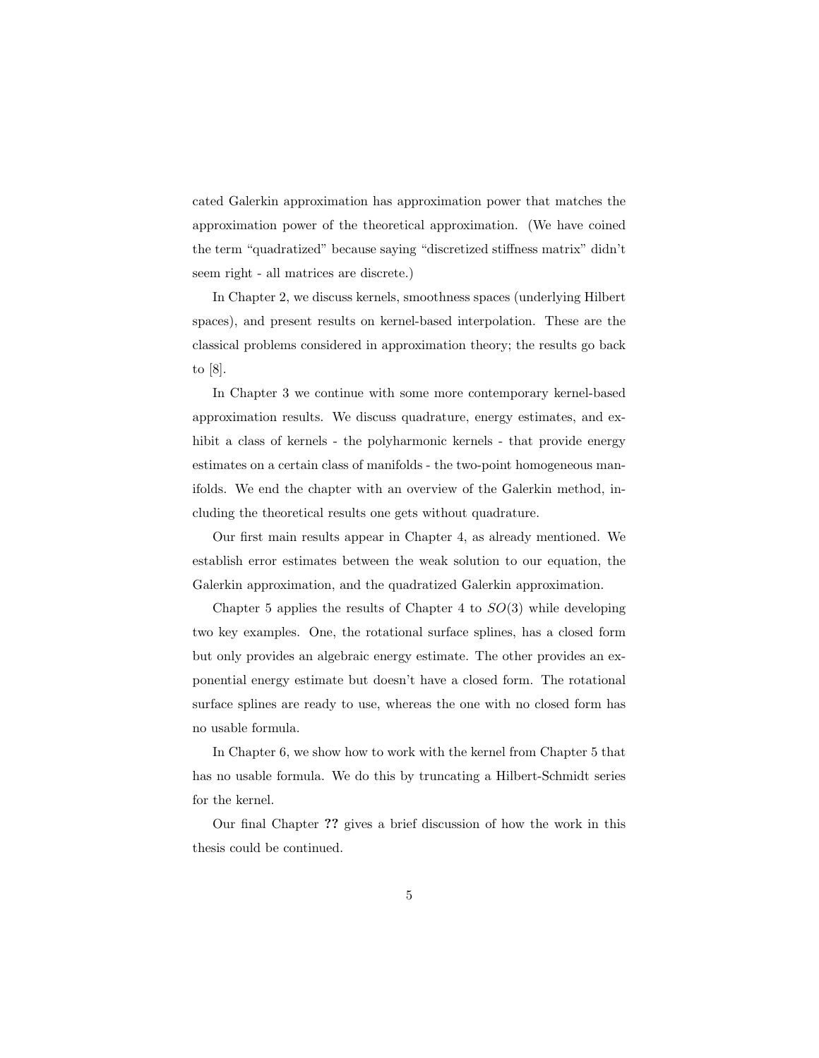cated Galerkin approximation has approximation power that matches the approximation power of the theoretical approximation. (We have coined the term "quadratized" because saying "discretized stiffness matrix" didn't seem right - all matrices are discrete.)

In Chapter 2, we discuss kernels, smoothness spaces (underlying Hilbert spaces), and present results on kernel-based interpolation. These are the classical problems considered in approximation theory; the results go back to [8].

In Chapter 3 we continue with some more contemporary kernel-based approximation results. We discuss quadrature, energy estimates, and exhibit a class of kernels - the polyharmonic kernels - that provide energy estimates on a certain class of manifolds - the two-point homogeneous manifolds. We end the chapter with an overview of the Galerkin method, including the theoretical results one gets without quadrature.

Our first main results appear in Chapter 4, as already mentioned. We establish error estimates between the weak solution to our equation, the Galerkin approximation, and the quadratized Galerkin approximation.

Chapter 5 applies the results of Chapter 4 to  $SO(3)$  while developing two key examples. One, the rotational surface splines, has a closed form but only provides an algebraic energy estimate. The other provides an exponential energy estimate but doesn't have a closed form. The rotational surface splines are ready to use, whereas the one with no closed form has no usable formula.

In Chapter 6, we show how to work with the kernel from Chapter 5 that has no usable formula. We do this by truncating a Hilbert-Schmidt series for the kernel.

Our final Chapter ?? gives a brief discussion of how the work in this thesis could be continued.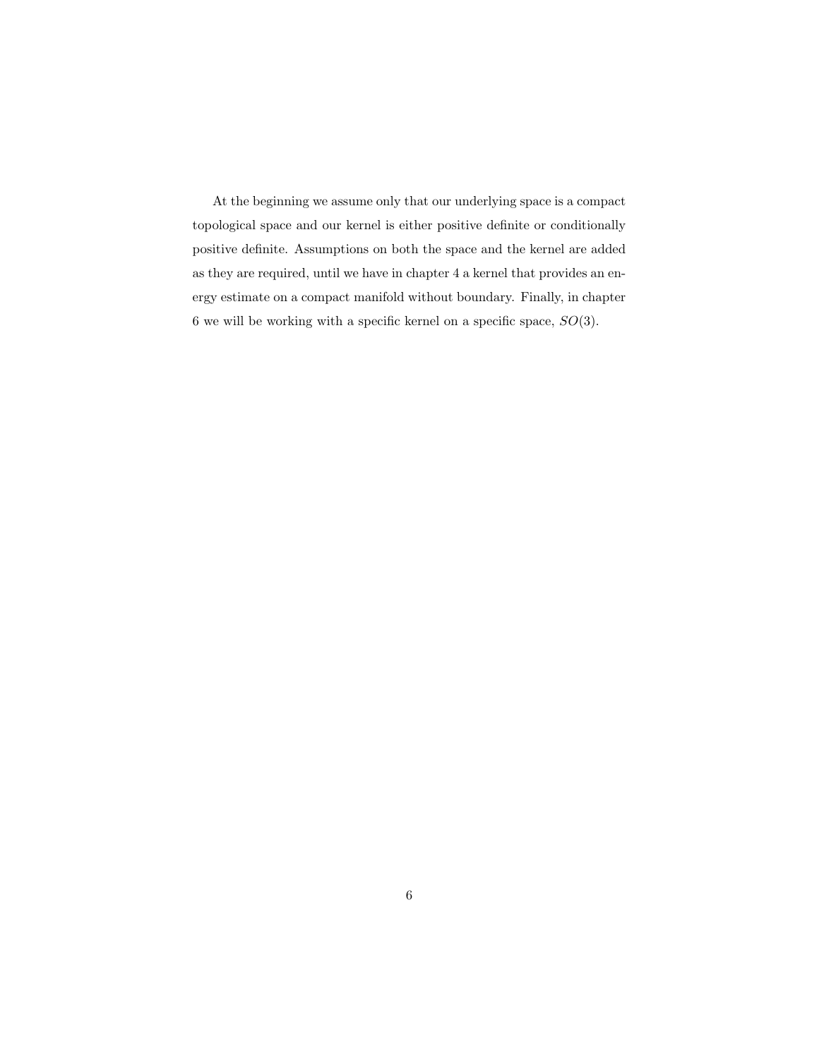At the beginning we assume only that our underlying space is a compact topological space and our kernel is either positive definite or conditionally positive definite. Assumptions on both the space and the kernel are added as they are required, until we have in chapter 4 a kernel that provides an energy estimate on a compact manifold without boundary. Finally, in chapter 6 we will be working with a specific kernel on a specific space,  $SO(3)$ .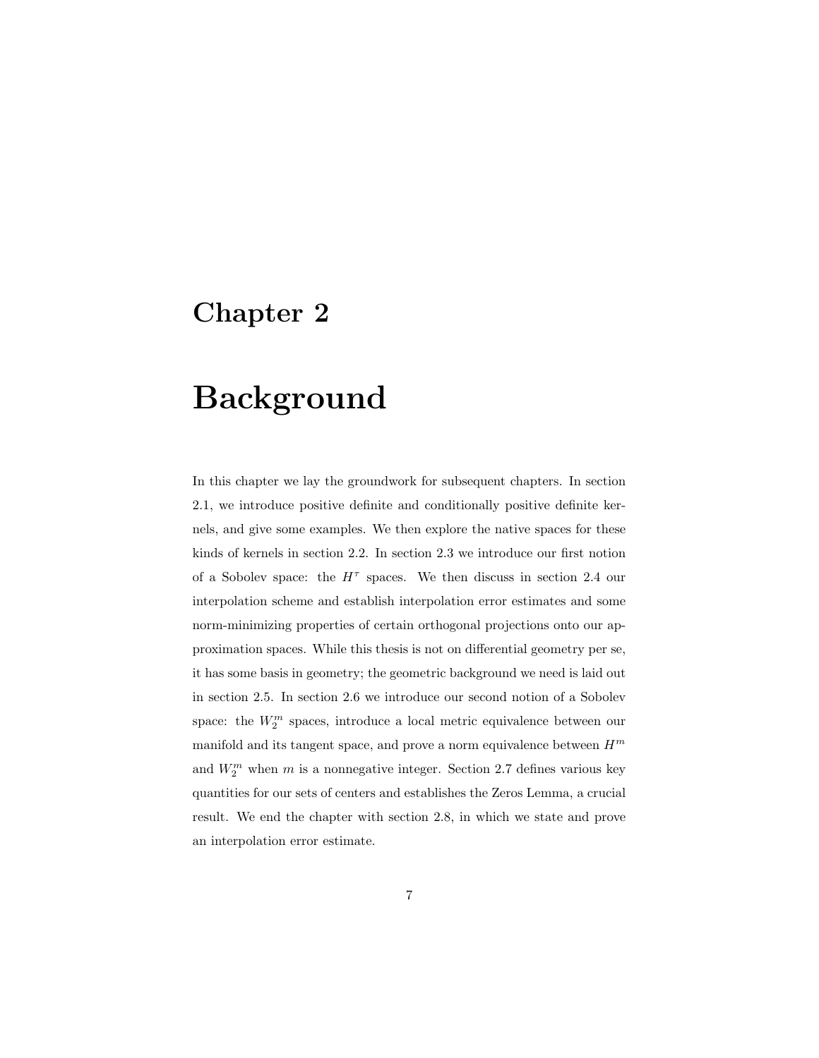### Chapter 2

# Background

In this chapter we lay the groundwork for subsequent chapters. In section 2.1, we introduce positive definite and conditionally positive definite kernels, and give some examples. We then explore the native spaces for these kinds of kernels in section 2.2. In section 2.3 we introduce our first notion of a Sobolev space: the  $H^{\tau}$  spaces. We then discuss in section 2.4 our interpolation scheme and establish interpolation error estimates and some norm-minimizing properties of certain orthogonal projections onto our approximation spaces. While this thesis is not on differential geometry per se, it has some basis in geometry; the geometric background we need is laid out in section 2.5. In section 2.6 we introduce our second notion of a Sobolev space: the  $W_2^m$  spaces, introduce a local metric equivalence between our manifold and its tangent space, and prove a norm equivalence between  $H^m$ and  $W_2^m$  when m is a nonnegative integer. Section 2.7 defines various key quantities for our sets of centers and establishes the Zeros Lemma, a crucial result. We end the chapter with section 2.8, in which we state and prove an interpolation error estimate.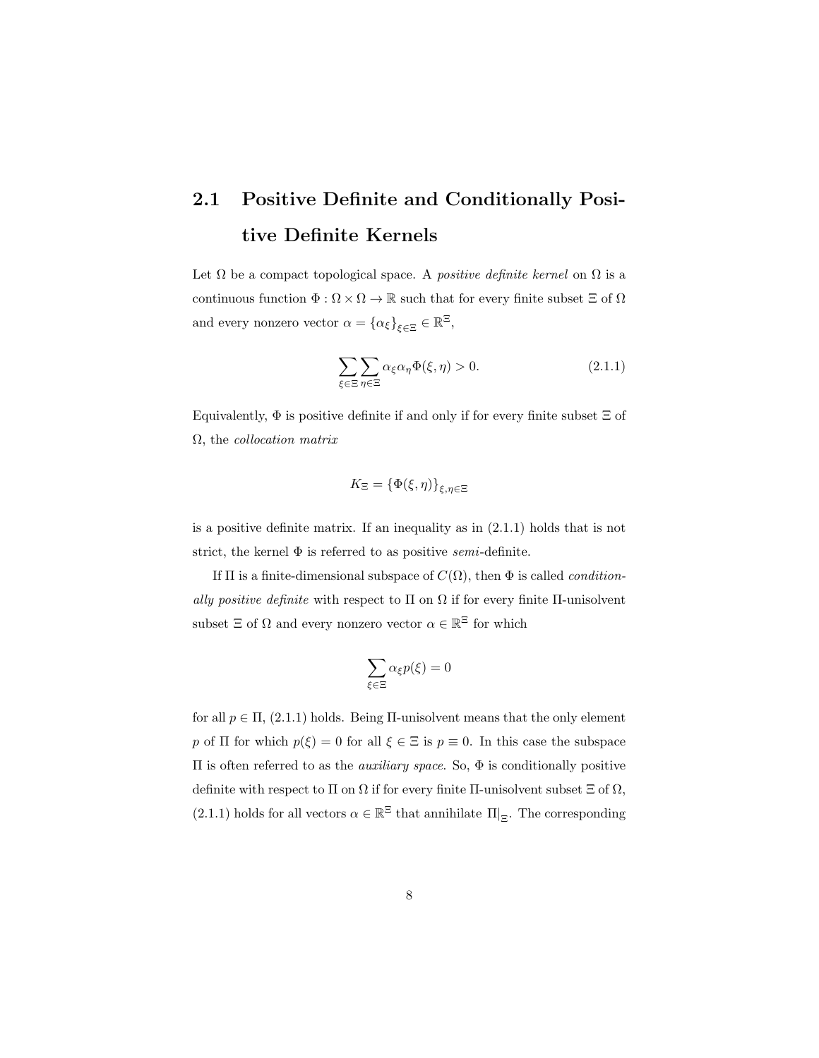### 2.1 Positive Definite and Conditionally Positive Definite Kernels

Let  $\Omega$  be a compact topological space. A *positive definite kernel* on  $\Omega$  is a continuous function  $\Phi : \Omega \times \Omega \to \mathbb{R}$  such that for every finite subset  $\Xi$  of  $\Omega$ and every nonzero vector  $\alpha = {\alpha_{\xi}}_{\xi \in \Xi} \in \mathbb{R}^{\Xi}$ ,

$$
\sum_{\xi \in \Xi} \sum_{\eta \in \Xi} \alpha_{\xi} \alpha_{\eta} \Phi(\xi, \eta) > 0.
$$
 (2.1.1)

Equivalently,  $\Phi$  is positive definite if and only if for every finite subset  $\Xi$  of  $\Omega$ , the *collocation matrix* 

$$
K_{\Xi} = \{\Phi(\xi,\eta)\}_{\xi,\eta \in \Xi}
$$

is a positive definite matrix. If an inequality as in (2.1.1) holds that is not strict, the kernel  $\Phi$  is referred to as positive *semi*-definite.

If  $\Pi$  is a finite-dimensional subspace of  $C(\Omega)$ , then  $\Phi$  is called *condition*ally positive definite with respect to  $\Pi$  on  $\Omega$  if for every finite  $\Pi$ -unisolvent subset  $\Xi$  of  $\Omega$  and every nonzero vector  $\alpha \in \mathbb{R}^{\Xi}$  for which

$$
\sum_{\xi\in\Xi}\alpha_\xi p(\xi)=0
$$

for all  $p \in \Pi$ , (2.1.1) holds. Being  $\Pi$ -unisolvent means that the only element p of  $\Pi$  for which  $p(\xi) = 0$  for all  $\xi \in \Xi$  is  $p \equiv 0$ . In this case the subspace Π is often referred to as the auxiliary space. So, Φ is conditionally positive definite with respect to  $\Pi$  on  $\Omega$  if for every finite  $\Pi$ -unisolvent subset  $\Xi$  of  $\Omega$ , (2.1.1) holds for all vectors  $\alpha\in\mathbb{R}^\Xi$  that annihilate  $\left.\Pi\right|_{\Xi}.$  The corresponding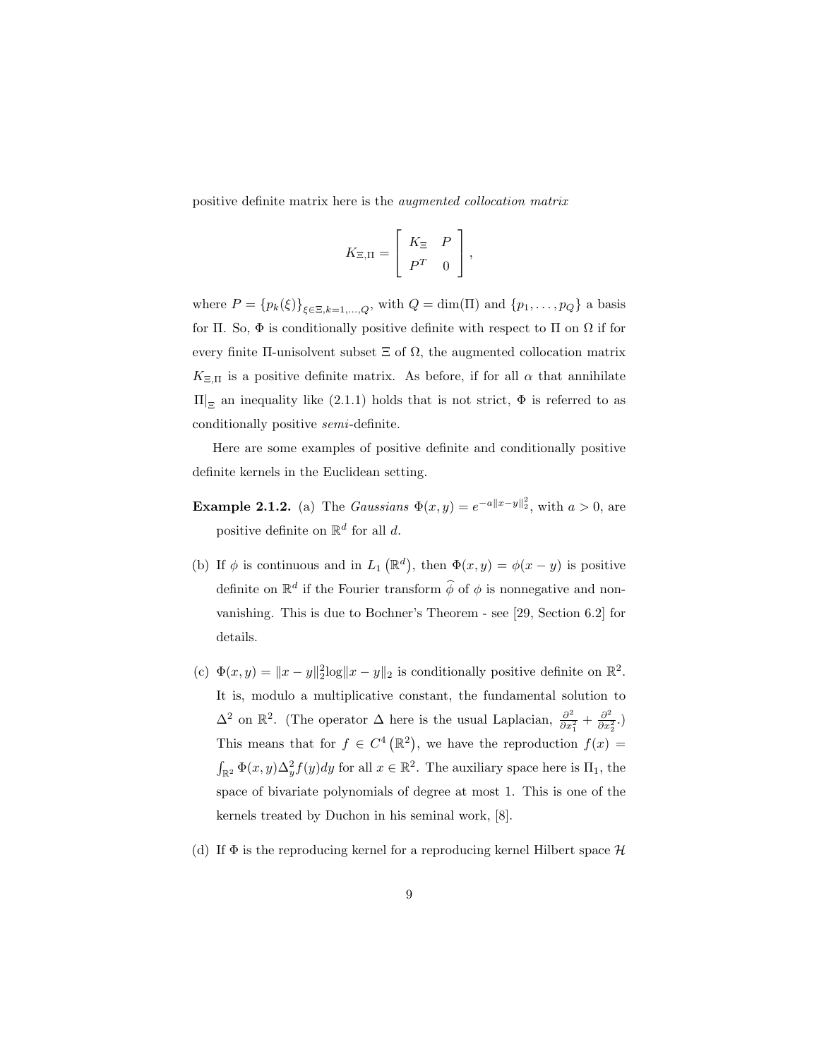positive definite matrix here is the augmented collocation matrix

$$
K_{\Xi,\Pi} = \left[ \begin{array}{cc} K_{\Xi} & P \\ P^T & 0 \end{array} \right],
$$

where  $P = {p_k(\xi)}_{\xi \in \Xi, k=1,\dots,Q}$ , with  $Q = \dim(\Pi)$  and  ${p_1, \dots, p_Q}$  a basis for Π. So,  $\Phi$  is conditionally positive definite with respect to Π on  $\Omega$  if for every finite II-unisolvent subset  $\Xi$  of  $\Omega$ , the augmented collocation matrix  $K_{\Xi,\Pi}$  is a positive definite matrix. As before, if for all  $\alpha$  that annihilate  $\Pi|_{\Xi}$  an inequality like (2.1.1) holds that is not strict,  $\Phi$  is referred to as conditionally positive semi-definite.

Here are some examples of positive definite and conditionally positive definite kernels in the Euclidean setting.

- **Example 2.1.2.** (a) The *Gaussians*  $\Phi(x, y) = e^{-a||x-y||_2^2}$ , with  $a > 0$ , are positive definite on  $\mathbb{R}^d$  for all d.
- (b) If  $\phi$  is continuous and in  $L_1(\mathbb{R}^d)$ , then  $\Phi(x, y) = \phi(x y)$  is positive definite on  $\mathbb{R}^d$  if the Fourier transform  $\widehat{\phi}$  of  $\phi$  is nonnegative and nonvanishing. This is due to Bochner's Theorem - see [29, Section 6.2] for details.
- (c)  $\Phi(x, y) = ||x y||_2^2 \log ||x y||_2$  is conditionally positive definite on  $\mathbb{R}^2$ . It is, modulo a multiplicative constant, the fundamental solution to  $\Delta^2$  on  $\mathbb{R}^2$ . (The operator  $\Delta$  here is the usual Laplacian,  $\frac{\partial^2}{\partial x^2}$  $\frac{\partial^2}{\partial x_1^2} + \frac{\partial^2}{\partial x_2^2}$  $\frac{\partial^2}{\partial x_2^2}$ .) This means that for  $f \in C^4(\mathbb{R}^2)$ , we have the reproduction  $f(x) =$  $\int_{\mathbb{R}^2} \Phi(x, y) \Delta_y^2 f(y) dy$  for all  $x \in \mathbb{R}^2$ . The auxiliary space here is  $\Pi_1$ , the space of bivariate polynomials of degree at most 1. This is one of the kernels treated by Duchon in his seminal work, [8].
- (d) If  $\Phi$  is the reproducing kernel for a reproducing kernel Hilbert space  $\mathcal H$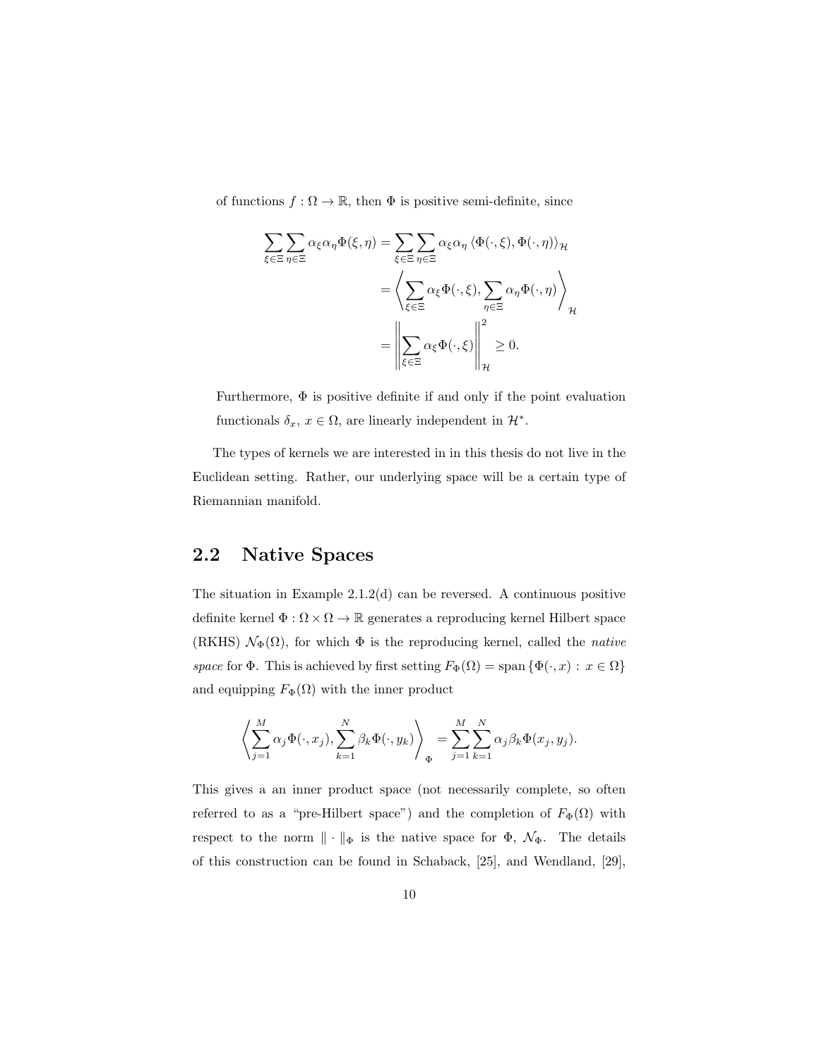of functions  $f : \Omega \to \mathbb{R}$ , then  $\Phi$  is positive semi-definite, since

$$
\sum_{\xi \in \Xi} \sum_{\eta \in \Xi} \alpha_{\xi} \alpha_{\eta} \Phi(\xi, \eta) = \sum_{\xi \in \Xi} \sum_{\eta \in \Xi} \alpha_{\xi} \alpha_{\eta} \langle \Phi(\cdot, \xi), \Phi(\cdot, \eta) \rangle_{\mathcal{H}}
$$

$$
= \left\langle \sum_{\xi \in \Xi} \alpha_{\xi} \Phi(\cdot, \xi), \sum_{\eta \in \Xi} \alpha_{\eta} \Phi(\cdot, \eta) \right\rangle_{\mathcal{H}}
$$

$$
= \left\| \sum_{\xi \in \Xi} \alpha_{\xi} \Phi(\cdot, \xi) \right\|_{\mathcal{H}}^{2} \ge 0.
$$

Furthermore, Φ is positive definite if and only if the point evaluation functionals  $\delta_x, x \in \Omega$ , are linearly independent in  $\mathcal{H}^*$ .

The types of kernels we are interested in in this thesis do not live in the Euclidean setting. Rather, our underlying space will be a certain type of Riemannian manifold.

### 2.2 Native Spaces

The situation in Example 2.1.2(d) can be reversed. A continuous positive definite kernel $\Phi:\Omega\times\Omega\to\mathbb{R}$  generates a reproducing kernel Hilbert space (RKHS)  $\mathcal{N}_{\Phi}(\Omega)$ , for which  $\Phi$  is the reproducing kernel, called the *native* space for  $\Phi$ . This is achieved by first setting  $F_{\Phi}(\Omega) = \text{span} \{ \Phi(\cdot, x) : x \in \Omega \}$ and equipping  $F_{\Phi}(\Omega)$  with the inner product

$$
\left\langle \sum_{j=1}^M \alpha_j \Phi(\cdot, x_j), \sum_{k=1}^N \beta_k \Phi(\cdot, y_k) \right\rangle_{\Phi} = \sum_{j=1}^M \sum_{k=1}^N \alpha_j \beta_k \Phi(x_j, y_j).
$$

This gives a an inner product space (not necessarily complete, so often referred to as a "pre-Hilbert space") and the completion of  $F_{\Phi}(\Omega)$  with respect to the norm  $\|\cdot\|_{\Phi}$  is the native space for  $\Phi$ ,  $\mathcal{N}_{\Phi}$ . The details of this construction can be found in Schaback, [25], and Wendland, [29],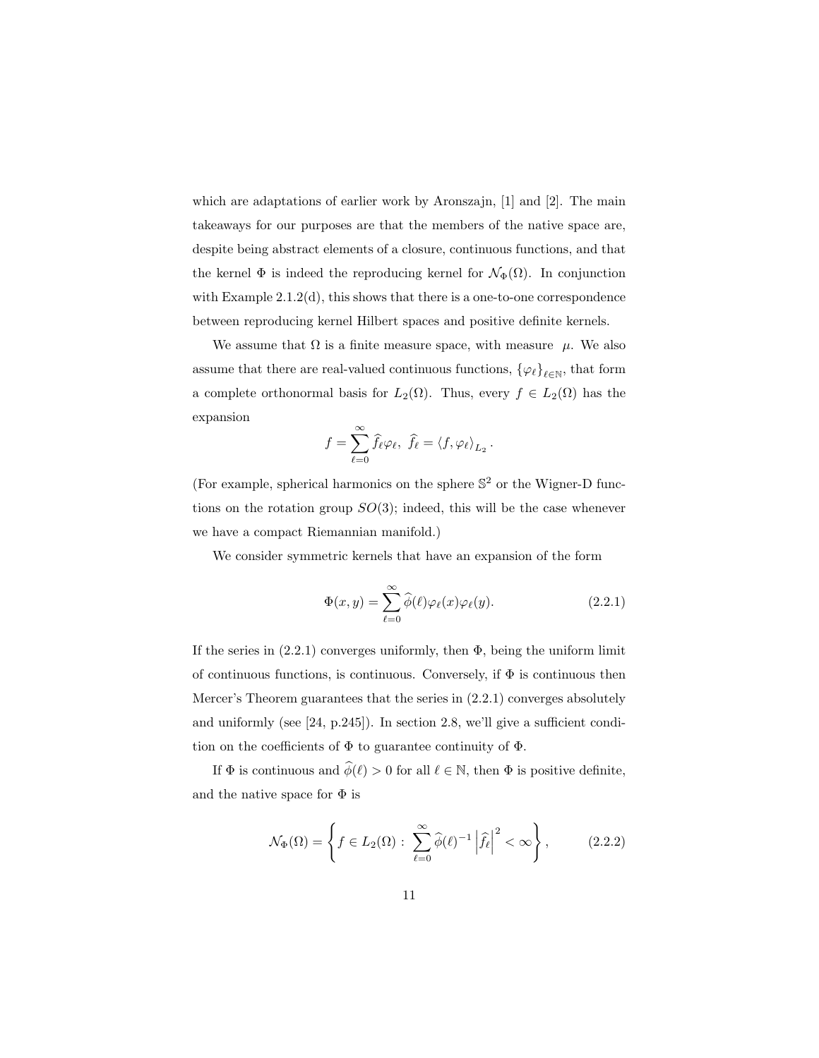which are adaptations of earlier work by Aronszajn, [1] and [2]. The main takeaways for our purposes are that the members of the native space are, despite being abstract elements of a closure, continuous functions, and that the kernel  $\Phi$  is indeed the reproducing kernel for  $\mathcal{N}_{\Phi}(\Omega)$ . In conjunction with Example 2.1.2(d), this shows that there is a one-to-one correspondence between reproducing kernel Hilbert spaces and positive definite kernels.

We assume that  $\Omega$  is a finite measure space, with measure  $\mu$ . We also assume that there are real-valued continuous functions,  $\{\varphi_{\ell}\}_{\ell \in \mathbb{N}}$ , that form a complete orthonormal basis for  $L_2(\Omega)$ . Thus, every  $f \in L_2(\Omega)$  has the expansion

$$
f=\sum_{\ell=0}^\infty \widehat{f}_\ell \varphi_\ell, \ \widehat{f}_\ell=\left< f, \varphi_\ell \right>_{L_2}.
$$

(For example, spherical harmonics on the sphere  $\mathbb{S}^2$  or the Wigner-D functions on the rotation group  $SO(3)$ ; indeed, this will be the case whenever we have a compact Riemannian manifold.)

We consider symmetric kernels that have an expansion of the form

$$
\Phi(x,y) = \sum_{\ell=0}^{\infty} \widehat{\phi}(\ell)\varphi_{\ell}(x)\varphi_{\ell}(y). \tag{2.2.1}
$$

If the series in  $(2.2.1)$  converges uniformly, then  $\Phi$ , being the uniform limit of continuous functions, is continuous. Conversely, if  $\Phi$  is continuous then Mercer's Theorem guarantees that the series in (2.2.1) converges absolutely and uniformly (see [24, p.245]). In section 2.8, we'll give a sufficient condition on the coefficients of  $\Phi$  to guarantee continuity of  $\Phi$ .

If  $\Phi$  is continuous and  $\widehat{\phi}(\ell) > 0$  for all  $\ell \in \mathbb{N}$ , then  $\Phi$  is positive definite, and the native space for  $\Phi$  is

$$
\mathcal{N}_{\Phi}(\Omega) = \left\{ f \in L_2(\Omega) : \sum_{\ell=0}^{\infty} \widehat{\phi}(\ell)^{-1} \left| \widehat{f}_{\ell} \right|^2 < \infty \right\},\qquad(2.2.2)
$$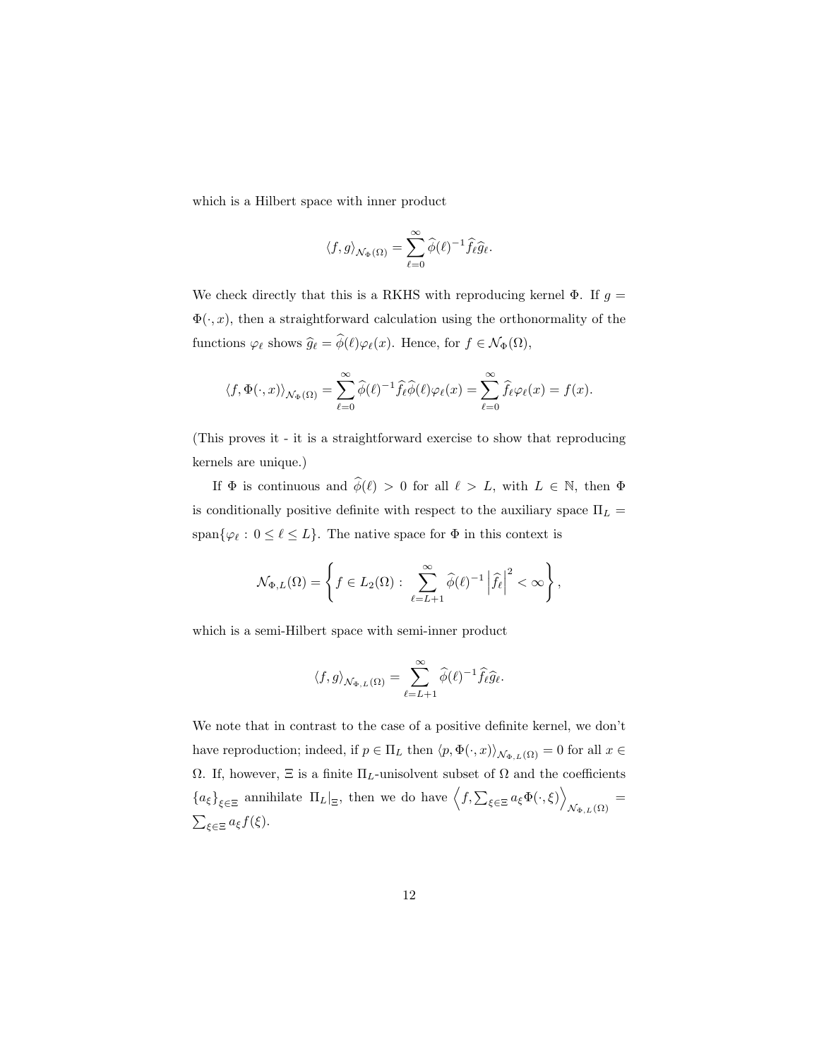which is a Hilbert space with inner product

$$
\langle f, g \rangle_{\mathcal{N}_\Phi(\Omega)} = \sum_{\ell=0}^\infty \widehat{\phi}(\ell)^{-1} \widehat{f_\ell} \widehat{g}_\ell.
$$

We check directly that this is a RKHS with reproducing kernel  $\Phi$ . If  $g =$  $\Phi(\cdot, x)$ , then a straightforward calculation using the orthonormality of the functions  $\varphi_{\ell}$  shows  $\widehat{g}_{\ell} = \widehat{\phi}(\ell)\varphi_{\ell}(x)$ . Hence, for  $f \in \mathcal{N}_{\Phi}(\Omega)$ ,

$$
\langle f, \Phi(\cdot, x) \rangle_{\mathcal{N}_{\Phi}(\Omega)} = \sum_{\ell=0}^{\infty} \widehat{\phi}(\ell)^{-1} \widehat{f}_{\ell} \widehat{\phi}(\ell) \varphi_{\ell}(x) = \sum_{\ell=0}^{\infty} \widehat{f}_{\ell} \varphi_{\ell}(x) = f(x).
$$

(This proves it - it is a straightforward exercise to show that reproducing kernels are unique.)

If  $\Phi$  is continuous and  $\widehat{\phi}(\ell) > 0$  for all  $\ell > L$ , with  $L \in \mathbb{N}$ , then  $\Phi$ is conditionally positive definite with respect to the auxiliary space  $\Pi_L =$ span $\{\varphi_\ell : 0 \leq \ell \leq L\}$ . The native space for  $\Phi$  in this context is

$$
\mathcal{N}_{\Phi,L}(\Omega) = \left\{ f \in L_2(\Omega) : \sum_{\ell=L+1}^{\infty} \widehat{\phi}(\ell)^{-1} \left| \widehat{f}_{\ell} \right|^2 < \infty \right\},\,
$$

which is a semi-Hilbert space with semi-inner product

$$
\langle f, g \rangle_{\mathcal{N}_{\Phi, L}(\Omega)} = \sum_{\ell=L+1}^{\infty} \widehat{\phi}(\ell)^{-1} \widehat{f}_{\ell} \widehat{g}_{\ell}.
$$

We note that in contrast to the case of a positive definite kernel, we don't have reproduction; indeed, if  $p \in \Pi_L$  then  $\langle p, \Phi(\cdot, x) \rangle_{\mathcal{N}_{\Phi, L}(\Omega)} = 0$  for all  $x \in$  $\Omega.$  If, however, Ξ is a finite  $\Pi_L\text{-unisolvent subset of } \Omega$  and the coefficients  ${a_{\xi}}_{\xi \in \Xi}$  annihilate  $\Pi_L|_{\Xi}$ , then we do have  $\langle f, \sum_{\xi \in \Xi} a_{\xi} \Phi(\cdot, \xi) \rangle$  $\mathcal{N}_{\Phi,L}(\Omega)$  =  $\sum_{\xi \in \Xi} a_{\xi} f(\xi).$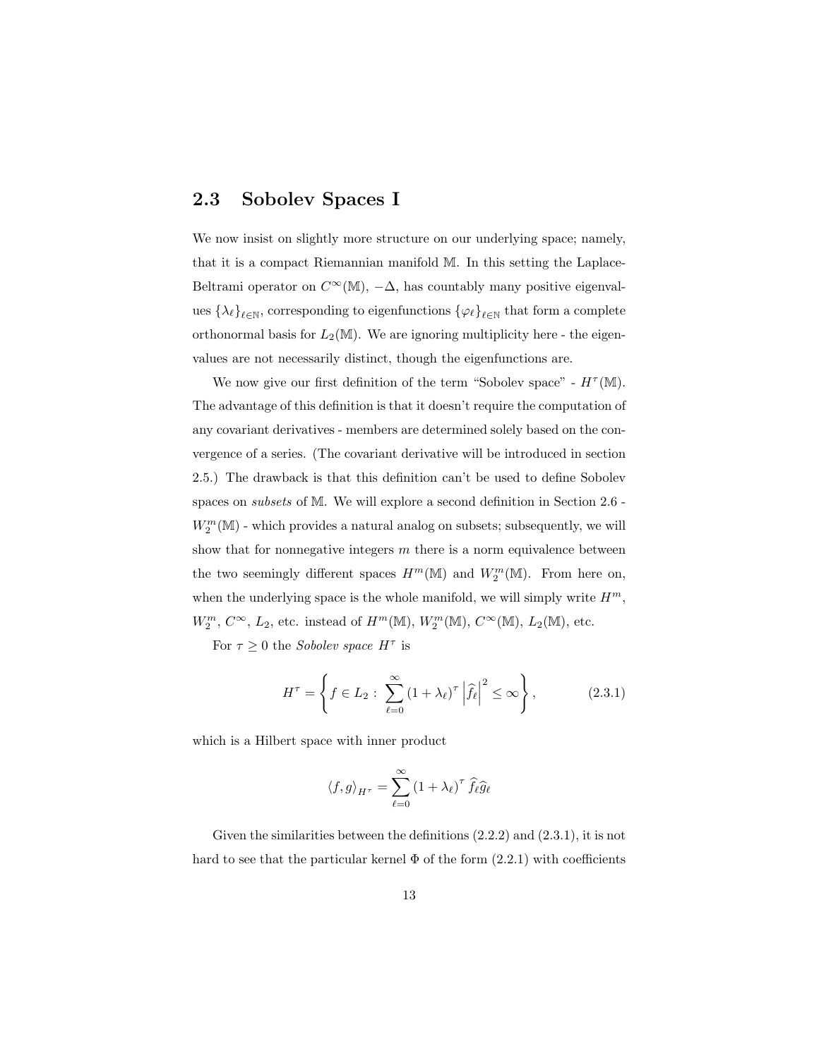### 2.3 Sobolev Spaces I

We now insist on slightly more structure on our underlying space; namely, that it is a compact Riemannian manifold M. In this setting the Laplace-Beltrami operator on  $C^{\infty}(\mathbb{M})$ ,  $-\Delta$ , has countably many positive eigenvalues  $\{\lambda_\ell\}_{\ell \in \mathbb{N}}$ , corresponding to eigenfunctions  $\{\varphi_\ell\}_{\ell \in \mathbb{N}}$  that form a complete orthonormal basis for  $L_2(\mathbb{M})$ . We are ignoring multiplicity here - the eigenvalues are not necessarily distinct, though the eigenfunctions are.

We now give our first definition of the term "Sobolev space" -  $H^{\tau}(\mathbb{M})$ . The advantage of this definition is that it doesn't require the computation of any covariant derivatives - members are determined solely based on the convergence of a series. (The covariant derivative will be introduced in section 2.5.) The drawback is that this definition can't be used to define Sobolev spaces on subsets of M. We will explore a second definition in Section 2.6 -  $W^m_2(\mathbb{M})$  - which provides a natural analog on subsets; subsequently, we will show that for nonnegative integers  $m$  there is a norm equivalence between the two seemingly different spaces  $H^m(\mathbb{M})$  and  $W^m_2(\mathbb{M})$ . From here on, when the underlying space is the whole manifold, we will simply write  $H^m$ ,  $W_2^m$ ,  $C^{\infty}$ ,  $L_2$ , etc. instead of  $H^m(\mathbb{M})$ ,  $W_2^m(\mathbb{M})$ ,  $C^{\infty}(\mathbb{M})$ ,  $L_2(\mathbb{M})$ , etc.

For  $\tau \geq 0$  the *Sobolev space*  $H^{\tau}$  is

$$
H^{\tau} = \left\{ f \in L_2 : \sum_{\ell=0}^{\infty} \left( 1 + \lambda_{\ell} \right)^{\tau} \left| \widehat{f}_{\ell} \right|^{2} \leq \infty \right\},\tag{2.3.1}
$$

which is a Hilbert space with inner product

$$
\langle f, g \rangle_{H^{\tau}} = \sum_{\ell=0}^{\infty} \left( 1 + \lambda_{\ell} \right)^{\tau} \hat{f}_{\ell} \hat{g}_{\ell}
$$

Given the similarities between the definitions (2.2.2) and (2.3.1), it is not hard to see that the particular kernel  $\Phi$  of the form  $(2.2.1)$  with coefficients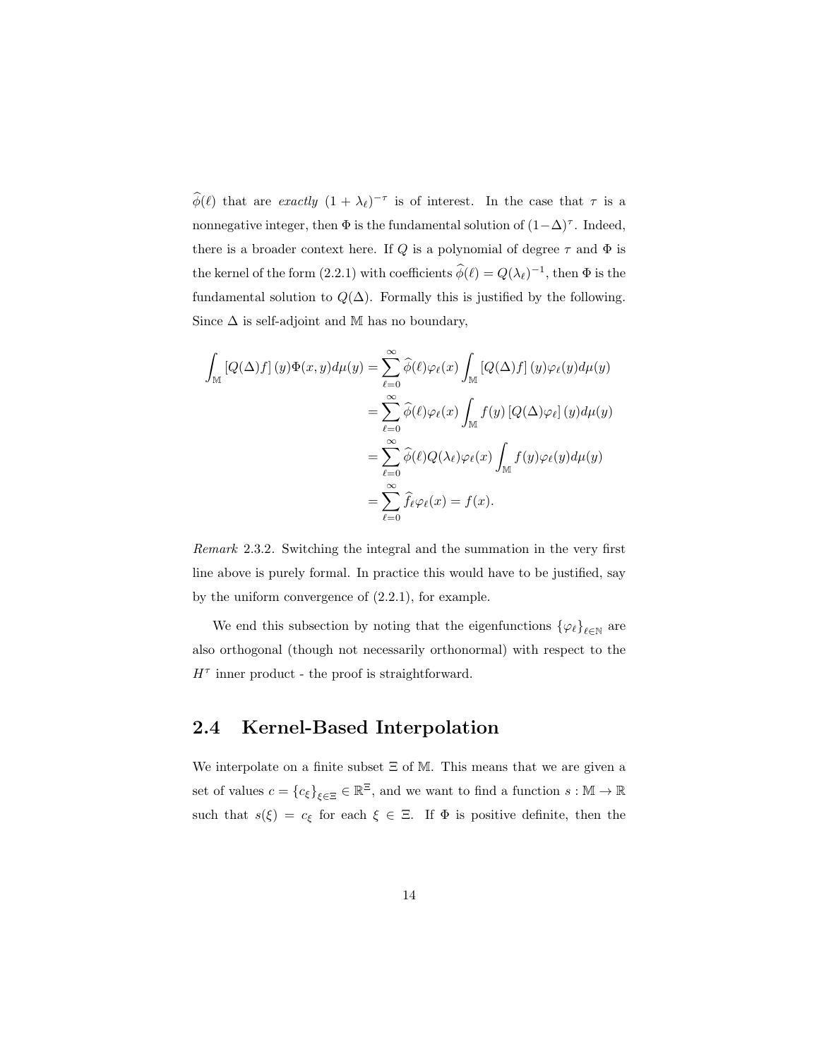$\widehat{\phi}(\ell)$  that are *exactly*  $(1 + \lambda_{\ell})^{-\tau}$  is of interest. In the case that  $\tau$  is a nonnegative integer, then  $\Phi$  is the fundamental solution of  $(1-\Delta)^{\tau}$ . Indeed, there is a broader context here. If  $Q$  is a polynomial of degree  $\tau$  and  $\Phi$  is the kernel of the form (2.2.1) with coefficients  $\hat{\phi}(\ell) = Q(\lambda_{\ell})^{-1}$ , then  $\Phi$  is the fundamental solution to  $Q(\Delta)$ . Formally this is justified by the following. Since  $\Delta$  is self-adjoint and M has no boundary,

$$
\int_{\mathbb{M}} \left[ Q(\Delta)f \right](y) \Phi(x, y) d\mu(y) = \sum_{\ell=0}^{\infty} \widehat{\phi}(\ell) \varphi_{\ell}(x) \int_{\mathbb{M}} \left[ Q(\Delta)f \right](y) \varphi_{\ell}(y) d\mu(y)
$$

$$
= \sum_{\ell=0}^{\infty} \widehat{\phi}(\ell) \varphi_{\ell}(x) \int_{\mathbb{M}} f(y) \left[ Q(\Delta) \varphi_{\ell} \right](y) d\mu(y)
$$

$$
= \sum_{\ell=0}^{\infty} \widehat{\phi}(\ell) Q(\lambda_{\ell}) \varphi_{\ell}(x) \int_{\mathbb{M}} f(y) \varphi_{\ell}(y) d\mu(y)
$$

$$
= \sum_{\ell=0}^{\infty} \widehat{f}_{\ell} \varphi_{\ell}(x) = f(x).
$$

Remark 2.3.2. Switching the integral and the summation in the very first line above is purely formal. In practice this would have to be justified, say by the uniform convergence of (2.2.1), for example.

We end this subsection by noting that the eigenfunctions  $\{\varphi_{\ell}\}_{\ell \in \mathbb{N}}$  are also orthogonal (though not necessarily orthonormal) with respect to the  $H^{\tau}$  inner product - the proof is straightforward.

### 2.4 Kernel-Based Interpolation

We interpolate on a finite subset Ξ of M. This means that we are given a set of values  $c = \{c_{\xi}\}_{\xi \in \Xi} \in \mathbb{R}^{\Xi}$ , and we want to find a function  $s : \mathbb{M} \to \mathbb{R}$ such that  $s(\xi) = c_{\xi}$  for each  $\xi \in \Xi$ . If  $\Phi$  is positive definite, then the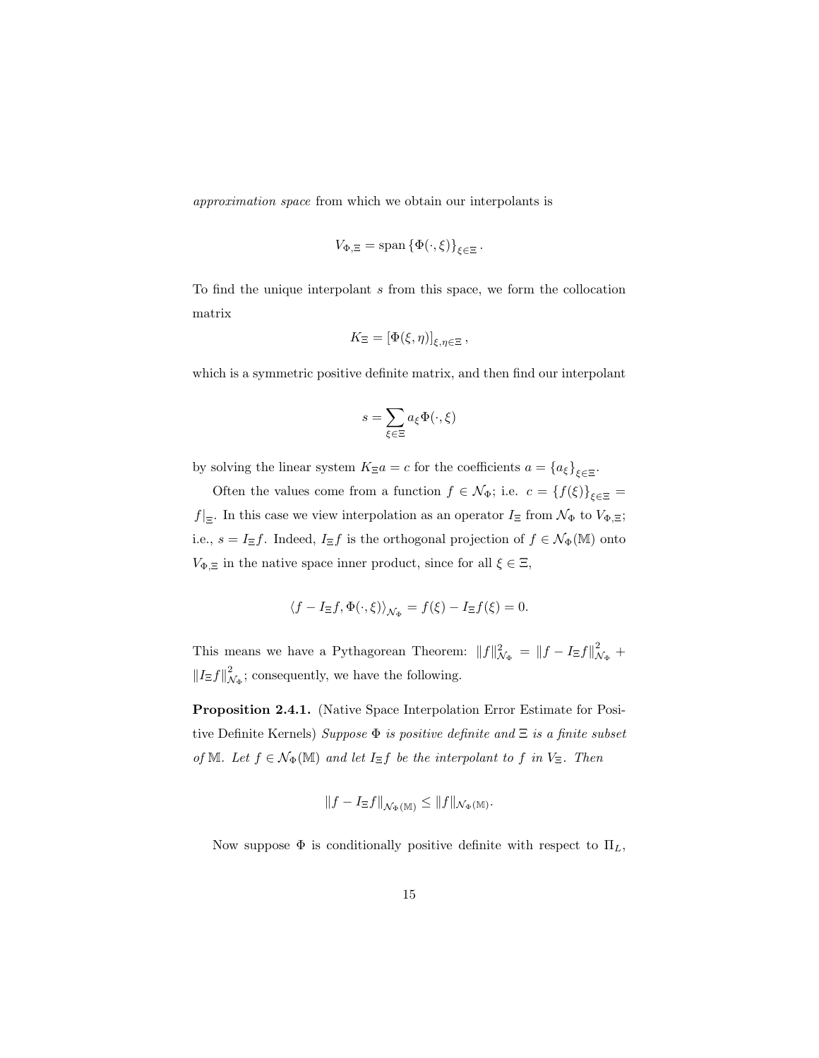approximation space from which we obtain our interpolants is

$$
V_{\Phi,\Xi} = \text{span}\left\{\Phi(\cdot,\xi)\right\}_{\xi \in \Xi}.
$$

To find the unique interpolant s from this space, we form the collocation matrix

$$
K_{\Xi} = \left[\Phi(\xi,\eta)\right]_{\xi,\eta\in\Xi},\,
$$

which is a symmetric positive definite matrix, and then find our interpolant

$$
s = \sum_{\xi \in \Xi} a_{\xi} \Phi(\cdot, \xi)
$$

by solving the linear system  $K_{\Xi}a = c$  for the coefficients  $a = \{a_{\xi}\}_{{\xi} \in \Xi}$ .

Often the values come from a function  $f \in \mathcal{N}_{\Phi}$ ; i.e.  $c = \{f(\xi)\}_{\xi \in \Xi}$  $f|_{\Xi}$ . In this case we view interpolation as an operator  $I_{\Xi}$  from  $\mathcal{N}_{\Phi}$  to  $V_{\Phi,\Xi}$ ; i.e.,  $s = I_{\Xi}f$ . Indeed,  $I_{\Xi}f$  is the orthogonal projection of  $f \in \mathcal{N}_{\Phi}(\mathbb{M})$  onto  $V_{\Phi,\Xi}$  in the native space inner product, since for all  $\xi \in \Xi$ ,

$$
\langle f - I_{\Xi}f, \Phi(\cdot, \xi) \rangle_{\mathcal{N}_{\Phi}} = f(\xi) - I_{\Xi}f(\xi) = 0.
$$

This means we have a Pythagorean Theorem:  $||f||^2_{\mathcal{N}_{\Phi}} = ||f - I_{\Xi}f||^2_{\mathcal{N}_{\Phi}}$  +  $||I_{\Xi}f||^2_{\mathcal{N}_{\Phi}}$ ; consequently, we have the following.

Proposition 2.4.1. (Native Space Interpolation Error Estimate for Positive Definite Kernels) Suppose  $\Phi$  is positive definite and  $\Xi$  is a finite subset of M. Let  $f \in \mathcal{N}_{\Phi}(\mathbb{M})$  and let  $I_{\Xi}f$  be the interpolant to f in  $V_{\Xi}$ . Then

$$
||f - I_{\Xi}f||_{\mathcal{N}_{\Phi}(\mathbb{M})} \leq ||f||_{\mathcal{N}_{\Phi}(\mathbb{M})}.
$$

Now suppose  $\Phi$  is conditionally positive definite with respect to  $\Pi_L$ ,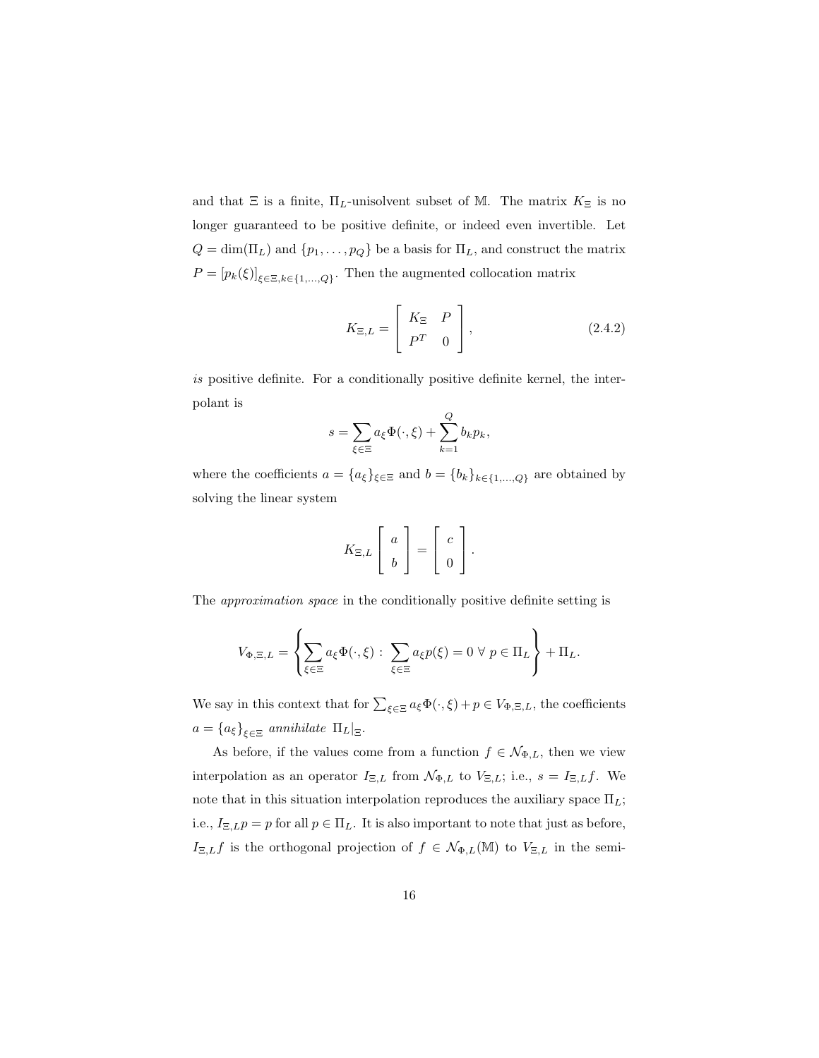and that  $\Xi$  is a finite,  $\Pi_L$ -unisolvent subset of M. The matrix  $K_{\Xi}$  is no longer guaranteed to be positive definite, or indeed even invertible. Let  $Q = \dim(\Pi_L)$  and  $\{p_1, \ldots, p_Q\}$  be a basis for  $\Pi_L$ , and construct the matrix  $P = [p_k(\xi)]_{\xi \in \Xi, k \in \{1, ..., Q\}}$ . Then the augmented collocation matrix

$$
K_{\Xi,L} = \begin{bmatrix} K_{\Xi} & P \\ P^T & 0 \end{bmatrix}, \qquad (2.4.2)
$$

is positive definite. For a conditionally positive definite kernel, the interpolant is

$$
s = \sum_{\xi \in \Xi} a_{\xi} \Phi(\cdot, \xi) + \sum_{k=1}^{Q} b_k p_k,
$$

where the coefficients  $a = \{a_{\xi}\}_{\xi \in \Xi}$  and  $b = \{b_{k}\}_{k \in \{1,...,Q\}}$  are obtained by solving the linear system

$$
K_{\Xi,L}\left[\begin{array}{c}a\\b\end{array}\right]=\left[\begin{array}{c}c\\0\end{array}\right].
$$

The approximation space in the conditionally positive definite setting is

$$
V_{\Phi,\Xi,L} = \left\{ \sum_{\xi \in \Xi} a_{\xi} \Phi(\cdot,\xi) : \sum_{\xi \in \Xi} a_{\xi} p(\xi) = 0 \ \forall \ p \in \Pi_L \right\} + \Pi_L.
$$

We say in this context that for  $\sum_{\xi \in \Xi} a_{\xi} \Phi(\cdot, \xi) + p \in V_{\Phi, \Xi, L}$ , the coefficients  $a = \{a_{\xi}\}_{{\xi \in \Xi}}$  annihilate  $\Pi_L|_{\Xi}$ .

As before, if the values come from a function  $f \in \mathcal{N}_{\Phi,L}$ , then we view interpolation as an operator  $I_{\Xi,L}$  from  $\mathcal{N}_{\Phi,L}$  to  $V_{\Xi,L}$ ; i.e.,  $s = I_{\Xi,L}f$ . We note that in this situation interpolation reproduces the auxiliary space  $\Pi_L$ ; i.e.,  $I_{\Xi,L}p = p$  for all  $p \in \Pi_L$ . It is also important to note that just as before,  $I_{\Xi,L}f$  is the orthogonal projection of  $f \in \mathcal{N}_{\Phi,L}(\mathbb{M})$  to  $V_{\Xi,L}$  in the semi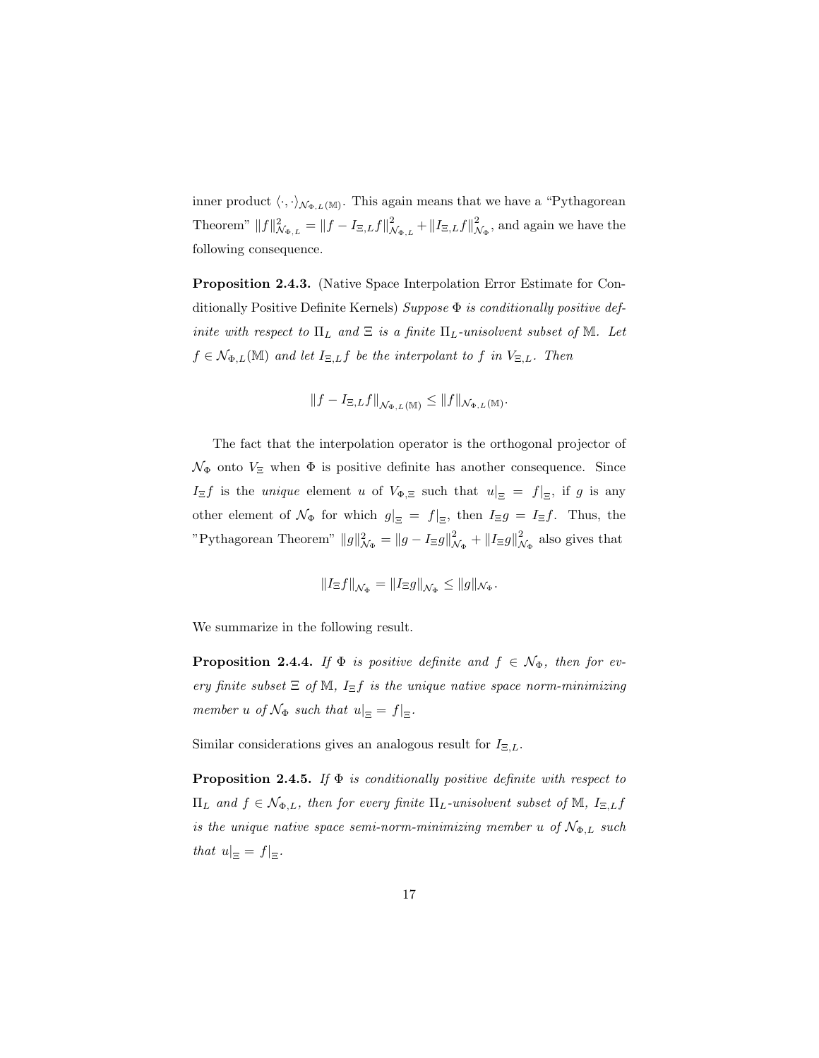inner product  $\langle \cdot, \cdot \rangle_{\mathcal{N}_{\Phi,L}(\mathbb{M})}$ . This again means that we have a "Pythagorean" Theorem"  $||f||^2_{\mathcal{N}_{\Phi,L}} = ||f - I_{\Xi,L}f||^2_{\mathcal{N}}$  $\frac{2}{\mathcal{N}_{\Phi,L}}+\left\Vert I_{\Xi,L}f\right\Vert _{\mathcal{N}}^{2}$  $\mathcal{L}_{\mathcal{N}_{\Phi}}$ , and again we have the following consequence.

Proposition 2.4.3. (Native Space Interpolation Error Estimate for Conditionally Positive Definite Kernels) Suppose  $\Phi$  is conditionally positive definite with respect to  $\Pi_L$  and  $\Xi$  is a finite  $\Pi_L$ -unisolvent subset of M. Let  $f \in \mathcal{N}_{\Phi,L}(\mathbb{M})$  and let  $I_{\Xi,L}f$  be the interpolant to f in  $V_{\Xi,L}$ . Then

$$
||f - I_{\Xi,L}f||_{\mathcal{N}_{\Phi,L}(\mathbb{M})} \leq ||f||_{\mathcal{N}_{\Phi,L}(\mathbb{M})}.
$$

The fact that the interpolation operator is the orthogonal projector of  $\mathcal{N}_{\Phi}$  onto  $V_{\Xi}$  when  $\Phi$  is positive definite has another consequence. Since  $I_{\Xi}f$  is the *unique* element u of  $V_{\Phi,\Xi}$  such that  $u|_{\Xi} = f|_{\Xi}$ , if g is any other element of  $\mathcal{N}_{\Phi}$  for which  $g|_{\Xi} = f|_{\Xi}$ , then  $I_{\Xi}g = I_{\Xi}f$ . Thus, the "Pythagorean Theorem"  $||g||^2_{\mathcal{N}_{\Phi}} = ||g - I_{\Xi}g||^2_{\mathcal{N}_{\Phi}} + ||I_{\Xi}g||^2_{\mathcal{N}_{\Phi}}$  also gives that

$$
||I_{\Xi}f||_{\mathcal{N}_{\Phi}} = ||I_{\Xi}g||_{\mathcal{N}_{\Phi}} \leq ||g||_{\mathcal{N}_{\Phi}}.
$$

We summarize in the following result.

**Proposition 2.4.4.** If  $\Phi$  is positive definite and  $f \in \mathcal{N}_{\Phi}$ , then for every finite subset  $\Xi$  of M,  $I_{\Xi}f$  is the unique native space norm-minimizing member u of  $\mathcal{N}_{\Phi}$  such that  $u|_{\Xi} = f|_{\Xi}$ .

Similar considerations gives an analogous result for  $I_{\Xi,L}$ .

**Proposition 2.4.5.** If  $\Phi$  is conditionally positive definite with respect to  $\Pi_L$  and  $f \in \mathcal{N}_{\Phi,L}$ , then for every finite  $\Pi_L$ -unisolvent subset of M,  $I_{\Xi,L}f$ is the unique native space semi-norm-minimizing member u of  $N_{\Phi,L}$  such that  $u|_{\Xi} = f|_{\Xi}$ .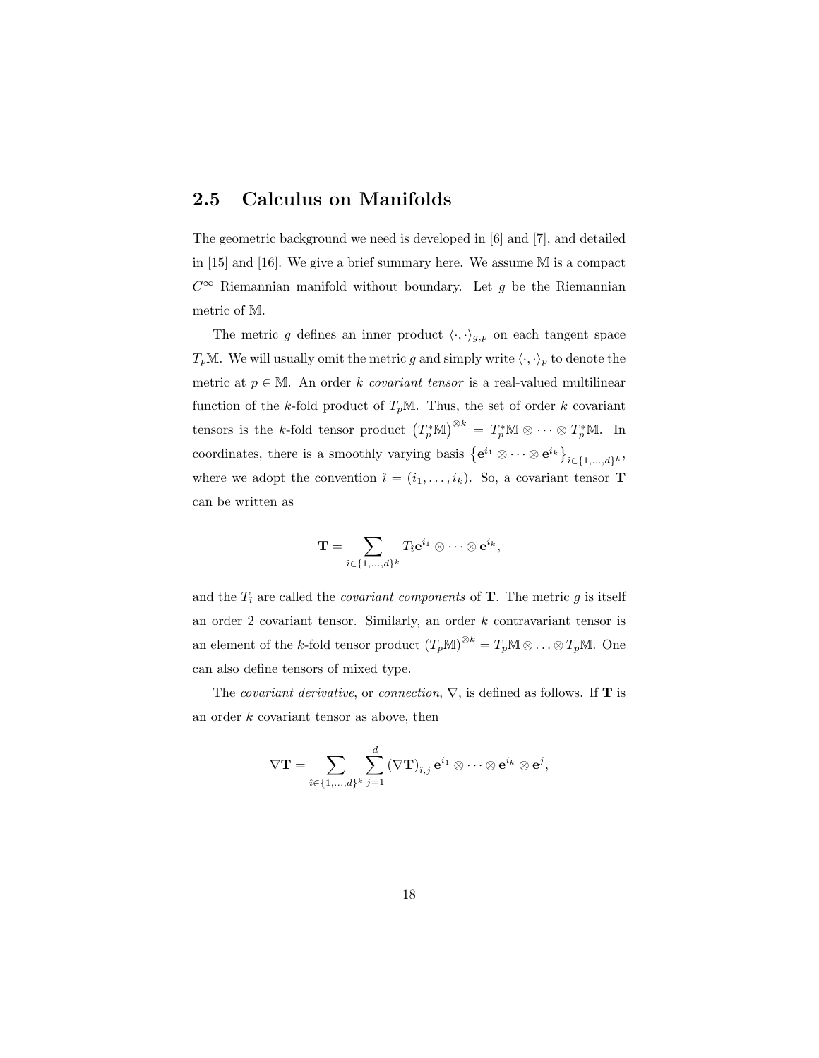### 2.5 Calculus on Manifolds

The geometric background we need is developed in [6] and [7], and detailed in [15] and [16]. We give a brief summary here. We assume M is a compact  $C^∞$  Riemannian manifold without boundary. Let g be the Riemannian metric of M.

The metric g defines an inner product  $\langle \cdot, \cdot \rangle_{g,p}$  on each tangent space  $T_pM$ . We will usually omit the metric g and simply write  $\langle \cdot, \cdot \rangle_p$  to denote the metric at  $p \in \mathbb{M}$ . An order k covariant tensor is a real-valued multilinear function of the k-fold product of  $T_pM$ . Thus, the set of order k covariant tensors is the k-fold tensor product  $(T_p^*\mathbb{M})^{\otimes k} = T_p^*\mathbb{M} \otimes \cdots \otimes T_p^*\mathbb{M}$ . In coordinates, there is a smoothly varying basis  $\{e^{i_1} \otimes \cdots \otimes e^{i_k}\}_{i \in \{1,\ldots,d\}^k}$ , where we adopt the convention  $\hat{\imath} = (i_1, \ldots, i_k)$ . So, a covariant tensor **T** can be written as

$$
\mathbf{T} = \sum_{\hat{\imath} \in \{1, \ldots, d\}^k} T_{\hat{\imath}} \mathbf{e}^{i_1} \otimes \cdots \otimes \mathbf{e}^{i_k},
$$

and the  $T_i$  are called the *covariant components* of **T**. The metric g is itself an order  $2$  covariant tensor. Similarly, an order  $k$  contravariant tensor is an element of the k-fold tensor product  $(T_p \mathbb{M})^{\otimes k} = T_p \mathbb{M} \otimes \ldots \otimes T_p \mathbb{M}$ . One can also define tensors of mixed type.

The *covariant derivative*, or *connection*,  $\nabla$ , is defined as follows. If **T** is an order k covariant tensor as above, then

$$
\nabla \mathbf{T} = \sum_{i \in \{1,...,d\}^k} \sum_{j=1}^d \left(\nabla \mathbf{T}\right)_{i,j} \mathbf{e}^{i_1} \otimes \cdots \otimes \mathbf{e}^{i_k} \otimes \mathbf{e}^j,
$$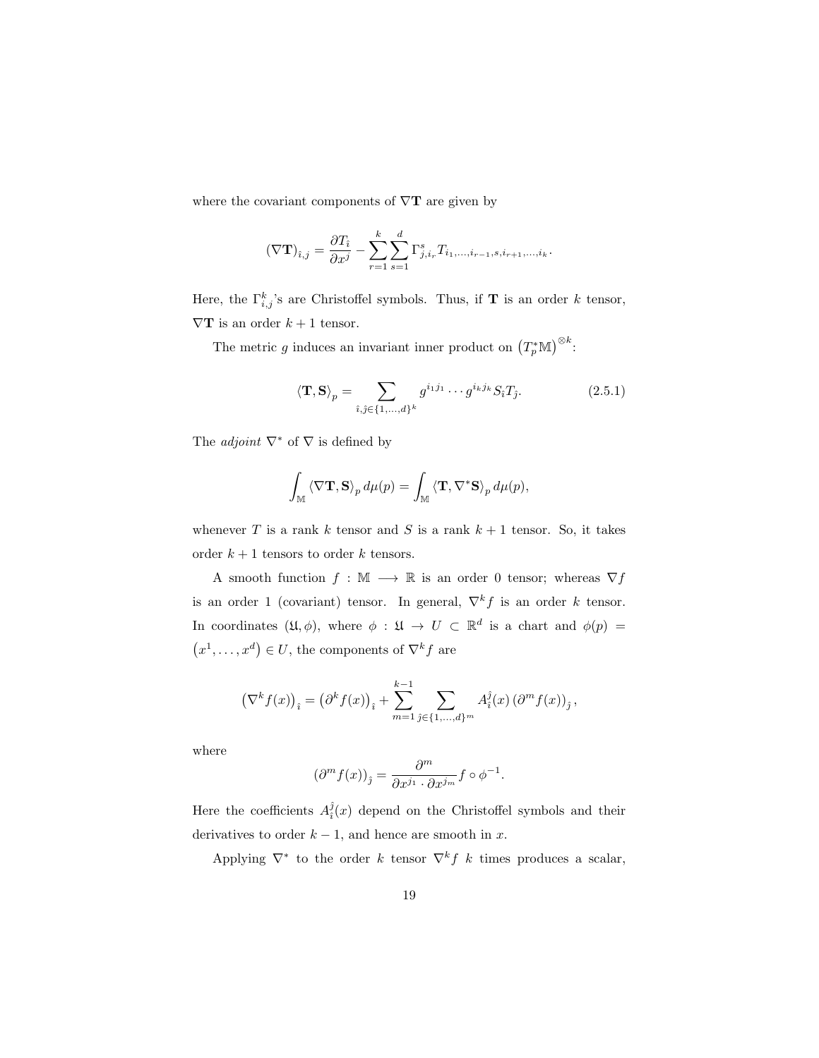where the covariant components of  $\nabla$ **T** are given by

$$
(\nabla \mathbf{T})_{\hat{i},j} = \frac{\partial T_{\hat{i}}}{\partial x^j} - \sum_{r=1}^k \sum_{s=1}^d \Gamma^s_{j,i_r} T_{i_1,...,i_{r-1},s,i_{r+1},...,i_k}.
$$

Here, the  $\Gamma_{i,j}^k$ 's are Christoffel symbols. Thus, if **T** is an order k tensor,  $\nabla {\bf T}$  is an order  $k+1$  tensor.

The metric g induces an invariant inner product on  $(T_p^*\mathbb{M})^{\otimes k}$ :

$$
\langle \mathbf{T}, \mathbf{S} \rangle_p = \sum_{\hat{\imath}, \hat{\jmath} \in \{1, \dots, d\}^k} g^{i_1 j_1} \cdots g^{i_k j_k} S_{\hat{\imath}} T_{\hat{\jmath}}.
$$
 (2.5.1)

The *adjoint*  $\nabla^*$  of  $\nabla$  is defined by

$$
\int_{\mathbb{M}}\left\langle \nabla\mathbf{T},\mathbf{S}\right\rangle_{p}d\mu(p)=\int_{\mathbb{M}}\left\langle \mathbf{T},\nabla^{*}\mathbf{S}\right\rangle_{p}d\mu(p),
$$

whenever T is a rank k tensor and S is a rank  $k + 1$  tensor. So, it takes order  $k + 1$  tensors to order k tensors.

A smooth function  $f : \mathbb{M} \longrightarrow \mathbb{R}$  is an order 0 tensor; whereas  $\nabla f$ is an order 1 (covariant) tensor. In general,  $\nabla^k f$  is an order k tensor. In coordinates  $(\mathfrak{U}, \phi)$ , where  $\phi : \mathfrak{U} \to U \subset \mathbb{R}^d$  is a chart and  $\phi(p) =$  $(x^1, \ldots, x^d) \in U$ , the components of  $\nabla^k f$  are

$$
\left(\nabla^k f(x)\right)_i = \left(\partial^k f(x)\right)_i + \sum_{m=1}^{k-1} \sum_{\hat{\jmath} \in \{1,\dots,d\}^m} A_i^{\hat{\jmath}}(x) \left(\partial^m f(x)\right)_j,
$$

where

$$
(\partial^m f(x))_{\hat{j}} = \frac{\partial^m}{\partial x^{j_1} \cdot \partial x^{j_m}} f \circ \phi^{-1}.
$$

Here the coefficients  $A_i^{\hat{j}}(x)$  depend on the Christoffel symbols and their derivatives to order  $k - 1$ , and hence are smooth in x.

Applying  $\nabla^*$  to the order k tensor  $\nabla^k f$  k times produces a scalar,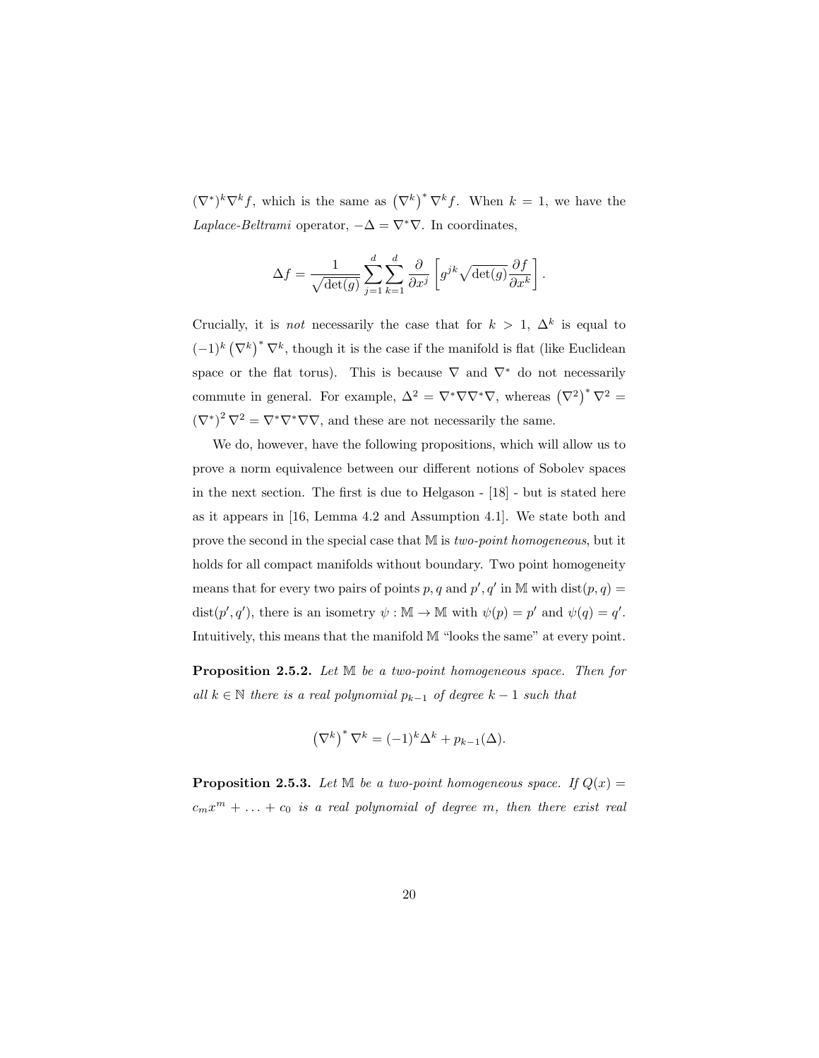$(\nabla^*)^k \nabla^k f$ , which is the same as  $(\nabla^k)^* \nabla^k f$ . When  $k = 1$ , we have the Laplace-Beltrami operator,  $-\Delta = \nabla^* \nabla$ . In coordinates,

$$
\Delta f = \frac{1}{\sqrt{\det(g)}} \sum_{j=1}^d \sum_{k=1}^d \frac{\partial}{\partial x^j} \left[ g^{jk} \sqrt{\det(g)} \frac{\partial f}{\partial x^k} \right].
$$

Crucially, it is *not* necessarily the case that for  $k > 1$ ,  $\Delta^k$  is equal to  $(-1)^k (\nabla^k)^* \nabla^k$ , though it is the case if the manifold is flat (like Euclidean space or the flat torus). This is because  $\nabla$  and  $\nabla^*$  do not necessarily commute in general. For example,  $\Delta^2 = \nabla^* \nabla \nabla^* \nabla$ , whereas  $(\nabla^2)^* \nabla^2 =$  $(\nabla^*)^2 \nabla^2 = \nabla^* \nabla^* \nabla \nabla$ , and these are not necessarily the same.

We do, however, have the following propositions, which will allow us to prove a norm equivalence between our different notions of Sobolev spaces in the next section. The first is due to Helgason - [18] - but is stated here as it appears in [16, Lemma 4.2 and Assumption 4.1]. We state both and prove the second in the special case that M is two-point homogeneous, but it holds for all compact manifolds without boundary. Two point homogeneity means that for every two pairs of points p, q and  $p'$ , q' in M with  $dist(p, q) =$ dist $(p', q')$ , there is an isometry  $\psi : \mathbb{M} \to \mathbb{M}$  with  $\psi(p) = p'$  and  $\psi(q) = q'$ . Intuitively, this means that the manifold M "looks the same" at every point.

Proposition 2.5.2. Let M be a two-point homogeneous space. Then for all  $k \in \mathbb{N}$  there is a real polynomial  $p_{k-1}$  of degree  $k-1$  such that

$$
\left(\nabla^k\right)^* \nabla^k = (-1)^k \Delta^k + p_{k-1}(\Delta).
$$

**Proposition 2.5.3.** Let  $\mathbb{M}$  be a two-point homogeneous space. If  $Q(x) =$  $c_m x^m + \ldots + c_0$  is a real polynomial of degree m, then there exist real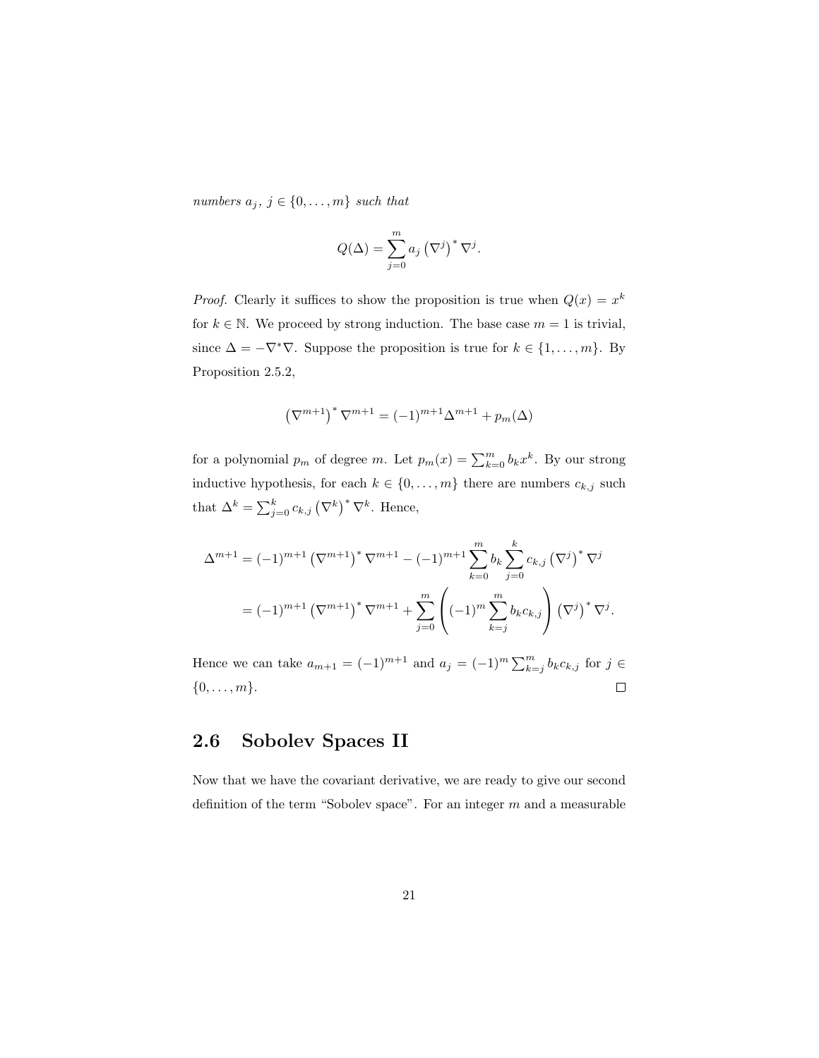numbers  $a_j, j \in \{0, \ldots, m\}$  such that

$$
Q(\Delta) = \sum_{j=0}^{m} a_j (\nabla^j)^* \nabla^j.
$$

*Proof.* Clearly it suffices to show the proposition is true when  $Q(x) = x^k$ for  $k \in \mathbb{N}$ . We proceed by strong induction. The base case  $m = 1$  is trivial, since  $\Delta = -\nabla^*\nabla$ . Suppose the proposition is true for  $k \in \{1, ..., m\}$ . By Proposition 2.5.2,

$$
\left(\nabla^{m+1}\right)^*\nabla^{m+1}=(-1)^{m+1}\Delta^{m+1}+p_m(\Delta)
$$

for a polynomial  $p_m$  of degree m. Let  $p_m(x) = \sum_{k=0}^m b_k x^k$ . By our strong inductive hypothesis, for each  $k \in \{0, ..., m\}$  there are numbers  $c_{k,j}$  such that  $\Delta^k = \sum_{j=0}^k c_{k,j} (\nabla^k)^* \nabla^k$ . Hence,

$$
\Delta^{m+1} = (-1)^{m+1} (\nabla^{m+1})^* \nabla^{m+1} - (-1)^{m+1} \sum_{k=0}^m b_k \sum_{j=0}^k c_{k,j} (\nabla^j)^* \nabla^j
$$
  
= 
$$
(-1)^{m+1} (\nabla^{m+1})^* \nabla^{m+1} + \sum_{j=0}^m \left( (-1)^m \sum_{k=j}^m b_k c_{k,j} \right) (\nabla^j)^* \nabla^j.
$$

Hence we can take  $a_{m+1} = (-1)^{m+1}$  and  $a_j = (-1)^m \sum_{k=j}^m b_k c_{k,j}$  for  $j \in$  $\{0,\ldots,m\}.$  $\Box$ 

### 2.6 Sobolev Spaces II

Now that we have the covariant derivative, we are ready to give our second definition of the term "Sobolev space". For an integer  $m$  and a measurable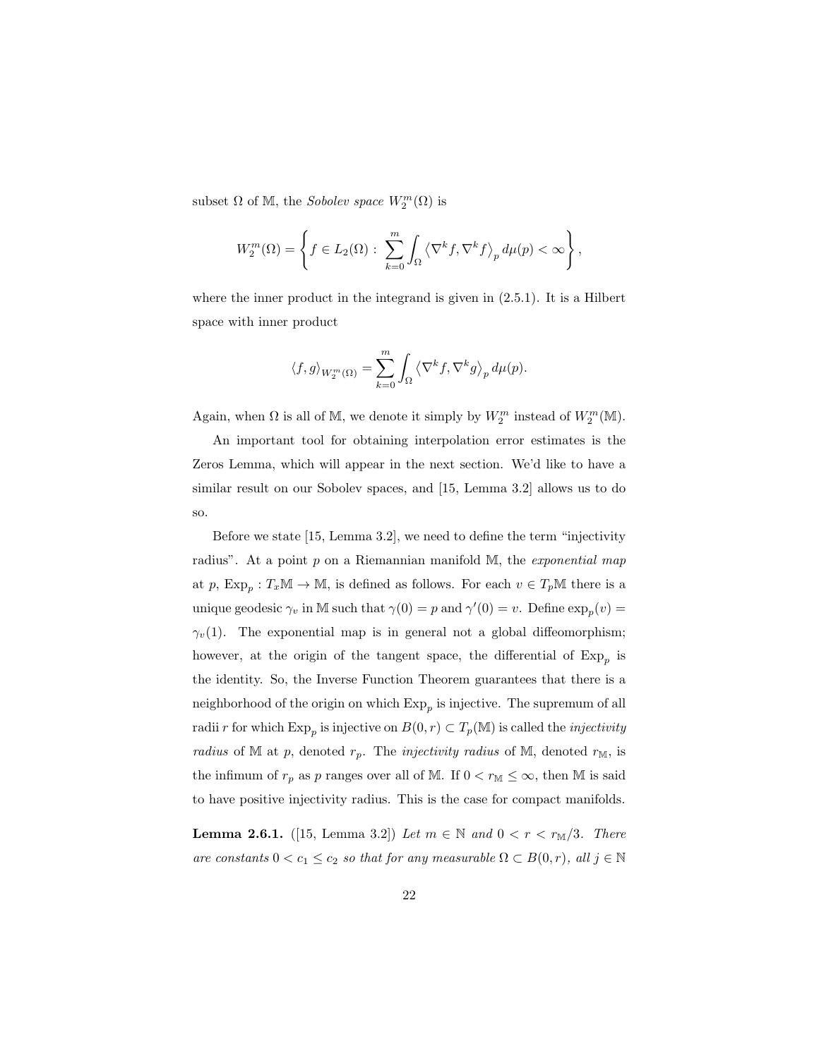subset  $\Omega$  of M, the *Sobolev space*  $W_2^m(\Omega)$  is

$$
W_2^m(\Omega) = \left\{ f \in L_2(\Omega) : \sum_{k=0}^m \int_{\Omega} \left\langle \nabla^k f, \nabla^k f \right\rangle_p d\mu(p) < \infty \right\},\,
$$

where the inner product in the integrand is given in (2.5.1). It is a Hilbert space with inner product

$$
\langle f, g \rangle_{W_2^m(\Omega)} = \sum_{k=0}^m \int_{\Omega} \langle \nabla^k f, \nabla^k g \rangle_p d\mu(p).
$$

Again, when  $\Omega$  is all of M, we denote it simply by  $W_2^m$  instead of  $W_2^m(\mathbb{M})$ .

An important tool for obtaining interpolation error estimates is the Zeros Lemma, which will appear in the next section. We'd like to have a similar result on our Sobolev spaces, and [15, Lemma 3.2] allows us to do so.

Before we state [15, Lemma 3.2], we need to define the term "injectivity radius". At a point  $p$  on a Riemannian manifold  $M$ , the *exponential map* at p,  $Exp_p: T_x \mathbb{M} \to \mathbb{M}$ , is defined as follows. For each  $v \in T_p \mathbb{M}$  there is a unique geodesic  $\gamma_v$  in M such that  $\gamma(0) = p$  and  $\gamma'(0) = v$ . Define  $\exp_p(v) =$  $\gamma_v(1)$ . The exponential map is in general not a global diffeomorphism; however, at the origin of the tangent space, the differential of  $Exp_p$  is the identity. So, the Inverse Function Theorem guarantees that there is a neighborhood of the origin on which  $Exp_p$  is injective. The supremum of all radii r for which  $\mathrm{Exp}_p$  is injective on  $B(0, r) \subset T_p(\mathbb{M})$  is called the *injectivity* radius of M at p, denoted  $r_p$ . The *injectivity radius* of M, denoted  $r_M$ , is the infimum of  $r_p$  as p ranges over all of M. If  $0 < r_M \leq \infty$ , then M is said to have positive injectivity radius. This is the case for compact manifolds.

**Lemma 2.6.1.** ([15, Lemma 3.2]) Let  $m \in \mathbb{N}$  and  $0 < r < r_{\mathbb{M}}/3$ . There are constants  $0 < c_1 \leq c_2$  so that for any measurable  $\Omega \subset B(0,r)$ , all  $j \in \mathbb{N}$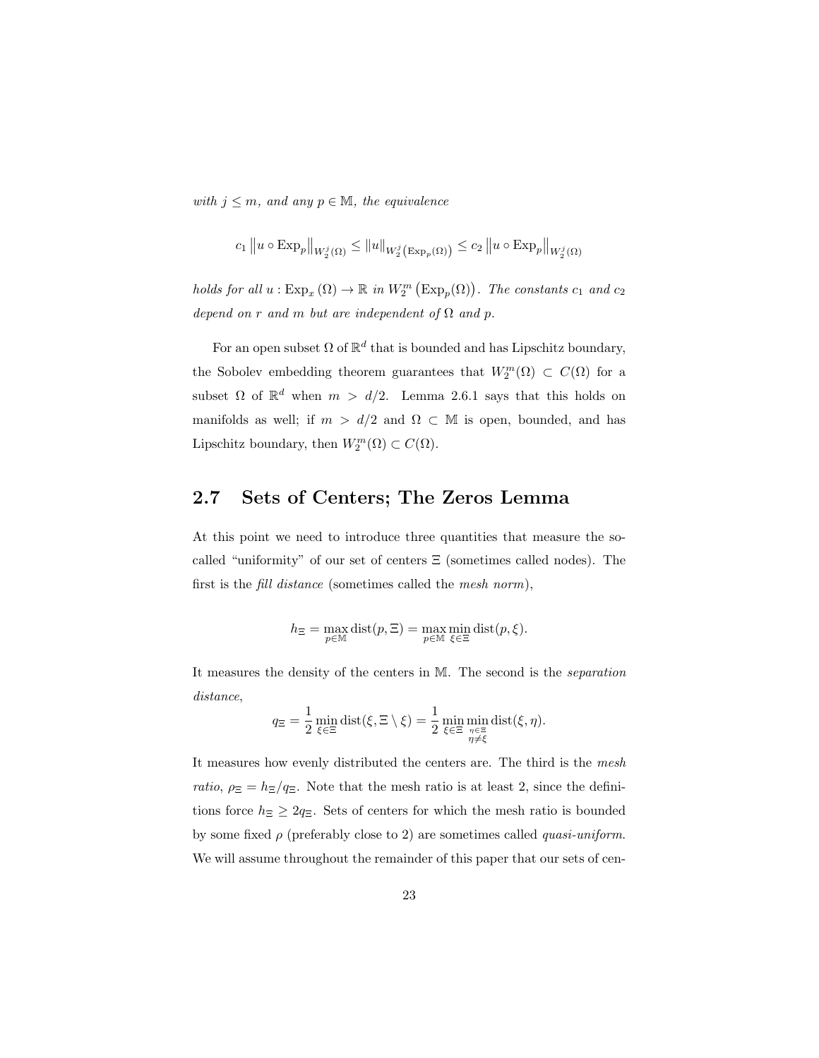with  $j \leq m$ , and any  $p \in M$ , the equivalence

$$
c_1 \|u \circ \mathrm{Exp}_p\|_{W_2^j(\Omega)} \le \|u\|_{W_2^j\left(\mathrm{Exp}_p(\Omega)\right)} \le c_2 \|u \circ \mathrm{Exp}_p\|_{W_2^j(\Omega)}
$$

holds for all  $u : \text{Exp}_x(\Omega) \to \mathbb{R}$  in  $W_2^m(\text{Exp}_p(\Omega))$ . The constants  $c_1$  and  $c_2$ depend on r and m but are independent of  $\Omega$  and p.

For an open subset  $\Omega$  of  $\mathbb{R}^d$  that is bounded and has Lipschitz boundary, the Sobolev embedding theorem guarantees that  $W_2^m(\Omega) \subset C(\Omega)$  for a subset  $\Omega$  of  $\mathbb{R}^d$  when  $m > d/2$ . Lemma 2.6.1 says that this holds on manifolds as well; if  $m > d/2$  and  $\Omega \subset M$  is open, bounded, and has Lipschitz boundary, then  $W_2^m(\Omega) \subset C(\Omega)$ .

### 2.7 Sets of Centers; The Zeros Lemma

At this point we need to introduce three quantities that measure the socalled "uniformity" of our set of centers  $\Xi$  (sometimes called nodes). The first is the *fill distance* (sometimes called the *mesh norm*),

$$
h_{\Xi} = \max_{p \in \mathbb{M}} \text{dist}(p, \Xi) = \max_{p \in \mathbb{M}} \min_{\xi \in \Xi} \text{dist}(p, \xi).
$$

It measures the density of the centers in M. The second is the separation distance,

$$
q_{\Xi} = \frac{1}{2} \min_{\xi \in \Xi} \text{dist}(\xi, \Xi \setminus \xi) = \frac{1}{2} \min_{\xi \in \Xi} \min_{\substack{\eta \in \Xi \\ \eta \neq \xi}} \text{dist}(\xi, \eta).
$$

It measures how evenly distributed the centers are. The third is the mesh ratio,  $\rho_{\Xi} = h_{\Xi}/q_{\Xi}$ . Note that the mesh ratio is at least 2, since the definitions force  $h_{\Xi} \geq 2q_{\Xi}$ . Sets of centers for which the mesh ratio is bounded by some fixed  $\rho$  (preferably close to 2) are sometimes called *quasi-uniform*. We will assume throughout the remainder of this paper that our sets of cen-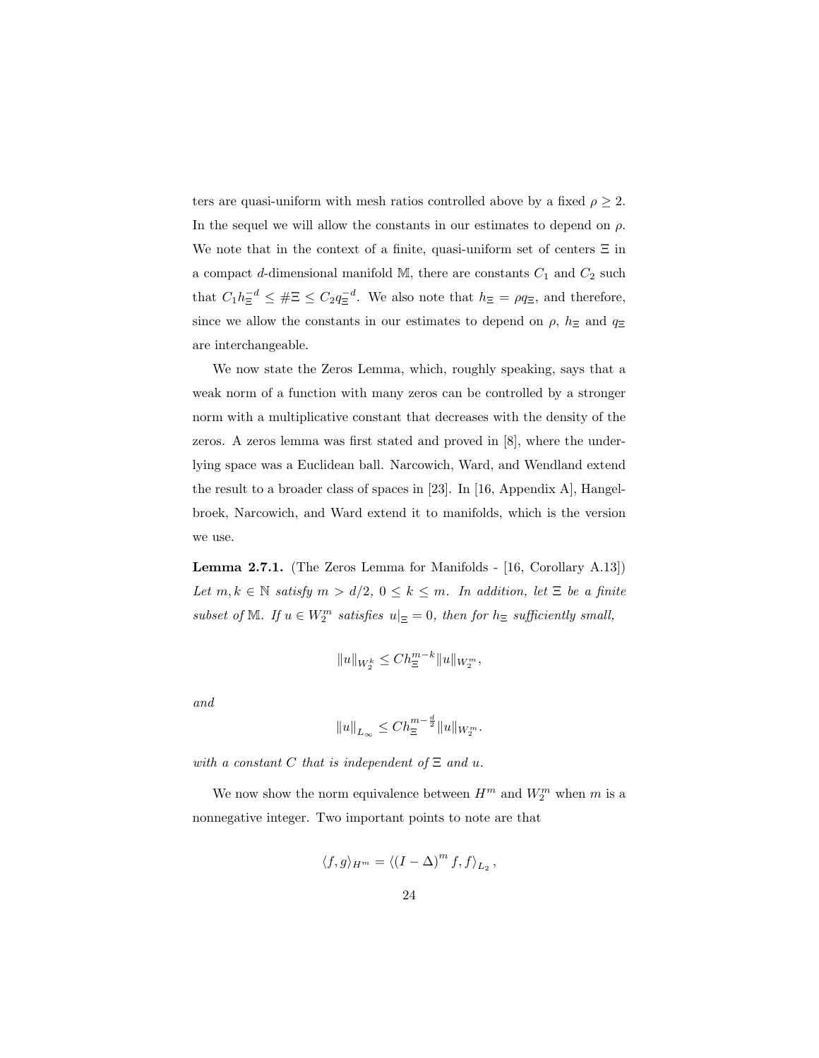ters are quasi-uniform with mesh ratios controlled above by a fixed  $\rho \geq 2$ . In the sequel we will allow the constants in our estimates to depend on  $\rho$ . We note that in the context of a finite, quasi-uniform set of centers  $\Xi$  in a compact d-dimensional manifold M, there are constants  $C_1$  and  $C_2$  such that  $C_1 h_{\Xi}^{-d} \leq \# \Xi \leq C_2 q_{\Xi}^{-d}$ . We also note that  $h_{\Xi} = \rho q_{\Xi}$ , and therefore, since we allow the constants in our estimates to depend on  $\rho$ ,  $h_{\Xi}$  and  $q_{\Xi}$ are interchangeable.

We now state the Zeros Lemma, which, roughly speaking, says that a weak norm of a function with many zeros can be controlled by a stronger norm with a multiplicative constant that decreases with the density of the zeros. A zeros lemma was first stated and proved in [8], where the underlying space was a Euclidean ball. Narcowich, Ward, and Wendland extend the result to a broader class of spaces in [23]. In [16, Appendix A], Hangelbroek, Narcowich, and Ward extend it to manifolds, which is the version we use.

Lemma 2.7.1. (The Zeros Lemma for Manifolds - [16, Corollary A.13]) Let  $m, k \in \mathbb{N}$  satisfy  $m > d/2, 0 \leq k \leq m$ . In addition, let  $\Xi$  be a finite subset of M. If  $u \in W_2^m$  satisfies  $u|_{\Xi} = 0$ , then for  $h_{\Xi}$  sufficiently small,

$$
||u||_{W_2^k} \le Ch_{\Xi}^{m-k} ||u||_{W_2^m},
$$

and

$$
||u||_{L_{\infty}} \leq C h_{\Xi}^{m-\frac{d}{2}} ||u||_{W_2^m}.
$$

with a constant C that is independent of  $\Xi$  and u.

We now show the norm equivalence between  $H^m$  and  $W^m_2$  when  $m$  is a nonnegative integer. Two important points to note are that

$$
\langle f,g\rangle_{H^m}=\langle (I-\Delta)^m\,f,f\rangle_{L_2}\,,
$$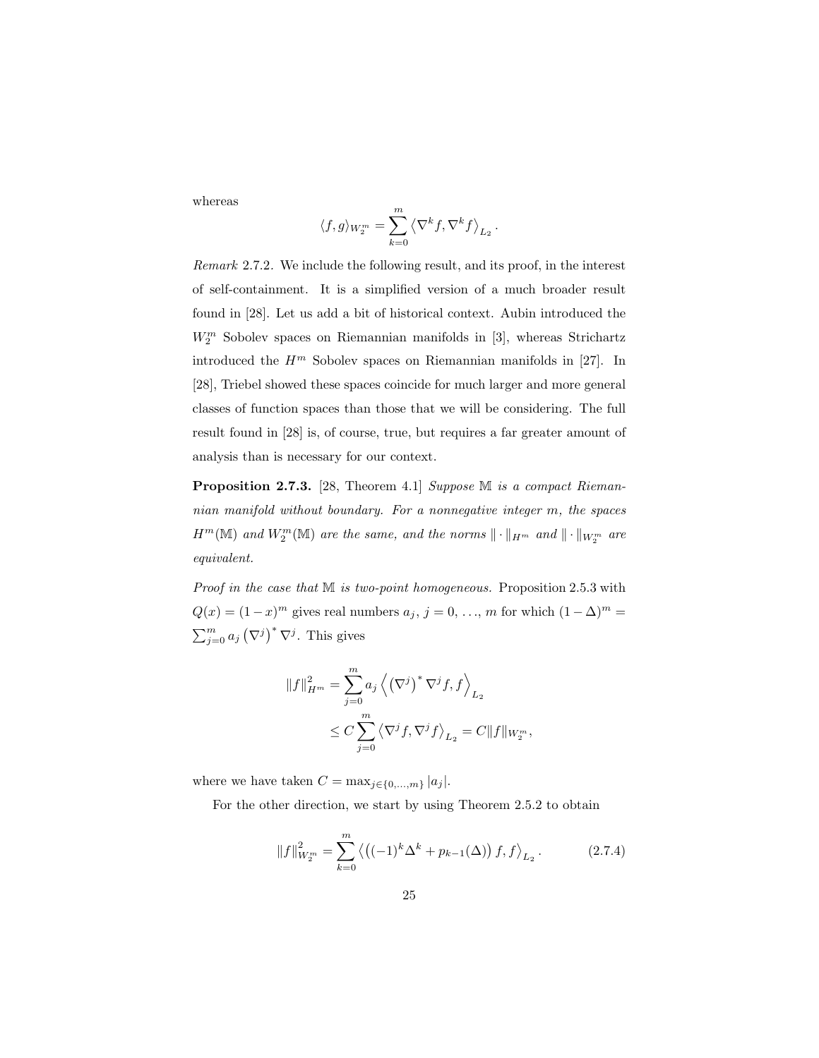whereas

$$
\langle f,g\rangle_{{\cal W}_2^m}=\sum_{k=0}^m\left\langle\nabla^k f,\nabla^k f\right\rangle_{{\cal L}_2}.
$$

Remark 2.7.2. We include the following result, and its proof, in the interest of self-containment. It is a simplified version of a much broader result found in [28]. Let us add a bit of historical context. Aubin introduced the  $W_2^m$  Sobolev spaces on Riemannian manifolds in [3], whereas Strichartz introduced the  $H^m$  Sobolev spaces on Riemannian manifolds in [27]. In [28], Triebel showed these spaces coincide for much larger and more general classes of function spaces than those that we will be considering. The full result found in [28] is, of course, true, but requires a far greater amount of analysis than is necessary for our context.

Proposition 2.7.3. [28, Theorem 4.1] Suppose M is a compact Riemannian manifold without boundary. For a nonnegative integer m, the spaces  $H^m(\mathbb M)$  and  $W^m_2(\mathbb M)$  are the same, and the norms  $\|\cdot\|_{H^m}$  and  $\|\cdot\|_{W^m_2}$  are equivalent.

Proof in the case that M is two-point homogeneous. Proposition 2.5.3 with  $Q(x) = (1-x)^m$  gives real numbers  $a_j, j = 0, ..., m$  for which  $(1 - \Delta)^m =$  $\sum_{j=0}^{m} a_j (\nabla^j)^* \nabla^j$ . This gives

$$
||f||_{H^m}^2 = \sum_{j=0}^m a_j \left\langle \left(\nabla^j\right)^* \nabla^j f, f \right\rangle_{L_2}
$$
  

$$
\leq C \sum_{j=0}^m \left\langle \nabla^j f, \nabla^j f \right\rangle_{L_2} = C ||f||_{W_2^m},
$$

where we have taken  $C = \max_{j \in \{0, ..., m\}} |a_j|$ .

For the other direction, we start by using Theorem 2.5.2 to obtain

$$
||f||_{W_2^m}^2 = \sum_{k=0}^m \left\langle \left( (-1)^k \Delta^k + p_{k-1}(\Delta) \right) f, f \right\rangle_{L_2}.
$$
 (2.7.4)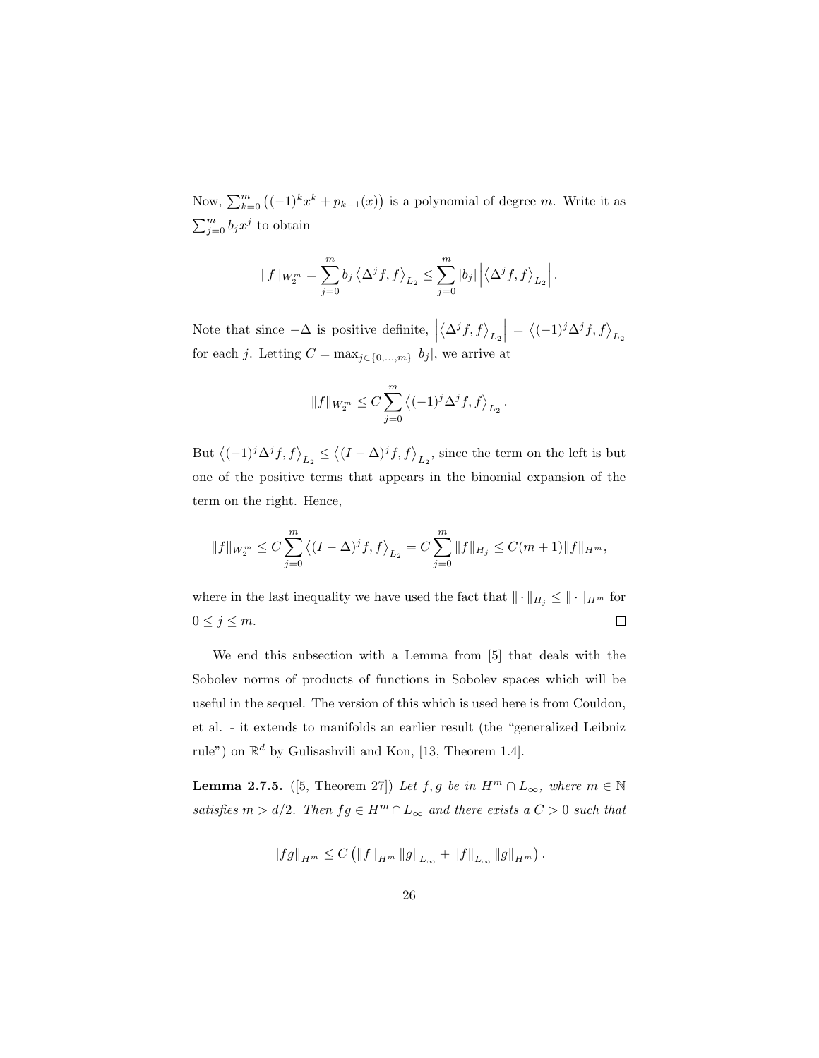Now,  $\sum_{k=0}^{m} ((-1)^k x^k + p_{k-1}(x))$  is a polynomial of degree m. Write it as  $\sum_{j=0}^m b_j x^j$  to obtain

$$
||f||_{W_2^m} = \sum_{j=0}^m b_j \langle \Delta^j f, f \rangle_{L_2} \leq \sum_{j=0}^m |b_j| \left| \langle \Delta^j f, f \rangle_{L_2} \right|.
$$

Note that since  $-\Delta$  is positive definite, |  $\left<\Delta^jf,f\right>_{L_2}$  $\Big| = \big\langle (-1)^j \Delta^j f, f \big\rangle_{L_2}$ for each j. Letting  $C = \max_{j \in \{0, ..., m\}} |b_j|$ , we arrive at

$$
||f||_{W_2^m} \leq C \sum_{j=0}^m \left\langle (-1)^j \Delta^j f, f \right\rangle_{L_2}.
$$

But  $\langle (-1)^j \Delta^j f, f \rangle_{L_2} \le \langle (I - \Delta)^j f, f \rangle_{L_2}$ , since the term on the left is but one of the positive terms that appears in the binomial expansion of the term on the right. Hence,

$$
||f||_{W_2^m} \leq C \sum_{j=0}^m \langle (I - \Delta)^j f, f \rangle_{L_2} = C \sum_{j=0}^m ||f||_{H_j} \leq C(m+1) ||f||_{H^m},
$$

where in the last inequality we have used the fact that  $\|\cdot\|_{H_j} \le \|\cdot\|_{H^m}$  for  $0 \leq j \leq m$ .  $\Box$ 

We end this subsection with a Lemma from [5] that deals with the Sobolev norms of products of functions in Sobolev spaces which will be useful in the sequel. The version of this which is used here is from Couldon, et al. - it extends to manifolds an earlier result (the "generalized Leibniz rule") on  $\mathbb{R}^d$  by Gulisashvili and Kon, [13, Theorem 1.4].

**Lemma 2.7.5.** ([5, Theorem 27]) Let f, g be in  $H^m \n\cap L_\infty$ , where  $m \in \mathbb{N}$ satisfies  $m > d/2$ . Then  $fg \in H^m \cap L_\infty$  and there exists a  $C > 0$  such that

$$
||fg||_{H^m} \leq C \left( ||f||_{H^m} ||g||_{L_{\infty}} + ||f||_{L_{\infty}} ||g||_{H^m} \right).
$$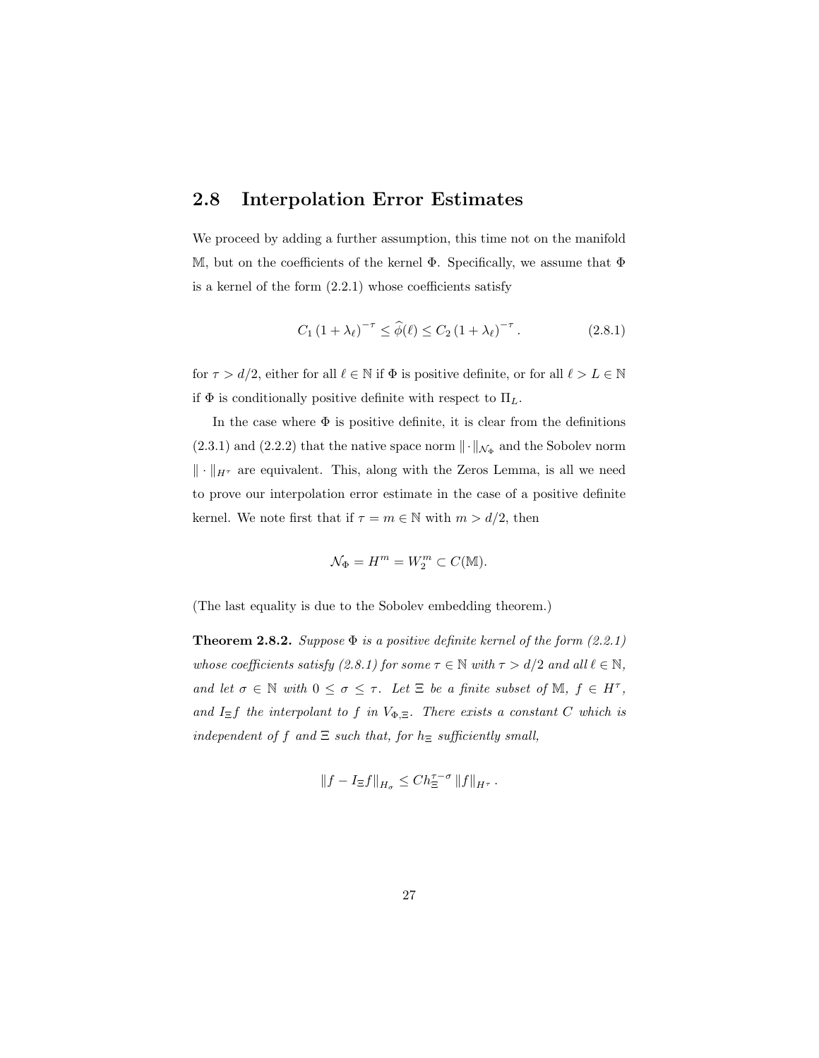### 2.8 Interpolation Error Estimates

We proceed by adding a further assumption, this time not on the manifold M, but on the coefficients of the kernel  $\Phi$ . Specifically, we assume that  $\Phi$ is a kernel of the form  $(2.2.1)$  whose coefficients satisfy

$$
C_1 (1 + \lambda_\ell)^{-\tau} \le \hat{\phi}(\ell) \le C_2 (1 + \lambda_\ell)^{-\tau}.
$$
 (2.8.1)

for  $\tau > d/2$ , either for all  $\ell \in \mathbb{N}$  if  $\Phi$  is positive definite, or for all  $\ell > L \in \mathbb{N}$ if  $\Phi$  is conditionally positive definite with respect to  $\Pi_L$ .

In the case where  $\Phi$  is positive definite, it is clear from the definitions  $(2.3.1)$  and  $(2.2.2)$  that the native space norm  $\|\cdot\|_{\mathcal{N}_{\Phi}}$  and the Sobolev norm  $\|\cdot\|_{H^{\tau}}$  are equivalent. This, along with the Zeros Lemma, is all we need to prove our interpolation error estimate in the case of a positive definite kernel. We note first that if  $\tau = m \in \mathbb{N}$  with  $m > d/2$ , then

$$
\mathcal{N}_{\Phi} = H^m = W_2^m \subset C(\mathbb{M}).
$$

(The last equality is due to the Sobolev embedding theorem.)

**Theorem 2.8.2.** Suppose  $\Phi$  is a positive definite kernel of the form (2.2.1) whose coefficients satisfy (2.8.1) for some  $\tau \in \mathbb{N}$  with  $\tau > d/2$  and all  $\ell \in \mathbb{N}$ , and let  $\sigma \in \mathbb{N}$  with  $0 \leq \sigma \leq \tau$ . Let  $\Xi$  be a finite subset of  $\mathbb{M}$ ,  $f \in H^{\tau}$ , and  $I_{\Xi}f$  the interpolant to f in  $V_{\Phi,\Xi}$ . There exists a constant C which is independent of f and  $\Xi$  such that, for  $h_{\Xi}$  sufficiently small,

$$
\left\|f-I_{\Xi}f\right\|_{H_{\sigma}}\leq Ch_{\Xi}^{\tau-\sigma}\left\|f\right\|_{H^{\tau}}.
$$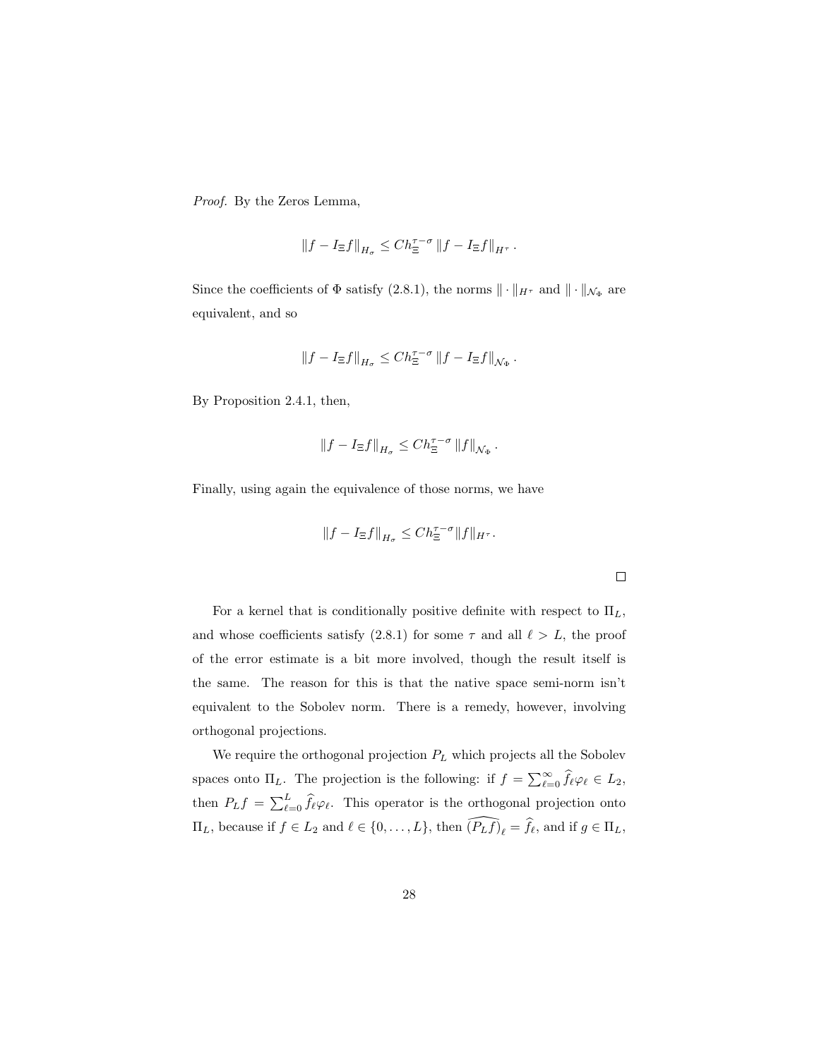Proof. By the Zeros Lemma,

$$
\left\|f-I_{\Xi}f\right\|_{H_{\sigma}}\leq Ch_{\Xi}^{\tau-\sigma}\left\|f-I_{\Xi}f\right\|_{H^{\tau}}.
$$

Since the coefficients of  $\Phi$  satisfy (2.8.1), the norms  $\|\cdot\|_{H^{\tau}}$  and  $\|\cdot\|_{\mathcal{N}_{\Phi}}$  are equivalent, and so

$$
\|f-I_{\Xi}f\|_{H_{\sigma}}\leq Ch_{\Xi}^{\tau-\sigma}\left\|f-I_{\Xi}f\right\|_{{\mathcal N}_{\Phi}}.
$$

By Proposition 2.4.1, then,

$$
||f - I_{\Xi}f||_{H_{\sigma}} \leq Ch_{\Xi}^{\tau-\sigma} ||f||_{\mathcal{N}_{\Phi}}.
$$

Finally, using again the equivalence of those norms, we have

$$
||f - I_{\Xi}f||_{H_{\sigma}} \leq C h_{\Xi}^{\tau-\sigma} ||f||_{H^{\tau}}.
$$

For a kernel that is conditionally positive definite with respect to  $\Pi_L$ , and whose coefficients satisfy (2.8.1) for some  $\tau$  and all  $\ell > L$ , the proof of the error estimate is a bit more involved, though the result itself is the same. The reason for this is that the native space semi-norm isn't equivalent to the Sobolev norm. There is a remedy, however, involving orthogonal projections.

We require the orthogonal projection  $\mathcal{P}_L$  which projects all the Sobolev spaces onto  $\Pi_L$ . The projection is the following: if  $f = \sum_{\ell=0}^{\infty} \hat{f}_{\ell} \varphi_{\ell} \in L_2$ , then  $P_L f = \sum_{\ell=0}^L \hat{f}_{\ell} \varphi_{\ell}$ . This operator is the orthogonal projection onto  $\Pi_L$ , because if  $f \in L_2$  and  $\ell \in \{0, \ldots, L\}$ , then  $\widehat{(P_L f)}_\ell = \widehat{f}_\ell$ , and if  $g \in \Pi_L$ ,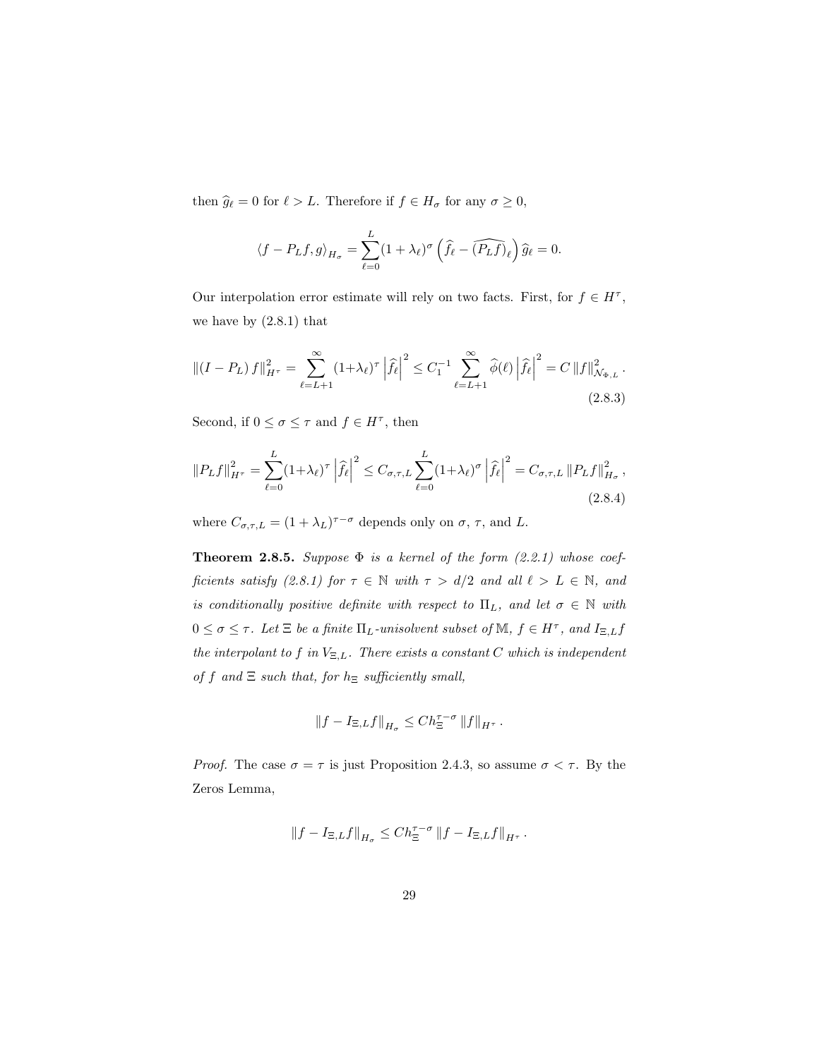then  $\hat{g}_{\ell} = 0$  for  $\ell > L$ . Therefore if  $f \in H_{\sigma}$  for any  $\sigma \geq 0$ ,

$$
\langle f - P_L f, g \rangle_{H_{\sigma}} = \sum_{\ell=0}^{L} (1 + \lambda_{\ell})^{\sigma} \left( \widehat{f}_{\ell} - \widehat{(P_L f)}_{\ell} \right) \widehat{g}_{\ell} = 0.
$$

Our interpolation error estimate will rely on two facts. First, for  $f \in H^{\tau}$ , we have by  $(2.8.1)$  that

$$
\left\| (I - P_L) f \right\|_{H^{\tau}}^2 = \sum_{\ell=L+1}^{\infty} (1 + \lambda_{\ell})^{\tau} \left| \hat{f}_{\ell} \right|^2 \leq C_1^{-1} \sum_{\ell=L+1}^{\infty} \hat{\phi}(\ell) \left| \hat{f}_{\ell} \right|^2 = C \left\| f \right\|_{\mathcal{N}_{\Phi,L}}^2.
$$
\n(2.8.3)

Second, if  $0 \leq \sigma \leq \tau$  and  $f \in H^{\tau}$ , then

$$
||P_L f||_{H^{\tau}}^2 = \sum_{\ell=0}^L (1 + \lambda_\ell)^\tau \left| \hat{f}_\ell \right|^2 \le C_{\sigma,\tau,L} \sum_{\ell=0}^L (1 + \lambda_\ell)^\sigma \left| \hat{f}_\ell \right|^2 = C_{\sigma,\tau,L} ||P_L f||_{H_\sigma}^2,
$$
\n(2.8.4)

where  $C_{\sigma,\tau,L} = (1 + \lambda_L)^{\tau-\sigma}$  depends only on  $\sigma, \tau$ , and L.

**Theorem 2.8.5.** Suppose  $\Phi$  is a kernel of the form (2.2.1) whose coefficients satisfy (2.8.1) for  $\tau \in \mathbb{N}$  with  $\tau > d/2$  and all  $\ell > L \in \mathbb{N}$ , and is conditionally positive definite with respect to  $\Pi_L$ , and let  $\sigma \in \mathbb{N}$  with  $0 \leq \sigma \leq \tau$ . Let  $\Xi$  be a finite  $\Pi_L$ -unisolvent subset of  $\mathbb{M}$ ,  $f \in H^{\tau}$ , and  $I_{\Xi,L}f$ the interpolant to f in  $V_{\Xi,L}$ . There exists a constant C which is independent of f and  $\Xi$  such that, for  $h_{\Xi}$  sufficiently small,

$$
\left\|f - I_{\Xi,L}f\right\|_{H_\sigma} \leq C h_\Xi^{\tau-\sigma} \left\|f\right\|_{H^\tau}.
$$

*Proof.* The case  $\sigma = \tau$  is just Proposition 2.4.3, so assume  $\sigma < \tau$ . By the Zeros Lemma,

$$
\|f - I_{\Xi,L}f\|_{H_{\sigma}} \leq C h_{\Xi}^{\tau-\sigma} \|f - I_{\Xi,L}f\|_{H^{\tau}}.
$$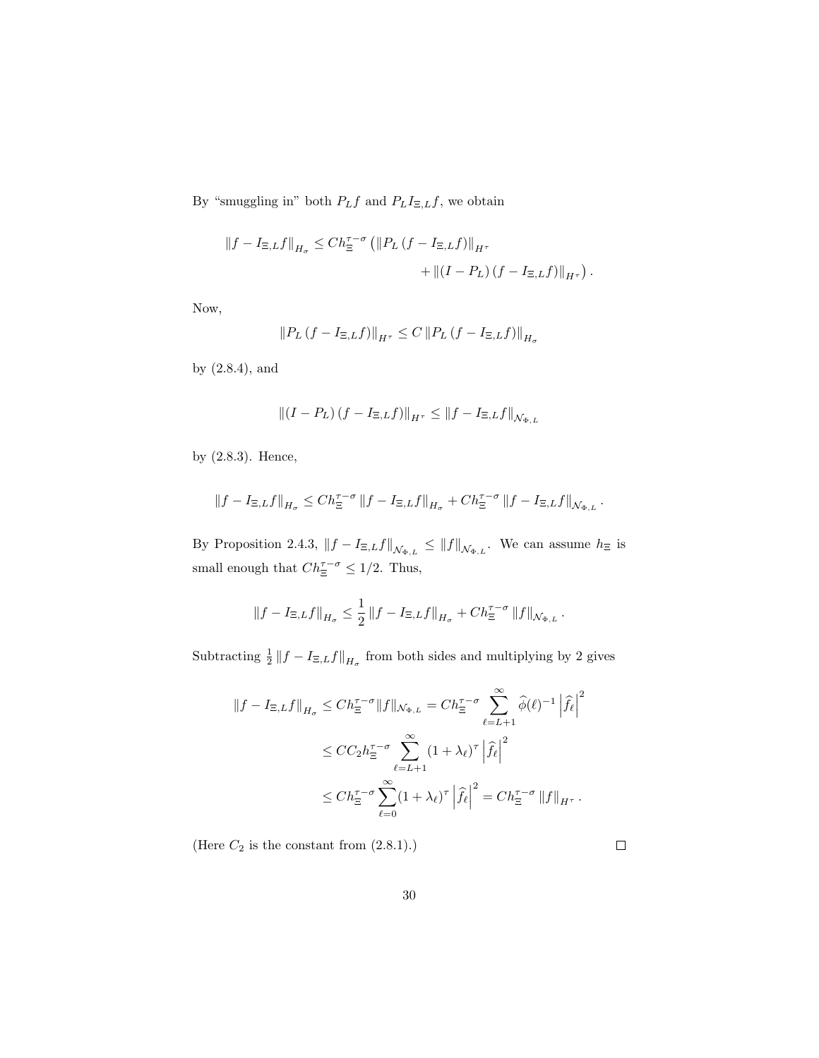By "smuggling in" both  $P_Lf$  and  $P_LI_{\Xi,L}f,$  we obtain

$$
||f - I_{\Xi,L}f||_{H_{\sigma}} \leq Ch_{\Xi}^{\tau-\sigma} (||P_L(f - I_{\Xi,L}f)||_{H^{\tau}} + ||(I - P_L)(f - I_{\Xi,L}f)||_{H^{\tau}}).
$$

Now,

$$
\left\|P_L\left(f-I_{\Xi,L}f\right)\right\|_{H^{\tau}}\leq C\left\|P_L\left(f-I_{\Xi,L}f\right)\right\|_{H_{\sigma}}
$$

by (2.8.4), and

$$
\left\| \left(I - P_L\right) \left(f - I_{\Xi,L} f\right) \right\|_{H^{\tau}} \leq \left\| f - I_{\Xi,L} f \right\|_{\mathcal{N}_{\Phi,L}}
$$

by (2.8.3). Hence,

$$
||f - I_{\Xi,L}f||_{H_{\sigma}} \leq C h_{\Xi}^{\tau-\sigma} ||f - I_{\Xi,L}f||_{H_{\sigma}} + C h_{\Xi}^{\tau-\sigma} ||f - I_{\Xi,L}f||_{\mathcal{N}_{\Phi,L}}.
$$

By Proposition 2.4.3,  $||f - I_{\Xi,L}f||_{\mathcal{N}_{\Phi,L}} \leq ||f||_{\mathcal{N}_{\Phi,L}}$ . We can assume  $h_{\Xi}$  is small enough that  $Ch_{\Xi}^{\tau-\sigma} \leq 1/2$ . Thus,

$$
\left\|f - I_{\Xi,L}f\right\|_{H_{\sigma}} \leq \frac{1}{2} \left\|f - I_{\Xi,L}f\right\|_{H_{\sigma}} + Ch_{\Xi}^{\tau-\sigma} \left\|f\right\|_{\mathcal{N}_{\Phi,L}}.
$$

Subtracting  $\frac{1}{2}||f - I_{\Xi,L}f||_{H_{\sigma}}$  from both sides and multiplying by 2 gives

$$
\begin{split} \left\|f - I_{\Xi,L}f\right\|_{H_{\sigma}} &\leq Ch_{\Xi}^{\tau-\sigma}\|f\|_{\mathcal{N}_{\Phi,L}} = Ch_{\Xi}^{\tau-\sigma}\sum_{\ell=L+1}^{\infty}\widehat{\phi}(\ell)^{-1}\left|\widehat{f}_{\ell}\right|^{2} \\ &\leq C C_{2}h_{\Xi}^{\tau-\sigma}\sum_{\ell=L+1}^{\infty}(1+\lambda_{\ell})^{\tau}\left|\widehat{f}_{\ell}\right|^{2} \\ &\leq Ch_{\Xi}^{\tau-\sigma}\sum_{\ell=0}^{\infty}(1+\lambda_{\ell})^{\tau}\left|\widehat{f}_{\ell}\right|^{2} = Ch_{\Xi}^{\tau-\sigma}\left\|f\right\|_{H^{\tau}}. \end{split}
$$

(Here  $C_2$  is the constant from  $\left( 2.8.1\right) .)$ 

| ۰ |  |  |
|---|--|--|
|   |  |  |
|   |  |  |
|   |  |  |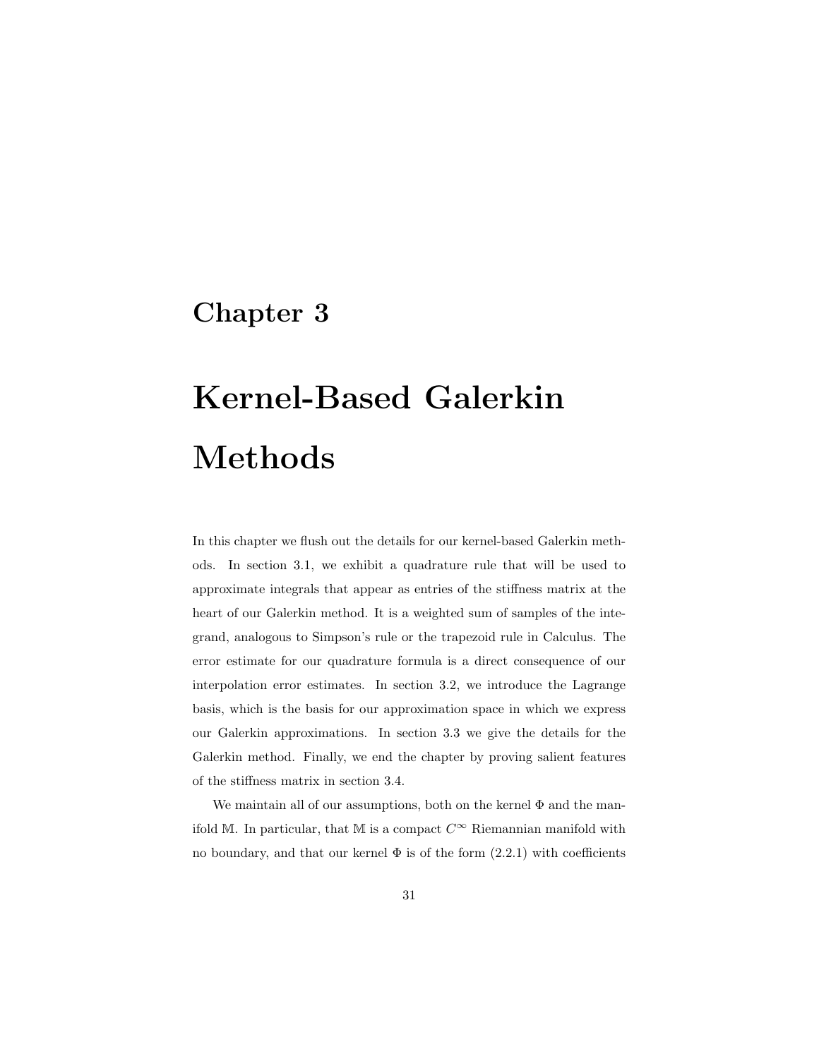### Chapter 3

# Kernel-Based Galerkin Methods

In this chapter we flush out the details for our kernel-based Galerkin methods. In section 3.1, we exhibit a quadrature rule that will be used to approximate integrals that appear as entries of the stiffness matrix at the heart of our Galerkin method. It is a weighted sum of samples of the integrand, analogous to Simpson's rule or the trapezoid rule in Calculus. The error estimate for our quadrature formula is a direct consequence of our interpolation error estimates. In section 3.2, we introduce the Lagrange basis, which is the basis for our approximation space in which we express our Galerkin approximations. In section 3.3 we give the details for the Galerkin method. Finally, we end the chapter by proving salient features of the stiffness matrix in section 3.4.

We maintain all of our assumptions, both on the kernel  $\Phi$  and the manifold M. In particular, that M is a compact  $C^{\infty}$  Riemannian manifold with no boundary, and that our kernel  $\Phi$  is of the form  $(2.2.1)$  with coefficients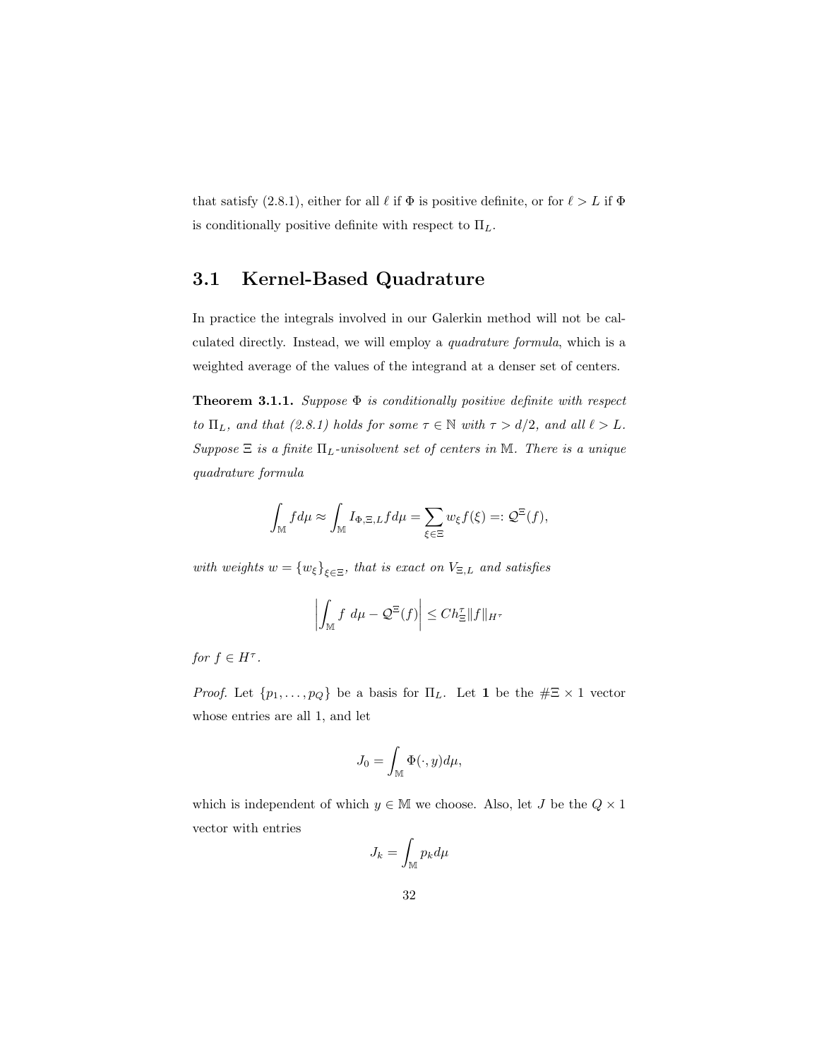that satisfy (2.8.1), either for all  $\ell$  if  $\Phi$  is positive definite, or for  $\ell > L$  if  $\Phi$ is conditionally positive definite with respect to  $\Pi_L$ .

### 3.1 Kernel-Based Quadrature

In practice the integrals involved in our Galerkin method will not be calculated directly. Instead, we will employ a quadrature formula, which is a weighted average of the values of the integrand at a denser set of centers.

**Theorem 3.1.1.** Suppose  $\Phi$  is conditionally positive definite with respect to  $\Pi_L$ , and that (2.8.1) holds for some  $\tau \in \mathbb{N}$  with  $\tau > d/2$ , and all  $\ell > L$ . Suppose  $\Xi$  is a finite  $\Pi_L$ -unisolvent set of centers in M. There is a unique quadrature formula

$$
\int_{\mathbb{M}} f d\mu \approx \int_{\mathbb{M}} I_{\Phi,\Xi,L} f d\mu = \sum_{\xi \in \Xi} w_{\xi} f(\xi) =: \mathcal{Q}^{\Xi}(f),
$$

with weights  $w = \{w_{\xi}\}_{\xi \in \Xi}$ , that is exact on  $V_{\Xi,L}$  and satisfies

$$
\left| \int_{\mathbb{M}} f \, d\mu - \mathcal{Q}^{\Xi}(f) \right| \leq Ch_{\Xi}^{\tau} \|f\|_{H^{\tau}}
$$

for  $f \in H^{\tau}$ .

*Proof.* Let  $\{p_1, \ldots, p_Q\}$  be a basis for  $\Pi_L$ . Let 1 be the  $\#\Xi \times 1$  vector whose entries are all 1, and let

$$
J_0 = \int_{\mathbb{M}} \Phi(\cdot, y) d\mu,
$$

which is independent of which  $y \in M$  we choose. Also, let J be the  $Q \times 1$ vector with entries

$$
J_k = \int_{\mathbb{M}} p_k d\mu
$$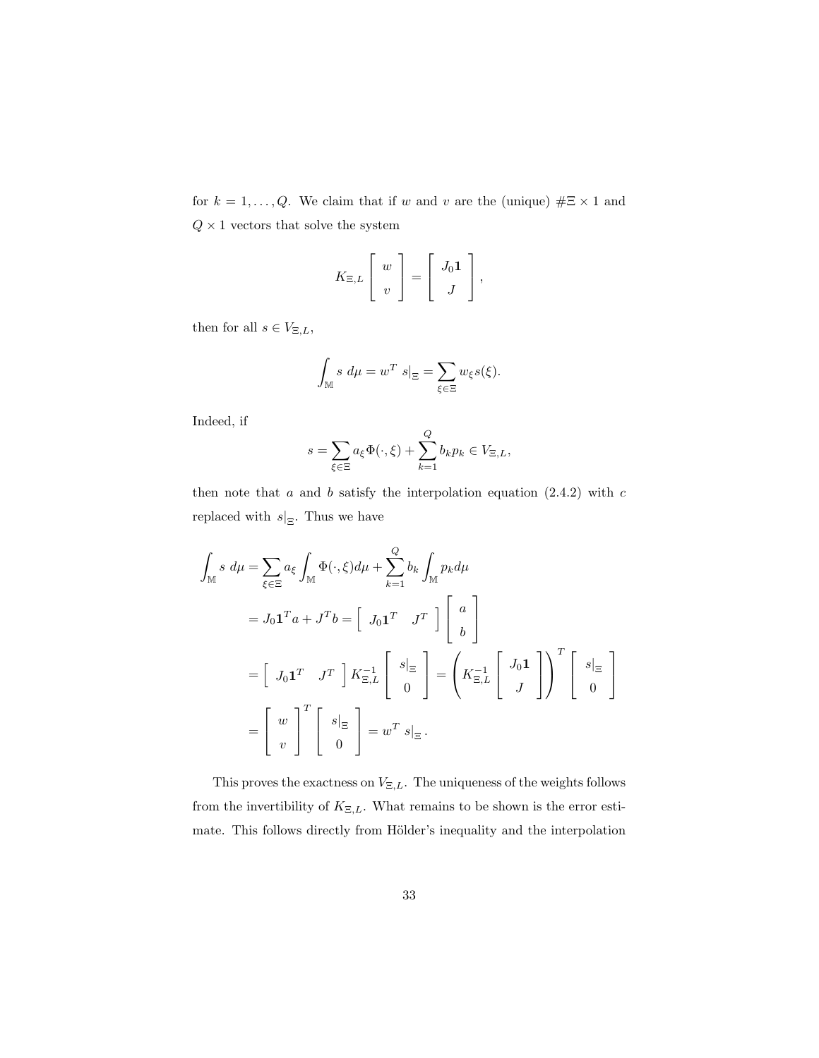for  $k = 1, ..., Q$ . We claim that if w and v are the (unique)  $\# \Xi \times 1$  and  $Q\times 1$  vectors that solve the system

$$
K_{\Xi,L}\left[\begin{array}{c}w\\v\end{array}\right]=\left[\begin{array}{c}J_0\mathbf{1}\\J\end{array}\right],
$$

then for all  $s \in V_{\Xi,L}$ ,

$$
\int_{\mathbb{M}} s \ d\mu = w^T \ s|_{\Xi} = \sum_{\xi \in \Xi} w_{\xi} s(\xi).
$$

Indeed, if

$$
s = \sum_{\xi \in \Xi} a_{\xi} \Phi(\cdot, \xi) + \sum_{k=1}^{Q} b_k p_k \in V_{\Xi, L},
$$

then note that  $a$  and  $b$  satisfy the interpolation equation  $(2.4.2)$  with  $c$ replaced with  $s|_{\Xi}$ . Thus we have

$$
\int_{\mathbb{M}} s \, d\mu = \sum_{\xi \in \Xi} a_{\xi} \int_{\mathbb{M}} \Phi(\cdot, \xi) d\mu + \sum_{k=1}^{Q} b_{k} \int_{\mathbb{M}} p_{k} d\mu
$$
\n
$$
= J_{0} \mathbf{1}^{T} a + J^{T} b = \begin{bmatrix} J_{0} \mathbf{1}^{T} & J^{T} \end{bmatrix} \begin{bmatrix} a \\ b \end{bmatrix}
$$
\n
$$
= \begin{bmatrix} J_{0} \mathbf{1}^{T} & J^{T} \end{bmatrix} K_{\Xi, L}^{-1} \begin{bmatrix} s|_{\Xi} \\ 0 \end{bmatrix} = \begin{bmatrix} K_{\Xi, L}^{-1} \begin{bmatrix} J_{0} \mathbf{1} \\ J \end{bmatrix} \end{bmatrix}^{T} \begin{bmatrix} s|_{\Xi} \\ 0 \end{bmatrix}
$$
\n
$$
= \begin{bmatrix} w \\ v \end{bmatrix}^{T} \begin{bmatrix} s|_{\Xi} \\ 0 \end{bmatrix} = w^{T} s|_{\Xi}.
$$

This proves the exactness on  $V_{\Xi,L}$ . The uniqueness of the weights follows from the invertibility of  $K_{\Xi,L}$ . What remains to be shown is the error estimate. This follows directly from Hölder's inequality and the interpolation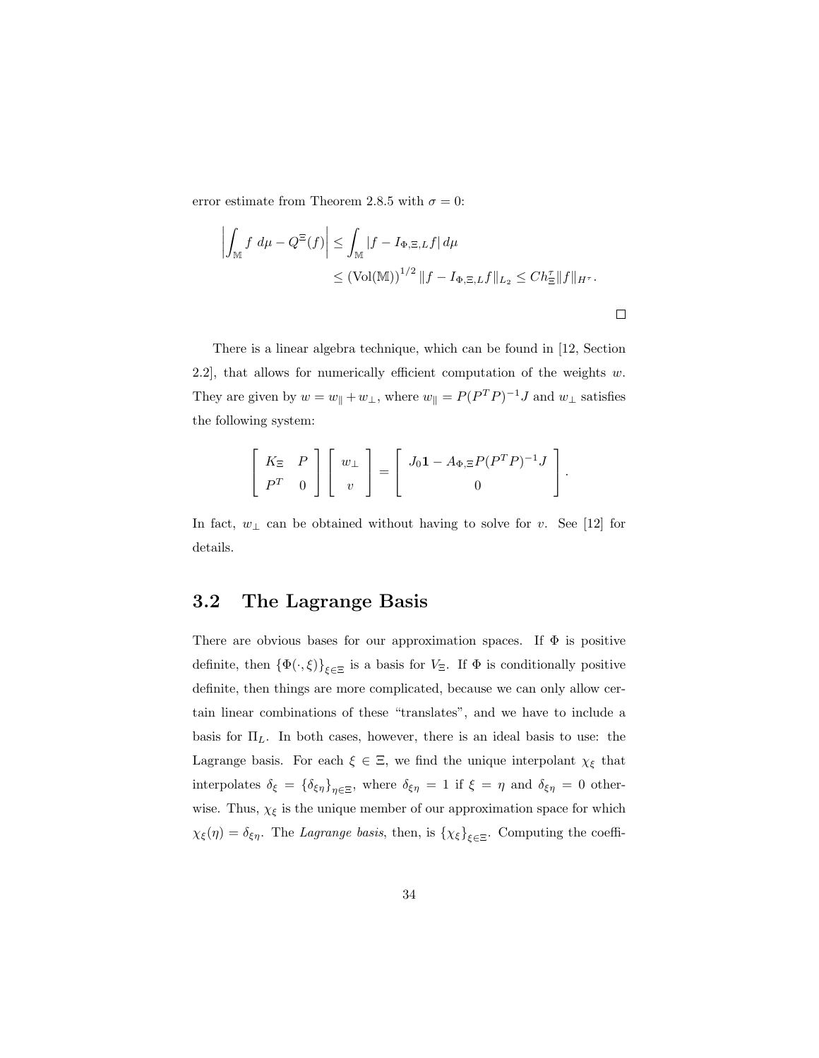error estimate from Theorem 2.8.5 with  $\sigma = 0$ :

$$
\left| \int_{\mathbb{M}} f \, d\mu - Q^{\Xi}(f) \right| \leq \int_{\mathbb{M}} |f - I_{\Phi, \Xi, L} f| \, d\mu
$$
  

$$
\leq (Vol(\mathbb{M}))^{1/2} \|f - I_{\Phi, \Xi, L} f\|_{L_2} \leq Ch_{\Xi}^{\tau} \|f\|_{H^{\tau}}.
$$

 $\Box$ 

There is a linear algebra technique, which can be found in [12, Section 2.2], that allows for numerically efficient computation of the weights  $w$ . They are given by  $w = w_{\parallel} + w_{\perp}$ , where  $w_{\parallel} = P(P^T P)^{-1} J$  and  $w_{\perp}$  satisfies the following system:

$$
\left[\begin{array}{cc} K_{\Xi} & P \\ P^T & 0 \end{array}\right] \left[\begin{array}{c} w_{\perp} \\ v \end{array}\right] = \left[\begin{array}{c} J_0 \mathbf{1} - A_{\Phi,\Xi} P (P^T P)^{-1} J \\ 0 \end{array}\right].
$$

In fact,  $w_\perp$  can be obtained without having to solve for v. See [12] for details.

## 3.2 The Lagrange Basis

There are obvious bases for our approximation spaces. If  $\Phi$  is positive definite, then  $\{\Phi(\cdot,\xi)\}_{\xi\in\Xi}$  is a basis for  $V_{\Xi}$ . If  $\Phi$  is conditionally positive definite, then things are more complicated, because we can only allow certain linear combinations of these "translates", and we have to include a basis for  $\Pi_L$ . In both cases, however, there is an ideal basis to use: the Lagrange basis. For each  $\xi \in \Xi$ , we find the unique interpolant  $\chi_{\xi}$  that interpolates  $\delta_{\xi} = {\delta_{\xi\eta}}_{\eta \in \Xi}$ , where  $\delta_{\xi\eta} = 1$  if  $\xi = \eta$  and  $\delta_{\xi\eta} = 0$  otherwise. Thus,  $\chi_{\xi}$  is the unique member of our approximation space for which  $\chi_{\xi}(\eta) = \delta_{\xi\eta}$ . The *Lagrange basis*, then, is  $\{\chi_{\xi}\}_{\xi \in \Xi}$ . Computing the coeffi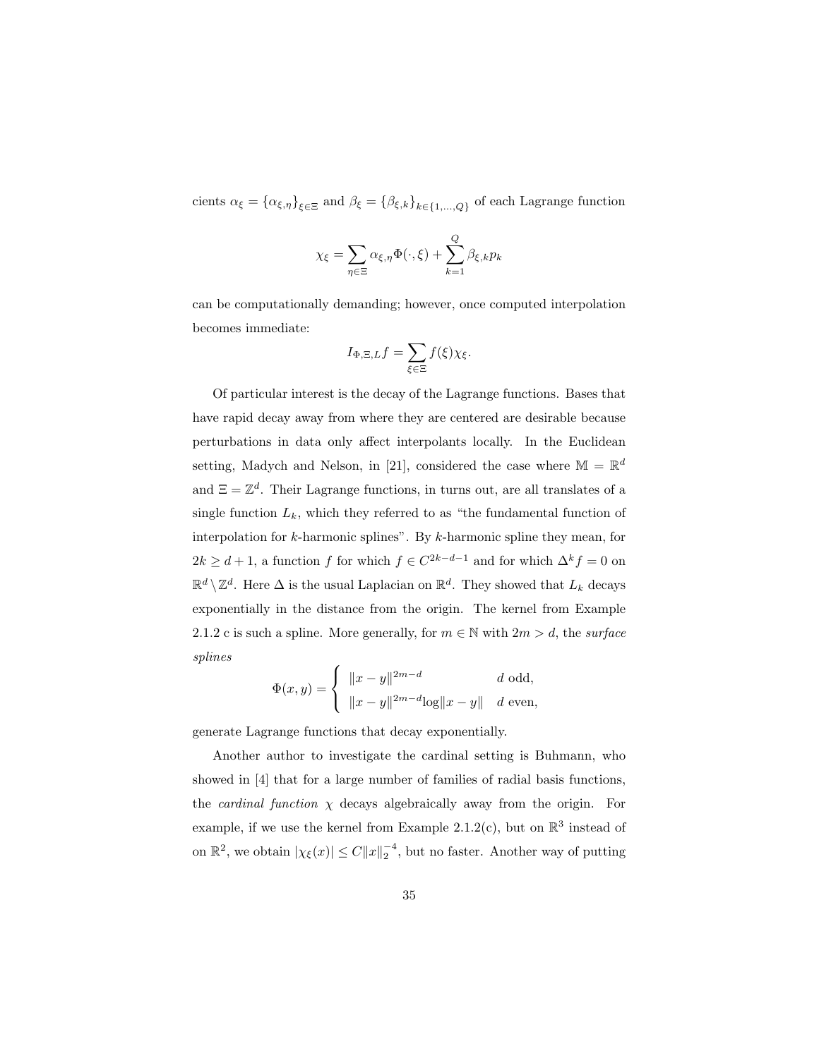cients  $\alpha_{\xi} = \{\alpha_{\xi,\eta}\}_{\xi \in \Xi}$  and  $\beta_{\xi} = \{\beta_{\xi,k}\}_{k \in \{1,\dots,Q\}}$  of each Lagrange function

$$
\chi_{\xi} = \sum_{\eta \in \Xi} \alpha_{\xi, \eta} \Phi(\cdot, \xi) + \sum_{k=1}^{Q} \beta_{\xi, k} p_k
$$

can be computationally demanding; however, once computed interpolation becomes immediate:

$$
I_{\Phi,\Xi,L}f=\sum_{\xi\in\Xi}f(\xi)\chi_{\xi}.
$$

Of particular interest is the decay of the Lagrange functions. Bases that have rapid decay away from where they are centered are desirable because perturbations in data only affect interpolants locally. In the Euclidean setting, Madych and Nelson, in [21], considered the case where  $\mathbb{M} = \mathbb{R}^d$ and  $\Xi = \mathbb{Z}^d$ . Their Lagrange functions, in turns out, are all translates of a single function  $L_k$ , which they referred to as "the fundamental function of interpolation for  $k$ -harmonic splines". By  $k$ -harmonic spline they mean, for  $2k \geq d+1$ , a function f for which  $f \in C^{2k-d-1}$  and for which  $\Delta^k f = 0$  on  $\mathbb{R}^d \setminus \mathbb{Z}^d$ . Here  $\Delta$  is the usual Laplacian on  $\mathbb{R}^d$ . They showed that  $L_k$  decays exponentially in the distance from the origin. The kernel from Example 2.1.2 c is such a spline. More generally, for  $m \in \mathbb{N}$  with  $2m > d$ , the surface splines

$$
\Phi(x, y) = \begin{cases} ||x - y||^{2m - d} & d \text{ odd,} \\ ||x - y||^{2m - d} \log ||x - y|| & d \text{ even,} \end{cases}
$$

generate Lagrange functions that decay exponentially.

Another author to investigate the cardinal setting is Buhmann, who showed in [4] that for a large number of families of radial basis functions, the *cardinal function*  $\chi$  decays algebraically away from the origin. For example, if we use the kernel from Example 2.1.2(c), but on  $\mathbb{R}^3$  instead of on  $\mathbb{R}^2$ , we obtain  $|\chi_{\xi}(x)| \leq C ||x||_2^{-4}$ , but no faster. Another way of putting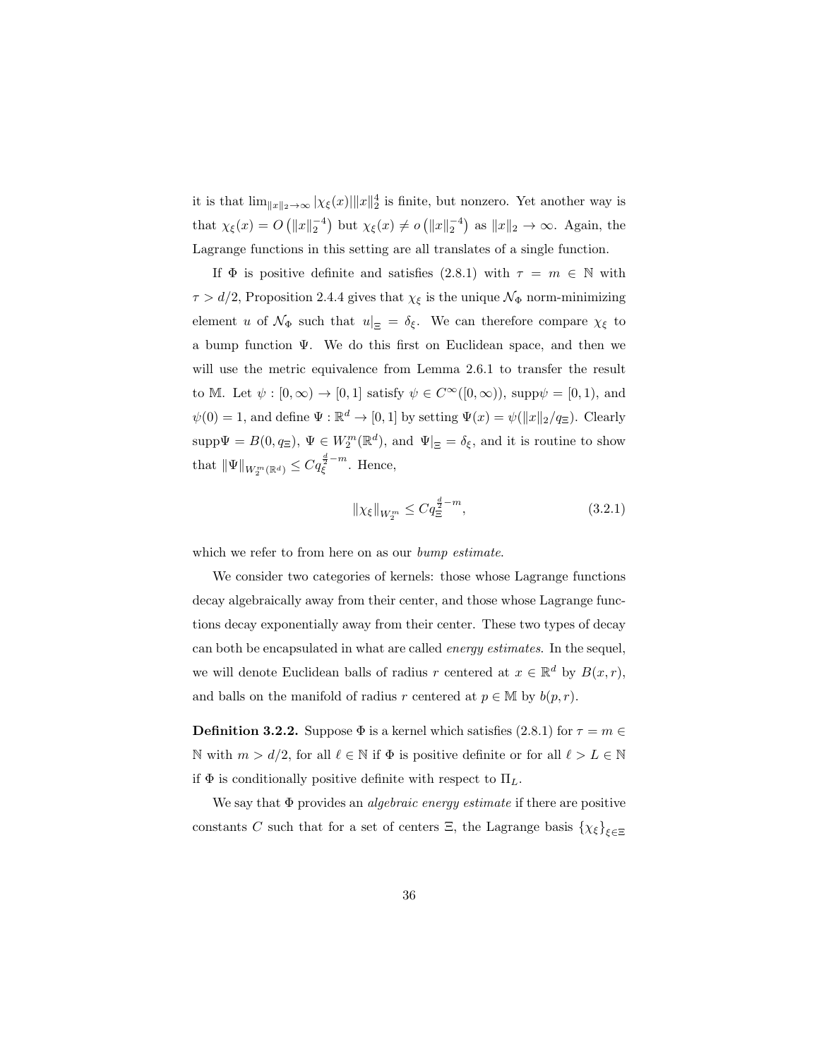it is that  $\lim_{\|x\|_2\to\infty} |\chi_{\xi}(x)| \|x\|_2^4$  is finite, but nonzero. Yet another way is that  $\chi_{\xi}(x) = O\left(\|x\|_2^{-4}\right)$  but  $\chi_{\xi}(x) \neq o\left(\|x\|_2^{-4}\right)$  as  $\|x\|_2 \to \infty$ . Again, the Lagrange functions in this setting are all translates of a single function.

If  $\Phi$  is positive definite and satisfies (2.8.1) with  $\tau = m \in \mathbb{N}$  with  $\tau > d/2$ , Proposition 2.4.4 gives that  $\chi_{\xi}$  is the unique  $\mathcal{N}_{\Phi}$  norm-minimizing element u of  $\mathcal{N}_{\Phi}$  such that  $u|_{\Xi} = \delta_{\xi}$ . We can therefore compare  $\chi_{\xi}$  to a bump function Ψ. We do this first on Euclidean space, and then we will use the metric equivalence from Lemma 2.6.1 to transfer the result to M. Let  $\psi : [0, \infty) \to [0, 1]$  satisfy  $\psi \in C^{\infty}([0, \infty))$ , supp $\psi = [0, 1)$ , and  $\psi(0) = 1$ , and define  $\Psi : \mathbb{R}^d \to [0, 1]$  by setting  $\Psi(x) = \psi(||x||_2 / q_{\Xi})$ . Clearly  $\text{supp}\Psi = B(0, q_{\Xi}), \Psi \in W_2^m(\mathbb{R}^d)$ , and  $\Psi|_{\Xi} = \delta_{\xi}$ , and it is routine to show that  $\|\Psi\|_{W^m_2(\mathbb{R}^d)} \leq Cq_{\xi}^{\frac{d}{2}-m}$ . Hence,

$$
\|\chi_{\xi}\|_{W_2^m} \le C q_{\Xi}^{\frac{d}{2} - m},\tag{3.2.1}
$$

which we refer to from here on as our *bump estimate*.

We consider two categories of kernels: those whose Lagrange functions decay algebraically away from their center, and those whose Lagrange functions decay exponentially away from their center. These two types of decay can both be encapsulated in what are called energy estimates. In the sequel, we will denote Euclidean balls of radius r centered at  $x \in \mathbb{R}^d$  by  $B(x,r)$ , and balls on the manifold of radius r centered at  $p \in M$  by  $b(p, r)$ .

**Definition 3.2.2.** Suppose  $\Phi$  is a kernel which satisfies (2.8.1) for  $\tau = m \in$ N with  $m > d/2$ , for all  $\ell \in \mathbb{N}$  if  $\Phi$  is positive definite or for all  $\ell > L \in \mathbb{N}$ if  $\Phi$  is conditionally positive definite with respect to  $\Pi_L$ .

We say that  $\Phi$  provides an *algebraic energy estimate* if there are positive constants C such that for a set of centers  $\Xi$ , the Lagrange basis  $\{\chi_{\xi}\}_{\xi \in \Xi}$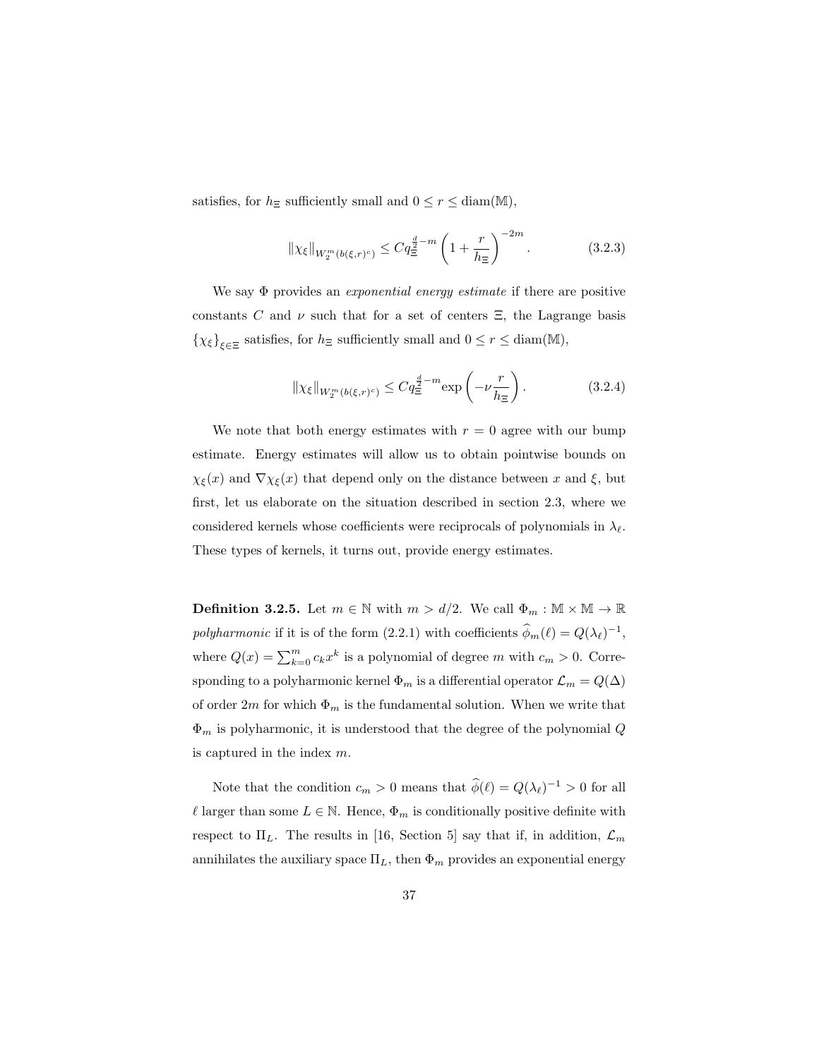satisfies, for  $h_{\Xi}$  sufficiently small and  $0 \leq r \leq \text{diam}(\mathbb{M}),$ 

$$
\|\chi_{\xi}\|_{W_2^m(b(\xi,r)^c)} \le Cq^{\frac{d}{2}-m} \left(1 + \frac{r}{h_{\Xi}}\right)^{-2m}.
$$
 (3.2.3)

We say  $\Phi$  provides an *exponential energy estimate* if there are positive constants C and  $\nu$  such that for a set of centers  $\Xi$ , the Lagrange basis  $\{\chi_{\xi}\}_{\xi \in \Xi}$  satisfies, for  $h_{\Xi}$  sufficiently small and  $0 \le r \le \text{diam}(\mathbb{M})$ ,

$$
\|\chi_{\xi}\|_{W_2^m(b(\xi,r)^c)} \le Cq^{\frac{d}{2}-m} \exp\left(-\nu \frac{r}{h_{\Xi}}\right). \tag{3.2.4}
$$

We note that both energy estimates with  $r = 0$  agree with our bump estimate. Energy estimates will allow us to obtain pointwise bounds on  $\chi_{\xi}(x)$  and  $\nabla \chi_{\xi}(x)$  that depend only on the distance between x and  $\xi$ , but first, let us elaborate on the situation described in section 2.3, where we considered kernels whose coefficients were reciprocals of polynomials in  $\lambda_{\ell}$ . These types of kernels, it turns out, provide energy estimates.

**Definition 3.2.5.** Let  $m \in \mathbb{N}$  with  $m > d/2$ . We call  $\Phi_m : \mathbb{M} \times \mathbb{M} \to \mathbb{R}$ polyharmonic if it is of the form (2.2.1) with coefficients  $\widehat{\phi}_m(\ell) = Q(\lambda_\ell)^{-1}$ , where  $Q(x) = \sum_{k=0}^{m} c_k x^k$  is a polynomial of degree m with  $c_m > 0$ . Corresponding to a polyharmonic kernel  $\Phi_m$  is a differential operator  $\mathcal{L}_m = Q(\Delta)$ of order  $2m$  for which  $\Phi_m$  is the fundamental solution. When we write that  $\Phi_m$  is polyharmonic, it is understood that the degree of the polynomial  $Q$ is captured in the index  $m$ .

Note that the condition  $c_m > 0$  means that  $\hat{\phi}(\ell) = Q(\lambda_{\ell})^{-1} > 0$  for all  $\ell$  larger than some  $L \in \mathbb{N}$ . Hence,  $\Phi_m$  is conditionally positive definite with respect to  $\Pi_L$ . The results in [16, Section 5] say that if, in addition,  $\mathcal{L}_m$ annihilates the auxiliary space  $\Pi_L$ , then  $\Phi_m$  provides an exponential energy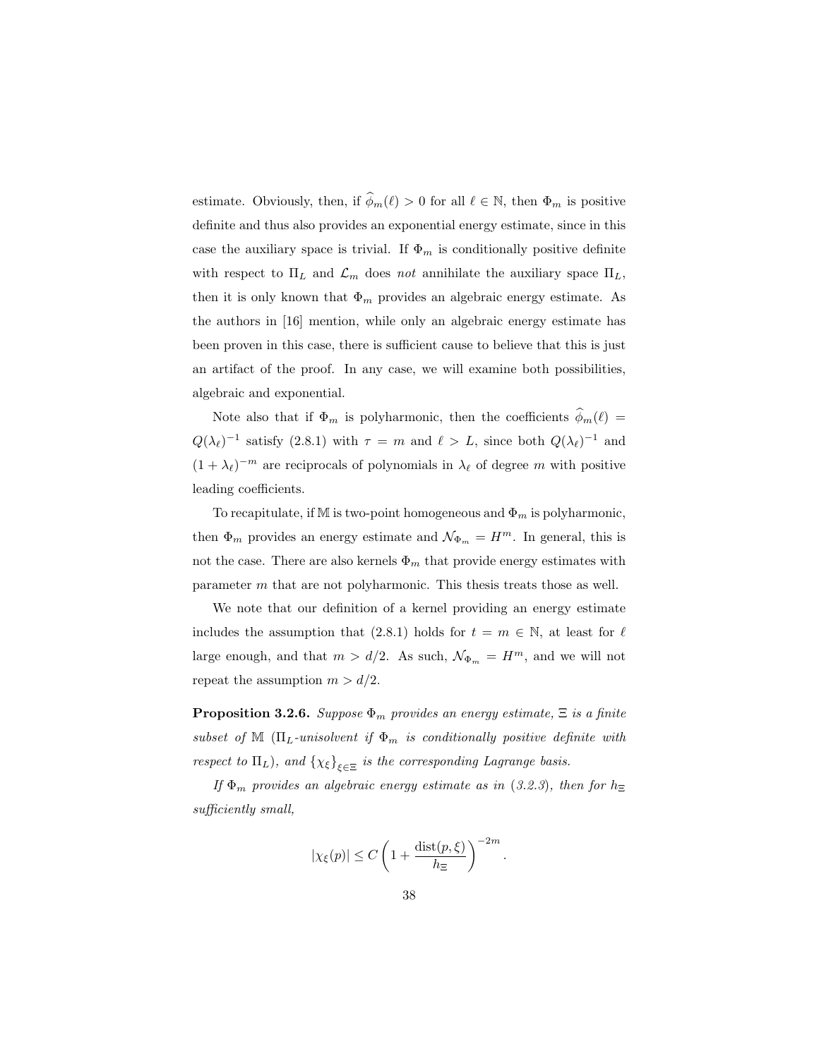estimate. Obviously, then, if  $\widehat{\phi}_m(\ell) > 0$  for all  $\ell \in \mathbb{N}$ , then  $\Phi_m$  is positive definite and thus also provides an exponential energy estimate, since in this case the auxiliary space is trivial. If  $\Phi_m$  is conditionally positive definite with respect to  $\Pi_L$  and  $\mathcal{L}_m$  does not annihilate the auxiliary space  $\Pi_L$ , then it is only known that  $\Phi_m$  provides an algebraic energy estimate. As the authors in [16] mention, while only an algebraic energy estimate has been proven in this case, there is sufficient cause to believe that this is just an artifact of the proof. In any case, we will examine both possibilities, algebraic and exponential.

Note also that if  $\Phi_m$  is polyharmonic, then the coefficients  $\widehat{\phi}_m(\ell)$  $Q(\lambda_\ell)^{-1}$  satisfy (2.8.1) with  $\tau = m$  and  $\ell > L$ , since both  $Q(\lambda_\ell)^{-1}$  and  $(1 + \lambda_\ell)^{-m}$  are reciprocals of polynomials in  $\lambda_\ell$  of degree m with positive leading coefficients.

To recapitulate, if M is two-point homogeneous and  $\Phi_m$  is polyharmonic, then  $\Phi_m$  provides an energy estimate and  $\mathcal{N}_{\Phi_m} = H^m$ . In general, this is not the case. There are also kernels  $\Phi_m$  that provide energy estimates with parameter m that are not polyharmonic. This thesis treats those as well.

We note that our definition of a kernel providing an energy estimate includes the assumption that (2.8.1) holds for  $t = m \in \mathbb{N}$ , at least for  $\ell$ large enough, and that  $m > d/2$ . As such,  $\mathcal{N}_{\Phi_m} = H^m$ , and we will not repeat the assumption  $m > d/2$ .

**Proposition 3.2.6.** Suppose  $\Phi_m$  provides an energy estimate,  $\Xi$  is a finite subset of M ( $\Pi_L$ -unisolvent if  $\Phi_m$  is conditionally positive definite with respect to  $\Pi_L$ ), and  $\{\chi_{\xi}\}_{\xi \in \Xi}$  is the corresponding Lagrange basis.

If  $\Phi_m$  provides an algebraic energy estimate as in (3.2.3), then for  $h_{\Xi}$ sufficiently small,

$$
|\chi_{\xi}(p)| \leq C \left(1 + \frac{\text{dist}(p,\xi)}{h_{\Xi}}\right)^{-2m}.
$$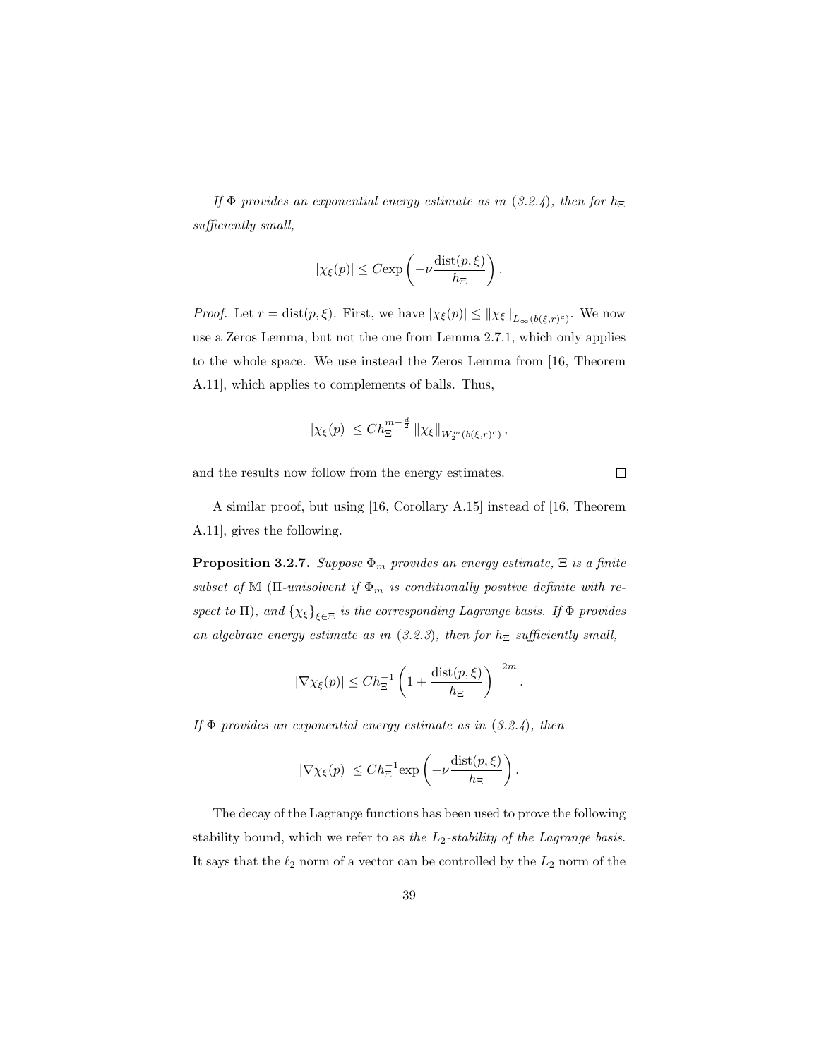If  $\Phi$  provides an exponential energy estimate as in (3.2.4), then for  $h_{\Xi}$ sufficiently small,

$$
|\chi_{\xi}(p)| \leq C \exp\left(-\nu \frac{\operatorname{dist}(p,\xi)}{h_{\Xi}}\right).
$$

*Proof.* Let  $r = \text{dist}(p, \xi)$ . First, we have  $|\chi_{\xi}(p)| \leq ||\chi_{\xi}||_{L_{\infty}(b(\xi, r)^{c})}$ . We now use a Zeros Lemma, but not the one from Lemma 2.7.1, which only applies to the whole space. We use instead the Zeros Lemma from [16, Theorem A.11], which applies to complements of balls. Thus,

$$
|\chi_{\xi}(p)| \leq Ch_{\Xi}^{m-\frac{d}{2}} \left\| \chi_{\xi} \right\|_{W_2^m(b(\xi,r)^c)},
$$

and the results now follow from the energy estimates.

 $\Box$ 

A similar proof, but using [16, Corollary A.15] instead of [16, Theorem A.11], gives the following.

**Proposition 3.2.7.** Suppose  $\Phi_m$  provides an energy estimate,  $\Xi$  is a finite subset of M ( $\Pi$ -unisolvent if  $\Phi_m$  is conditionally positive definite with respect to  $\Pi$ ), and  $\{\chi_{\xi}\}_{\xi \in \Xi}$  is the corresponding Lagrange basis. If  $\Phi$  provides an algebraic energy estimate as in  $(3.2.3)$ , then for  $h_{\Xi}$  sufficiently small,

$$
|\nabla \chi_{\xi}(p)| \leq Ch_{\Xi}^{-1} \left(1 + \frac{\text{dist}(p,\xi)}{h_{\Xi}}\right)^{-2m}.
$$

If  $\Phi$  provides an exponential energy estimate as in  $(3.2.4)$ , then

$$
|\nabla \chi_{\xi}(p)| \leq C h_{\Xi}^{-1} \exp \left(-\nu \frac{\mathrm{dist}(p,\xi)}{h_{\Xi}}\right).
$$

The decay of the Lagrange functions has been used to prove the following stability bound, which we refer to as the  $L_2$ -stability of the Lagrange basis. It says that the  $\ell_2$  norm of a vector can be controlled by the  $L_2$  norm of the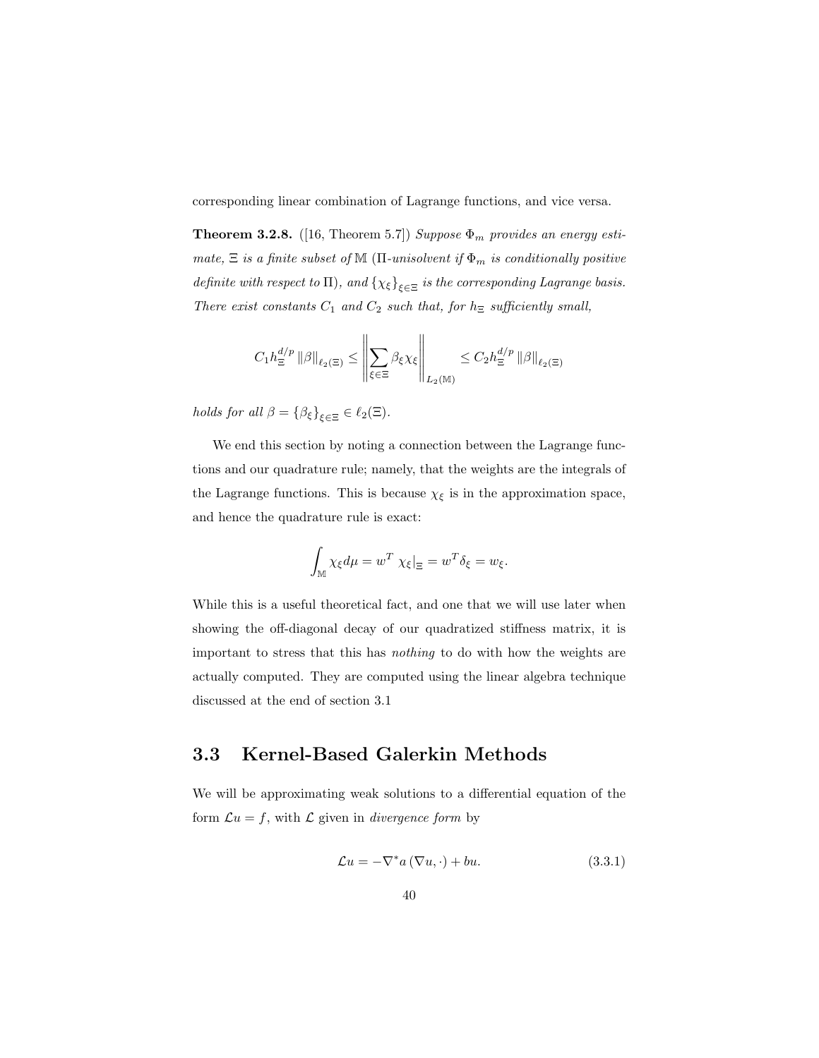corresponding linear combination of Lagrange functions, and vice versa.

**Theorem 3.2.8.** ([16, Theorem 5.7]) Suppose  $\Phi_m$  provides an energy estimate,  $\Xi$  is a finite subset of M ( $\Pi$ -unisolvent if  $\Phi_m$  is conditionally positive definite with respect to  $\Pi$ ), and  $\{\chi_{\xi}\}_{\xi \in \Xi}$  is the corresponding Lagrange basis. There exist constants  $C_1$  and  $C_2$  such that, for  $h_{\Xi}$  sufficiently small,

$$
C_1 h^{d/p}_\Xi \left\| \beta \right\|_{\ell_2(\Xi)} \leq \left\| \sum_{\xi \in \Xi} \beta_\xi \chi_\xi \right\|_{L_2(\mathbb{M})} \leq C_2 h^{d/p}_\Xi \left\| \beta \right\|_{\ell_2(\Xi)}
$$

holds for all  $\beta = {\beta_{\xi}}_{\xi \in \Xi} \in \ell_2(\Xi)$ .

We end this section by noting a connection between the Lagrange functions and our quadrature rule; namely, that the weights are the integrals of the Lagrange functions. This is because  $\chi_{\xi}$  is in the approximation space, and hence the quadrature rule is exact:

$$
\int_{\mathbb{M}} \chi_{\xi} d\mu = w^T \chi_{\xi}|_{\Xi} = w^T \delta_{\xi} = w_{\xi}.
$$

While this is a useful theoretical fact, and one that we will use later when showing the off-diagonal decay of our quadratized stiffness matrix, it is important to stress that this has nothing to do with how the weights are actually computed. They are computed using the linear algebra technique discussed at the end of section 3.1

#### 3.3 Kernel-Based Galerkin Methods

We will be approximating weak solutions to a differential equation of the form  $\mathcal{L}u = f$ , with  $\mathcal L$  given in *divergence form* by

$$
\mathcal{L}u = -\nabla^* a\left(\nabla u, \cdot\right) + bu. \tag{3.3.1}
$$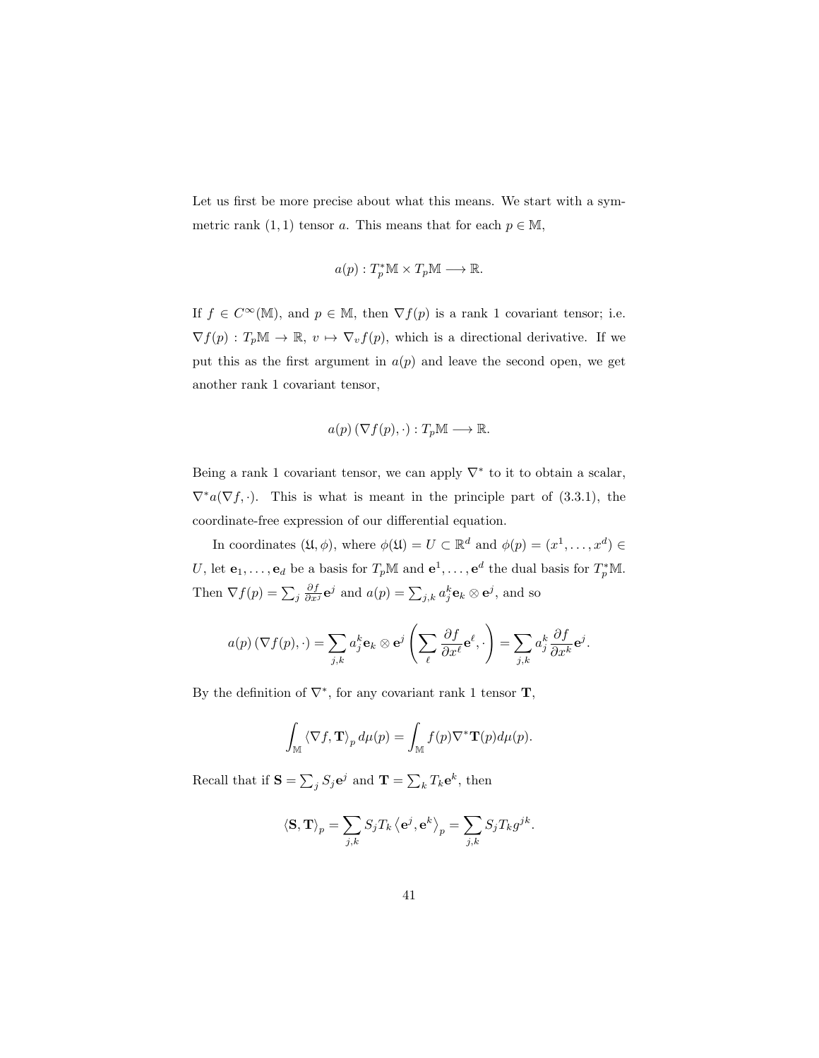Let us first be more precise about what this means. We start with a symmetric rank  $(1, 1)$  tensor a. This means that for each  $p \in M$ ,

$$
a(p): T_p^*\mathbb{M} \times T_p\mathbb{M} \longrightarrow \mathbb{R}.
$$

If  $f \in C^{\infty}(\mathbb{M})$ , and  $p \in \mathbb{M}$ , then  $\nabla f(p)$  is a rank 1 covariant tensor; i.e.  $\nabla f(p) : T_p\mathbb{M} \to \mathbb{R}, v \mapsto \nabla_v f(p)$ , which is a directional derivative. If we put this as the first argument in  $a(p)$  and leave the second open, we get another rank 1 covariant tensor,

$$
a(p) (\nabla f(p), \cdot) : T_p \mathbb{M} \longrightarrow \mathbb{R}.
$$

Being a rank 1 covariant tensor, we can apply  $\nabla^*$  to it to obtain a scalar,  $\nabla^* a(\nabla f, \cdot)$ . This is what is meant in the principle part of (3.3.1), the coordinate-free expression of our differential equation.

In coordinates  $(\mathfrak{U}, \phi)$ , where  $\phi(\mathfrak{U}) = U \subset \mathbb{R}^d$  and  $\phi(p) = (x^1, \dots, x^d) \in$ U, let  $\mathbf{e}_1, \ldots, \mathbf{e}_d$  be a basis for  $T_p \mathbb{M}$  and  $\mathbf{e}^1, \ldots, \mathbf{e}^d$  the dual basis for  $T_p^* \mathbb{M}$ . Then  $\nabla f(p) = \sum_j \frac{\partial f}{\partial x^j} \mathbf{e}^j$  and  $a(p) = \sum_{j,k} a_j^k \mathbf{e}_k \otimes \mathbf{e}^j$ , and so

$$
a(p) \left( \nabla f(p), \cdot \right) = \sum_{j,k} a_j^k \mathbf{e}_k \otimes \mathbf{e}^j \left( \sum_{\ell} \frac{\partial f}{\partial x^{\ell}} \mathbf{e}^{\ell}, \cdot \right) = \sum_{j,k} a_j^k \frac{\partial f}{\partial x^k} \mathbf{e}^j.
$$

By the definition of  $\nabla^*$ , for any covariant rank 1 tensor **T**,

$$
\int_{\mathbb{M}} \langle \nabla f, \mathbf{T} \rangle_p d\mu(p) = \int_{\mathbb{M}} f(p) \nabla^* \mathbf{T}(p) d\mu(p).
$$

Recall that if  $S = \sum_j S_j e^j$  and  $\mathbf{T} = \sum_k T_k e^k$ , then

$$
\left\langle \mathbf{S}, \mathbf{T} \right\rangle_p = \sum_{j,k} S_j T_k \left\langle \mathbf{e}^j, \mathbf{e}^k \right\rangle_p = \sum_{j,k} S_j T_k g^{jk}.
$$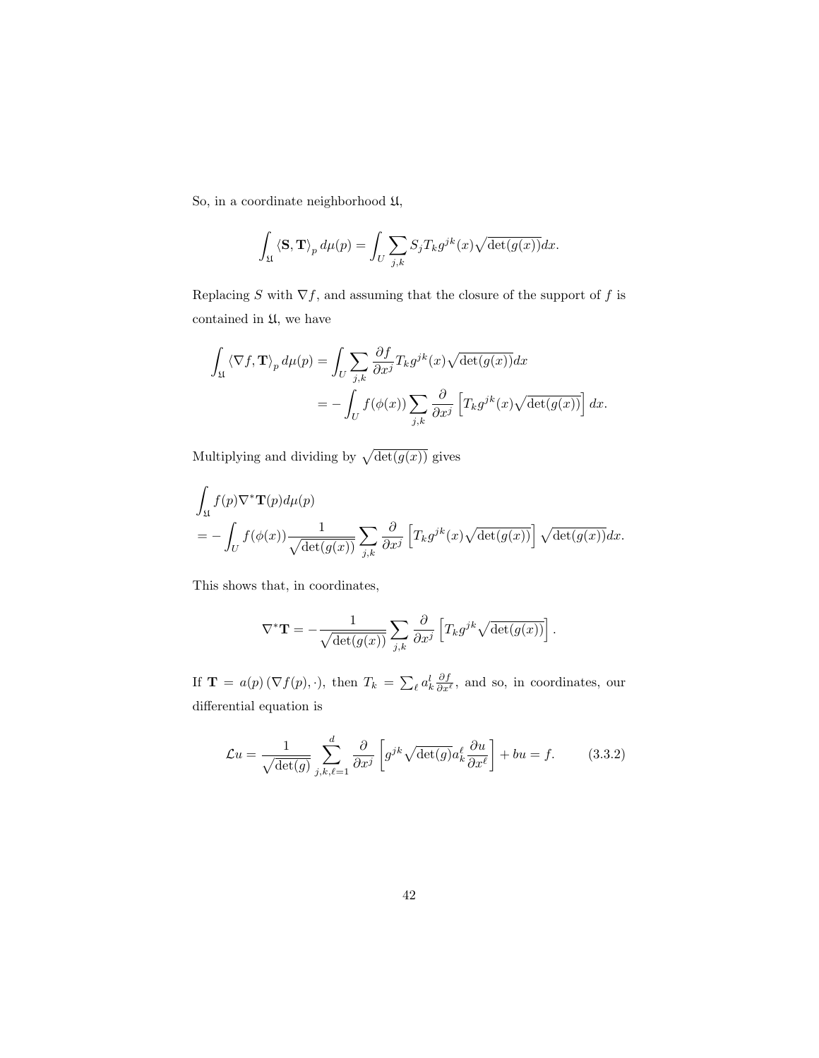So, in a coordinate neighborhood  $\mathfrak{U},$ 

$$
\int_{\mathfrak{U}} \langle \mathbf{S}, \mathbf{T} \rangle_p d\mu(p) = \int_U \sum_{j,k} S_j T_k g^{jk}(x) \sqrt{\det(g(x))} dx.
$$

Replacing  $S$  with  $\nabla f,$  and assuming that the closure of the support of  $f$  is contained in U, we have

$$
\int_{\mathfrak{U}} \langle \nabla f, \mathbf{T} \rangle_{p} d\mu(p) = \int_{U} \sum_{j,k} \frac{\partial f}{\partial x^{j}} T_{k} g^{jk}(x) \sqrt{\det(g(x))} dx
$$
  
= 
$$
- \int_{U} f(\phi(x)) \sum_{j,k} \frac{\partial}{\partial x^{j}} \left[ T_{k} g^{jk}(x) \sqrt{\det(g(x))} \right] dx.
$$

Multiplying and dividing by  $\sqrt{\det(g(x))}$  gives

$$
\int_{\mathfrak{U}} f(p) \nabla^* \mathbf{T}(p) d\mu(p)
$$
\n
$$
= -\int_U f(\phi(x)) \frac{1}{\sqrt{\det(g(x))}} \sum_{j,k} \frac{\partial}{\partial x^j} \left[ T_k g^{jk}(x) \sqrt{\det(g(x))} \right] \sqrt{\det(g(x))} dx.
$$

This shows that, in coordinates,

$$
\nabla^* \mathbf{T} = -\frac{1}{\sqrt{\det(g(x))}} \sum_{j,k} \frac{\partial}{\partial x^j} \left[ T_k g^{jk} \sqrt{\det(g(x))} \right].
$$

If  $\mathbf{T} = a(p) (\nabla f(p), \cdot)$ , then  $T_k = \sum_{\ell} a_k^l \frac{\partial f}{\partial x^{\ell}}$ , and so, in coordinates, our differential equation is

$$
\mathcal{L}u = \frac{1}{\sqrt{\det(g)}} \sum_{j,k,\ell=1}^d \frac{\partial}{\partial x^j} \left[ g^{jk} \sqrt{\det(g)} a_k^{\ell} \frac{\partial u}{\partial x^{\ell}} \right] + bu = f. \tag{3.3.2}
$$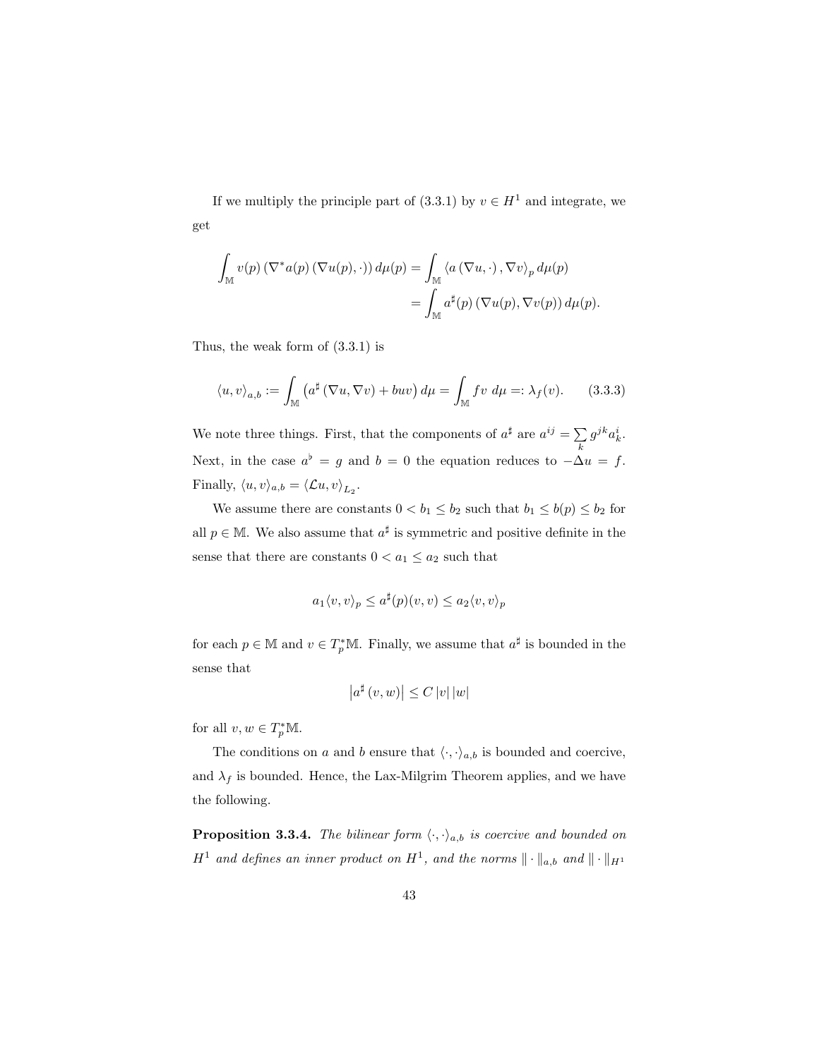If we multiply the principle part of (3.3.1) by  $v \in H^1$  and integrate, we get

$$
\int_{\mathbb{M}} v(p) \left( \nabla^* a(p) \left( \nabla u(p), \cdot \right) \right) d\mu(p) = \int_{\mathbb{M}} \left\langle a \left( \nabla u, \cdot \right), \nabla v \right\rangle_p d\mu(p)
$$

$$
= \int_{\mathbb{M}} a^{\sharp}(p) \left( \nabla u(p), \nabla v(p) \right) d\mu(p).
$$

Thus, the weak form of (3.3.1) is

$$
\langle u, v \rangle_{a,b} := \int_{\mathbb{M}} \left( a^{\sharp} \left( \nabla u, \nabla v \right) + buv \right) d\mu = \int_{\mathbb{M}} f v \, d\mu =: \lambda_f(v). \tag{3.3.3}
$$

We note three things. First, that the components of  $a^{\sharp}$  are  $a^{ij} = \sum g^{jk} a_k^i$ . k Next, in the case  $a^{\flat} = g$  and  $b = 0$  the equation reduces to  $-\Delta u = f$ . Finally,  $\langle u, v \rangle_{a,b} = \langle \mathcal{L}u, v \rangle_{L_2}$ .

We assume there are constants  $0 < b_1 \leq b_2$  such that  $b_1 \leq b(p) \leq b_2$  for all  $p \in \mathbb{M}$ . We also assume that  $a^{\sharp}$  is symmetric and positive definite in the sense that there are constants  $0 < a_1 \le a_2$  such that

$$
a_1 \langle v, v \rangle_p \le a^{\sharp}(p)(v, v) \le a_2 \langle v, v \rangle_p
$$

for each  $p \in \mathbb{M}$  and  $v \in T_p^* \mathbb{M}$ . Finally, we assume that  $a^{\sharp}$  is bounded in the sense that

$$
\left|a^{\sharp}\left(v,w\right)\right| \leq C\left|v\right|\left|w\right|
$$

for all  $v, w \in T_p^*M$ .

The conditions on a and b ensure that  $\langle \cdot, \cdot \rangle_{a,b}$  is bounded and coercive, and  $\lambda_f$  is bounded. Hence, the Lax-Milgrim Theorem applies, and we have the following.

**Proposition 3.3.4.** The bilinear form  $\langle \cdot, \cdot \rangle_{a,b}$  is coercive and bounded on  $H^1$  and defines an inner product on  $H^1$ , and the norms  $\|\cdot\|_{a,b}$  and  $\|\cdot\|_{H^1}$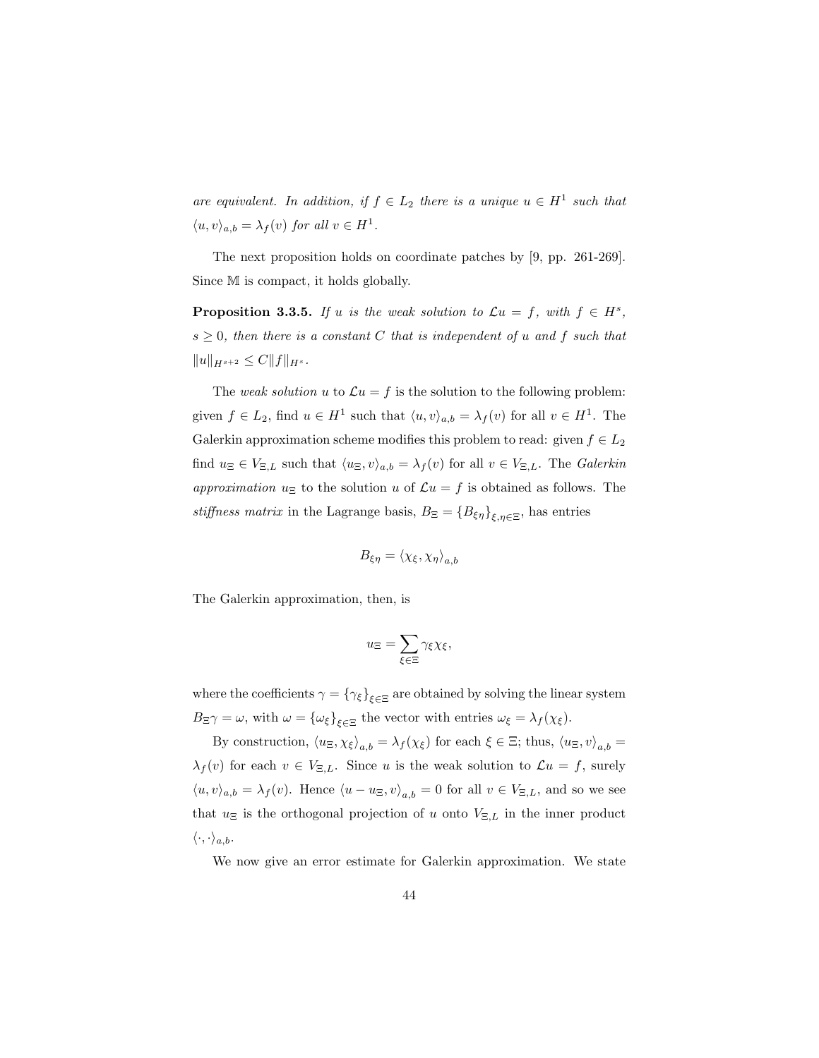are equivalent. In addition, if  $f \in L_2$  there is a unique  $u \in H^1$  such that  $\langle u, v \rangle_{a,b} = \lambda_f(v)$  for all  $v \in H^1$ .

The next proposition holds on coordinate patches by [9, pp. 261-269]. Since M is compact, it holds globally.

**Proposition 3.3.5.** If u is the weak solution to  $\mathcal{L}u = f$ , with  $f \in H^s$ ,  $s \geq 0$ , then there is a constant C that is independent of u and f such that  $||u||_{H^{s+2}} \leq C||f||_{H^s}.$ 

The weak solution u to  $\mathcal{L}u = f$  is the solution to the following problem: given  $f \in L_2$ , find  $u \in H^1$  such that  $\langle u, v \rangle_{a,b} = \lambda_f(v)$  for all  $v \in H^1$ . The Galerkin approximation scheme modifies this problem to read: given  $f \in L_2$ find  $u_{\Xi} \in V_{\Xi,L}$  such that  $\langle u_{\Xi}, v \rangle_{a,b} = \lambda_f(v)$  for all  $v \in V_{\Xi,L}$ . The Galerkin approximation  $u_{\Xi}$  to the solution u of  $\mathcal{L}u = f$  is obtained as follows. The stiffness matrix in the Lagrange basis,  $B_{\Xi} = \{B_{\xi\eta}\}_{\xi,\eta\in\Xi}$ , has entries

$$
B_{\xi\eta} = \langle \chi_{\xi}, \chi_{\eta} \rangle_{a,b}
$$

The Galerkin approximation, then, is

$$
u_{\Xi} = \sum_{\xi \in \Xi} \gamma_{\xi} \chi_{\xi},
$$

where the coefficients  $\gamma = \{\gamma_{\xi}\}_{\xi \in \Xi}$  are obtained by solving the linear system  $B_{\Xi}\gamma = \omega$ , with  $\omega = {\omega_{\xi}}_{\xi \in \Xi}$  the vector with entries  $\omega_{\xi} = \lambda_{f}(\chi_{\xi})$ .

By construction,  $\langle u_{\Xi}, \chi_{\xi} \rangle_{a,b} = \lambda_{f} (\chi_{\xi})$  for each  $\xi \in \Xi$ ; thus,  $\langle u_{\Xi}, v \rangle_{a,b} =$  $\lambda_f(v)$  for each  $v \in V_{\Xi,L}$ . Since u is the weak solution to  $\mathcal{L}u = f$ , surely  $\langle u, v \rangle_{a,b} = \lambda_f(v)$ . Hence  $\langle u - u_{\Xi}, v \rangle_{a,b} = 0$  for all  $v \in V_{\Xi,L}$ , and so we see that  $u_{\Xi}$  is the orthogonal projection of u onto  $V_{\Xi,L}$  in the inner product  $\langle \cdot, \cdot \rangle_{a,b}.$ 

We now give an error estimate for Galerkin approximation. We state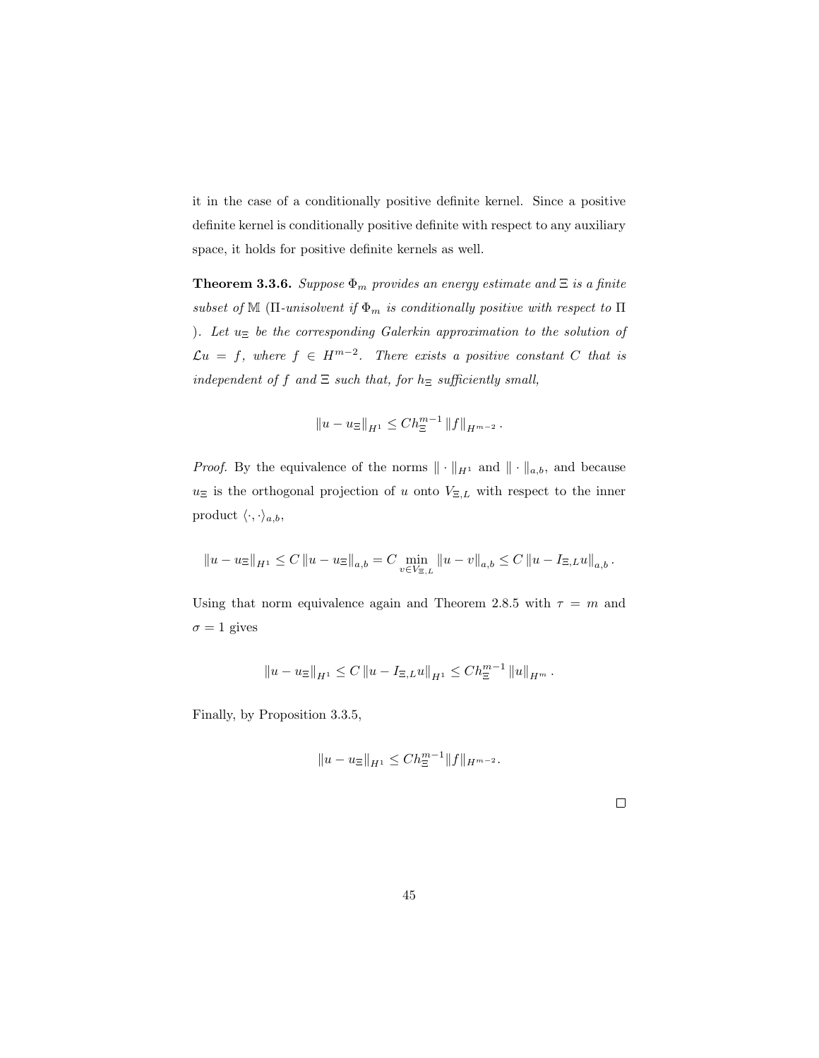it in the case of a conditionally positive definite kernel. Since a positive definite kernel is conditionally positive definite with respect to any auxiliary space, it holds for positive definite kernels as well.

**Theorem 3.3.6.** Suppose  $\Phi_m$  provides an energy estimate and  $\Xi$  is a finite subset of M ( $\Pi$ -unisolvent if  $\Phi_m$  is conditionally positive with respect to  $\Pi$ ). Let  $u_{\Xi}$  be the corresponding Galerkin approximation to the solution of  $\mathcal{L}u = f$ , where  $f \in H^{m-2}$ . There exists a positive constant C that is independent of f and  $\Xi$  such that, for  $h_{\Xi}$  sufficiently small,

$$
||u - u_{\Xi}||_{H^1} \leq Ch_{\Xi}^{m-1} ||f||_{H^{m-2}}.
$$

*Proof.* By the equivalence of the norms  $\|\cdot\|_{H^1}$  and  $\|\cdot\|_{a,b}$ , and because  $u_{\Xi}$  is the orthogonal projection of u onto  $V_{\Xi,L}$  with respect to the inner product  $\langle \cdot, \cdot \rangle_{a,b}$ ,

$$
\left\|u-u_{\Xi}\right\|_{H^1}\leq C\left\|u-u_{\Xi}\right\|_{a,b}=C\min_{v\in V_{\Xi,L}}\left\|u-v\right\|_{a,b}\leq C\left\|u-I_{\Xi,L}u\right\|_{a,b}.
$$

Using that norm equivalence again and Theorem 2.8.5 with  $\tau = m$  and  $\sigma = 1$  gives

$$
||u - u_{\Xi}||_{H^1} \leq C ||u - I_{\Xi,L}u||_{H^1} \leq C h_{\Xi}^{m-1} ||u||_{H^m}.
$$

Finally, by Proposition 3.3.5,

$$
||u - u_{\Xi}||_{H^1} \leq Ch_{\Xi}^{m-1}||f||_{H^{m-2}}.
$$

 $\Box$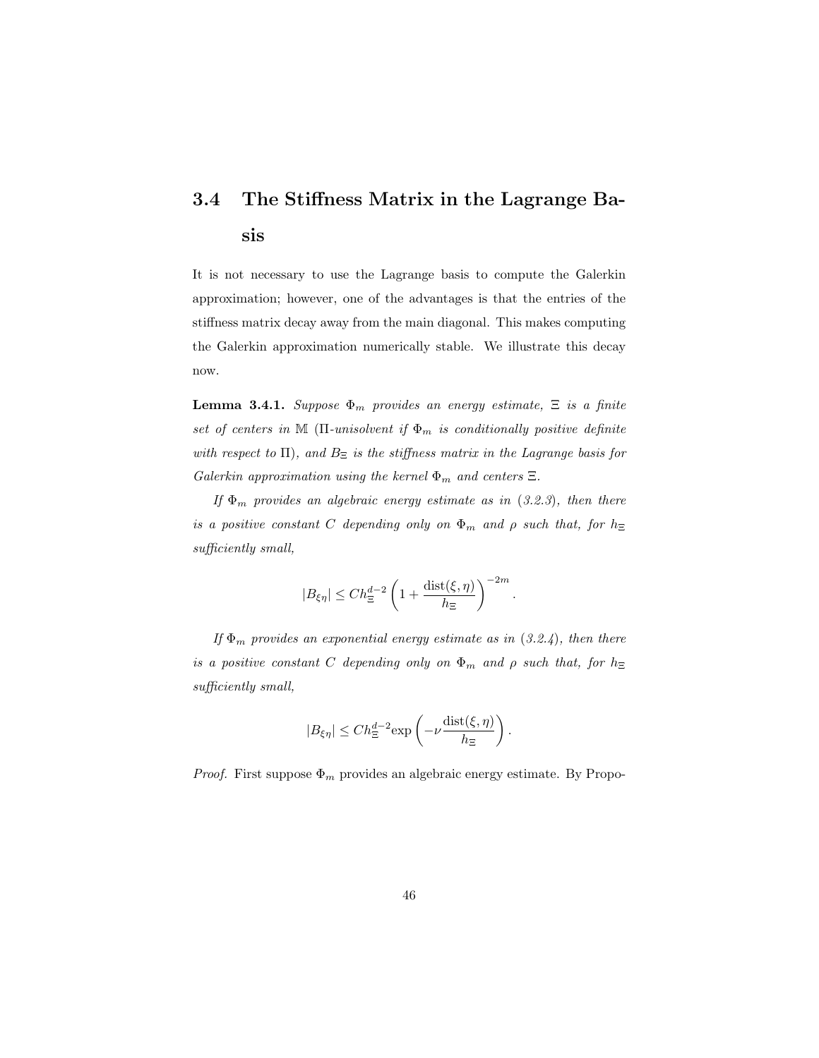## 3.4 The Stiffness Matrix in the Lagrange Basis

It is not necessary to use the Lagrange basis to compute the Galerkin approximation; however, one of the advantages is that the entries of the stiffness matrix decay away from the main diagonal. This makes computing the Galerkin approximation numerically stable. We illustrate this decay now.

**Lemma 3.4.1.** Suppose  $\Phi_m$  provides an energy estimate,  $\Xi$  is a finite set of centers in M ( $\Pi$ -unisolvent if  $\Phi_m$  is conditionally positive definite with respect to  $\Pi$ ), and  $B_{\Xi}$  is the stiffness matrix in the Lagrange basis for Galerkin approximation using the kernel  $\Phi_m$  and centers  $\Xi$ .

If  $\Phi_m$  provides an algebraic energy estimate as in (3.2.3), then there is a positive constant C depending only on  $\Phi_m$  and  $\rho$  such that, for  $h_{\Xi}$ sufficiently small,

$$
|B_{\xi\eta}|\leq Ch_\Xi^{d-2}\left(1+\frac{\operatorname{dist}(\xi,\eta)}{h_\Xi}\right)^{-2m}
$$

.

If  $\Phi_m$  provides an exponential energy estimate as in (3.2.4), then there is a positive constant C depending only on  $\Phi_m$  and  $\rho$  such that, for  $h_{\Xi}$ sufficiently small,

$$
|B_{\xi\eta}| \le Ch_{\Xi}^{d-2} \exp\left(-\nu \frac{\text{dist}(\xi,\eta)}{h_{\Xi}}\right).
$$

*Proof.* First suppose  $\Phi_m$  provides an algebraic energy estimate. By Propo-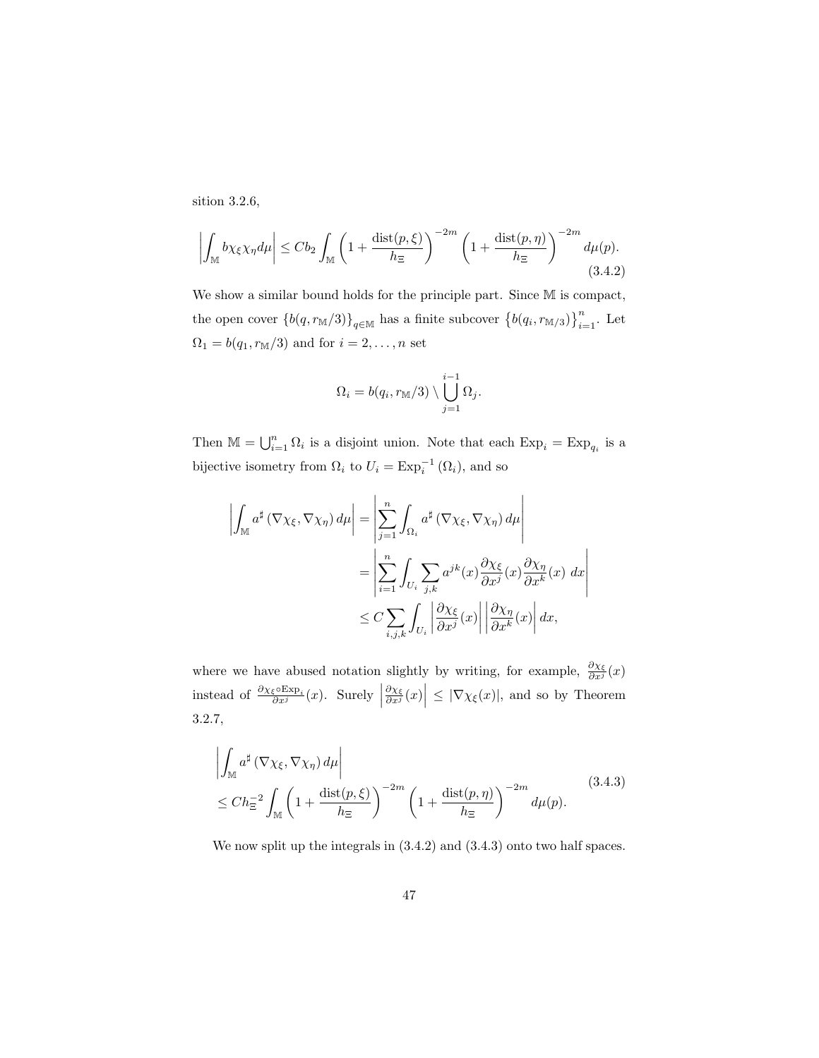sition 3.2.6,

$$
\left| \int_{\mathbb{M}} b\chi_{\xi}\chi_{\eta} d\mu \right| \leq C b_2 \int_{\mathbb{M}} \left( 1 + \frac{\text{dist}(p,\xi)}{h_{\Xi}} \right)^{-2m} \left( 1 + \frac{\text{dist}(p,\eta)}{h_{\Xi}} \right)^{-2m} d\mu(p). \tag{3.4.2}
$$

We show a similar bound holds for the principle part. Since M is compact, the open cover  $\{b(q, r_{\mathbb{M}}/3)\}_{q\in\mathbb{M}}$  has a finite subcover  $\{b(q_i, r_{\mathbb{M}/3})\}_{i=1}^n$ . Let  $\Omega_1=b(q_1,r_{{\mathbb M}}/3)$  and for  $i=2,\ldots,n$  set

$$
\Omega_i = b(q_i, r_{\mathbb{M}}/3) \setminus \bigcup_{j=1}^{i-1} \Omega_j.
$$

Then  $\mathbb{M} = \bigcup_{i=1}^n \Omega_i$  is a disjoint union. Note that each  $\text{Exp}_i = \text{Exp}_{q_i}$  is a bijective isometry from  $\Omega_i$  to  $U_i = \text{Exp}_i^{-1}(\Omega_i)$ , and so

$$
\left| \int_{\mathbb{M}} a^{\sharp} (\nabla \chi_{\xi}, \nabla \chi_{\eta}) d\mu \right| = \left| \sum_{j=1}^{n} \int_{\Omega_{i}} a^{\sharp} (\nabla \chi_{\xi}, \nabla \chi_{\eta}) d\mu \right|
$$
  
\n
$$
= \left| \sum_{i=1}^{n} \int_{U_{i}} \sum_{j,k} a^{jk}(x) \frac{\partial \chi_{\xi}}{\partial x^{j}}(x) \frac{\partial \chi_{\eta}}{\partial x^{k}}(x) dx \right|
$$
  
\n
$$
\leq C \sum_{i,j,k} \int_{U_{i}} \left| \frac{\partial \chi_{\xi}}{\partial x^{j}}(x) \right| \left| \frac{\partial \chi_{\eta}}{\partial x^{k}}(x) \right| dx,
$$

where we have abused notation slightly by writing, for example,  $\frac{\partial \chi_{\xi}}{\partial x^{j}}(x)$ instead of  $\frac{\partial \chi_{\xi} \circ \operatorname{Exp}_i}{\partial x^j}(x)$ . Surely |  $\left|\frac{\partial \chi_{\xi}}{\partial x^{j}}(x)\right| \leq |\nabla \chi_{\xi}(x)|$ , and so by Theorem 3.2.7,

$$
\left| \int_{\mathbb{M}} a^{\sharp} \left( \nabla \chi_{\xi}, \nabla \chi_{\eta} \right) d\mu \right|
$$
\n
$$
\leq Ch_{\Xi}^{-2} \int_{\mathbb{M}} \left( 1 + \frac{\operatorname{dist}(p, \xi)}{h_{\Xi}} \right)^{-2m} \left( 1 + \frac{\operatorname{dist}(p, \eta)}{h_{\Xi}} \right)^{-2m} d\mu(p). \tag{3.4.3}
$$

We now split up the integrals in  $(3.4.2)$  and  $(3.4.3)$  onto two half spaces.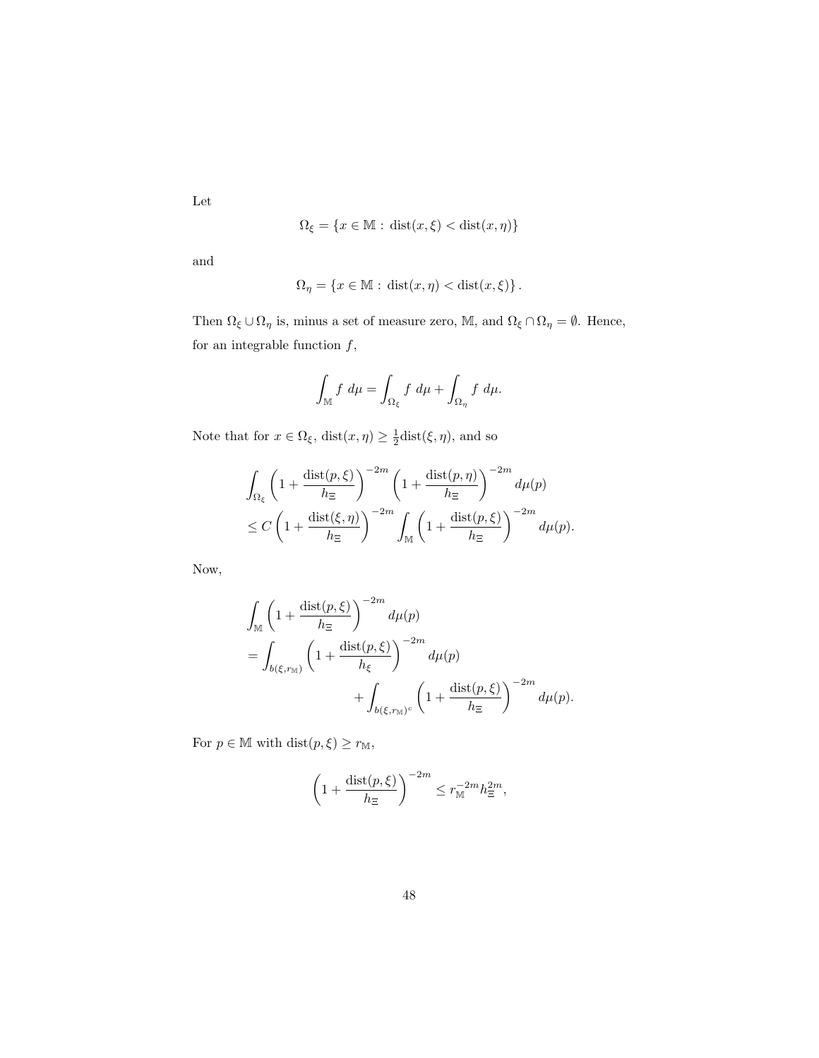Let

$$
\Omega_{\xi} = \{ x \in \mathbb{M} : \text{dist}(x, \xi) < \text{dist}(x, \eta) \}
$$

and

$$
\Omega_{\eta} = \{ x \in \mathbb{M} : \text{dist}(x, \eta) < \text{dist}(x, \xi) \} \, .
$$

Then  $\Omega_\xi\cup\Omega_\eta$  is, minus a set of measure zero,  $\mathbb M,$  and  $\Omega_\xi\cap\Omega_\eta=\emptyset.$  Hence, for an integrable function  $f,$ 

$$
\int_{\mathbb{M}} f \, d\mu = \int_{\Omega_{\xi}} f \, d\mu + \int_{\Omega_{\eta}} f \, d\mu.
$$

Note that for  $x \in \Omega_{\xi}$ ,  $dist(x, \eta) \geq \frac{1}{2}dist(\xi, \eta)$ , and so

$$
\int_{\Omega_{\xi}} \left(1 + \frac{\operatorname{dist}(p,\xi)}{h_{\Xi}}\right)^{-2m} \left(1 + \frac{\operatorname{dist}(p,\eta)}{h_{\Xi}}\right)^{-2m} d\mu(p)
$$
\n
$$
\leq C \left(1 + \frac{\operatorname{dist}(\xi,\eta)}{h_{\Xi}}\right)^{-2m} \int_{\mathbb{M}} \left(1 + \frac{\operatorname{dist}(p,\xi)}{h_{\Xi}}\right)^{-2m} d\mu(p).
$$

Now,

$$
\int_{\mathbb{M}} \left( 1 + \frac{\operatorname{dist}(p,\xi)}{h_{\Xi}} \right)^{-2m} d\mu(p)
$$
\n
$$
= \int_{b(\xi,r_{\mathbb{M}})} \left( 1 + \frac{\operatorname{dist}(p,\xi)}{h_{\xi}} \right)^{-2m} d\mu(p)
$$
\n
$$
+ \int_{b(\xi,r_{\mathbb{M}})^c} \left( 1 + \frac{\operatorname{dist}(p,\xi)}{h_{\Xi}} \right)^{-2m} d\mu(p).
$$

For  $p\in \mathbb{M}$  with  $\mathop\mathrm{dist}(p,\xi)\geq r_\mathbb{M},$ 

$$
\left(1 + \frac{\operatorname{dist}(p,\xi)}{h_{\Xi}}\right)^{-2m} \le r_{\mathbb{M}}^{-2m} h_{\Xi}^{2m},
$$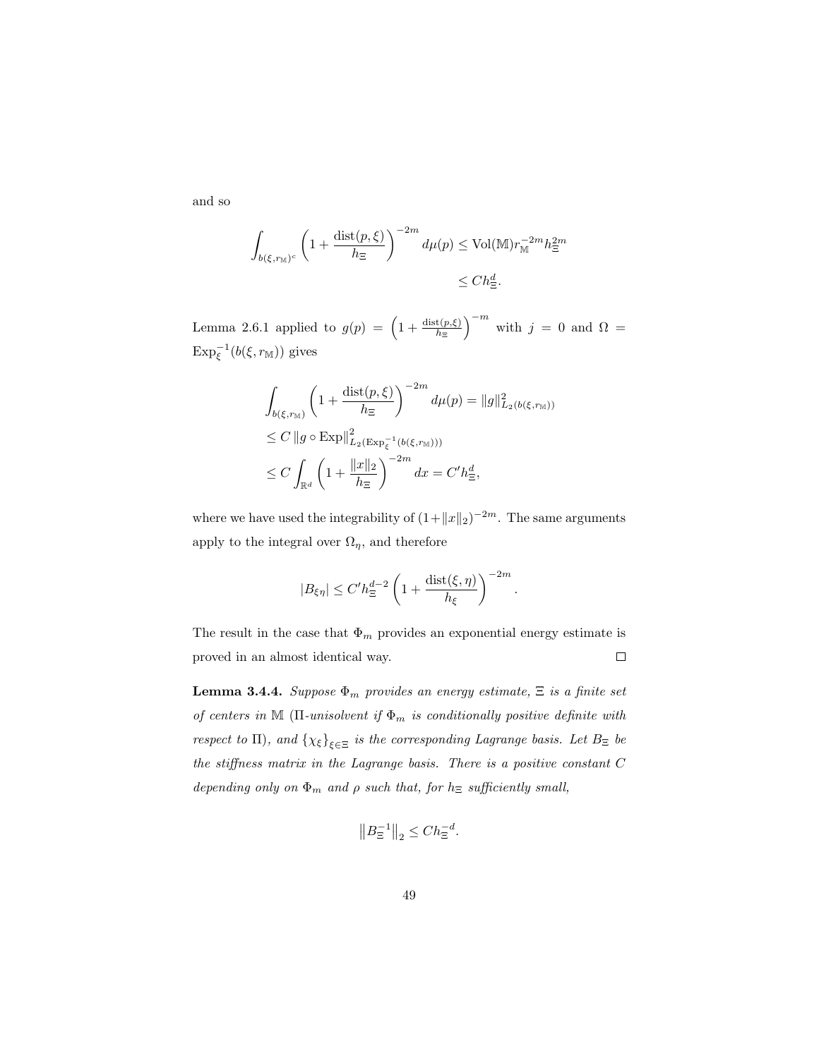and so

$$
\int_{b(\xi,r_{\mathbb{M}})^c} \left(1 + \frac{\operatorname{dist}(p,\xi)}{h_{\Xi}}\right)^{-2m} d\mu(p) \le \operatorname{Vol}(\mathbb{M}) r_{\mathbb{M}}^{-2m} h_{\Xi}^{2m}
$$
  

$$
\le C h_{\Xi}^d.
$$

Lemma 2.6.1 applied to  $g(p) = \left(1 + \frac{\text{dist}(p,\xi)}{h_{\Xi}}\right)^{-m}$  with  $j = 0$  and  $\Omega =$  $\mathrm{Exp}_{\xi}^{-1}(b(\xi,r_{\mathbb{M}}))$  gives

$$
\int_{b(\xi,r_{\mathbb{M}})} \left( 1 + \frac{\text{dist}(p,\xi)}{h_{\Xi}} \right)^{-2m} d\mu(p) = \|g\|_{L_2(b(\xi,r_{\mathbb{M}}))}^2
$$
\n
$$
\leq C \|g \circ \text{Exp}\|_{L_2(\text{Exp}_{\xi}^{-1}(b(\xi,r_{\mathbb{M}})))}^2
$$
\n
$$
\leq C \int_{\mathbb{R}^d} \left( 1 + \frac{\|x\|_2}{h_{\Xi}} \right)^{-2m} dx = C'h_{\Xi}^d,
$$

where we have used the integrability of  $(1 + ||x||_2)^{-2m}$ . The same arguments apply to the integral over  $\Omega_{\eta}$ , and therefore

$$
|B_{\xi\eta}|\leq C'h_{\Xi}^{d-2}\left(1+\frac{\operatorname{dist}(\xi,\eta)}{h_{\xi}}\right)^{-2m}.
$$

The result in the case that  $\Phi_m$  provides an exponential energy estimate is proved in an almost identical way.  $\Box$ 

**Lemma 3.4.4.** Suppose  $\Phi_m$  provides an energy estimate,  $\Xi$  is a finite set of centers in M ( $\Pi$ -unisolvent if  $\Phi_m$  is conditionally positive definite with respect to  $\Pi$ ), and  $\{\chi_{\xi}\}_{\xi \in \Xi}$  is the corresponding Lagrange basis. Let  $B_{\Xi}$  be the stiffness matrix in the Lagrange basis. There is a positive constant C depending only on  $\Phi_m$  and  $\rho$  such that, for  $h_{\Xi}$  sufficiently small,

$$
||B_{\Xi}^{-1}||_2 \leq Ch_{\Xi}^{-d}.
$$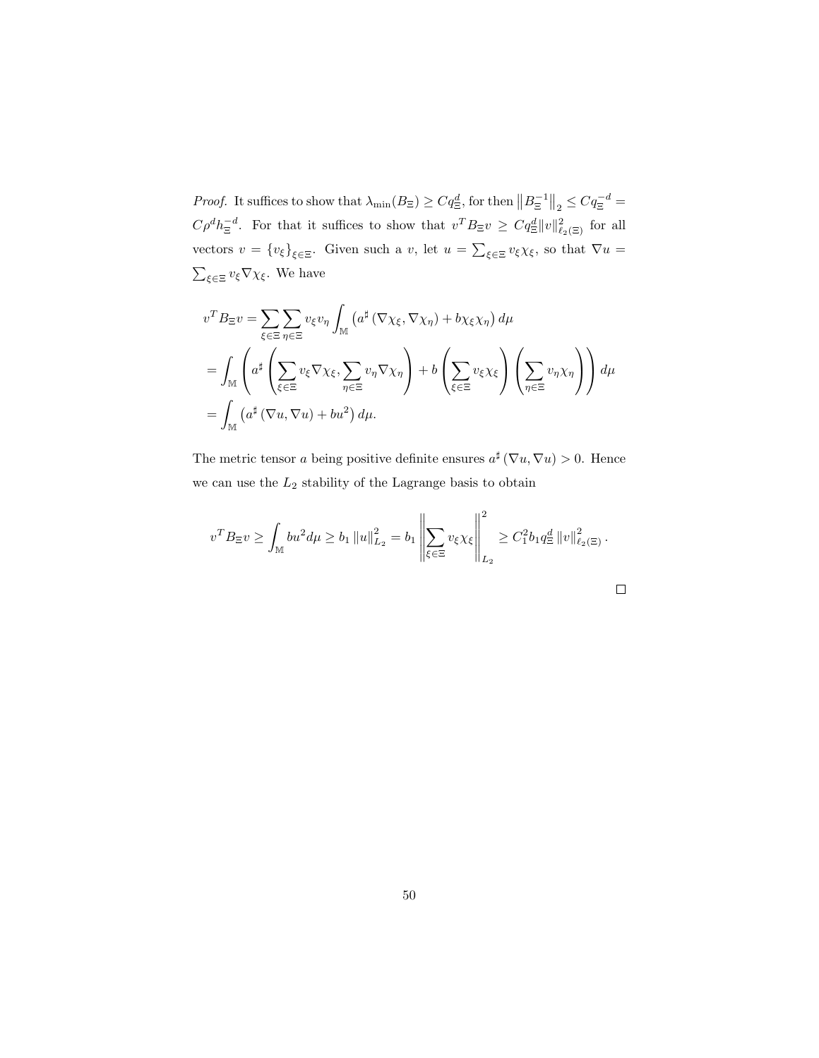*Proof.* It suffices to show that  $\lambda_{\min}(B_{\Xi}) \ge Cq_{\Xi}^d$ , for then  $||B_{\Xi}^{-1}||_2 \le Cq_{\Xi}^{-d}$  $C\rho^d h_{\Xi}^{-d}$ . For that it suffices to show that  $v^T B_{\Xi} v \geq C q_{\Xi}^d ||v||^2_{\ell_2(\Xi)}$  for all vectors  $v = \{v_{\xi}\}_{{\xi \in \Xi}}$ . Given such a v, let  $u = \sum_{\xi \in \Xi} v_{\xi} \chi_{\xi}$ , so that  $\nabla u =$  $\sum_{\xi \in \Xi} v_{\xi} \nabla \chi_{\xi}$ . We have

$$
v^T B_{\Xi} v = \sum_{\xi \in \Xi} \sum_{\eta \in \Xi} v_{\xi} v_{\eta} \int_{\mathbb{M}} \left( a^{\sharp} \left( \nabla \chi_{\xi}, \nabla \chi_{\eta} \right) + b \chi_{\xi} \chi_{\eta} \right) d\mu
$$
  
= 
$$
\int_{\mathbb{M}} \left( a^{\sharp} \left( \sum_{\xi \in \Xi} v_{\xi} \nabla \chi_{\xi}, \sum_{\eta \in \Xi} v_{\eta} \nabla \chi_{\eta} \right) + b \left( \sum_{\xi \in \Xi} v_{\xi} \chi_{\xi} \right) \left( \sum_{\eta \in \Xi} v_{\eta} \chi_{\eta} \right) \right) d\mu
$$
  
= 
$$
\int_{\mathbb{M}} \left( a^{\sharp} \left( \nabla u, \nabla u \right) + b u^2 \right) d\mu.
$$

The metric tensor a being positive definite ensures  $a^{\sharp}(\nabla u, \nabla u) > 0$ . Hence we can use the  $L_2$  stability of the Lagrange basis to obtain

$$
v^T B_{\Xi} v \ge \int_{\mathbb{M}} bu^2 d\mu \ge b_1 \|u\|_{L_2}^2 = b_1 \left\|\sum_{\xi \in \Xi} v_{\xi} \chi_{\xi}\right\|_{L_2}^2 \ge C_1^2 b_1 q_{\Xi}^d \|v\|_{\ell_2(\Xi)}^2.
$$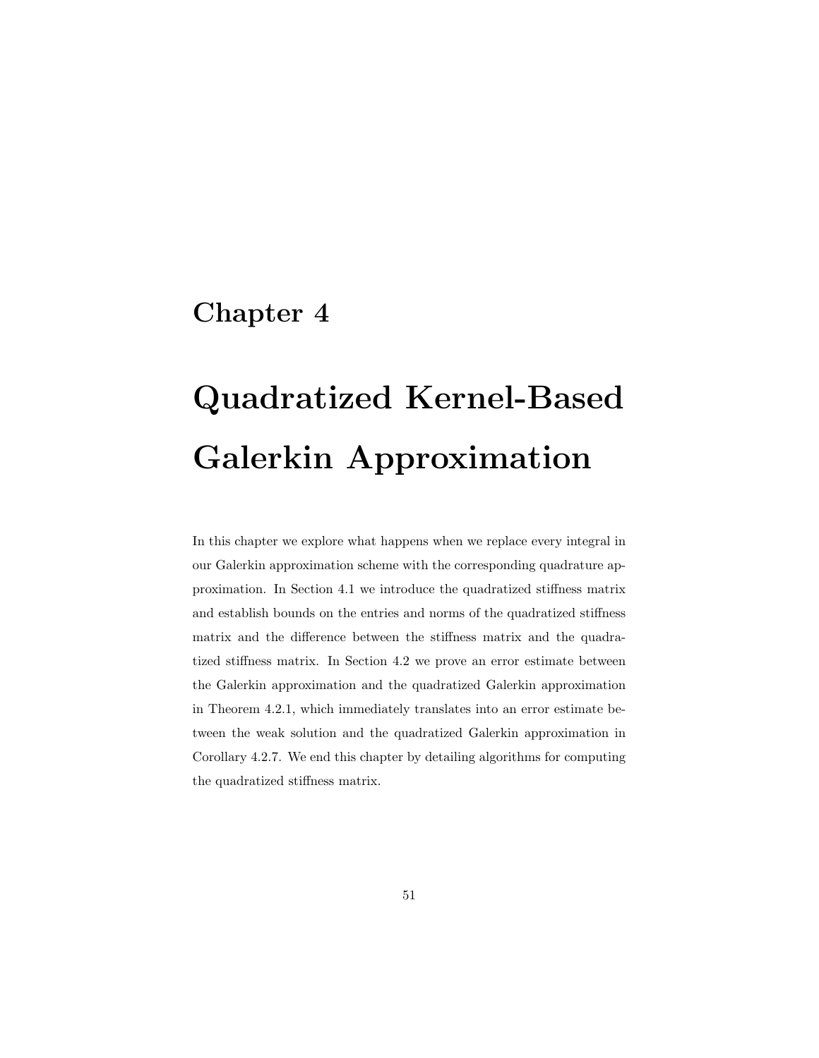## Chapter 4

# Quadratized Kernel-Based Galerkin Approximation

In this chapter we explore what happens when we replace every integral in our Galerkin approximation scheme with the corresponding quadrature approximation. In Section 4.1 we introduce the quadratized stiffness matrix and establish bounds on the entries and norms of the quadratized stiffness matrix and the difference between the stiffness matrix and the quadratized stiffness matrix. In Section 4.2 we prove an error estimate between the Galerkin approximation and the quadratized Galerkin approximation in Theorem 4.2.1, which immediately translates into an error estimate between the weak solution and the quadratized Galerkin approximation in Corollary 4.2.7. We end this chapter by detailing algorithms for computing the quadratized stiffness matrix.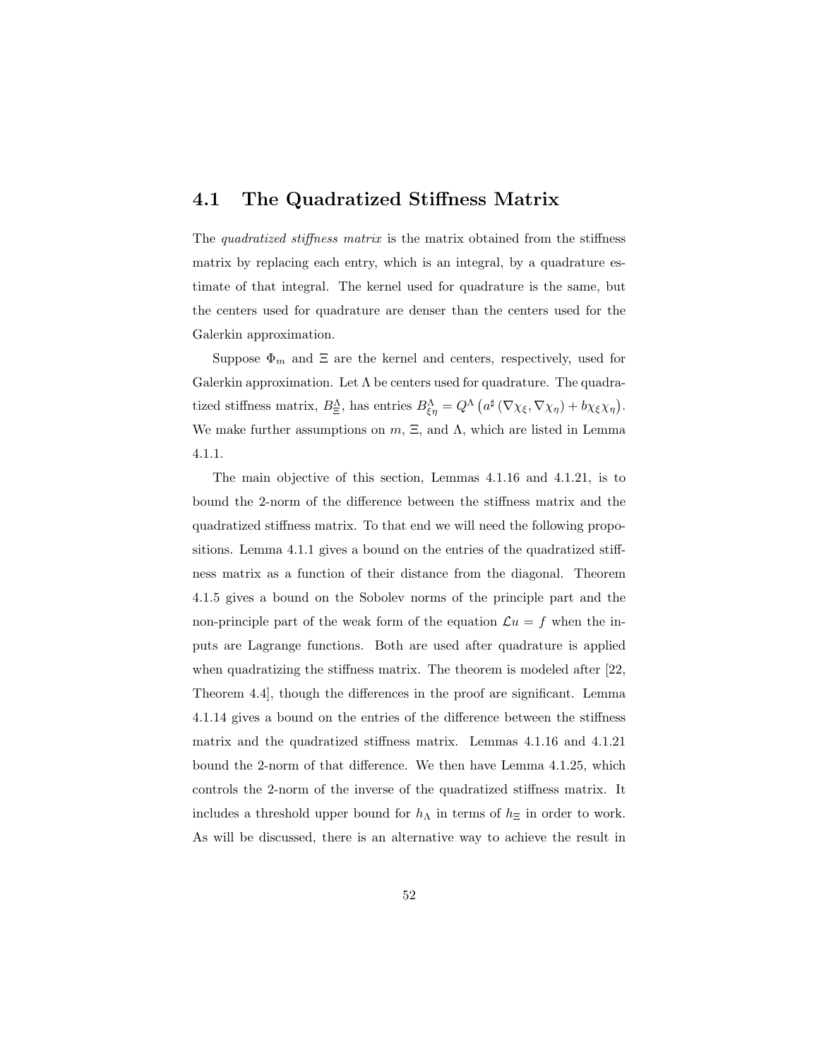#### 4.1 The Quadratized Stiffness Matrix

The *quadratized stiffness matrix* is the matrix obtained from the stiffness matrix by replacing each entry, which is an integral, by a quadrature estimate of that integral. The kernel used for quadrature is the same, but the centers used for quadrature are denser than the centers used for the Galerkin approximation.

Suppose  $\Phi_m$  and  $\Xi$  are the kernel and centers, respectively, used for Galerkin approximation. Let  $\Lambda$  be centers used for quadrature. The quadratized stiffness matrix,  $B_{\Xi}^{\Lambda}$ , has entries  $B_{\xi\eta}^{\Lambda} = Q^{\Lambda} (\alpha^{\sharp} (\nabla \chi_{\xi}, \nabla \chi_{\eta}) + b \chi_{\xi} \chi_{\eta}).$ We make further assumptions on  $m, \Xi$ , and  $\Lambda$ , which are listed in Lemma 4.1.1.

The main objective of this section, Lemmas 4.1.16 and 4.1.21, is to bound the 2-norm of the difference between the stiffness matrix and the quadratized stiffness matrix. To that end we will need the following propositions. Lemma 4.1.1 gives a bound on the entries of the quadratized stiffness matrix as a function of their distance from the diagonal. Theorem 4.1.5 gives a bound on the Sobolev norms of the principle part and the non-principle part of the weak form of the equation  $\mathcal{L}u = f$  when the inputs are Lagrange functions. Both are used after quadrature is applied when quadratizing the stiffness matrix. The theorem is modeled after [22, Theorem 4.4], though the differences in the proof are significant. Lemma 4.1.14 gives a bound on the entries of the difference between the stiffness matrix and the quadratized stiffness matrix. Lemmas 4.1.16 and 4.1.21 bound the 2-norm of that difference. We then have Lemma 4.1.25, which controls the 2-norm of the inverse of the quadratized stiffness matrix. It includes a threshold upper bound for  $h_{\Lambda}$  in terms of  $h_{\Xi}$  in order to work. As will be discussed, there is an alternative way to achieve the result in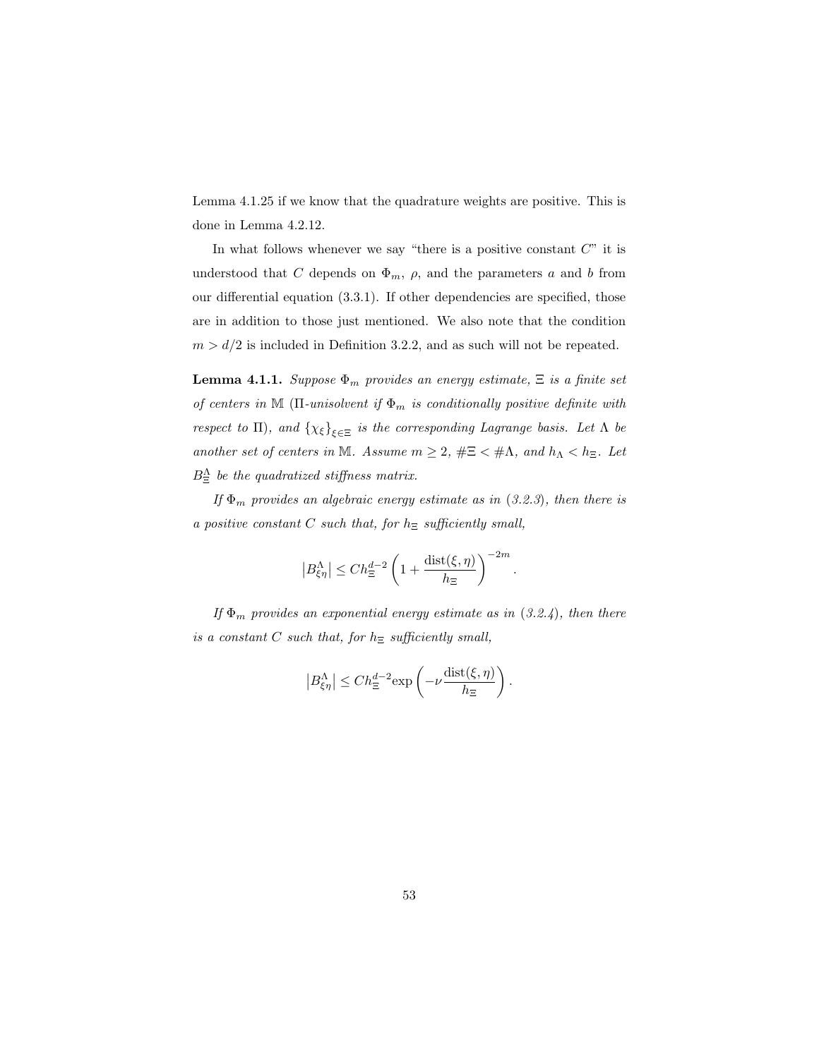Lemma 4.1.25 if we know that the quadrature weights are positive. This is done in Lemma 4.2.12.

In what follows whenever we say "there is a positive constant  $C$ " it is understood that C depends on  $\Phi_m$ ,  $\rho$ , and the parameters a and b from our differential equation (3.3.1). If other dependencies are specified, those are in addition to those just mentioned. We also note that the condition  $m>d/2$  is included in Definition 3.2.2, and as such will not be repeated.

**Lemma 4.1.1.** Suppose  $\Phi_m$  provides an energy estimate,  $\Xi$  is a finite set of centers in M ( $\Pi$ -unisolvent if  $\Phi_m$  is conditionally positive definite with respect to  $\Pi$ ), and  $\{\chi_{\xi}\}_{\xi \in \Xi}$  is the corresponding Lagrange basis. Let  $\Lambda$  be another set of centers in M. Assume  $m\geq 2$ ,  $\#\Xi<\#\Lambda$ , and  $h_\Lambda< h_\Xi$ . Let  $B_{\Xi}^{\Lambda}$  be the quadratized stiffness matrix.

If  $\Phi_m$  provides an algebraic energy estimate as in (3.2.3), then there is a positive constant C such that, for  $h_{\Xi}$  sufficiently small,

$$
|B_{\xi\eta}^{\Lambda}| \leq Ch_{\Xi}^{d-2} \left(1 + \frac{\text{dist}(\xi,\eta)}{h_{\Xi}}\right)^{-2m}.
$$

If  $\Phi_m$  provides an exponential energy estimate as in (3.2.4), then there is a constant C such that, for  $h_{\Xi}$  sufficiently small,

$$
|B_{\xi\eta}^{\Lambda}| \le Ch_{\Xi}^{d-2}\exp\left(-\nu \frac{\operatorname{dist}(\xi,\eta)}{h_{\Xi}}\right).
$$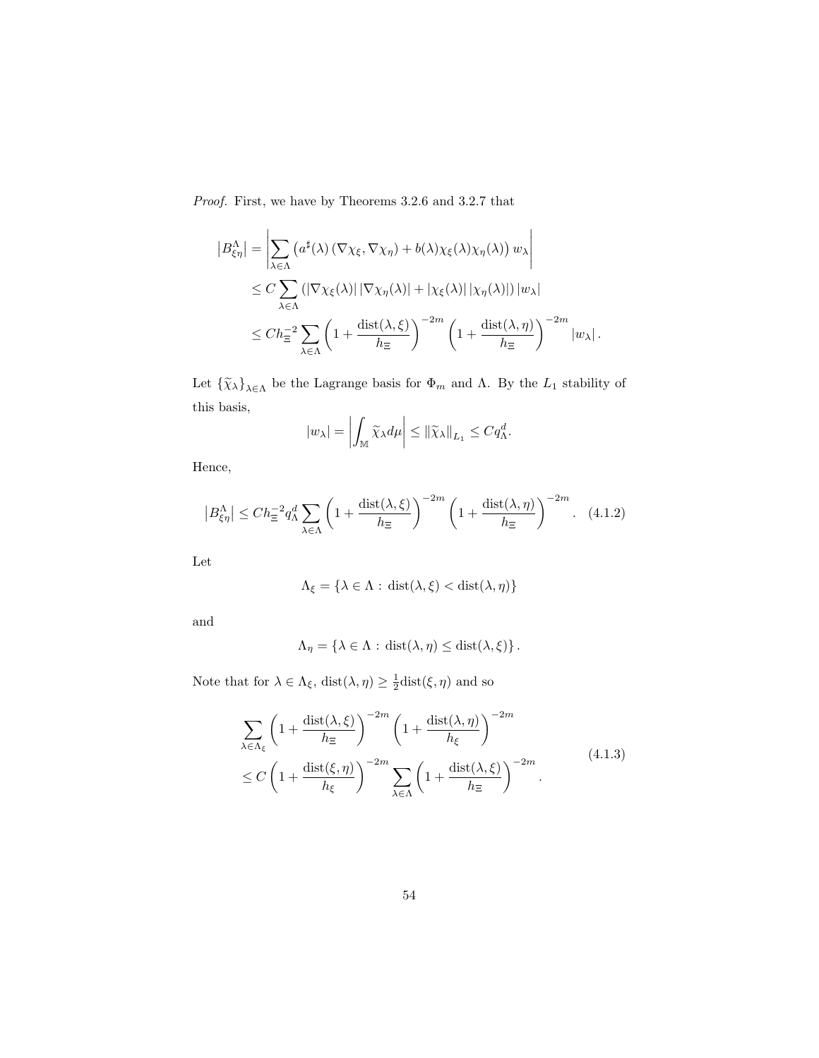Proof. First, we have by Theorems 3.2.6 and 3.2.7 that

$$
|B_{\xi\eta}^{\Lambda}| = \left| \sum_{\lambda \in \Lambda} \left( a^{\sharp}(\lambda) \left( \nabla \chi_{\xi}, \nabla \chi_{\eta} \right) + b(\lambda) \chi_{\xi}(\lambda) \chi_{\eta}(\lambda) \right) w_{\lambda} \right|
$$
  
\n
$$
\leq C \sum_{\lambda \in \Lambda} \left( |\nabla \chi_{\xi}(\lambda)| \left| \nabla \chi_{\eta}(\lambda) \right| + \left| \chi_{\xi}(\lambda) \right| \left| \chi_{\eta}(\lambda) \right| \right) |w_{\lambda}|
$$
  
\n
$$
\leq C h_{\Xi}^{-2} \sum_{\lambda \in \Lambda} \left( 1 + \frac{\text{dist}(\lambda, \xi)}{h_{\Xi}} \right)^{-2m} \left( 1 + \frac{\text{dist}(\lambda, \eta)}{h_{\Xi}} \right)^{-2m} |w_{\lambda}|.
$$

Let  $\{\widetilde{\chi}_{\lambda}\}_{\lambda \in \Lambda}$  be the Lagrange basis for  $\Phi_m$  and  $\Lambda$ . By the  $L_1$  stability of this basis,

$$
|w_{\lambda}| = \left| \int_{\mathbb{M}} \widetilde{\chi}_{\lambda} d\mu \right| \leq ||\widetilde{\chi}_{\lambda}||_{L_1} \leq C q_{\Lambda}^d.
$$

Hence,

$$
\left|B_{\xi\eta}^{\Lambda}\right| \le Ch_{\Xi}^{-2}q_{\Lambda}^{d}\sum_{\lambda\in\Lambda}\left(1+\frac{\text{dist}(\lambda,\xi)}{h_{\Xi}}\right)^{-2m}\left(1+\frac{\text{dist}(\lambda,\eta)}{h_{\Xi}}\right)^{-2m}.\tag{4.1.2}
$$

Let

$$
\Lambda_{\xi} = \{ \lambda \in \Lambda : \, \text{dist}(\lambda, \xi) < \text{dist}(\lambda, \eta) \}
$$

and

$$
\Lambda_{\eta} = \{ \lambda \in \Lambda : \text{dist}(\lambda, \eta) \leq \text{dist}(\lambda, \xi) \}.
$$

Note that for  $\lambda \in \Lambda_{\xi}$ ,  $dist(\lambda, \eta) \geq \frac{1}{2}dist(\xi, \eta)$  and so

$$
\sum_{\lambda \in \Lambda_{\xi}} \left( 1 + \frac{\operatorname{dist}(\lambda, \xi)}{h_{\Xi}} \right)^{-2m} \left( 1 + \frac{\operatorname{dist}(\lambda, \eta)}{h_{\xi}} \right)^{-2m} \n\le C \left( 1 + \frac{\operatorname{dist}(\xi, \eta)}{h_{\xi}} \right)^{-2m} \sum_{\lambda \in \Lambda} \left( 1 + \frac{\operatorname{dist}(\lambda, \xi)}{h_{\Xi}} \right)^{-2m}.
$$
\n(4.1.3)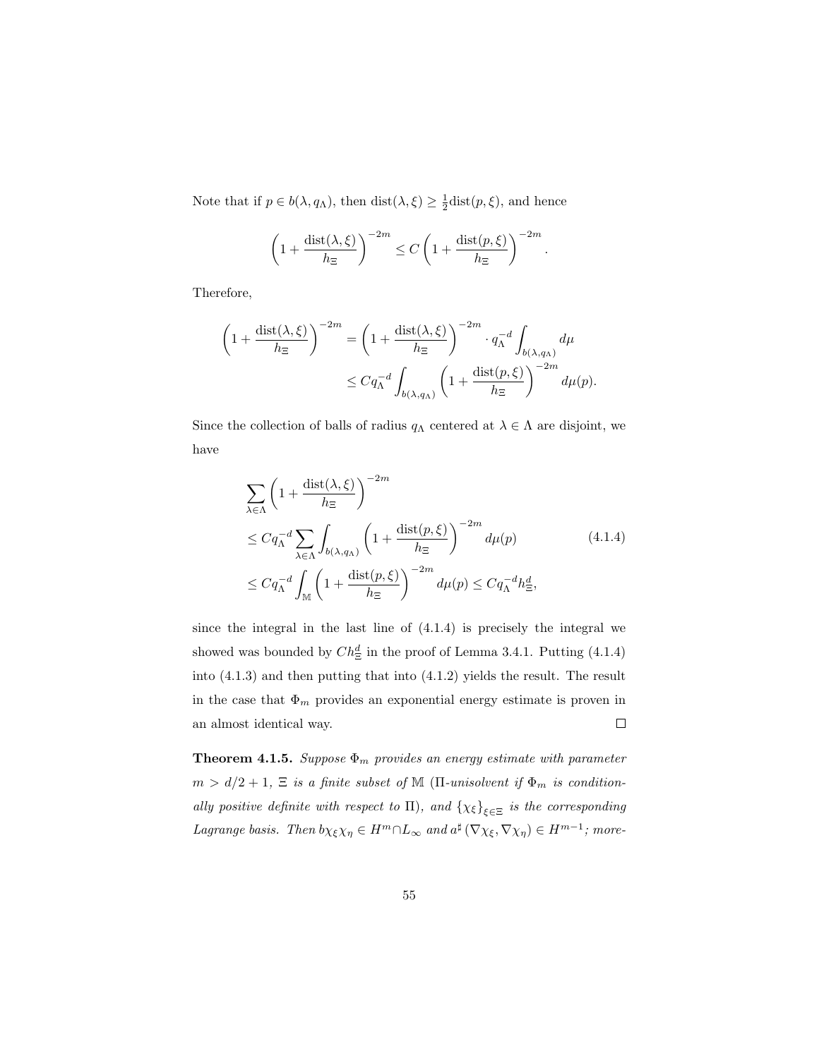Note that if  $p \in b(\lambda, q_{\Lambda})$ , then  $dist(\lambda, \xi) \geq \frac{1}{2}dist(p, \xi)$ , and hence

$$
\left(1+\frac{\operatorname{dist}(\lambda,\xi)}{h_{\Xi}}\right)^{-2m} \le C\left(1+\frac{\operatorname{dist}(p,\xi)}{h_{\Xi}}\right)^{-2m}.
$$

Therefore,

$$
\left(1 + \frac{\operatorname{dist}(\lambda, \xi)}{h_{\Xi}}\right)^{-2m} = \left(1 + \frac{\operatorname{dist}(\lambda, \xi)}{h_{\Xi}}\right)^{-2m} \cdot q_{\Lambda}^{-d} \int_{b(\lambda, q_{\Lambda})} d\mu
$$
  

$$
\leq C q_{\Lambda}^{-d} \int_{b(\lambda, q_{\Lambda})} \left(1 + \frac{\operatorname{dist}(p, \xi)}{h_{\Xi}}\right)^{-2m} d\mu(p).
$$

Since the collection of balls of radius  $q_{\Lambda}$  centered at  $\lambda \in \Lambda$  are disjoint, we have

$$
\sum_{\lambda \in \Lambda} \left( 1 + \frac{\text{dist}(\lambda, \xi)}{h_{\Xi}} \right)^{-2m}
$$
\n
$$
\leq C q_{\Lambda}^{-d} \sum_{\lambda \in \Lambda} \int_{b(\lambda, q_{\Lambda})} \left( 1 + \frac{\text{dist}(p, \xi)}{h_{\Xi}} \right)^{-2m} d\mu(p) \tag{4.1.4}
$$
\n
$$
\leq C q_{\Lambda}^{-d} \int_{\mathbb{M}} \left( 1 + \frac{\text{dist}(p, \xi)}{h_{\Xi}} \right)^{-2m} d\mu(p) \leq C q_{\Lambda}^{-d} h_{\Xi}^{d},
$$

since the integral in the last line of (4.1.4) is precisely the integral we showed was bounded by  $Ch_{\Xi}^d$  in the proof of Lemma 3.4.1. Putting (4.1.4) into (4.1.3) and then putting that into (4.1.2) yields the result. The result in the case that  $\Phi_m$  provides an exponential energy estimate is proven in  $\Box$ an almost identical way.

**Theorem 4.1.5.** Suppose  $\Phi_m$  provides an energy estimate with parameter  $m$   $>$   $d/2$   $+$   $1,$   $\Xi$   $\emph{is a finite subset of}$   $\mathbb M$  (II-unisolvent if  $\Phi_m$  is conditionally positive definite with respect to  $\Pi$ ), and  $\{\chi_{\xi}\}_{\xi \in \Xi}$  is the corresponding Lagrange basis. Then  $b\chi_{\xi}\chi_{\eta} \in H^m \cap L_{\infty}$  and  $a^{\sharp}(\nabla \chi_{\xi}, \nabla \chi_{\eta}) \in H^{m-1}$ ; more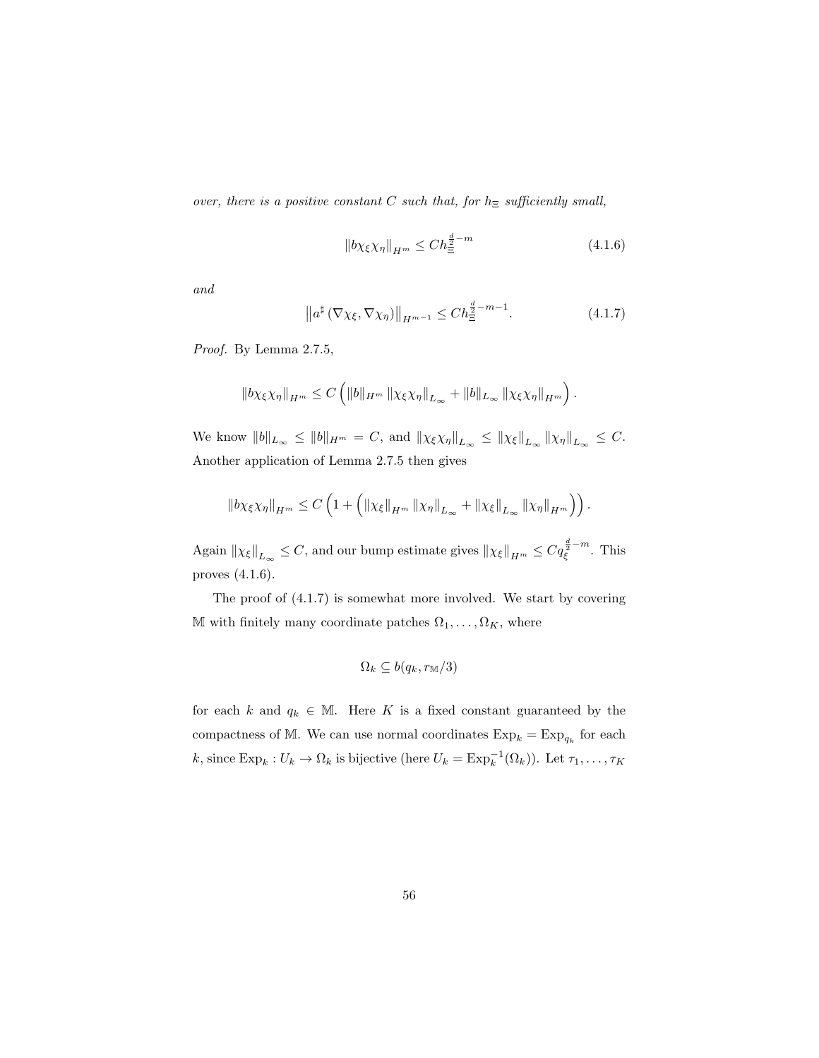over, there is a positive constant C such that, for  $h_{\Xi}$  sufficiently small,

$$
\|b\chi_{\xi}\chi_{\eta}\|_{H^m} \le Ch_{\Xi}^{\frac{d}{2}-m} \tag{4.1.6}
$$

and

$$
\left\|a^{\sharp}\left(\nabla\chi_{\xi},\nabla\chi_{\eta}\right)\right\|_{H^{m-1}}\leq Ch_{\Xi}^{\frac{d}{2}-m-1}.\tag{4.1.7}
$$

Proof. By Lemma 2.7.5,

$$
\left\|b\chi_{\xi}\chi_{\eta}\right\|_{H^{m}} \leq C\left(\|b\|_{H^{m}}\left\|\chi_{\xi}\chi_{\eta}\right\|_{L_{\infty}}+\|b\|_{L_{\infty}}\left\|\chi_{\xi}\chi_{\eta}\right\|_{H^{m}}\right).
$$

We know  $||b||_{L_{\infty}} \le ||b||_{H^m} = C$ , and  $\|\chi_{\xi}\chi_{\eta}\|_{L_{\infty}} \le \|\chi_{\xi}\|_{L_{\infty}} \|\chi_{\eta}\|_{L_{\infty}} \le C$ . Another application of Lemma 2.7.5 then gives

$$
\left\|b\chi_{\xi}\chi_{\eta}\right\|_{H^{m}} \leq C\left(1+\left(\left\|\chi_{\xi}\right\|_{H^{m}}\left\|\chi_{\eta}\right\|_{L_{\infty}}+\left\|\chi_{\xi}\right\|_{L_{\infty}}\left\|\chi_{\eta}\right\|_{H^{m}}\right)\right).
$$

Again  $\|\chi_{\xi}\|_{L_{\infty}} \leq C$ , and our bump estimate gives  $\|\chi_{\xi}\|_{H^m} \leq Cq_{\xi}^{\frac{d}{2}-m}$ . This proves (4.1.6).

The proof of (4.1.7) is somewhat more involved. We start by covering M with finitely many coordinate patches  $\Omega_1, \ldots, \Omega_K$ , where

$$
\Omega_k \subseteq b(q_k, r_{\mathbb{M}}/3)
$$

for each k and  $q_k \in \mathbb{M}$ . Here K is a fixed constant guaranteed by the compactness of M. We can use normal coordinates  $\text{Exp}_k = \text{Exp}_{q_k}$  for each k, since  $\text{Exp}_k : U_k \to \Omega_k$  is bijective (here  $U_k = \text{Exp}_k^{-1}(\Omega_k)$ ). Let  $\tau_1, \ldots, \tau_K$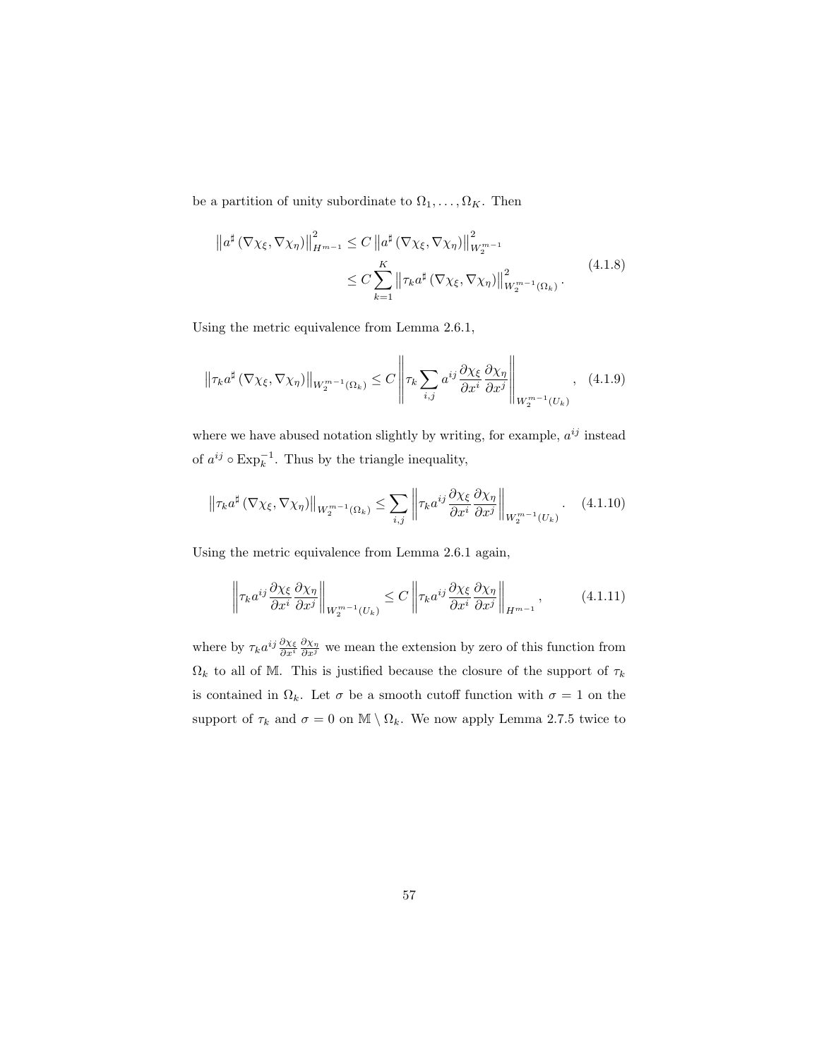be a partition of unity subordinate to  $\Omega_1, \ldots, \Omega_K$ . Then

$$
\|a^{\sharp} (\nabla \chi_{\xi}, \nabla \chi_{\eta})\|_{H^{m-1}}^2 \leq C \|a^{\sharp} (\nabla \chi_{\xi}, \nabla \chi_{\eta})\|_{W_2^{m-1}}^2
$$
  

$$
\leq C \sum_{k=1}^K \left\|\tau_k a^{\sharp} (\nabla \chi_{\xi}, \nabla \chi_{\eta})\right\|_{W_2^{m-1}(\Omega_k)}^2.
$$
 (4.1.8)

Using the metric equivalence from Lemma 2.6.1,

$$
\left\|\tau_{k}a^{\sharp}\left(\nabla\chi_{\xi},\nabla\chi_{\eta}\right)\right\|_{W_{2}^{m-1}\left(\Omega_{k}\right)} \leq C\left\|\tau_{k}\sum_{i,j}a^{ij}\frac{\partial\chi_{\xi}}{\partial x^{i}}\frac{\partial\chi_{\eta}}{\partial x^{j}}\right\|_{W_{2}^{m-1}\left(U_{k}\right)},\quad(4.1.9)
$$

where we have abused notation slightly by writing, for example,  $a^{ij}$  instead of  $a^{ij} \circ \text{Exp}_k^{-1}$ . Thus by the triangle inequality,

$$
\left\|\tau_{k}a^{\sharp}\left(\nabla\chi_{\xi},\nabla\chi_{\eta}\right)\right\|_{W_{2}^{m-1}\left(\Omega_{k}\right)} \leq \sum_{i,j}\left\|\tau_{k}a^{ij}\frac{\partial\chi_{\xi}}{\partial x^{i}}\frac{\partial\chi_{\eta}}{\partial x^{j}}\right\|_{W_{2}^{m-1}\left(U_{k}\right)}.\tag{4.1.10}
$$

Using the metric equivalence from Lemma 2.6.1 again,

$$
\left\| \tau_k a^{ij} \frac{\partial \chi_{\xi}}{\partial x^i} \frac{\partial \chi_{\eta}}{\partial x^j} \right\|_{W_2^{m-1}(U_k)} \le C \left\| \tau_k a^{ij} \frac{\partial \chi_{\xi}}{\partial x^i} \frac{\partial \chi_{\eta}}{\partial x^j} \right\|_{H^{m-1}}, \tag{4.1.11}
$$

where by  $\tau_k a^{ij} \frac{\partial \chi_{\xi}}{\partial x^i} \frac{\partial \chi_{\eta}}{\partial x^j}$  we mean the extension by zero of this function from  $\Omega_k$  to all of M. This is justified because the closure of the support of  $\tau_k$ is contained in  $\Omega_k$ . Let  $\sigma$  be a smooth cutoff function with  $\sigma = 1$  on the support of  $\tau_k$  and  $\sigma = 0$  on  $\mathbb{M} \setminus \Omega_k$ . We now apply Lemma 2.7.5 twice to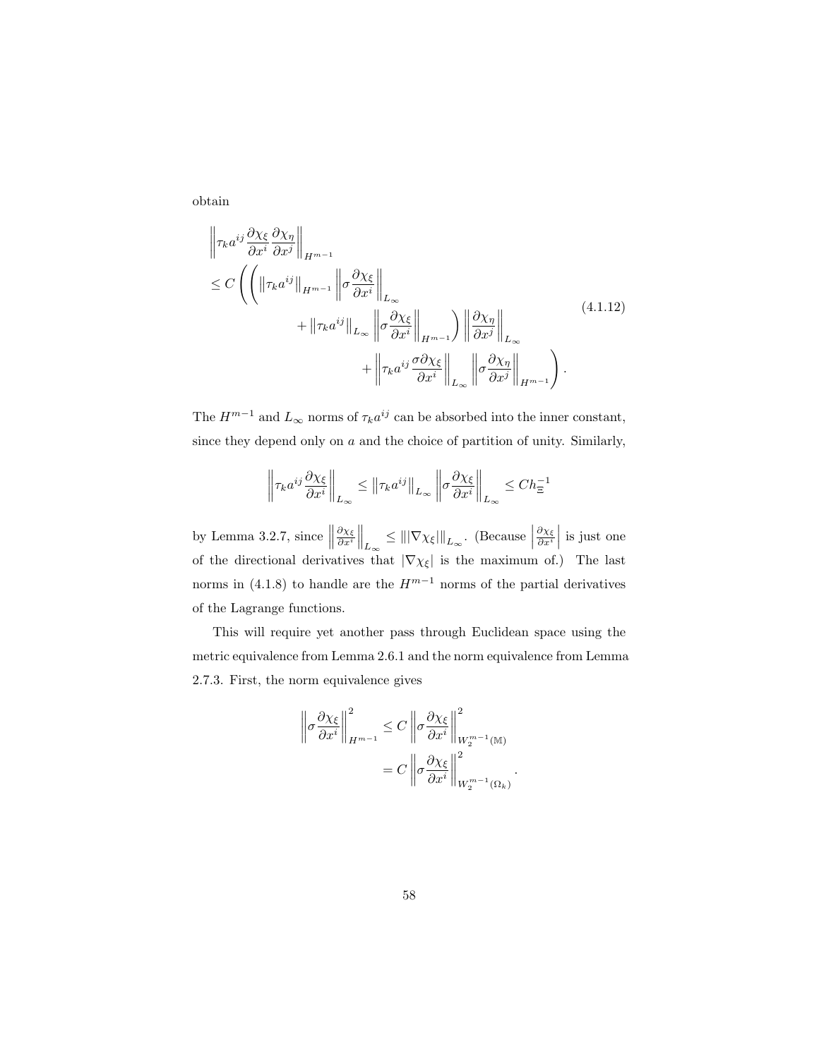obtain

$$
\begin{split} \left\| \tau_{k} a^{ij} \frac{\partial \chi_{\xi}}{\partial x^{i}} \frac{\partial \chi_{\eta}}{\partial x^{j}} \right\|_{H^{m-1}} \\ &\leq C \left( \left( \left\| \tau_{k} a^{ij} \right\|_{H^{m-1}} \left\| \sigma \frac{\partial \chi_{\xi}}{\partial x^{i}} \right\|_{L_{\infty}} \right. \\ &\left. + \left\| \tau_{k} a^{ij} \right\|_{L_{\infty}} \left\| \sigma \frac{\partial \chi_{\xi}}{\partial x^{i}} \right\|_{H^{m-1}} \right) \left\| \frac{\partial \chi_{\eta}}{\partial x^{j}} \right\|_{L_{\infty}} \\ &\left. + \left\| \tau_{k} a^{ij} \frac{\sigma \partial \chi_{\xi}}{\partial x^{i}} \right\|_{L_{\infty}} \left\| \sigma \frac{\partial \chi_{\eta}}{\partial x^{j}} \right\|_{H^{m-1}} \right). \end{split} \tag{4.1.12}
$$

The  $H^{m-1}$  and  $L_{\infty}$  norms of  $\tau_k a^{ij}$  can be absorbed into the inner constant, since they depend only on  $a$  and the choice of partition of unity. Similarly,

$$
\left\|\tau_{k}a^{ij}\frac{\partial\chi_{\xi}}{\partial x^{i}}\right\|_{L_{\infty}} \leq \left\|\tau_{k}a^{ij}\right\|_{L_{\infty}} \left\|\sigma\frac{\partial\chi_{\xi}}{\partial x^{i}}\right\|_{L_{\infty}} \leq Ch_{\Xi}^{-1}
$$

by Lemma 3.2.7, since  $\parallel$  $\left\|\frac{\partial \chi_{\xi}}{\partial x^{i}}\right\|_{L_{\infty}} \leq \left\|\left|\nabla \chi_{\xi}\right|\right\|_{L_{\infty}}.$  (Because  $\frac{\partial \chi_{\xi}}{\partial x^i}$  is just one of the directional derivatives that  $|\nabla \chi_{\xi}|$  is the maximum of.) The last norms in (4.1.8) to handle are the  $H^{m-1}$  norms of the partial derivatives of the Lagrange functions.

This will require yet another pass through Euclidean space using the metric equivalence from Lemma 2.6.1 and the norm equivalence from Lemma 2.7.3. First, the norm equivalence gives

$$
\left\| \sigma \frac{\partial \chi_{\xi}}{\partial x^{i}} \right\|_{H^{m-1}}^{2} \leq C \left\| \sigma \frac{\partial \chi_{\xi}}{\partial x^{i}} \right\|_{W_{2}^{m-1}(\mathbb{M})}^{2}
$$

$$
= C \left\| \sigma \frac{\partial \chi_{\xi}}{\partial x^{i}} \right\|_{W_{2}^{m-1}(\Omega_{k})}^{2}.
$$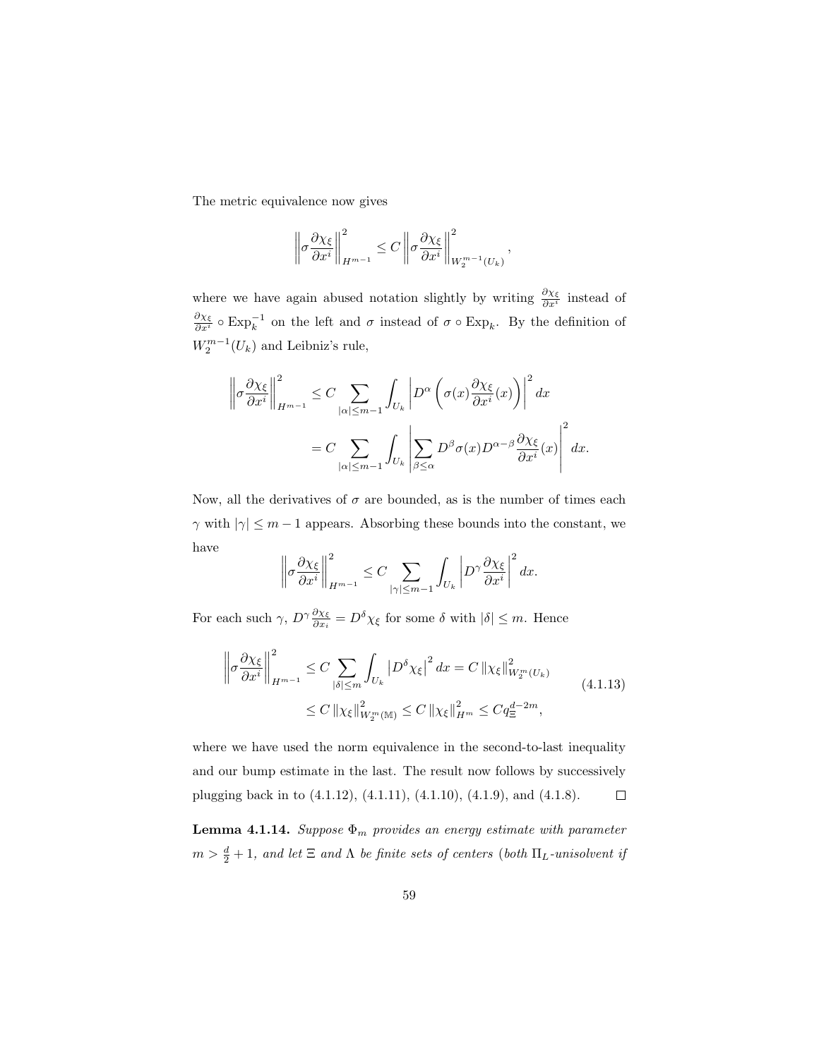The metric equivalence now gives

$$
\left\|\sigma \frac{\partial \chi_{\xi}}{\partial x^i}\right\|_{H^{m-1}}^2 \leq C \left\|\sigma \frac{\partial \chi_{\xi}}{\partial x^i}\right\|_{W_2^{m-1}(U_k)}^2,
$$

where we have again abused notation slightly by writing  $\frac{\partial \chi_{\xi}}{\partial x^{i}}$  instead of  $\frac{\partial \chi_{\xi}}{\partial x^{i}}$  ο Exp<sub>k</sub><sup>-1</sup> on the left and σ instead of σ ο Exp<sub>k</sub>. By the definition of  $W_2^{m-1}(U_k)$  and Leibniz's rule,

$$
\left\| \sigma \frac{\partial \chi_{\xi}}{\partial x^{i}} \right\|_{H^{m-1}}^{2} \leq C \sum_{|\alpha| \leq m-1} \int_{U_{k}} \left| D^{\alpha} \left( \sigma(x) \frac{\partial \chi_{\xi}}{\partial x^{i}}(x) \right) \right|^{2} dx
$$
  

$$
= C \sum_{|\alpha| \leq m-1} \int_{U_{k}} \left| \sum_{\beta \leq \alpha} D^{\beta} \sigma(x) D^{\alpha-\beta} \frac{\partial \chi_{\xi}}{\partial x^{i}}(x) \right|^{2} dx.
$$

Now, all the derivatives of  $\sigma$  are bounded, as is the number of times each  $\gamma$  with  $|\gamma| \leq m-1$  appears. Absorbing these bounds into the constant, we have

$$
\left\|\sigma \frac{\partial \chi_{\xi}}{\partial x^i}\right\|_{H^{m-1}}^2 \leq C \sum_{|\gamma| \leq m-1} \int_{U_k} \left|D^{\gamma} \frac{\partial \chi_{\xi}}{\partial x^i}\right|^2 dx.
$$

For each such  $\gamma$ ,  $D^{\gamma} \frac{\partial \chi_{\xi}}{\partial x_i} = D^{\delta} \chi_{\xi}$  for some  $\delta$  with  $|\delta| \leq m$ . Hence

$$
\left\| \sigma \frac{\partial \chi_{\xi}}{\partial x^{i}} \right\|_{H^{m-1}}^{2} \leq C \sum_{|\delta| \leq m} \int_{U_{k}} \left| D^{\delta} \chi_{\xi} \right|^{2} dx = C \left\| \chi_{\xi} \right\|_{W_{2}^{m}(U_{k})}^{2}
$$
\n
$$
\leq C \left\| \chi_{\xi} \right\|_{W_{2}^{m}(\mathbb{M})}^{2} \leq C \left\| \chi_{\xi} \right\|_{H^{m}}^{2} \leq C q_{\Xi}^{d-2m}, \tag{4.1.13}
$$

where we have used the norm equivalence in the second-to-last inequality and our bump estimate in the last. The result now follows by successively plugging back in to (4.1.12), (4.1.11), (4.1.10), (4.1.9), and (4.1.8).  $\Box$ 

**Lemma 4.1.14.** Suppose  $\Phi_m$  provides an energy estimate with parameter  $m > \frac{d}{2} + 1$ , and let  $\Xi$  and  $\Lambda$  be finite sets of centers (both  $\Pi_L$ -unisolvent if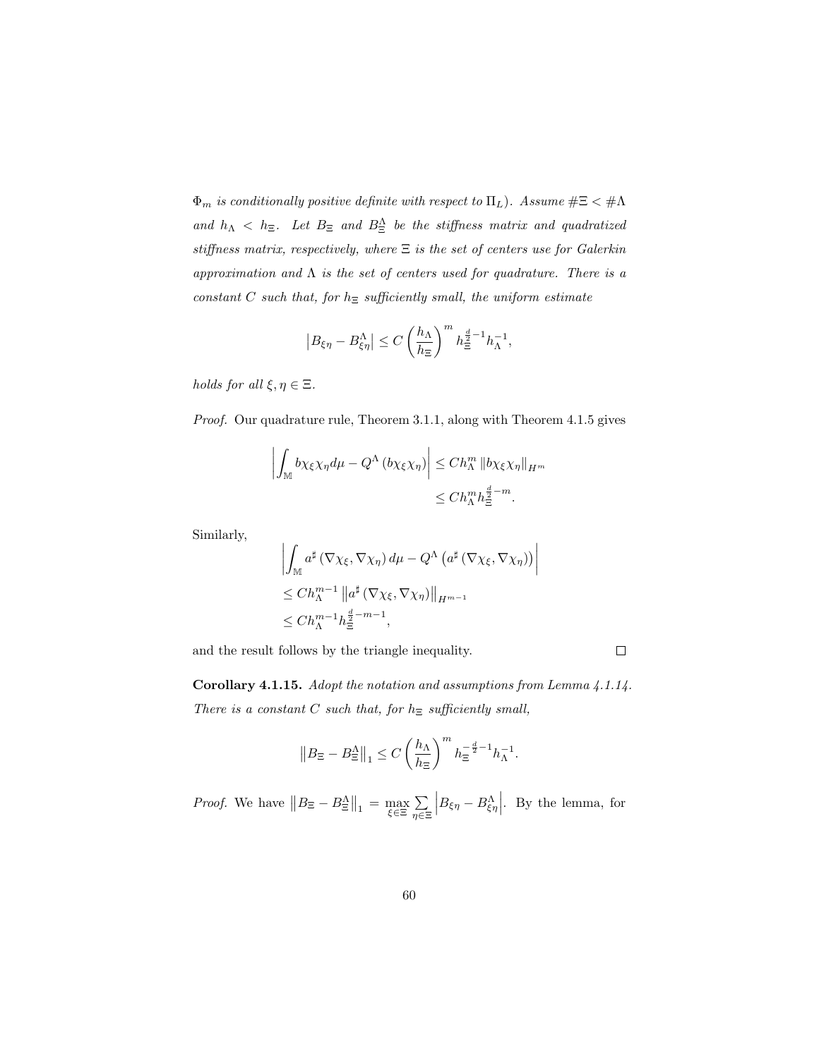$\Phi_m$  is conditionally positive definite with respect to  $\Pi_L$ ). Assume  $\#\Xi < \#\Lambda$ and  $h_{\Lambda} < h_{\Xi}$ . Let  $B_{\Xi}$  and  $B_{\Xi}^{\Lambda}$  be the stiffness matrix and quadratized stiffness matrix, respectively, where  $\Xi$  is the set of centers use for Galerkin approximation and  $\Lambda$  is the set of centers used for quadrature. There is a constant C such that, for  $h_{\Xi}$  sufficiently small, the uniform estimate

$$
\left|B_{\xi\eta}-B_{\xi\eta}^{\Lambda}\right|\leq C\left(\frac{h_{\Lambda}}{h_{\Xi}}\right)^{m}h_{\Xi}^{\frac{d}{2}-1}h_{\Lambda}^{-1},
$$

holds for all  $\xi, \eta \in \Xi$ .

Proof. Our quadrature rule, Theorem 3.1.1, along with Theorem 4.1.5 gives

$$
\left| \int_{\mathbb{M}} b\chi_{\xi} \chi_{\eta} d\mu - Q^{\Lambda} (b\chi_{\xi} \chi_{\eta}) \right| \leq Ch_{\Lambda}^{m} \left\| b\chi_{\xi} \chi_{\eta} \right\|_{H^{m}} \leq Ch_{\Lambda}^{m} h_{\Xi}^{\frac{d}{2} - m}.
$$

Similarly,

$$
\left| \int_{\mathbb{M}} a^{\sharp} (\nabla \chi_{\xi}, \nabla \chi_{\eta}) d\mu - Q^{\Lambda} (a^{\sharp} (\nabla \chi_{\xi}, \nabla \chi_{\eta})) \right|
$$
  
\n
$$
\leq Ch_{\Lambda}^{m-1} \| a^{\sharp} (\nabla \chi_{\xi}, \nabla \chi_{\eta}) \|_{H^{m-1}}
$$
  
\n
$$
\leq Ch_{\Lambda}^{m-1} h_{\Xi}^{\frac{d}{2} - m - 1},
$$

and the result follows by the triangle inequality.

Corollary 4.1.15. Adopt the notation and assumptions from Lemma 4.1.14. There is a constant C such that, for  $h_{\Xi}$  sufficiently small,

 $\Box$ 

$$
\left\|B_{\Xi}-B^\Lambda_{\Xi}\right\|_1 \leq C\left(\frac{h_\Lambda}{h_\Xi}\right)^m h_\Xi^{-\frac{d}{2}-1}h_\Lambda^{-1}.
$$

*Proof.* We have  $||B_{\Xi} - B_{\Xi}^{\Lambda}||_1 = \max_{\xi \in \Xi} \sum_{n \in \Xi}$ η∈Ξ  $\left|B_{\xi\eta} - B_{\xi\eta}^{\Lambda}\right|$ . By the lemma, for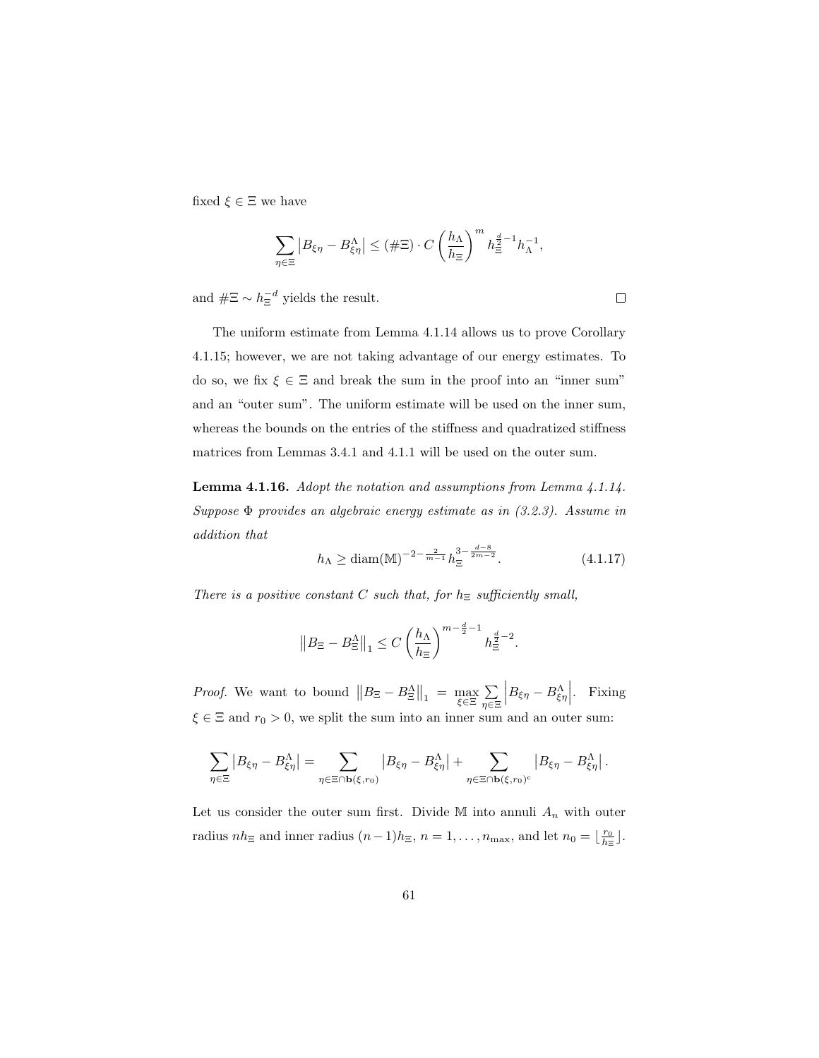fixed  $\xi \in \Xi$  we have

$$
\sum_{\eta \in \Xi} |B_{\xi\eta} - B_{\xi\eta}^{\Lambda}| \leq (\#\Xi) \cdot C \left(\frac{h_{\Lambda}}{h_{\Xi}}\right)^m h_{\Xi}^{\frac{d}{2}-1} h_{\Lambda}^{-1},
$$

and  $\#\Xi \sim h_{\Xi}^{-d}$  yields the result.

The uniform estimate from Lemma 4.1.14 allows us to prove Corollary 4.1.15; however, we are not taking advantage of our energy estimates. To do so, we fix  $\xi \in \Xi$  and break the sum in the proof into an "inner sum" and an "outer sum". The uniform estimate will be used on the inner sum, whereas the bounds on the entries of the stiffness and quadratized stiffness matrices from Lemmas 3.4.1 and 4.1.1 will be used on the outer sum.

Lemma 4.1.16. Adopt the notation and assumptions from Lemma 4.1.14. Suppose  $\Phi$  provides an algebraic energy estimate as in  $(3.2.3)$ . Assume in addition that

$$
h_{\Lambda} \ge \text{diam}(\mathbb{M})^{-2 - \frac{2}{m-1}} h_{\Xi}^{3 - \frac{d-8}{2m-2}}.
$$
 (4.1.17)

There is a positive constant C such that, for  $h_{\Xi}$  sufficiently small,

$$
\left\|B_{\Xi} - B_{\Xi}^{\Lambda}\right\|_{1} \leq C \left(\frac{h_{\Lambda}}{h_{\Xi}}\right)^{m - \frac{d}{2} - 1} h_{\Xi}^{\frac{d}{2} - 2}.
$$

*Proof.* We want to bound  $||B_{\Xi} - B_{\Xi}^{\Lambda}||_1 = \max_{\xi \in \Xi} \sum_{n \in \Xi}$ η∈Ξ  $\left|B_{\xi\eta} - B_{\xi\eta}^{\Lambda}\right|$ . Fixing  $\xi \in \Xi$  and  $r_0 > 0$ , we split the sum into an inner sum and an outer sum:

$$
\sum_{\eta \in \Xi} \left| B_{\xi \eta} - B_{\xi \eta}^{\Lambda} \right| = \sum_{\eta \in \Xi \cap \mathbf{b}(\xi, r_0)} \left| B_{\xi \eta} - B_{\xi \eta}^{\Lambda} \right| + \sum_{\eta \in \Xi \cap \mathbf{b}(\xi, r_0)^c} \left| B_{\xi \eta} - B_{\xi \eta}^{\Lambda} \right|.
$$

Let us consider the outer sum first. Divide M into annuli  $A_n$  with outer radius  $nh_{\Xi}$  and inner radius  $(n-1)h_{\Xi}$ ,  $n=1,\ldots,n_{\max}$ , and let  $n_0=\lfloor \frac{r_0}{h_{\Xi}} \rfloor$ .

 $\Box$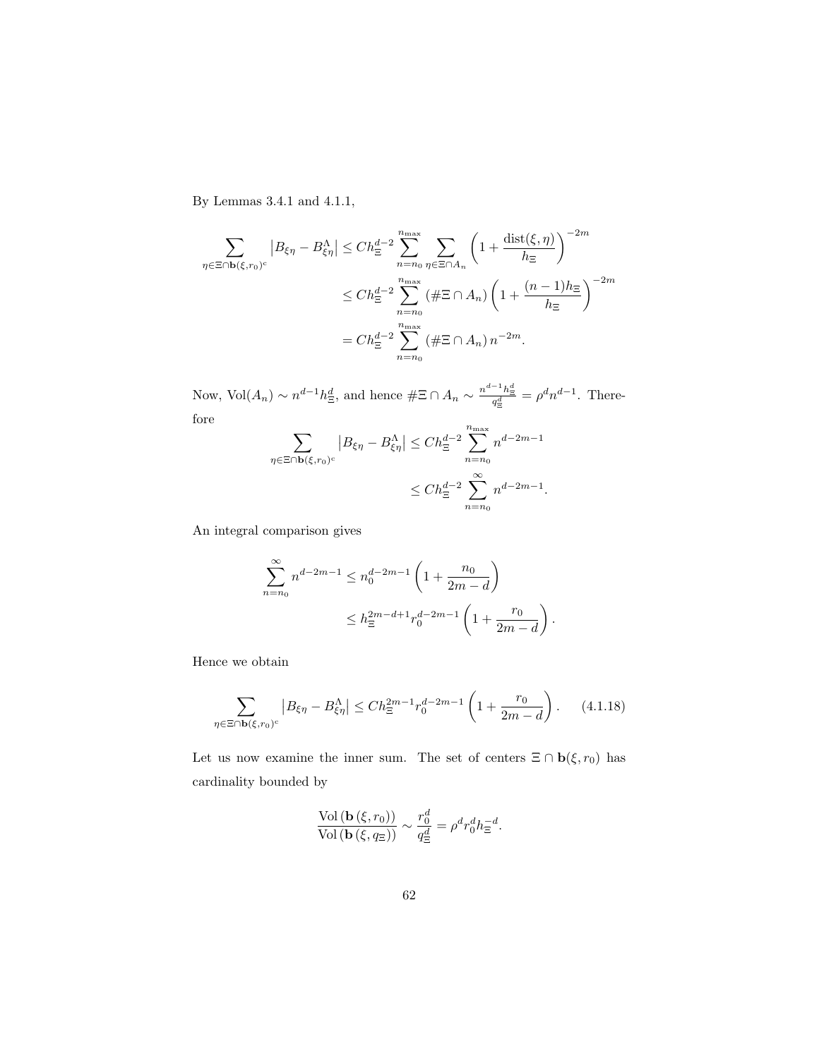By Lemmas 3.4.1 and 4.1.1,

$$
\sum_{\eta \in \Xi \cap \mathbf{b}(\xi,r_0)^c} |B_{\xi\eta} - B_{\xi\eta}^{\Lambda}| \le Ch_{\Xi}^{d-2} \sum_{n=n_0}^{n_{\max}} \sum_{\eta \in \Xi \cap A_n} \left(1 + \frac{\operatorname{dist}(\xi,\eta)}{h_{\Xi}}\right)^{-2m}
$$

$$
\le Ch_{\Xi}^{d-2} \sum_{n=n_0}^{n_{\max}} (\#\Xi \cap A_n) \left(1 + \frac{(n-1)h_{\Xi}}{h_{\Xi}}\right)^{-2m}
$$

$$
= Ch_{\Xi}^{d-2} \sum_{n=n_0}^{n_{\max}} (\#\Xi \cap A_n) n^{-2m}.
$$

Now, Vol $(A_n) \sim n^{d-1} h_{\Xi}^d$ , and hence  $\#\Xi \cap A_n \sim \frac{n^{d-1} h_{\Xi}^d}{q_{\Xi}^d} = \rho^d n^{d-1}$ . Therefore

$$
\sum_{\eta \in \Xi \cap \mathbf{b}(\xi,r_0)^c} |B_{\xi\eta} - B_{\xi\eta}^{\Lambda}| \le Ch_{\Xi}^{d-2} \sum_{n=n_0}^{n_{\text{max}}} n^{d-2m-1}
$$
  

$$
\le Ch_{\Xi}^{d-2} \sum_{n=n_0}^{\infty} n^{d-2m-1}.
$$

An integral comparison gives

$$
\sum_{n=n_0}^{\infty} n^{d-2m-1} \le n_0^{d-2m-1} \left( 1 + \frac{n_0}{2m - d} \right)
$$
  

$$
\le h_{\Xi}^{2m-d+1} r_0^{d-2m-1} \left( 1 + \frac{r_0}{2m - d} \right).
$$

Hence we obtain

$$
\sum_{\eta \in \Xi \cap \mathbf{b}(\xi,r_0)^c} |B_{\xi\eta} - B_{\xi\eta}^{\Lambda}| \le Ch_{\Xi}^{2m-1} r_0^{d-2m-1} \left(1 + \frac{r_0}{2m - d}\right). \tag{4.1.18}
$$

Let us now examine the inner sum. The set of centers  $\Xi\cap \mathbf{b}(\xi,r_0)$  has cardinality bounded by

$$
\frac{\text{Vol}(\mathbf{b}(\xi,r_0))}{\text{Vol}(\mathbf{b}(\xi,q_{\Xi}))} \sim \frac{r_0^d}{q_{\Xi}^d} = \rho^d r_0^d h_{\Xi}^{-d}.
$$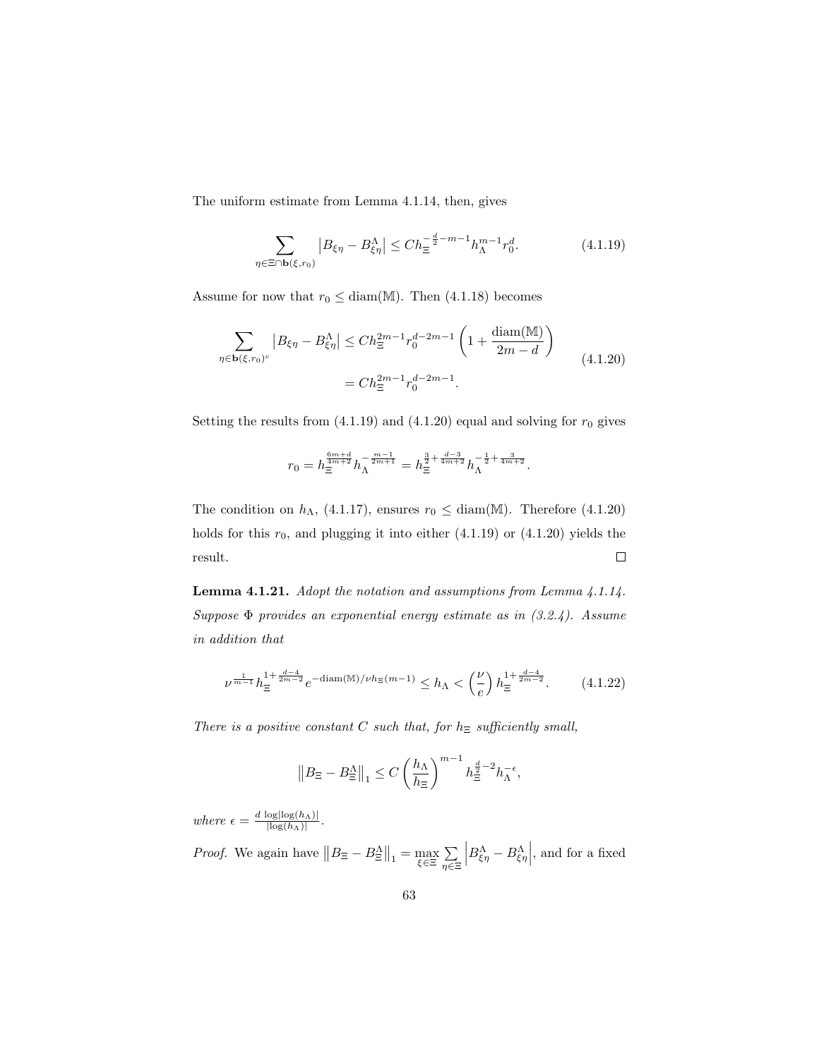The uniform estimate from Lemma 4.1.14, then, gives

$$
\sum_{\eta \in \Xi \cap \mathbf{b}(\xi, r_0)} |B_{\xi\eta} - B_{\xi\eta}^{\Lambda}| \le Ch_{\Xi}^{-\frac{d}{2} - m - 1} h_{\Lambda}^{m - 1} r_0^d. \tag{4.1.19}
$$

Assume for now that  $r_0 \leq \text{diam}(\mathbb{M})$ . Then (4.1.18) becomes

$$
\sum_{\eta \in \mathbf{b}(\xi,r_0)^c} |B_{\xi\eta} - B_{\xi\eta}^{\Lambda}| \le Ch_{\Xi}^{2m-1} r_0^{d-2m-1} \left(1 + \frac{\text{diam}(\mathbb{M})}{2m - d}\right)
$$
  
=  $Ch_{\Xi}^{2m-1} r_0^{d-2m-1}$ . (4.1.20)

Setting the results from  $(4.1.19)$  and  $(4.1.20)$  equal and solving for  $r_0$  gives

$$
r_0=h_{\Xi}^{\frac{6m+d}{4m+2}}h_{\Lambda}^{-\frac{m-1}{2m+1}}=h_{\Xi}^{\frac{3}{2}+\frac{d-3}{4m+2}}h_{\Lambda}^{-\frac{1}{2}+\frac{3}{4m+2}}.
$$

The condition on  $h_{\Lambda}$ , (4.1.17), ensures  $r_0 \leq \text{diam}(\mathbb{M})$ . Therefore (4.1.20) holds for this  $r_0$ , and plugging it into either  $(4.1.19)$  or  $(4.1.20)$  yields the result.  $\Box$ 

Lemma 4.1.21. Adopt the notation and assumptions from Lemma 4.1.14. Suppose  $\Phi$  provides an exponential energy estimate as in  $(3.2.4)$ . Assume in addition that

$$
\nu^{\frac{1}{m-1}} h_{\Xi}^{1+\frac{d-4}{2m-2}} e^{-\text{diam}(\mathbb{M})/\nu h_{\Xi}(m-1)} \le h_{\Lambda} < \left(\frac{\nu}{e}\right) h_{\Xi}^{1+\frac{d-4}{2m-2}}.\tag{4.1.22}
$$

There is a positive constant C such that, for  $h_{\Xi}$  sufficiently small,

$$
\left\|B_{\Xi}-B_{\Xi}^{\Lambda}\right\|_1 \leq C\left(\frac{h_{\Lambda}}{h_{\Xi}}\right)^{m-1}h_{\Xi}^{\frac{d}{2}-2}h_{\Lambda}^{-\epsilon},
$$

where  $\epsilon = \frac{d \log\left|\log(h_\Lambda)\right|}{\log(h_\Lambda)}$  $\frac{\log|\log(n_\Lambda)|}{|\log(h_\Lambda)|}$ .

*Proof.* We again have  $||B_{\Xi} - B_{\Xi}^{\Lambda}||_1 = \max_{\xi \in \Xi} \sum_{n \in \Xi}$ η∈Ξ  $\left| B_{\xi\eta}^{\Lambda} - B_{\xi\eta}^{\Lambda} \right|$ , and for a fixed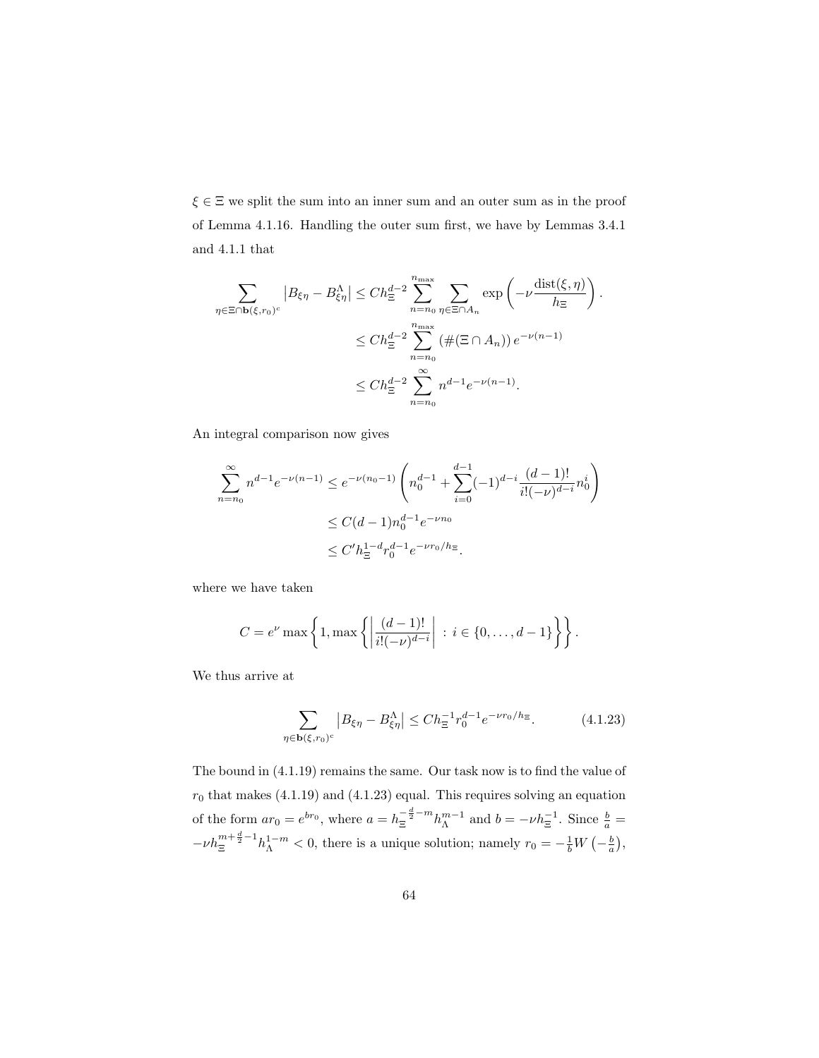$\xi \in \Xi$  we split the sum into an inner sum and an outer sum as in the proof of Lemma 4.1.16. Handling the outer sum first, we have by Lemmas 3.4.1 and 4.1.1 that

$$
\sum_{\eta \in \Xi \cap \mathbf{b}(\xi,r_0)^c} |B_{\xi\eta} - B_{\xi\eta}^{\Lambda}| \le Ch_{\Xi}^{d-2} \sum_{n=n_0}^{n_{\max}} \sum_{\eta \in \Xi \cap A_n} \exp\left(-\nu \frac{\text{dist}(\xi,\eta)}{h_{\Xi}}\right).
$$
  

$$
\le Ch_{\Xi}^{d-2} \sum_{n=n_0}^{n_{\max}} (\#(\Xi \cap A_n)) e^{-\nu(n-1)}
$$
  

$$
\le Ch_{\Xi}^{d-2} \sum_{n=n_0}^{\infty} n^{d-1} e^{-\nu(n-1)}.
$$

An integral comparison now gives

$$
\sum_{n=n_0}^{\infty} n^{d-1} e^{-\nu(n-1)} \le e^{-\nu(n_0-1)} \left( n_0^{d-1} + \sum_{i=0}^{d-1} (-1)^{d-i} \frac{(d-1)!}{i!(-\nu)^{d-i}} n_0^i \right)
$$
  

$$
\le C(d-1) n_0^{d-1} e^{-\nu n_0}
$$
  

$$
\le C' h_{\Xi}^{1-d} r_0^{d-1} e^{-\nu r_0/h_{\Xi}}.
$$

where we have taken

$$
C = e^{\nu} \max \left\{ 1, \max \left\{ \left| \frac{(d-1)!}{i!(-\nu)^{d-i}} \right| \, : \, i \in \{0, \ldots, d-1\} \right\} \right\}.
$$

We thus arrive at

$$
\sum_{\eta \in \mathbf{b}(\xi,r_0)^c} |B_{\xi\eta} - B_{\xi\eta}^{\Lambda}| \le Ch_{\Xi}^{-1} r_0^{d-1} e^{-\nu r_0/h_{\Xi}}.
$$
 (4.1.23)

The bound in (4.1.19) remains the same. Our task now is to find the value of  $r_0$  that makes (4.1.19) and (4.1.23) equal. This requires solving an equation of the form  $ar_0 = e^{br_0}$ , where  $a = h_{\Xi}^{-\frac{d}{2} - m} h_{\Lambda}^{m-1}$  and  $b = -\nu h_{\Xi}^{-1}$ . Since  $\frac{b}{a} =$  $-\nu h_{\Xi}^{\frac{m+\frac{d}{2}-1}{h_{\Lambda}^{1-m}}}$  < 0, there is a unique solution; namely  $r_0 = -\frac{1}{b}W(-\frac{b}{a}),$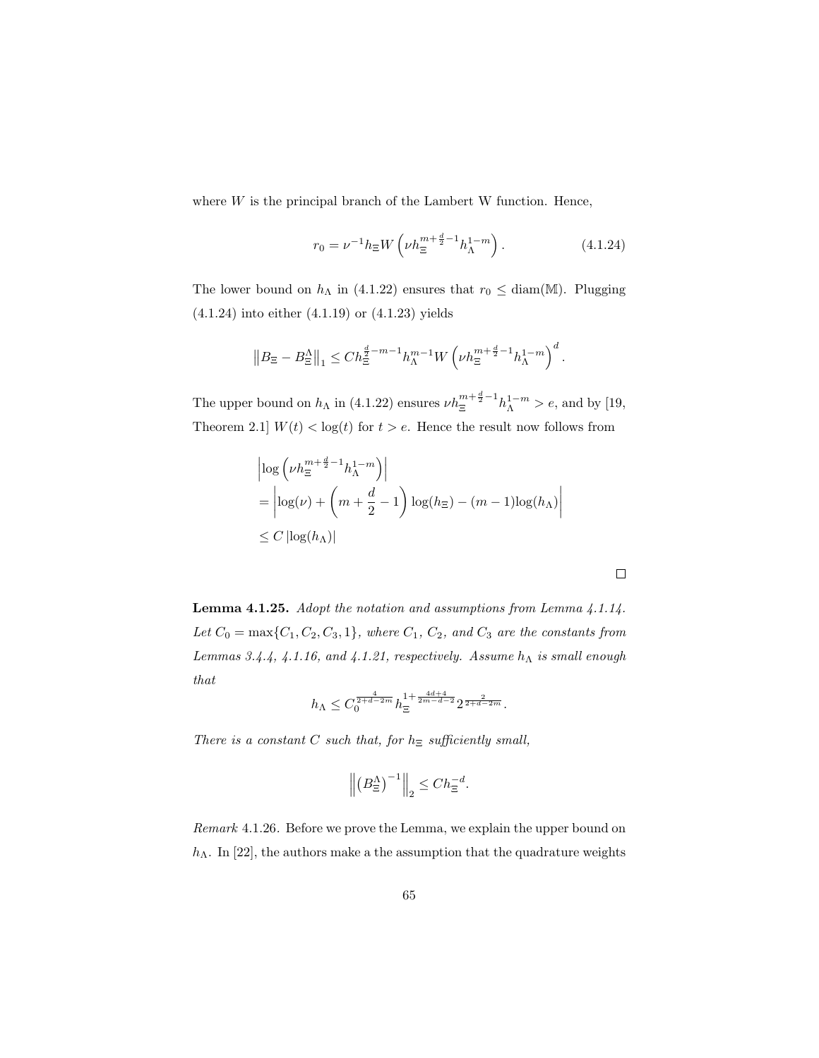where  $W$  is the principal branch of the Lambert W function. Hence,

$$
r_0 = \nu^{-1} h_{\Xi} W \left( \nu h_{\Xi}^{m + \frac{d}{2} - 1} h_{\Lambda}^{1 - m} \right). \tag{4.1.24}
$$

The lower bound on  $h_{\Lambda}$  in (4.1.22) ensures that  $r_0 \leq \text{diam}(\mathbb{M})$ . Plugging (4.1.24) into either (4.1.19) or (4.1.23) yields

$$
\left\|B_{\Xi}-B_{\Xi}^{\Lambda}\right\|_{1}\leq Ch_{\Xi}^{\frac{d}{2}-m-1}h_{\Lambda}^{m-1}W\left(\nu h_{\Xi}^{m+\frac{d}{2}-1}h_{\Lambda}^{1-m}\right)^{d}.
$$

The upper bound on  $h_{\Lambda}$  in (4.1.22) ensures  $\nu h_{\Xi}^{m+\frac{d}{2}-1} h_{\Lambda}^{1-m} > e$ , and by [19, Theorem 2.1]  $W(t) < log(t)$  for  $t > e$ . Hence the result now follows from

$$
\begin{aligned} &\left|\log\left(\nu h_{\Xi}^{m+\frac{d}{2}-1}h_{\Lambda}^{1-m}\right)\right| \\ &=\left|\log(\nu)+\left(m+\frac{d}{2}-1\right)\log(h_{\Xi})-(m-1)\log(h_{\Lambda})\right| \\ &\leq C\left|\log(h_{\Lambda})\right| \end{aligned}
$$

 $\Box$ 

Lemma 4.1.25. Adopt the notation and assumptions from Lemma 4.1.14. Let  $C_0 = \max\{C_1, C_2, C_3, 1\}$ , where  $C_1, C_2$ , and  $C_3$  are the constants from Lemmas 3.4.4, 4.1.16, and 4.1.21, respectively. Assume  $h_{\Lambda}$  is small enough that

$$
h_{\Lambda} \leq C_0^{\frac{4}{2+d-2m}} h_{\Xi}^{1+\frac{4d+4}{2m-d-2}} 2^{\frac{2}{2+d-2m}}.
$$

There is a constant C such that, for  $h_{\Xi}$  sufficiently small,

$$
\left\| \left(B_{\Xi}^{\Lambda}\right)^{-1} \right\|_2 \leq C h_{\Xi}^{-d}.
$$

Remark 4.1.26. Before we prove the Lemma, we explain the upper bound on  $h_{\Lambda}$ . In [22], the authors make a the assumption that the quadrature weights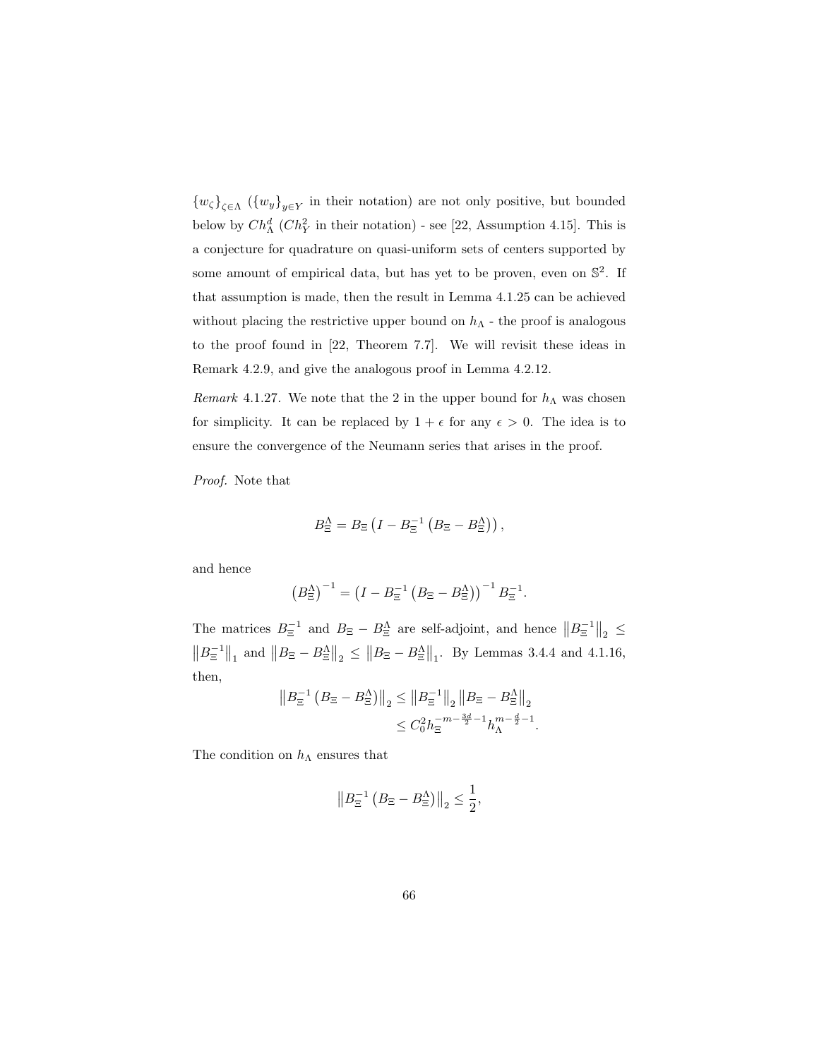$\{w_{\zeta}\}_{{\zeta \in \Lambda}} \ (\{w_{y}\}_{y \in Y})$  in their notation) are not only positive, but bounded below by  $Ch^d_\Lambda$  ( $Ch^2_Y$  in their notation) - see [22, Assumption 4.15]. This is a conjecture for quadrature on quasi-uniform sets of centers supported by some amount of empirical data, but has yet to be proven, even on  $\mathbb{S}^2$ . If that assumption is made, then the result in Lemma 4.1.25 can be achieved without placing the restrictive upper bound on  $h_{\Lambda}$  - the proof is analogous to the proof found in [22, Theorem 7.7]. We will revisit these ideas in Remark 4.2.9, and give the analogous proof in Lemma 4.2.12.

Remark 4.1.27. We note that the 2 in the upper bound for  $h_{\Lambda}$  was chosen for simplicity. It can be replaced by  $1 + \epsilon$  for any  $\epsilon > 0$ . The idea is to ensure the convergence of the Neumann series that arises in the proof.

Proof. Note that

$$
B_{\Xi}^{\Lambda} = B_{\Xi} \left( I - B_{\Xi}^{-1} \left( B_{\Xi} - B_{\Xi}^{\Lambda} \right) \right),
$$

and hence

$$
(B_{\Xi}^{\Lambda})^{-1} = (I - B_{\Xi}^{-1} (B_{\Xi} - B_{\Xi}^{\Lambda}))^{-1} B_{\Xi}^{-1}.
$$

The matrices  $B_{\Xi}^{-1}$  and  $B_{\Xi} - B_{\Xi}^{\Lambda}$  are self-adjoint, and hence  $||B_{\Xi}^{-1}||_2 \le$  $||B_{\Xi}^{-1}||_1$  and  $||B_{\Xi} - B_{\Xi}^{\Lambda}||_2 \leq ||B_{\Xi} - B_{\Xi}^{\Lambda}||_1$ . By Lemmas 3.4.4 and 4.1.16, then,

$$
||B_{\Xi}^{-1} (B_{\Xi} - B_{\Xi}^{\Lambda})||_2 \le ||B_{\Xi}^{-1}||_2 ||B_{\Xi} - B_{\Xi}^{\Lambda}||_2
$$
  

$$
\le C_0^2 h_{\Xi}^{-m - \frac{3d}{2} - 1} h_{\Lambda}^{m - \frac{d}{2} - 1}.
$$

The condition on  $h_{\Lambda}$  ensures that

$$
||B_{\Xi}^{-1} (B_{\Xi} - B_{\Xi}^{\Lambda})||_2 \le \frac{1}{2},
$$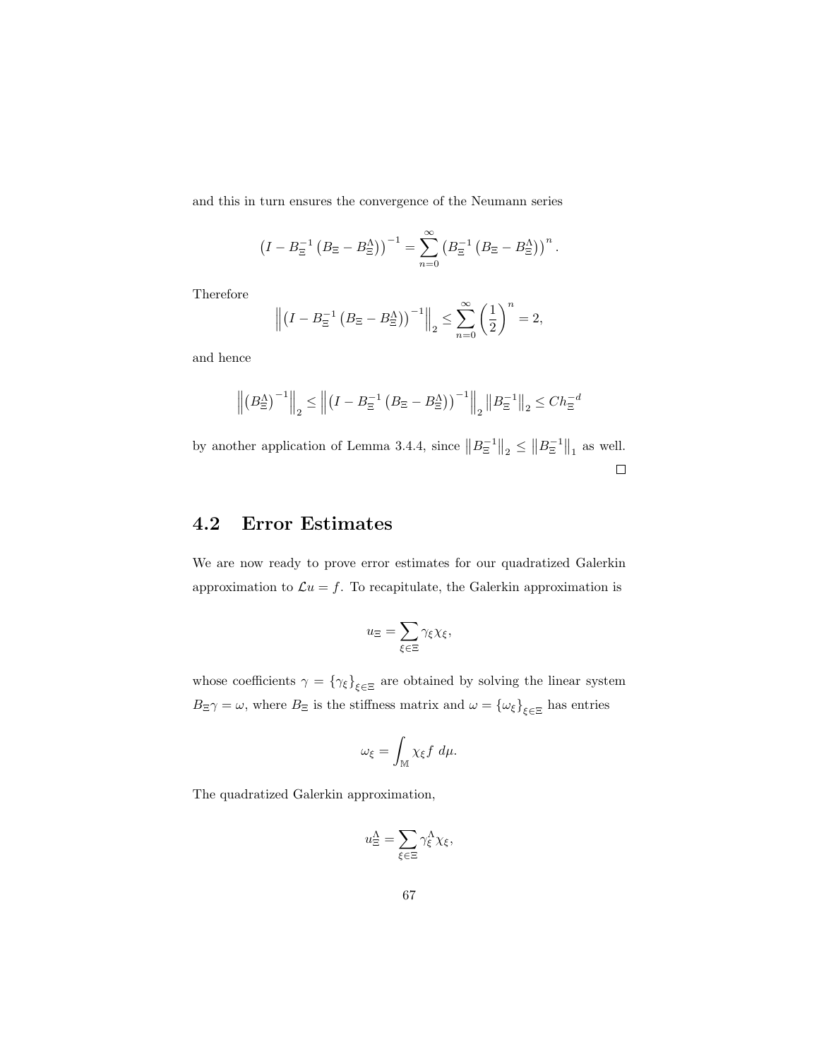and this in turn ensures the convergence of the Neumann series

$$
\left(I - B_{\Xi}^{-1} \left(B_{\Xi} - B_{\Xi}^{\Lambda}\right)\right)^{-1} = \sum_{n=0}^{\infty} \left(B_{\Xi}^{-1} \left(B_{\Xi} - B_{\Xi}^{\Lambda}\right)\right)^{n}.
$$

Therefore

$$
\left\| \left(I - B_{\Xi}^{-1} \left(B_{\Xi} - B_{\Xi}^{\Lambda}\right)\right)^{-1} \right\|_2 \leq \sum_{n=0}^{\infty} \left(\frac{1}{2}\right)^n = 2,
$$

and hence

$$
\left\| \left(B_{\Xi}^{\Lambda}\right)^{-1} \right\|_2 \le \left\| \left(I - B_{\Xi}^{-1} \left(B_{\Xi} - B_{\Xi}^{\Lambda}\right)\right)^{-1} \right\|_2 \left\| B_{\Xi}^{-1} \right\|_2 \le C h_{\Xi}^{-d}
$$

by another application of Lemma 3.4.4, since  $||B_{\Xi}^{-1}||_2 \le ||B_{\Xi}^{-1}||_1$  as well.  $\Box$ 

## 4.2 Error Estimates

We are now ready to prove error estimates for our quadratized Galerkin approximation to  $\mathcal{L}u = f$ . To recapitulate, the Galerkin approximation is

$$
u_\Xi = \sum_{\xi \in \Xi} \gamma_\xi \chi_\xi,
$$

whose coefficients  $\gamma = \{\gamma_{\xi}\}_{\xi \in \Xi}$  are obtained by solving the linear system  $B_{\Xi}\gamma=\omega$ , where  $B_{\Xi}$  is the stiffness matrix and  $\omega=\{\omega_{\xi}\}_{\xi\in\Xi}$  has entries

$$
\omega_{\xi} = \int_{\mathbb{M}} \chi_{\xi} f \, d\mu.
$$

The quadratized Galerkin approximation,

$$
u_{\Xi}^{\Lambda} = \sum_{\xi \in \Xi} \gamma_{\xi}^{\Lambda} \chi_{\xi},
$$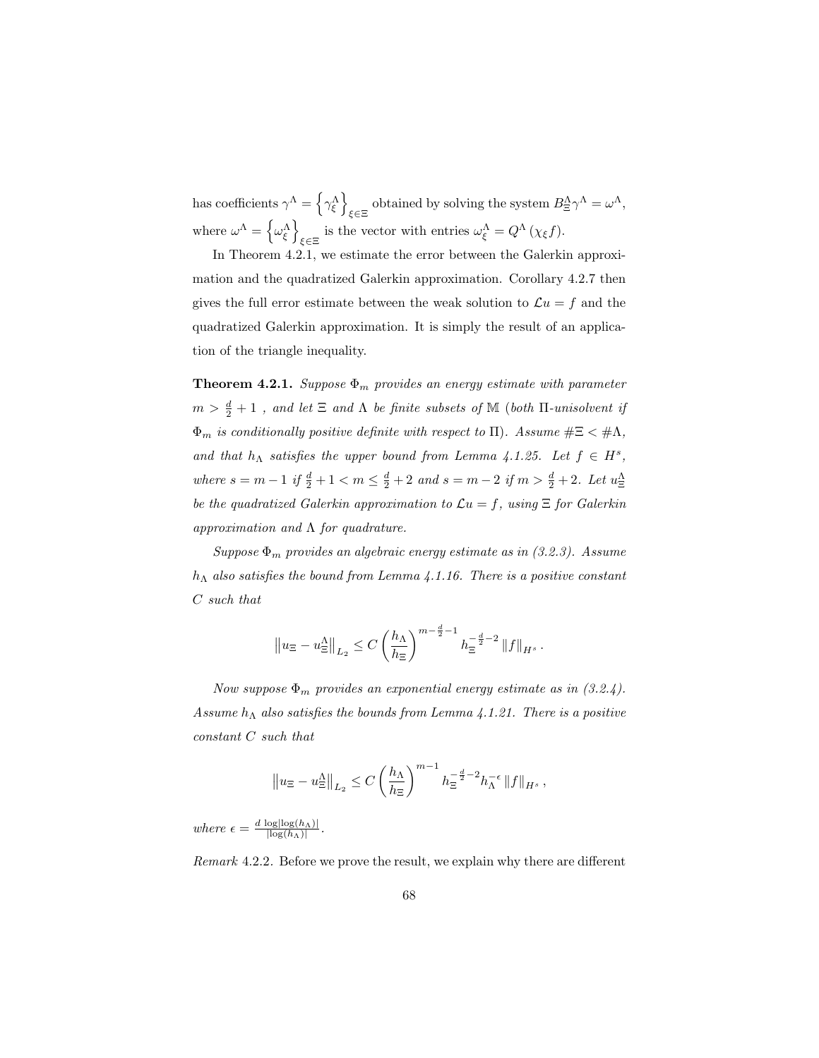has coefficients  $\gamma^{\Lambda} = \left\{ \gamma^{\Lambda}_{\xi} \right\}$ obtained by solving the system  $B^{\Lambda}_{\Xi}\gamma^{\Lambda} = \omega^{\Lambda}$ , where  $\omega^{\Lambda} = \left\{ \omega_{\xi}^{\Lambda} \right\}$ is the vector with entries  $\omega_{\xi}^{\Lambda} = Q^{\Lambda} (\chi_{\xi} f)$ .

In Theorem 4.2.1, we estimate the error between the Galerkin approximation and the quadratized Galerkin approximation. Corollary 4.2.7 then gives the full error estimate between the weak solution to  $\mathcal{L}u = f$  and the quadratized Galerkin approximation. It is simply the result of an application of the triangle inequality.

**Theorem 4.2.1.** Suppose  $\Phi_m$  provides an energy estimate with parameter  $m > \frac{d}{2} + 1$ , and let  $\Xi$  and  $\Lambda$  be finite subsets of  $\mathbb M$  (both  $\Pi$ -unisolvent if  $\Phi_m$  is conditionally positive definite with respect to  $\Pi$ ). Assume  $\#\Xi < \#\Lambda$ , and that  $h_{\Lambda}$  satisfies the upper bound from Lemma 4.1.25. Let  $f \in H^s$ , where  $s = m - 1$  if  $\frac{d}{2} + 1 < m \le \frac{d}{2} + 2$  and  $s = m - 2$  if  $m > \frac{d}{2} + 2$ . Let  $u_{\Xi}^{\Lambda}$ be the quadratized Galerkin approximation to  $\mathcal{L}u = f$ , using  $\Xi$  for Galerkin approximation and  $\Lambda$  for quadrature.

Suppose  $\Phi_m$  provides an algebraic energy estimate as in (3.2.3). Assume  $h_{\Lambda}$  also satisfies the bound from Lemma 4.1.16. There is a positive constant C such that

$$
\left\| u_{\Xi} - u_{\Xi}^{\Lambda} \right\|_{L_2} \leq C \left( \frac{h_{\Lambda}}{h_{\Xi}} \right)^{m - \frac{d}{2} - 1} h_{\Xi}^{-\frac{d}{2} - 2} \left\| f \right\|_{H^s}.
$$

Now suppose  $\Phi_m$  provides an exponential energy estimate as in (3.2.4). Assume  $h_{\Lambda}$  also satisfies the bounds from Lemma 4.1.21. There is a positive constant C such that

$$
\left\|u_{\Xi}-u_{\Xi}^{\Lambda}\right\|_{L_2}\leq C\left(\frac{h_{\Lambda}}{h_{\Xi}}\right)^{m-1}h_{\Xi}^{-\frac{d}{2}-2}h_{\Lambda}^{-\epsilon}\left\|f\right\|_{H^{s}},
$$

where  $\epsilon = \frac{d \log\left|\log(h_\Lambda)\right|}{\log(h_\Lambda)}$  $\frac{\log|\log(n_\Lambda)|}{|\log(h_\Lambda)|}$ .

Remark 4.2.2. Before we prove the result, we explain why there are different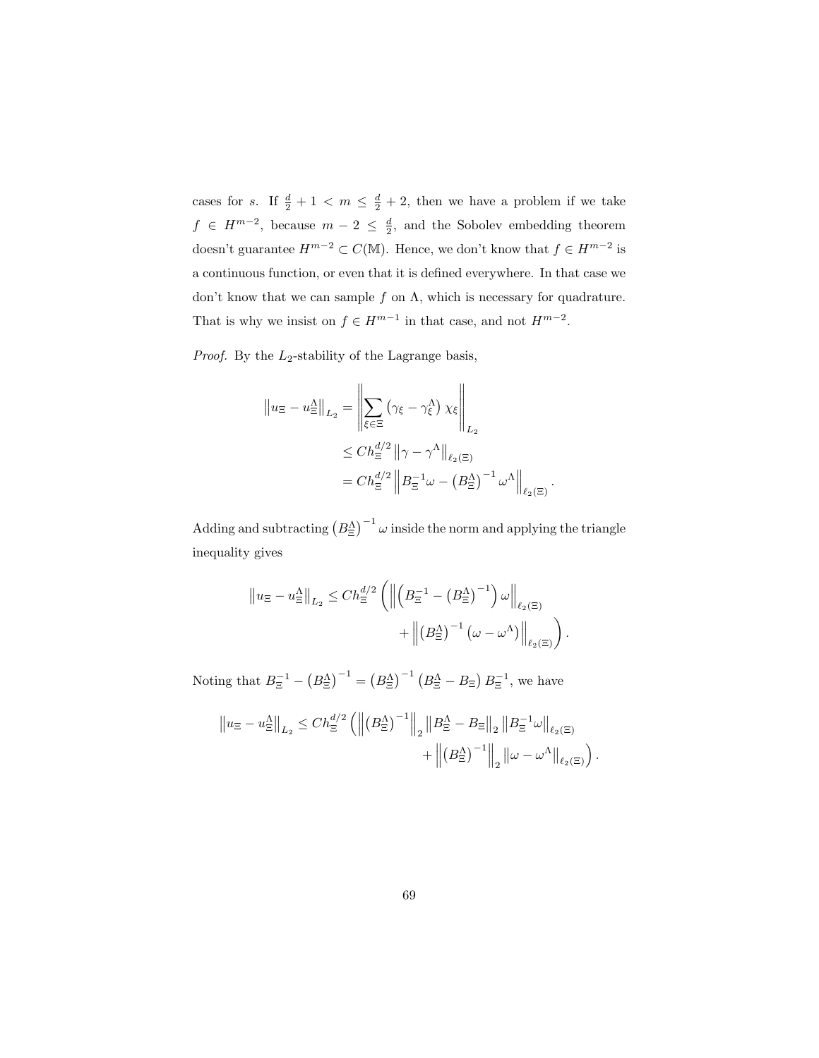cases for s. If  $\frac{d}{2} + 1 < m \leq \frac{d}{2} + 2$ , then we have a problem if we take  $f \in H^{m-2}$ , because  $m-2 \leq \frac{d}{2}$ , and the Sobolev embedding theorem doesn't guarantee  $H^{m-2} \subset C(\mathbb{M})$ . Hence, we don't know that  $f \in H^{m-2}$  is a continuous function, or even that it is defined everywhere. In that case we don't know that we can sample  $f$  on  $\Lambda$ , which is necessary for quadrature. That is why we insist on  $f \in H^{m-1}$  in that case, and not  $H^{m-2}$ .

*Proof.* By the  $L_2$ -stability of the Lagrange basis,

$$
\|u_{\Xi} - u_{\Xi}^{\Lambda}\|_{L_2} = \left\|\sum_{\xi \in \Xi} (\gamma_{\xi} - \gamma_{\xi}^{\Lambda}) \chi_{\xi}\right\|_{L_2}
$$
  

$$
\leq Ch_{\Xi}^{d/2} \|\gamma - \gamma^{\Lambda}\|_{\ell_2(\Xi)}
$$
  

$$
= Ch_{\Xi}^{d/2} \left\|B_{\Xi}^{-1} \omega - \left(B_{\Xi}^{\Lambda}\right)^{-1} \omega^{\Lambda}\right\|_{\ell_2(\Xi)}.
$$

Adding and subtracting  $(B_{\Xi}^{\Lambda})^{-1} \omega$  inside the norm and applying the triangle inequality gives

$$
\|u_{\Xi} - u_{\Xi}^{A}\|_{L_{2}} \le Ch_{\Xi}^{d/2} \left( \left\| \left( B_{\Xi}^{-1} - \left( B_{\Xi}^{A} \right)^{-1} \right) \omega \right\|_{\ell_{2}(\Xi)} + \left\| \left( B_{\Xi}^{A} \right)^{-1} \left( \omega - \omega^{A} \right) \right\|_{\ell_{2}(\Xi)} \right)
$$

.

Noting that  $B_{\Xi}^{-1} - (B_{\Xi}^{\Lambda})^{-1} = (B_{\Xi}^{\Lambda})^{-1} (B_{\Xi}^{\Lambda} - B_{\Xi}) B_{\Xi}^{-1}$ , we have

$$
\|u_{\Xi} - u_{\Xi}^{A}\|_{L_2} \le Ch_{\Xi}^{d/2} \left( \left\| \left(B_{\Xi}^{A}\right)^{-1} \right\|_{2} \left\| B_{\Xi}^{A} - B_{\Xi} \right\|_{2} \left\| B_{\Xi}^{-1} \omega \right\|_{\ell_2(\Xi)} + \left\| \left(B_{\Xi}^{A}\right)^{-1} \right\|_{2} \left\| \omega - \omega^{A} \right\|_{\ell_2(\Xi)} \right).
$$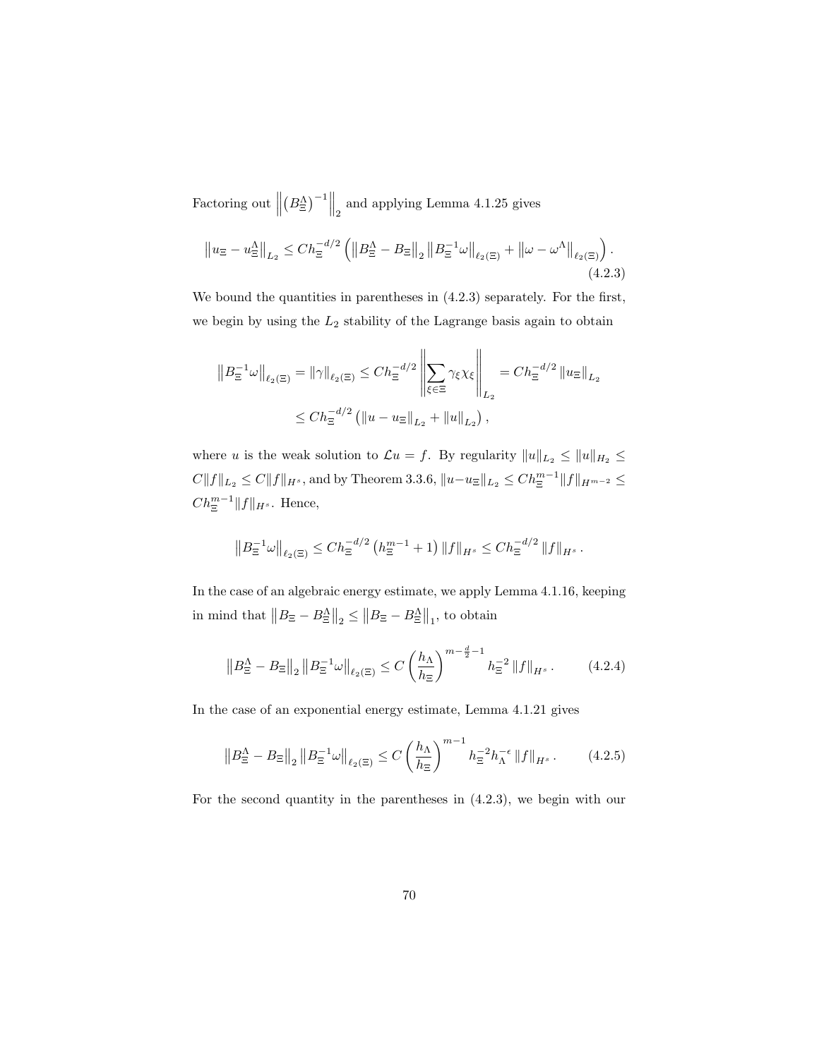Factoring out  $\parallel$  $\left(B_{\Xi}^{\Lambda}\right)^{-1}$  and applying Lemma 4.1.25 gives

$$
\left\|u_{\Xi} - u_{\Xi}^{\Lambda}\right\|_{L_2} \le Ch_{\Xi}^{-d/2} \left( \left\|B_{\Xi}^{\Lambda} - B_{\Xi}\right\|_{2} \left\|B_{\Xi}^{-1}\omega\right\|_{\ell_2(\Xi)} + \left\|\omega - \omega^{\Lambda}\right\|_{\ell_2(\Xi)} \right). \tag{4.2.3}
$$

We bound the quantities in parentheses in (4.2.3) separately. For the first, we begin by using the  $L_2$  stability of the Lagrange basis again to obtain

$$
||B_{\Xi}^{-1}\omega||_{\ell_2(\Xi)} = ||\gamma||_{\ell_2(\Xi)} \le Ch_{\Xi}^{-d/2} \left\| \sum_{\xi \in \Xi} \gamma_{\xi} \chi_{\xi} \right\|_{L_2} = Ch_{\Xi}^{-d/2} ||u_{\Xi}||_{L_2}
$$
  

$$
\le Ch_{\Xi}^{-d/2} (||u - u_{\Xi}||_{L_2} + ||u||_{L_2}),
$$

where u is the weak solution to  $\mathcal{L}u = f$ . By regularity  $||u||_{L_2} \le ||u||_{H_2} \le$  $C||f||_{L_2} \leq C||f||_{H^s}$ , and by Theorem 3.3.6,  $||u-u_{\Xi}||_{L_2} \leq C h_{\Xi}^{m-1}||f||_{H^{m-2}} \leq$  $Ch_{\Xi}^{m-1}||f||_{H^s}$ . Hence,

$$
||B_{\Xi}^{-1}\omega||_{\ell_2(\Xi)} \leq Ch_{\Xi}^{-d/2} \left( h_{\Xi}^{m-1} + 1 \right) ||f||_{H^s} \leq Ch_{\Xi}^{-d/2} ||f||_{H^s}.
$$

In the case of an algebraic energy estimate, we apply Lemma 4.1.16, keeping in mind that  $||B_{\Xi} - B_{\Xi}^{\Lambda}||_2 \le ||B_{\Xi} - B_{\Xi}^{\Lambda}||_1$ , to obtain

$$
\left\| B_{\Xi}^{\Lambda} - B_{\Xi} \right\|_{2} \left\| B_{\Xi}^{-1} \omega \right\|_{\ell_{2}(\Xi)} \leq C \left( \frac{h_{\Lambda}}{h_{\Xi}} \right)^{m - \frac{d}{2} - 1} h_{\Xi}^{-2} \left\| f \right\|_{H^{s}}.
$$
 (4.2.4)

In the case of an exponential energy estimate, Lemma 4.1.21 gives

$$
\left\|B_{\Xi}^{\Lambda} - B_{\Xi}\right\|_{2} \left\|B_{\Xi}^{-1}\omega\right\|_{\ell_{2}(\Xi)} \leq C \left(\frac{h_{\Lambda}}{h_{\Xi}}\right)^{m-1} h_{\Xi}^{-2} h_{\Lambda}^{-\epsilon} \|f\|_{H^{s}}.
$$
 (4.2.5)

For the second quantity in the parentheses in (4.2.3), we begin with our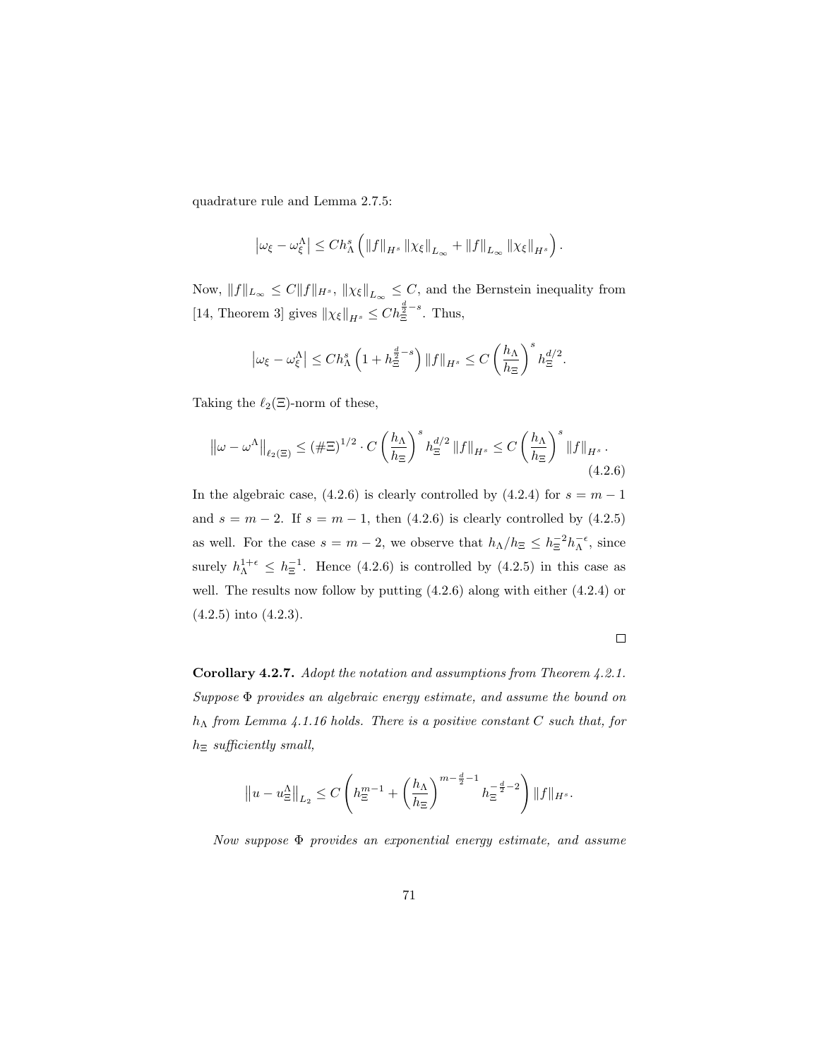quadrature rule and Lemma 2.7.5:

$$
\left|\omega_{\xi}-\omega_{\xi}^{\Lambda}\right| \leq Ch_{\Lambda}^{s}\left(\|f\|_{H^{s}}\left\|\chi_{\xi}\right\|_{L_{\infty}}+\|f\|_{L_{\infty}}\left\|\chi_{\xi}\right\|_{H^{s}}\right).
$$

Now,  $||f||_{L_{\infty}} \leq C||f||_{H^{s}}, ||\chi_{\xi}||_{L_{\infty}} \leq C$ , and the Bernstein inequality from [14, Theorem 3] gives  $\|\chi_{\xi}\|_{H^{s}} \leq Ch_{\Xi}^{\frac{d}{2}-s}$ . Thus,

$$
\left|\omega_{\xi}-\omega_{\xi}^{\Lambda}\right|\leq Ch_{\Lambda}^{s}\left(1+h_{\Xi}^{\frac{d}{2}-s}\right)\|f\|_{H^{s}}\leq C\left(\frac{h_{\Lambda}}{h_{\Xi}}\right)^{s}h_{\Xi}^{d/2}.
$$

Taking the  $\ell_2(\Xi)$ -norm of these,

$$
\left\|\omega - \omega^{\Lambda}\right\|_{\ell_2(\Xi)} \leq \left(\#\Xi\right)^{1/2} \cdot C\left(\frac{h_{\Lambda}}{h_{\Xi}}\right)^s h_{\Xi}^{d/2} \left\|f\right\|_{H^s} \leq C\left(\frac{h_{\Lambda}}{h_{\Xi}}\right)^s \left\|f\right\|_{H^s}.
$$
\n(4.2.6)

In the algebraic case, (4.2.6) is clearly controlled by (4.2.4) for  $s = m - 1$ and  $s = m - 2$ . If  $s = m - 1$ , then (4.2.6) is clearly controlled by (4.2.5) as well. For the case  $s = m - 2$ , we observe that  $h_{\Lambda}/h_{\Xi} \leq h_{\Xi}^{-2} h_{\Lambda}^{-\epsilon}$ , since surely  $h_{\Lambda}^{1+\epsilon} \leq h_{\Xi}^{-1}$ . Hence (4.2.6) is controlled by (4.2.5) in this case as well. The results now follow by putting (4.2.6) along with either (4.2.4) or (4.2.5) into (4.2.3).

 $\Box$ 

Corollary 4.2.7. Adopt the notation and assumptions from Theorem 4.2.1. Suppose Φ provides an algebraic energy estimate, and assume the bound on  $h_{\Lambda}$  from Lemma 4.1.16 holds. There is a positive constant C such that, for  $h_{\Xi}$  sufficiently small,

$$
||u - u_{\Xi}^{\Delta}||_{L_2} \leq C \left( h_{\Xi}^{m-1} + \left( \frac{h_{\Lambda}}{h_{\Xi}} \right)^{m - \frac{d}{2} - 1} h_{\Xi}^{-\frac{d}{2} - 2} \right) ||f||_{H^s}.
$$

Now suppose Φ provides an exponential energy estimate, and assume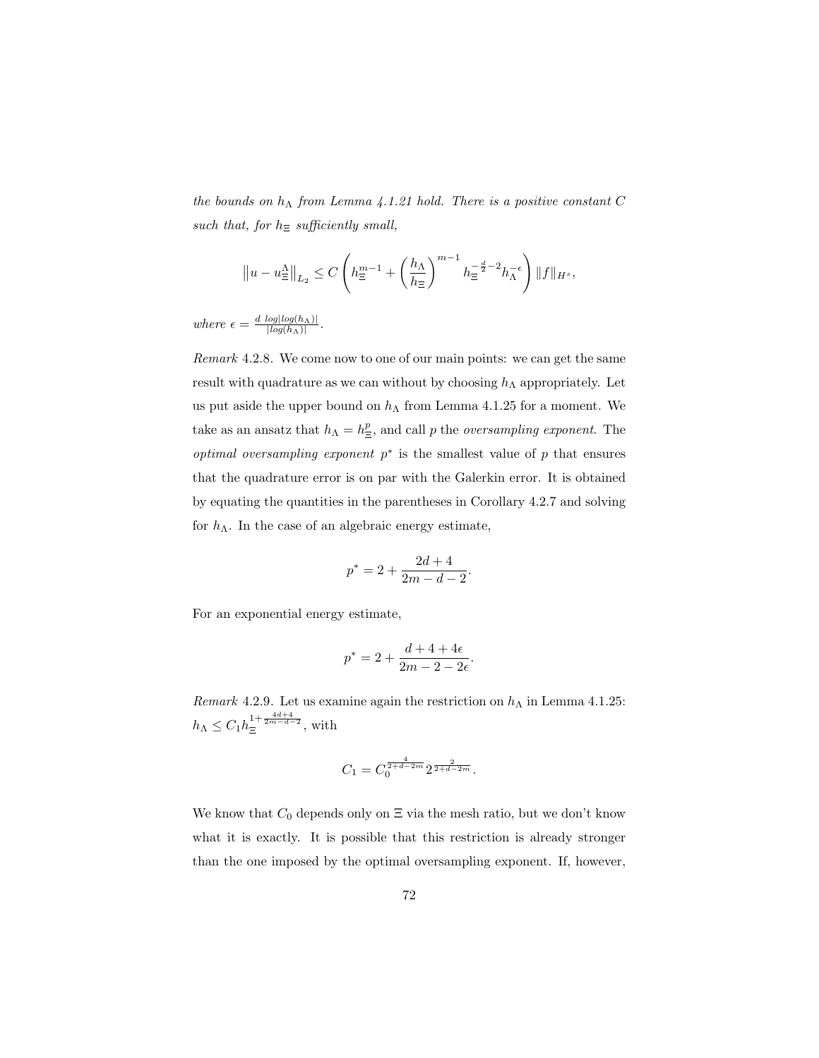the bounds on  $h_{\Lambda}$  from Lemma 4.1.21 hold. There is a positive constant C such that, for  $h_{\Xi}$  sufficiently small,

$$
\left\|u-u_{\Xi}^{\Lambda}\right\|_{L_2} \leq C\left(h_{\Xi}^{m-1}+\left(\frac{h_{\Lambda}}{h_{\Xi}}\right)^{m-1}h_{\Xi}^{-\frac{d}{2}-2}h_{\Lambda}^{-\epsilon}\right)\|f\|_{H^s},
$$

where  $\epsilon = \frac{d \log log(h_\Lambda)|}{\log(h_\Lambda)|}$  $\frac{log(log(n<sub>A</sub>))}{|log(h<sub>A</sub>)|}$ .

Remark 4.2.8. We come now to one of our main points: we can get the same result with quadrature as we can without by choosing  $h_{\Lambda}$  appropriately. Let us put aside the upper bound on  $h_{\Lambda}$  from Lemma 4.1.25 for a moment. We take as an ansatz that  $h_{\Lambda} = h_{\Xi}^p$ , and call p the *oversampling exponent*. The *optimal oversampling exponent*  $p^*$  is the smallest value of p that ensures that the quadrature error is on par with the Galerkin error. It is obtained by equating the quantities in the parentheses in Corollary 4.2.7 and solving for  $h_{\Lambda}$ . In the case of an algebraic energy estimate,

$$
p^* = 2 + \frac{2d+4}{2m-d-2}.
$$

For an exponential energy estimate,

$$
p^* = 2 + \frac{d+4+4\epsilon}{2m-2-2\epsilon}.
$$

Remark 4.2.9. Let us examine again the restriction on  $h_{\Lambda}$  in Lemma 4.1.25:  $h_{\Lambda} \leq C_1 h_{\Xi}^{1+\frac{4d+4}{2m-d-2}},$  with

$$
C_1 = C_0^{\frac{4}{2+d-2m}} 2^{\frac{2}{2+d-2m}}.
$$

We know that  $C_0$  depends only on  $\Xi$  via the mesh ratio, but we don't know what it is exactly. It is possible that this restriction is already stronger than the one imposed by the optimal oversampling exponent. If, however,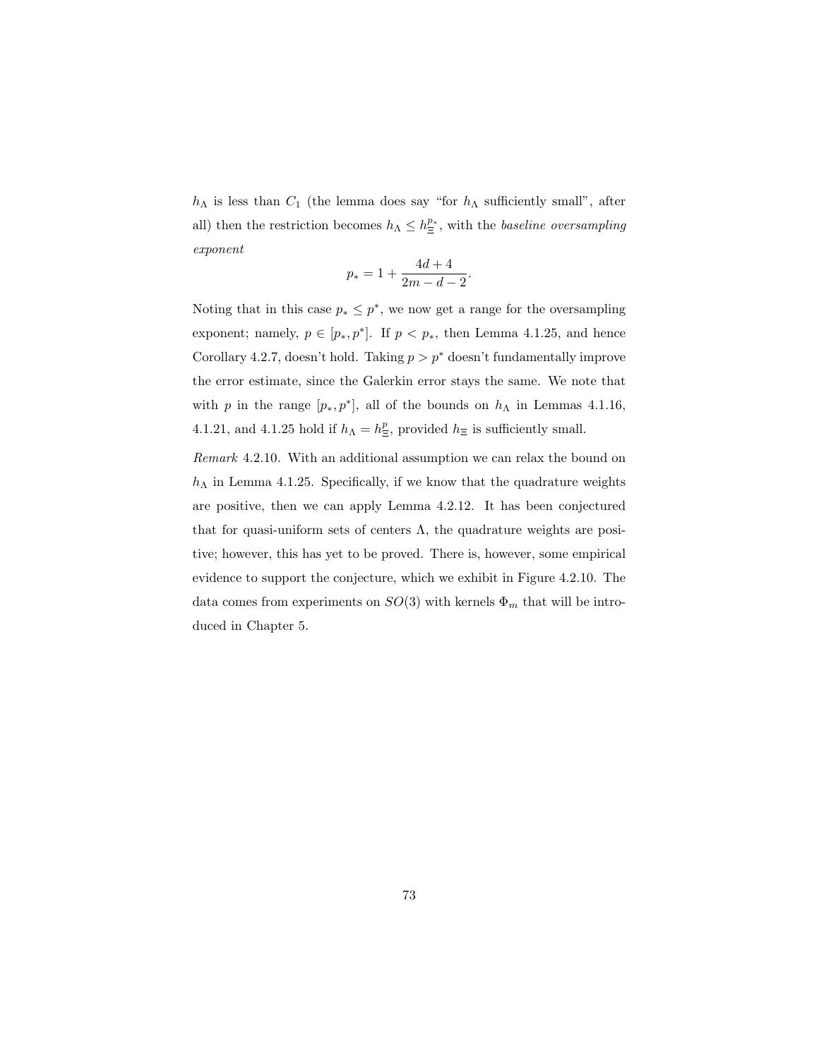$h_{\Lambda}$  is less than  $C_1$  (the lemma does say "for  $h_{\Lambda}$  sufficiently small", after all) then the restriction becomes  $h_{\Lambda} \leq h_{\Xi}^{p_*}$ , with the *baseline oversampling* exponent

$$
p_* = 1 + \frac{4d+4}{2m-d-2}.
$$

Noting that in this case  $p_* \leq p^*$ , we now get a range for the oversampling exponent; namely,  $p \in [p_*, p^*]$ . If  $p < p_*$ , then Lemma 4.1.25, and hence Corollary 4.2.7, doesn't hold. Taking  $p > p^*$  doesn't fundamentally improve the error estimate, since the Galerkin error stays the same. We note that with p in the range  $[p_*, p^*]$ , all of the bounds on  $h_{\Lambda}$  in Lemmas 4.1.16, 4.1.21, and 4.1.25 hold if  $h_{\Lambda} = h_{\Xi}^p$ , provided  $h_{\Xi}$  is sufficiently small.

Remark 4.2.10. With an additional assumption we can relax the bound on  $h_{\Lambda}$  in Lemma 4.1.25. Specifically, if we know that the quadrature weights are positive, then we can apply Lemma 4.2.12. It has been conjectured that for quasi-uniform sets of centers  $\Lambda$ , the quadrature weights are positive; however, this has yet to be proved. There is, however, some empirical evidence to support the conjecture, which we exhibit in Figure 4.2.10. The data comes from experiments on  $SO(3)$  with kernels  $\Phi_m$  that will be introduced in Chapter 5.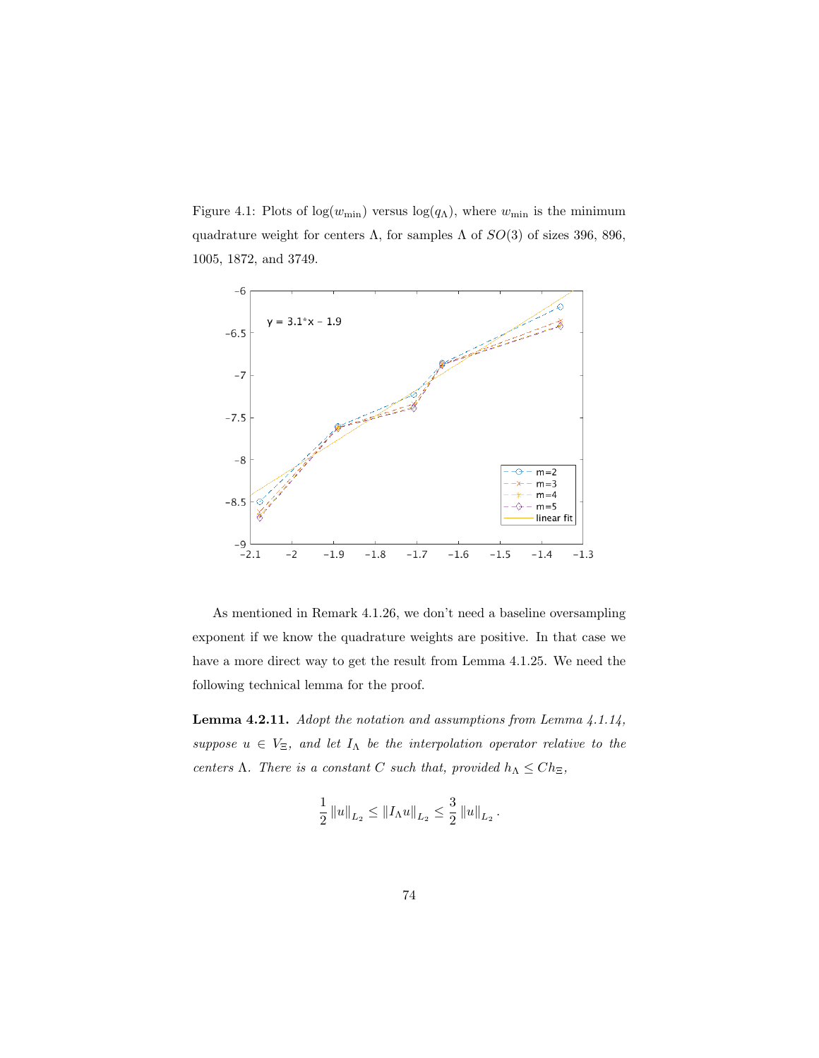Figure 4.1: Plots of  $log(w_{\text{min}})$  versus  $log(q_{\Lambda})$ , where  $w_{\text{min}}$  is the minimum quadrature weight for centers  $\Lambda$ , for samples  $\Lambda$  of  $SO(3)$  of sizes 396, 896, 1005, 1872, and 3749.



As mentioned in Remark 4.1.26, we don't need a baseline oversampling exponent if we know the quadrature weights are positive. In that case we have a more direct way to get the result from Lemma 4.1.25. We need the following technical lemma for the proof.

Lemma 4.2.11. Adopt the notation and assumptions from Lemma 4.1.14, suppose  $u \in V_{\Xi}$ , and let  $I_{\Lambda}$  be the interpolation operator relative to the centers Λ. There is a constant C such that, provided  $h_{\Lambda} \leq Ch_{\Xi}$ ,

$$
\frac{1}{2} ||u||_{L_2} \leq ||I_{\Lambda}u||_{L_2} \leq \frac{3}{2} ||u||_{L_2}.
$$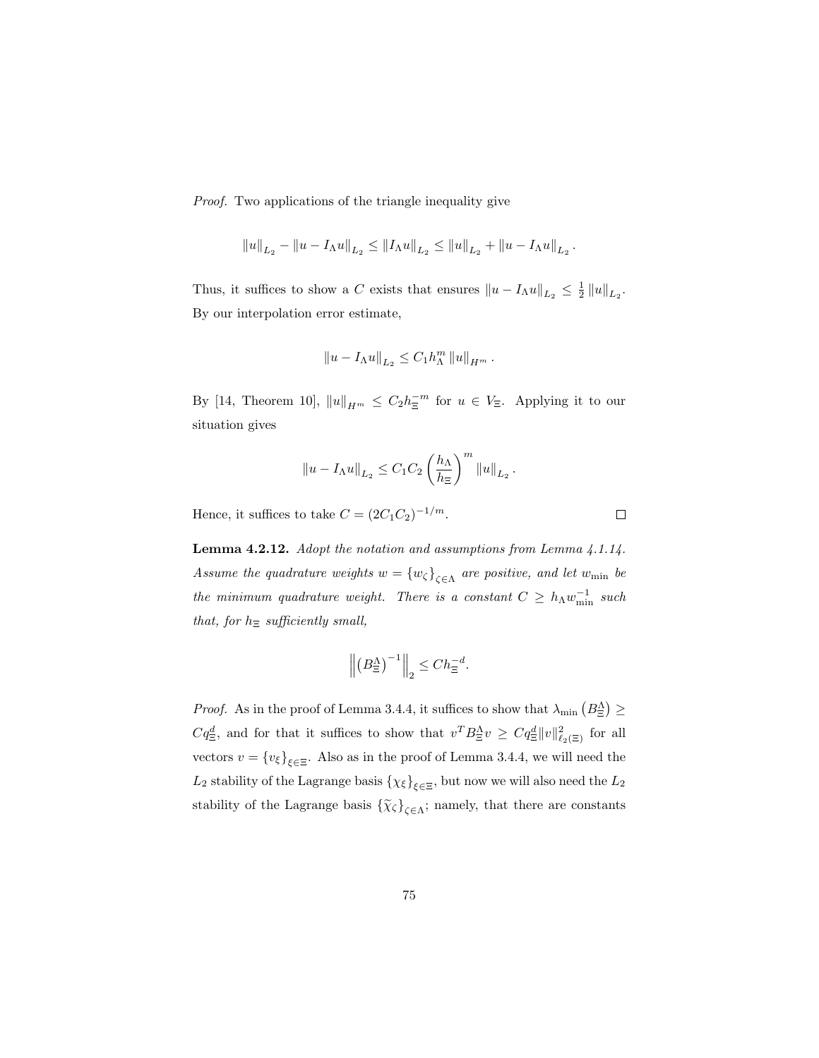Proof. Two applications of the triangle inequality give

$$
||u||_{L_2} - ||u - I_{\Lambda}u||_{L_2} \leq ||I_{\Lambda}u||_{L_2} \leq ||u||_{L_2} + ||u - I_{\Lambda}u||_{L_2}.
$$

Thus, it suffices to show a C exists that ensures  $||u - I_{\Lambda}u||_{L_2} \leq \frac{1}{2} ||u||_{L_2}$ . By our interpolation error estimate,

$$
||u - I_{\Lambda}u||_{L_2} \leq C_1 h_{\Lambda}^m ||u||_{H^m}.
$$

By [14, Theorem 10],  $||u||_{H^m} \leq C_2 h_{\Xi}^{-m}$  for  $u \in V_{\Xi}$ . Applying it to our situation gives

$$
\left\|u - I_\Lambda u\right\|_{L_2} \leq C_1 C_2 \left(\frac{h_\Lambda}{h_\Xi}\right)^m \left\|u\right\|_{L_2}.
$$

Hence, it suffices to take  $C = (2C_1C_2)^{-1/m}$ .

Lemma 4.2.12. Adopt the notation and assumptions from Lemma 4.1.14. Assume the quadrature weights  $w = \{w_{\zeta}\}_{\zeta \in \Lambda}$  are positive, and let  $w_{\min}$  be the minimum quadrature weight. There is a constant  $C \geq h_{\Lambda} w_{\min}^{-1}$  such that, for  $h_{\Xi}$  sufficiently small,

$$
\left\| \left(B_{\Xi}^{\Lambda}\right)^{-1} \right\|_2 \leq Ch_{\Xi}^{-d}.
$$

*Proof.* As in the proof of Lemma 3.4.4, it suffices to show that  $\lambda_{\min} (B_{\Xi}^{\Lambda}) \geq$  $Cq_{\Xi}^d$ , and for that it suffices to show that  $v^T B_{\Xi}^{\Lambda} v \geq Cq_{\Xi}^d ||v||_{\ell_2(\Xi)}^2$  for all vectors  $v = \{v_{\xi}\}_{\xi \in \Xi}$ . Also as in the proof of Lemma 3.4.4, we will need the  $L_2$  stability of the Lagrange basis  $\{\chi_{\xi}\}_{\xi \in \Xi}$ , but now we will also need the  $L_2$ stability of the Lagrange basis  $\{\widetilde{\chi}_{\zeta}\}_{\zeta \in \Lambda}$ ; namely, that there are constants

 $\Box$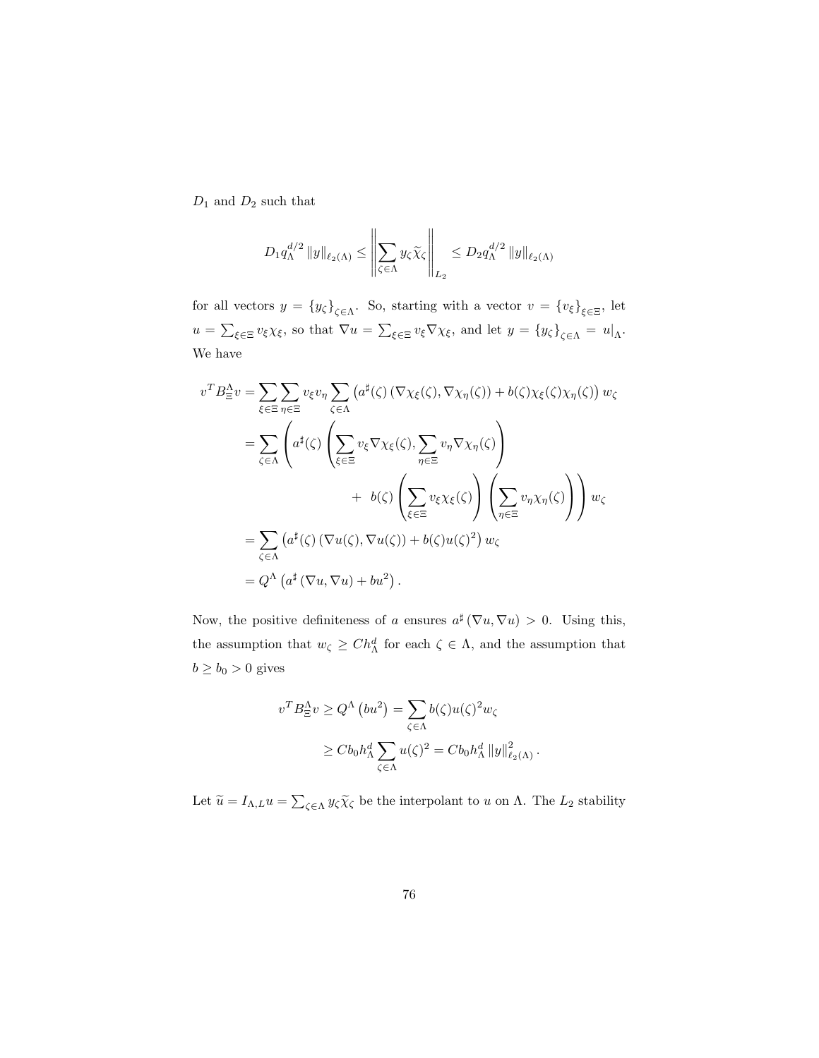$\mathcal{D}_1$  and  $\mathcal{D}_2$  such that

$$
D_1 q_{\Lambda}^{d/2} \|y\|_{\ell_2(\Lambda)} \le \left\|\sum_{\zeta \in \Lambda} y_{\zeta} \widetilde{\chi}_{\zeta}\right\|_{L_2} \le D_2 q_{\Lambda}^{d/2} \|y\|_{\ell_2(\Lambda)}
$$

for all vectors  $y = \{y_{\zeta}\}_{\zeta \in \Lambda}$ . So, starting with a vector  $v = \{v_{\xi}\}_{\xi \in \Xi}$ , let  $u = \sum_{\xi \in \Xi} v_{\xi} \chi_{\xi}$ , so that  $\nabla u = \sum_{\xi \in \Xi} v_{\xi} \nabla \chi_{\xi}$ , and let  $y = \{y_{\zeta}\}_{\zeta \in \Lambda} = u|_{\Lambda}$ . We have

$$
v^T B_{\Xi}^{\Delta} v = \sum_{\xi \in \Xi} \sum_{\eta \in \Xi} v_{\xi} v_{\eta} \sum_{\zeta \in \Lambda} (a^{\sharp}(\zeta) (\nabla \chi_{\xi}(\zeta), \nabla \chi_{\eta}(\zeta)) + b(\zeta) \chi_{\xi}(\zeta) \chi_{\eta}(\zeta)) w_{\zeta}
$$
  

$$
= \sum_{\zeta \in \Lambda} \left( a^{\sharp}(\zeta) \left( \sum_{\xi \in \Xi} v_{\xi} \nabla \chi_{\xi}(\zeta), \sum_{\eta \in \Xi} v_{\eta} \nabla \chi_{\eta}(\zeta) \right) + b(\zeta) \left( \sum_{\eta \in \Xi} v_{\xi} \chi_{\xi}(\zeta) \right) \left( \sum_{\eta \in \Xi} v_{\eta} \chi_{\eta}(\zeta) \right) \right) w_{\zeta}
$$
  

$$
= \sum_{\zeta \in \Lambda} (a^{\sharp}(\zeta) (\nabla u(\zeta), \nabla u(\zeta)) + b(\zeta) u(\zeta)^2) w_{\zeta}
$$
  

$$
= Q^{\Lambda} (a^{\sharp} (\nabla u, \nabla u) + bu^2).
$$

Now, the positive definiteness of a ensures  $a^{\sharp}(\nabla u, \nabla u) > 0$ . Using this, the assumption that  $w_{\zeta} \geq Ch_{\Lambda}^d$  for each  $\zeta \in \Lambda$ , and the assumption that  $b \ge b_0 > 0$  gives

$$
v^T B_{\Xi}^{\Lambda} v \ge Q^{\Lambda} (bu^2) = \sum_{\zeta \in \Lambda} b(\zeta) u(\zeta)^2 w_{\zeta}
$$
  
 
$$
\ge C b_0 h_{\Lambda}^d \sum_{\zeta \in \Lambda} u(\zeta)^2 = C b_0 h_{\Lambda}^d ||y||_{\ell_2(\Lambda)}^2.
$$

Let  $\widetilde{u} = I_{\Lambda,L} u = \sum_{\zeta \in \Lambda} y_{\zeta} \widetilde{\chi}_{\zeta}$  be the interpolant to u on  $\Lambda$ . The  $L_2$  stability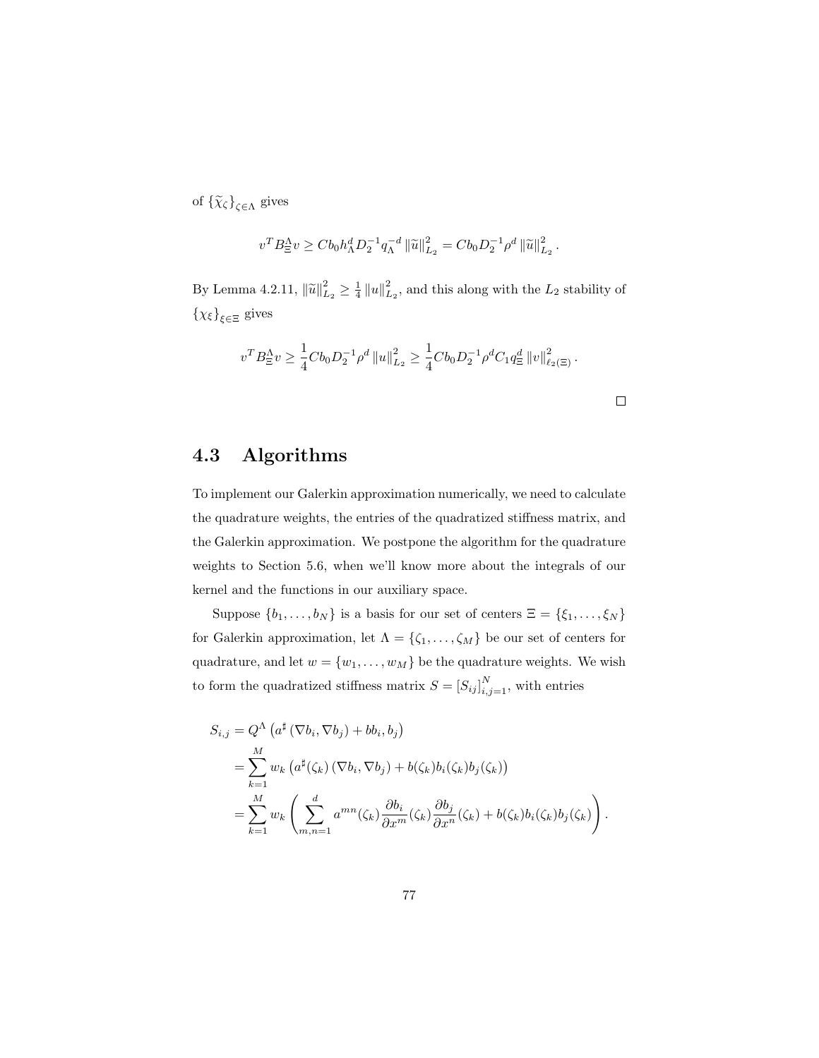of  $\{\widetilde{\chi}_{\zeta}\}_{\zeta \in \Lambda}$  gives

$$
v^T B_{\Xi}^{\Lambda} v \ge C b_0 h_{\Lambda}^d D_2^{-1} q_{\Lambda}^{-d} ||\widetilde{u}||_{L_2}^2 = C b_0 D_2^{-1} \rho^d ||\widetilde{u}||_{L_2}^2.
$$

By Lemma 4.2.11,  $\|\tilde{u}\|_{L_2}^2 \ge \frac{1}{4} \|u\|_{L_2}^2$ , and this along with the  $L_2$  stability of  $\{\chi_{\xi}\}_{{\xi \in \Xi}}$  gives

$$
v^T B_{\Xi}^{\Lambda} v \ge \frac{1}{4} C b_0 D_2^{-1} \rho^d \|u\|_{L_2}^2 \ge \frac{1}{4} C b_0 D_2^{-1} \rho^d C_1 q_{\Xi}^d \|v\|_{\ell_2(\Xi)}^2.
$$

#### 4.3 Algorithms

To implement our Galerkin approximation numerically, we need to calculate the quadrature weights, the entries of the quadratized stiffness matrix, and the Galerkin approximation. We postpone the algorithm for the quadrature weights to Section 5.6, when we'll know more about the integrals of our kernel and the functions in our auxiliary space.

Suppose  $\{b_1, \ldots, b_N\}$  is a basis for our set of centers  $\Xi = \{\xi_1, \ldots, \xi_N\}$ for Galerkin approximation, let  $\Lambda = \{\zeta_1, \ldots, \zeta_M\}$  be our set of centers for quadrature, and let  $w = \{w_1, \ldots, w_M\}$  be the quadrature weights. We wish to form the quadratized stiffness matrix  $S = [S_{ij}]_{i,j=1}^N$ , with entries

$$
S_{i,j} = Q^{\Lambda} \left( a^{\sharp} \left( \nabla b_i, \nabla b_j \right) + b b_i, b_j \right)
$$
  
= 
$$
\sum_{k=1}^{M} w_k \left( a^{\sharp}(\zeta_k) \left( \nabla b_i, \nabla b_j \right) + b(\zeta_k) b_i(\zeta_k) b_j(\zeta_k) \right)
$$
  
= 
$$
\sum_{k=1}^{M} w_k \left( \sum_{m,n=1}^{d} a^{mn}(\zeta_k) \frac{\partial b_i}{\partial x^m}(\zeta_k) \frac{\partial b_j}{\partial x^n}(\zeta_k) + b(\zeta_k) b_i(\zeta_k) b_j(\zeta_k) \right)
$$

.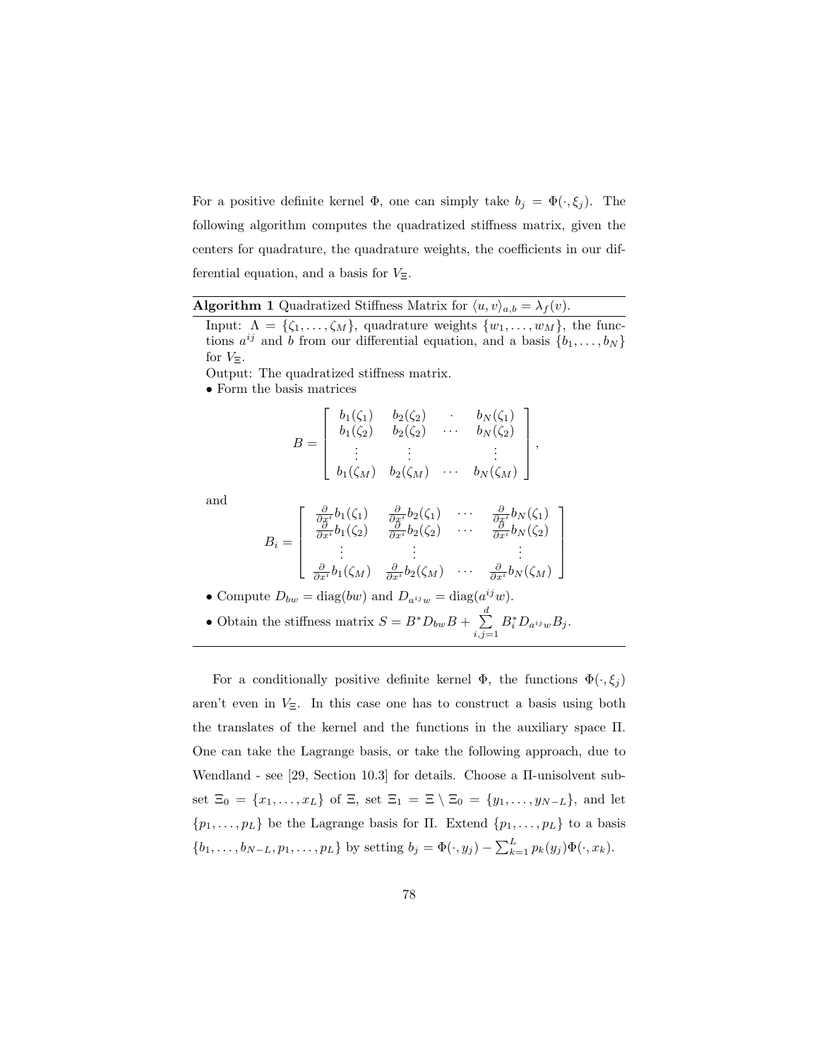For a positive definite kernel  $\Phi$ , one can simply take  $b_j = \Phi(\cdot, \xi_j)$ . The following algorithm computes the quadratized stiffness matrix, given the centers for quadrature, the quadrature weights, the coefficients in our differential equation, and a basis for  $V_{\Xi}$ .

|  |  | <b>Algorithm 1</b> Quadratized Stiffness Matrix for $\langle u, v \rangle_{a,b} = \lambda_f(v)$ . |  |  |  |
|--|--|---------------------------------------------------------------------------------------------------|--|--|--|
|--|--|---------------------------------------------------------------------------------------------------|--|--|--|

Input:  $\Lambda = \{\zeta_1, \ldots, \zeta_M\}$ , quadrature weights  $\{w_1, \ldots, w_M\}$ , the functions  $a^{ij}$  and b from our differential equation, and a basis  $\{b_1, \ldots, b_N\}$ for  $V_{\Xi}$ .

Output: The quadratized stiffness matrix.

• Form the basis matrices

$$
B = \begin{bmatrix} b_1(\zeta_1) & b_2(\zeta_2) & \cdots & b_N(\zeta_1) \\ b_1(\zeta_2) & b_2(\zeta_2) & \cdots & b_N(\zeta_2) \\ \vdots & \vdots & & \vdots \\ b_1(\zeta_M) & b_2(\zeta_M) & \cdots & b_N(\zeta_M) \end{bmatrix},
$$

and

$$
B_i = \begin{bmatrix} \frac{\partial}{\partial x^i} b_1(\zeta_1) & \frac{\partial}{\partial x^i} b_2(\zeta_1) & \cdots & \frac{\partial}{\partial x^i} b_N(\zeta_1) \\ \frac{\partial}{\partial x^i} b_1(\zeta_2) & \frac{\partial}{\partial x^i} b_2(\zeta_2) & \cdots & \frac{\partial}{\partial x^i} b_N(\zeta_2) \\ \vdots & \vdots & & \vdots \\ \frac{\partial}{\partial x^i} b_1(\zeta_M) & \frac{\partial}{\partial x^i} b_2(\zeta_M) & \cdots & \frac{\partial}{\partial x^i} b_N(\zeta_M) \end{bmatrix}
$$

• Compute 
$$
D_{bw} = \text{diag}(bw)
$$
 and  $D_{a^{ij}w} = \text{diag}(a^{ij}w)$ .

• Obtain the stiffness matrix  $S = B^* D_{bw} B + \sum_{i=1}^{d} A_i$  $i,j=1$  $B_i^* D_{a^{ij}w} B_j.$ 

For a conditionally positive definite kernel  $\Phi$ , the functions  $\Phi(\cdot,\xi_j)$ aren't even in  $V_{\Xi}$ . In this case one has to construct a basis using both the translates of the kernel and the functions in the auxiliary space Π. One can take the Lagrange basis, or take the following approach, due to Wendland - see [29, Section 10.3] for details. Choose a Π-unisolvent subset  $\Xi_0 = \{x_1, \ldots, x_L\}$  of  $\Xi$ , set  $\Xi_1 = \Xi \setminus \Xi_0 = \{y_1, \ldots, y_{N-L}\}$ , and let  $\{p_1, \ldots, p_L\}$  be the Lagrange basis for  $\Pi$ . Extend  $\{p_1, \ldots, p_L\}$  to a basis  $\{b_1, \ldots, b_{N-L}, p_1, \ldots, p_L\}$  by setting  $b_j = \Phi(\cdot, y_j) - \sum_{k=1}^L p_k(y_j) \Phi(\cdot, x_k)$ .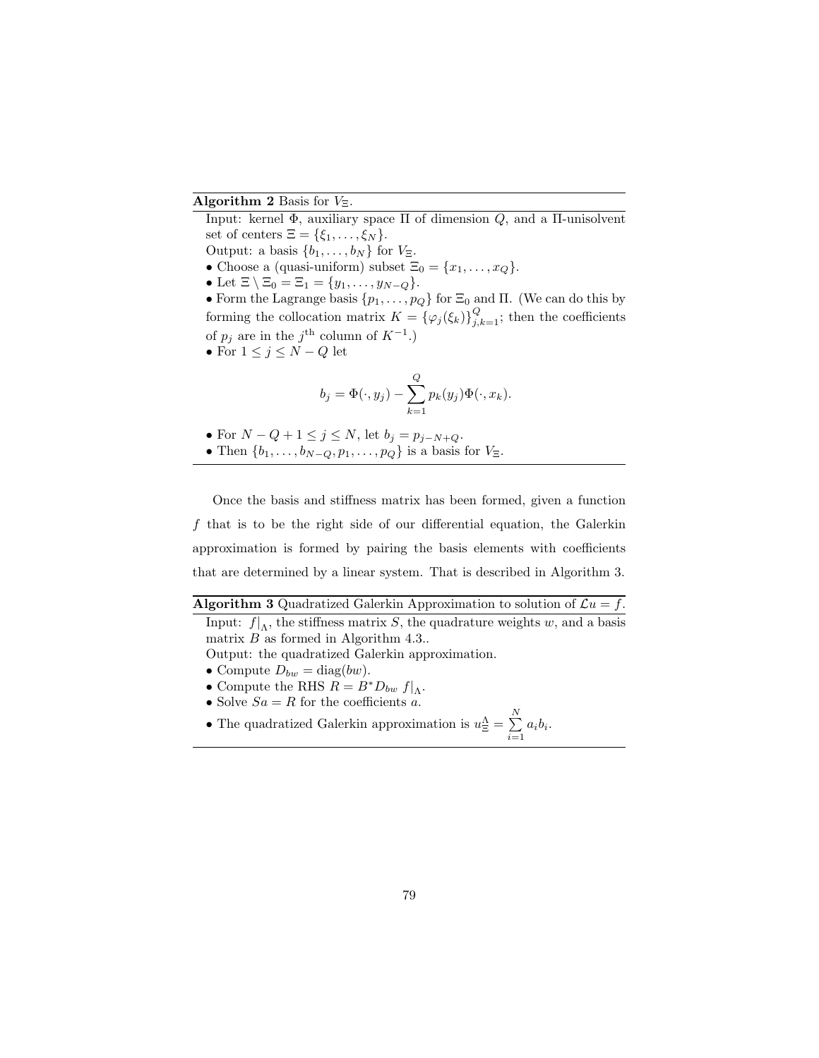#### Algorithm 2 Basis for  $V_{\Xi}$ .

Input: kernel Φ, auxiliary space Π of dimension  $Q$ , and a Π-unisolvent set of centers  $\Xi = \{\xi_1, \ldots, \xi_N\}.$ 

Output: a basis  $\{b_1, \ldots, b_N\}$  for  $V_{\Xi}$ .

- Choose a (quasi-uniform) subset  $\Xi_0 = \{x_1, \ldots, x_Q\}.$
- Let  $\Xi \setminus \Xi_0 = \Xi_1 = \{y_1, \ldots, y_{N-Q}\}.$

• Form the Lagrange basis  $\{p_1, \ldots, p_Q\}$  for  $\Xi_0$  and  $\Pi$ . (We can do this by forming the collocation matrix  $K = {\{\varphi_j(\xi_k)\}}_{j,k=1}^Q$ ; then the coefficients of  $p_j$  are in the j<sup>th</sup> column of  $K^{-1}$ .)

• For  $1 \leq j \leq N - Q$  let

$$
b_j = \Phi(\cdot, y_j) - \sum_{k=1}^{Q} p_k(y_j) \Phi(\cdot, x_k).
$$

- For  $N Q + 1 \le j \le N$ , let  $b_j = p_{j-N+Q}$ .
- Then  $\{b_1, \ldots, b_{N-Q}, p_1, \ldots, p_Q\}$  is a basis for  $V_{\Xi}$ .

Once the basis and stiffness matrix has been formed, given a function f that is to be the right side of our differential equation, the Galerkin approximation is formed by pairing the basis elements with coefficients that are determined by a linear system. That is described in Algorithm 3.

#### **Algorithm 3** Quadratized Galerkin Approximation to solution of  $\mathcal{L}u = f$ .

Input:  $f|_{\Lambda}$ , the stiffness matrix S, the quadrature weights w, and a basis matrix  $B$  as formed in Algorithm 4.3..

Output: the quadratized Galerkin approximation.

- Compute  $D_{bw} = \text{diag}(bw)$ .
- Compute the RHS  $R = B^* D_{bw} f|_{\Lambda}$ .
- Solve  $Sa = R$  for the coefficients a.
- The quadratized Galerkin approximation is  $u_{\Xi}^{\Lambda} = \sum_{\Sigma}^{N}$  $\sum_{i=1} a_i b_i.$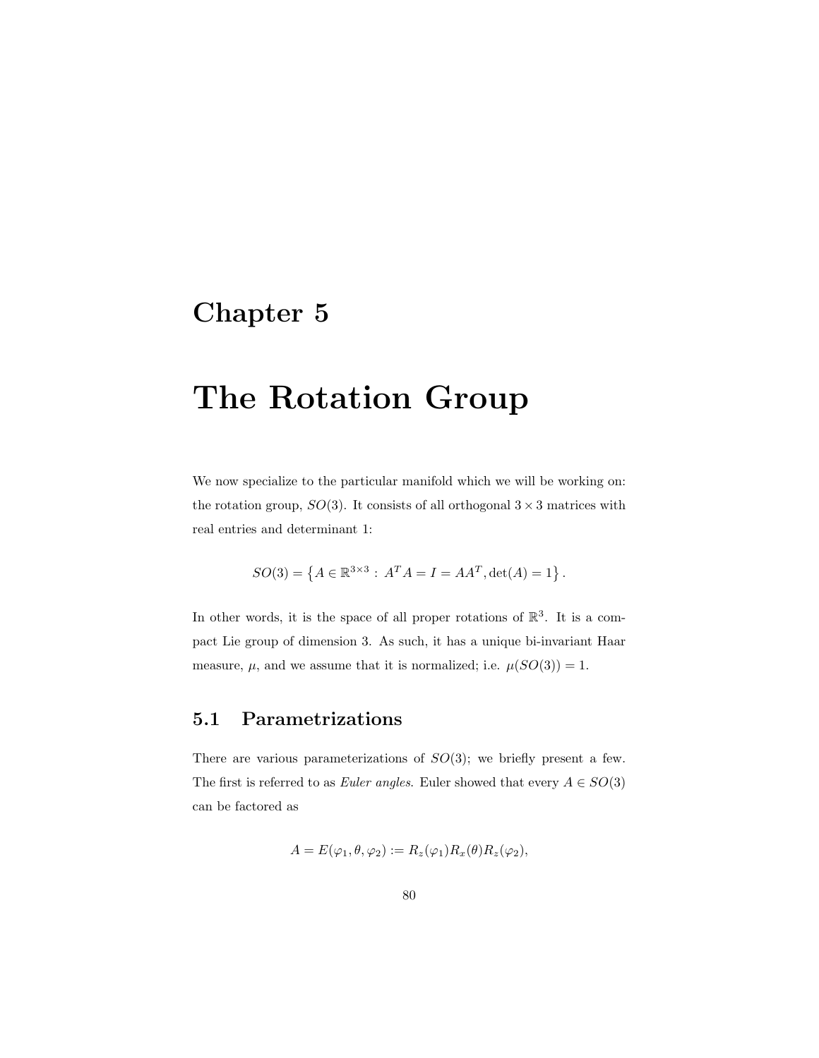# Chapter 5

# The Rotation Group

We now specialize to the particular manifold which we will be working on: the rotation group,  $SO(3)$ . It consists of all orthogonal  $3 \times 3$  matrices with real entries and determinant 1:

$$
SO(3) = \{ A \in \mathbb{R}^{3 \times 3} : A^T A = I = A A^T, \det(A) = 1 \}.
$$

In other words, it is the space of all proper rotations of  $\mathbb{R}^3$ . It is a compact Lie group of dimension 3. As such, it has a unique bi-invariant Haar measure,  $\mu$ , and we assume that it is normalized; i.e.  $\mu(SO(3)) = 1$ .

### 5.1 Parametrizations

There are various parameterizations of  $SO(3)$ ; we briefly present a few. The first is referred to as *Euler angles*. Euler showed that every  $A \in SO(3)$ can be factored as

$$
A = E(\varphi_1, \theta, \varphi_2) := R_z(\varphi_1) R_x(\theta) R_z(\varphi_2),
$$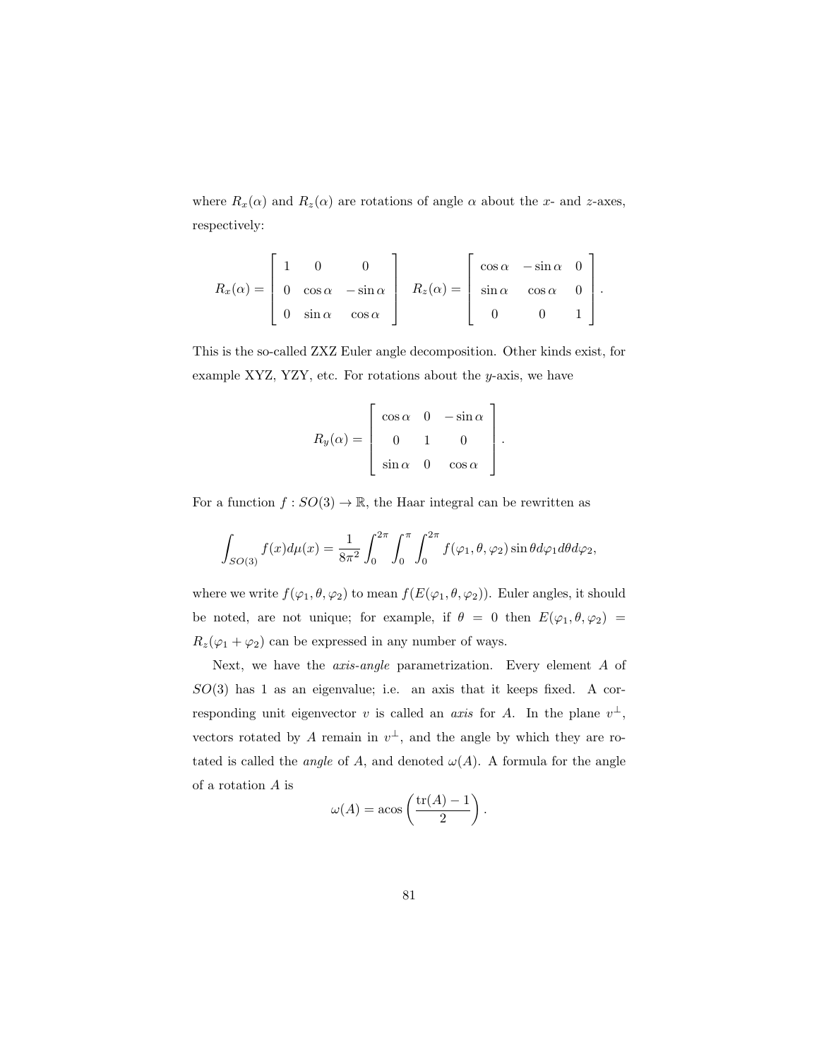where  $R_x(\alpha)$  and  $R_z(\alpha)$  are rotations of angle  $\alpha$  about the x- and z-axes, respectively:

$$
R_x(\alpha) = \begin{bmatrix} 1 & 0 & 0 \\ 0 & \cos \alpha & -\sin \alpha \\ 0 & \sin \alpha & \cos \alpha \end{bmatrix} \quad R_z(\alpha) = \begin{bmatrix} \cos \alpha & -\sin \alpha & 0 \\ \sin \alpha & \cos \alpha & 0 \\ 0 & 0 & 1 \end{bmatrix}.
$$

This is the so-called ZXZ Euler angle decomposition. Other kinds exist, for example XYZ, YZY, etc. For rotations about the  $y$ -axis, we have

$$
R_y(\alpha) = \begin{bmatrix} \cos \alpha & 0 & -\sin \alpha \\ 0 & 1 & 0 \\ \sin \alpha & 0 & \cos \alpha \end{bmatrix}.
$$

For a function  $f: SO(3) \to \mathbb{R}$ , the Haar integral can be rewritten as

$$
\int_{SO(3)} f(x) d\mu(x) = \frac{1}{8\pi^2} \int_0^{2\pi} \int_0^{\pi} \int_0^{2\pi} f(\varphi_1, \theta, \varphi_2) \sin \theta d\varphi_1 d\theta d\varphi_2,
$$

where we write  $f(\varphi_1, \theta, \varphi_2)$  to mean  $f(E(\varphi_1, \theta, \varphi_2))$ . Euler angles, it should be noted, are not unique; for example, if  $\theta = 0$  then  $E(\varphi_1, \theta, \varphi_2)$  $R_z(\varphi_1+\varphi_2)$  can be expressed in any number of ways.

Next, we have the axis-angle parametrization. Every element A of  $SO(3)$  has 1 as an eigenvalue; i.e. an axis that it keeps fixed. A corresponding unit eigenvector v is called an *axis* for A. In the plane  $v^{\perp}$ , vectors rotated by A remain in  $v^{\perp}$ , and the angle by which they are rotated is called the *angle* of A, and denoted  $\omega(A)$ . A formula for the angle of a rotation A is

$$
\omega(A) = \arccos\left(\frac{\text{tr}(A) - 1}{2}\right).
$$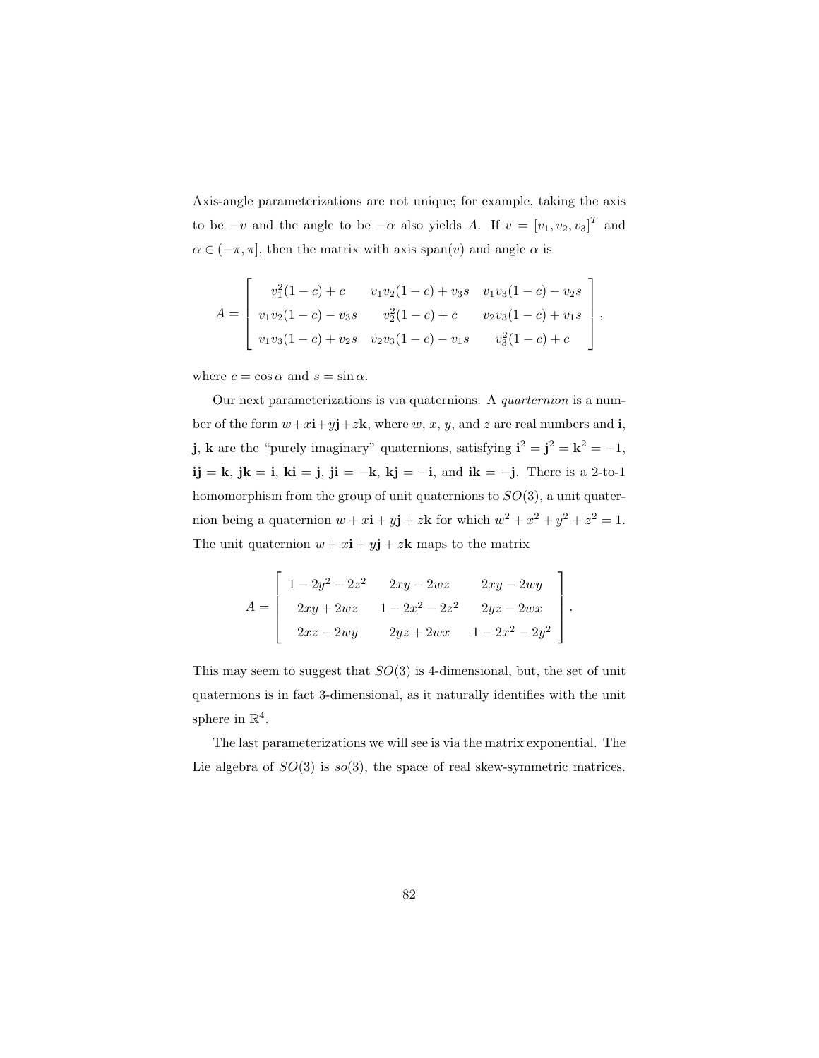Axis-angle parameterizations are not unique; for example, taking the axis to be  $-v$  and the angle to be  $-\alpha$  also yields A. If  $v = [v_1, v_2, v_3]^T$  and  $\alpha \in (-\pi, \pi]$ , then the matrix with axis span $(v)$  and angle  $\alpha$  is

$$
A = \begin{bmatrix} v_1^2(1-c) + c & v_1v_2(1-c) + v_3s & v_1v_3(1-c) - v_2s \\ v_1v_2(1-c) - v_3s & v_2^2(1-c) + c & v_2v_3(1-c) + v_1s \\ v_1v_3(1-c) + v_2s & v_2v_3(1-c) - v_1s & v_3^2(1-c) + c \end{bmatrix},
$$

where  $c = \cos \alpha$  and  $s = \sin \alpha$ .

Our next parameterizations is via quaternions. A quarternion is a number of the form  $w+x\mathbf{i}+y\mathbf{j}+z\mathbf{k}$ , where  $w, x, y$ , and z are real numbers and **i**, **j**, **k** are the "purely imaginary" quaternions, satisfying  $\mathbf{i}^2 = \mathbf{j}^2 = \mathbf{k}^2 = -1$ , ij = k, jk = i, ki = j, ji = -k, kj = -i, and ik = -j. There is a 2-to-1 homomorphism from the group of unit quaternions to  $SO(3)$ , a unit quaternion being a quaternion  $w + x\mathbf{i} + y\mathbf{j} + z\mathbf{k}$  for which  $w^2 + x^2 + y^2 + z^2 = 1$ . The unit quaternion  $w + x\mathbf{i} + y\mathbf{j} + z\mathbf{k}$  maps to the matrix

$$
A = \begin{bmatrix} 1 - 2y^2 - 2z^2 & 2xy - 2wz & 2xy - 2wy \\ 2xy + 2wz & 1 - 2x^2 - 2z^2 & 2yz - 2wx \\ 2xz - 2wy & 2yz + 2wx & 1 - 2x^2 - 2y^2 \end{bmatrix}.
$$

This may seem to suggest that  $SO(3)$  is 4-dimensional, but, the set of unit quaternions is in fact 3-dimensional, as it naturally identifies with the unit sphere in  $\mathbb{R}^4$ .

The last parameterizations we will see is via the matrix exponential. The Lie algebra of  $SO(3)$  is  $so(3)$ , the space of real skew-symmetric matrices.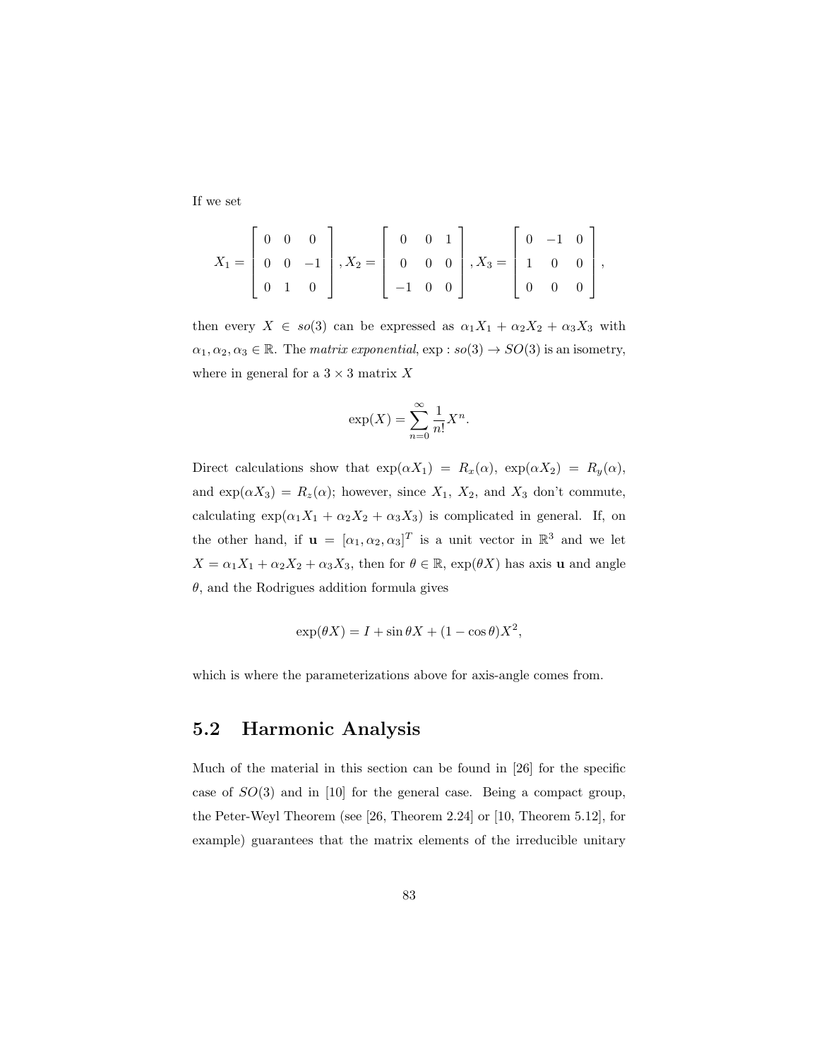If we set

$$
X_1 = \begin{bmatrix} 0 & 0 & 0 \\ 0 & 0 & -1 \\ 0 & 1 & 0 \end{bmatrix}, X_2 = \begin{bmatrix} 0 & 0 & 1 \\ 0 & 0 & 0 \\ -1 & 0 & 0 \end{bmatrix}, X_3 = \begin{bmatrix} 0 & -1 & 0 \\ 1 & 0 & 0 \\ 0 & 0 & 0 \end{bmatrix},
$$

then every  $X \in so(3)$  can be expressed as  $\alpha_1 X_1 + \alpha_2 X_2 + \alpha_3 X_3$  with  $\alpha_1, \alpha_2, \alpha_3 \in \mathbb{R}$ . The *matrix exponential*,  $\exp : so(3) \to SO(3)$  is an isometry, where in general for a  $3 \times 3$  matrix X

$$
\exp(X) = \sum_{n=0}^{\infty} \frac{1}{n!} X^n.
$$

Direct calculations show that  $\exp(\alpha X_1) = R_x(\alpha)$ ,  $\exp(\alpha X_2) = R_y(\alpha)$ , and  $\exp(\alpha X_3) = R_z(\alpha)$ ; however, since  $X_1$ ,  $X_2$ , and  $X_3$  don't commute, calculating  $\exp(\alpha_1 X_1 + \alpha_2 X_2 + \alpha_3 X_3)$  is complicated in general. If, on the other hand, if  $\mathbf{u} = [\alpha_1, \alpha_2, \alpha_3]^T$  is a unit vector in  $\mathbb{R}^3$  and we let  $X = \alpha_1 X_1 + \alpha_2 X_2 + \alpha_3 X_3$ , then for  $\theta \in \mathbb{R}$ ,  $\exp(\theta X)$  has axis **u** and angle  $\theta$ , and the Rodrigues addition formula gives

$$
\exp(\theta X) = I + \sin \theta X + (1 - \cos \theta)X^2,
$$

which is where the parameterizations above for axis-angle comes from.

#### 5.2 Harmonic Analysis

Much of the material in this section can be found in [26] for the specific case of  $SO(3)$  and in [10] for the general case. Being a compact group, the Peter-Weyl Theorem (see [26, Theorem 2.24] or [10, Theorem 5.12], for example) guarantees that the matrix elements of the irreducible unitary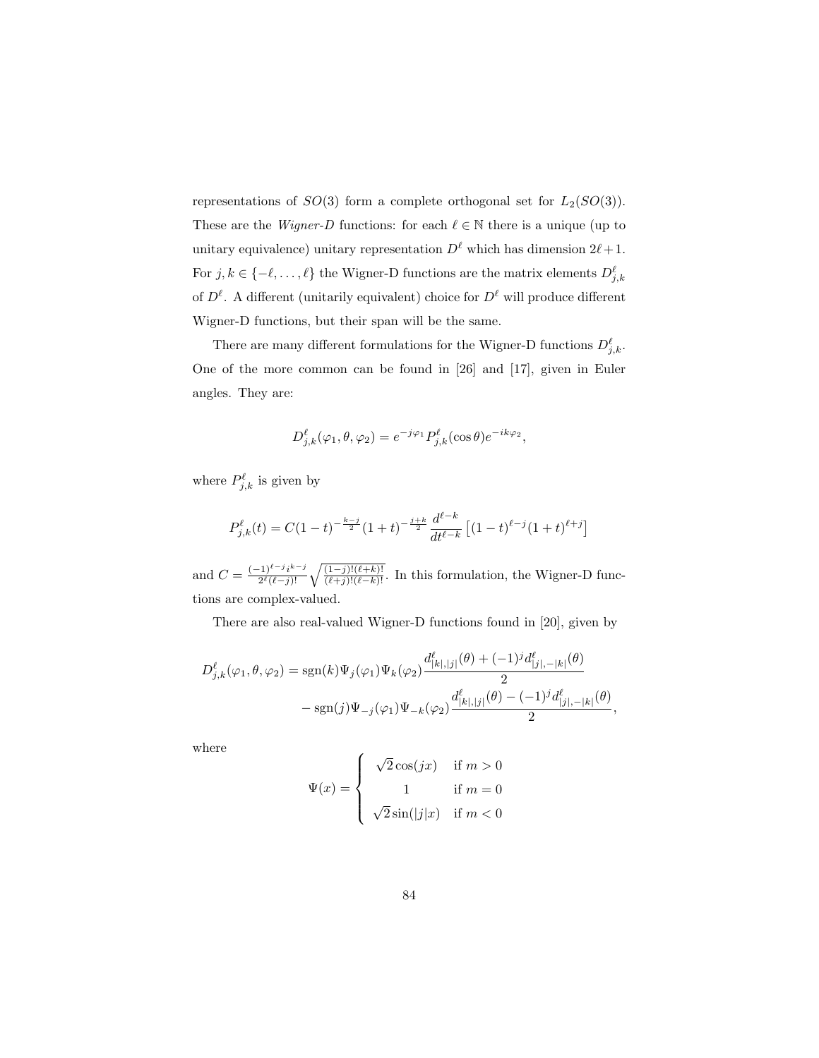representations of  $SO(3)$  form a complete orthogonal set for  $L_2(SO(3))$ . These are the *Wigner-D* functions: for each  $\ell \in \mathbb{N}$  there is a unique (up to unitary equivalence) unitary representation  $D^{\ell}$  which has dimension  $2\ell + 1$ . For  $j, k \in \{-\ell, \ldots, \ell\}$  the Wigner-D functions are the matrix elements  $D_{j,k}^{\ell}$ of  $D^{\ell}$ . A different (unitarily equivalent) choice for  $D^{\ell}$  will produce different Wigner-D functions, but their span will be the same.

There are many different formulations for the Wigner-D functions  $D^{\ell}_{j,k}$ . One of the more common can be found in [26] and [17], given in Euler angles. They are:

$$
D_{j,k}^{\ell}(\varphi_1,\theta,\varphi_2) = e^{-j\varphi_1} P_{j,k}^{\ell}(\cos\theta) e^{-ik\varphi_2},
$$

where  $P_{j,k}^{\ell}$  is given by

$$
P_{j,k}^{\ell}(t) = C(1-t)^{-\frac{k-j}{2}}(1+t)^{-\frac{j+k}{2}}\frac{d^{\ell-k}}{dt^{\ell-k}}\left[(1-t)^{\ell-j}(1+t)^{\ell+j}\right]
$$

and  $C = \frac{(-1)^{\ell-j}i^{k-j}}{2^{\ell}(\ell-j)!}$  $\frac{2^{i-1}j^{k-j}}{2^{\ell}(\ell-j)!} \sqrt{\frac{(1-j)!(\ell+k)!}{(\ell+j)!(\ell-k)!}}$ . In this formulation, the Wigner-D functions are complex-valued.

There are also real-valued Wigner-D functions found in [20], given by

$$
D_{j,k}^{\ell}(\varphi_1, \theta, \varphi_2) = \text{sgn}(k)\Psi_j(\varphi_1)\Psi_k(\varphi_2) \frac{d_{[k],[j]}^{\ell}(\theta) + (-1)^j d_{[j], -|k|}^{\ell}(\theta)}{2}
$$
  
- 
$$
\text{sgn}(j)\Psi_{-j}(\varphi_1)\Psi_{-k}(\varphi_2) \frac{d_{[k],[j]}^{\ell}(\theta) - (-1)^j d_{[j], -|k|}^{\ell}(\theta)}{2},
$$

where

$$
\Psi(x) = \left\{ \begin{array}{cl} \sqrt{2}\cos(jx) & \text{if } m > 0 \\ 1 & \text{if } m = 0 \\ \sqrt{2}\sin(|j|x) & \text{if } m < 0 \end{array} \right.
$$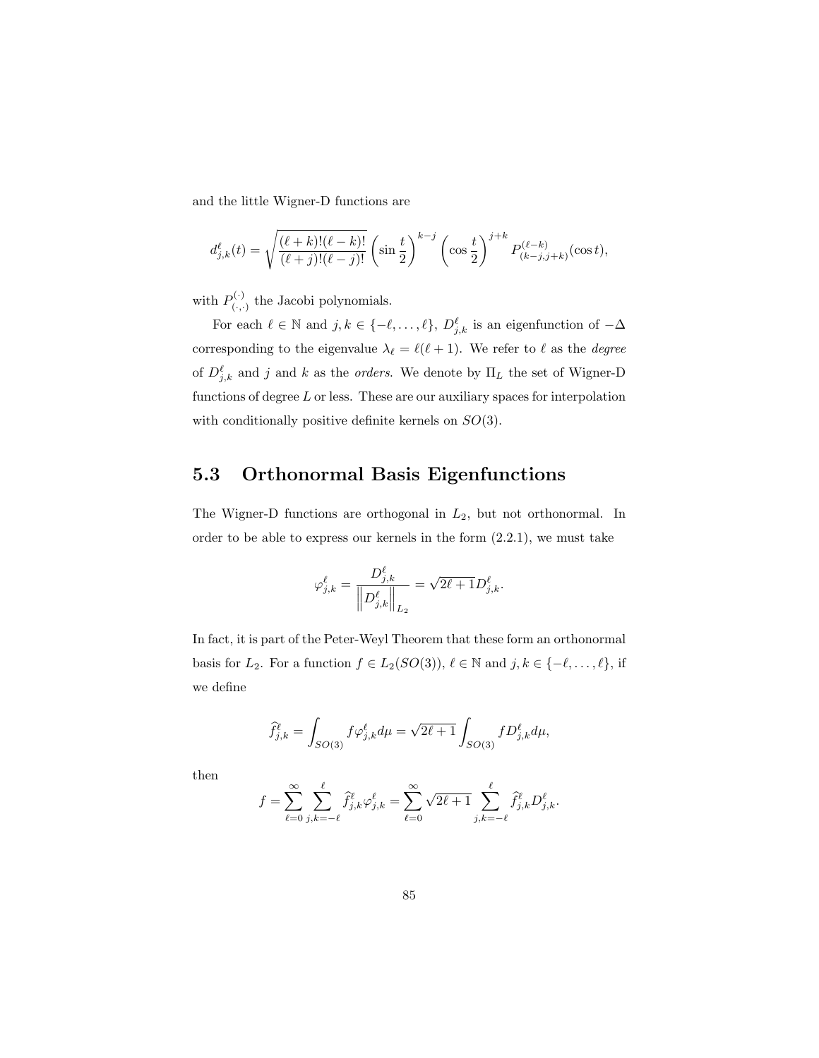and the little Wigner-D functions are

$$
d_{j,k}^{\ell}(t) = \sqrt{\frac{(\ell+k)!(\ell-k)!}{(\ell+j)!(\ell-j)!}} \left(\sin\frac{t}{2}\right)^{k-j} \left(\cos\frac{t}{2}\right)^{j+k} P_{(k-j,j+k)}^{(\ell-k)}(\cos t),
$$

with  $P_{(.)}^{(.)}$  $\mathcal{C}^{(1)}_{(\cdot,\cdot)}$  the Jacobi polynomials.

For each  $\ell \in \mathbb{N}$  and  $j, k \in \{-\ell, \ldots, \ell\}, D^{\ell}_{j,k}$  is an eigenfunction of  $-\Delta$ corresponding to the eigenvalue  $\lambda_{\ell} = \ell(\ell + 1)$ . We refer to  $\ell$  as the *degree* of  $D_{j,k}^{\ell}$  and j and k as the *orders*. We denote by  $\Pi_L$  the set of Wigner-D functions of degree  $L$  or less. These are our auxiliary spaces for interpolation with conditionally positive definite kernels on  $SO(3)$ .

### 5.3 Orthonormal Basis Eigenfunctions

The Wigner-D functions are orthogonal in  $L_2$ , but not orthonormal. In order to be able to express our kernels in the form (2.2.1), we must take

$$
\varphi_{j,k}^\ell=\frac{D_{j,k}^\ell}{\left\|D_{j,k}^\ell\right\|_{L_2}}=\sqrt{2\ell+1}D_{j,k}^\ell.
$$

In fact, it is part of the Peter-Weyl Theorem that these form an orthonormal basis for  $L_2$ . For a function  $f \in L_2(SO(3)), \ell \in \mathbb{N}$  and  $j, k \in \{-\ell, \ldots, \ell\},$  if we define

$$
\widehat{f}_{j,k}^{\ell} = \int_{SO(3)} f \varphi_{j,k}^{\ell} d\mu = \sqrt{2\ell+1} \int_{SO(3)} f D_{j,k}^{\ell} d\mu,
$$

then

$$
f = \sum_{\ell=0}^{\infty} \sum_{j,k=-\ell}^{\ell} \widehat{f}_{j,k}^{\ell} \varphi_{j,k}^{\ell} = \sum_{\ell=0}^{\infty} \sqrt{2\ell+1} \sum_{j,k=-\ell}^{\ell} \widehat{f}_{j,k}^{\ell} D_{j,k}^{\ell}.
$$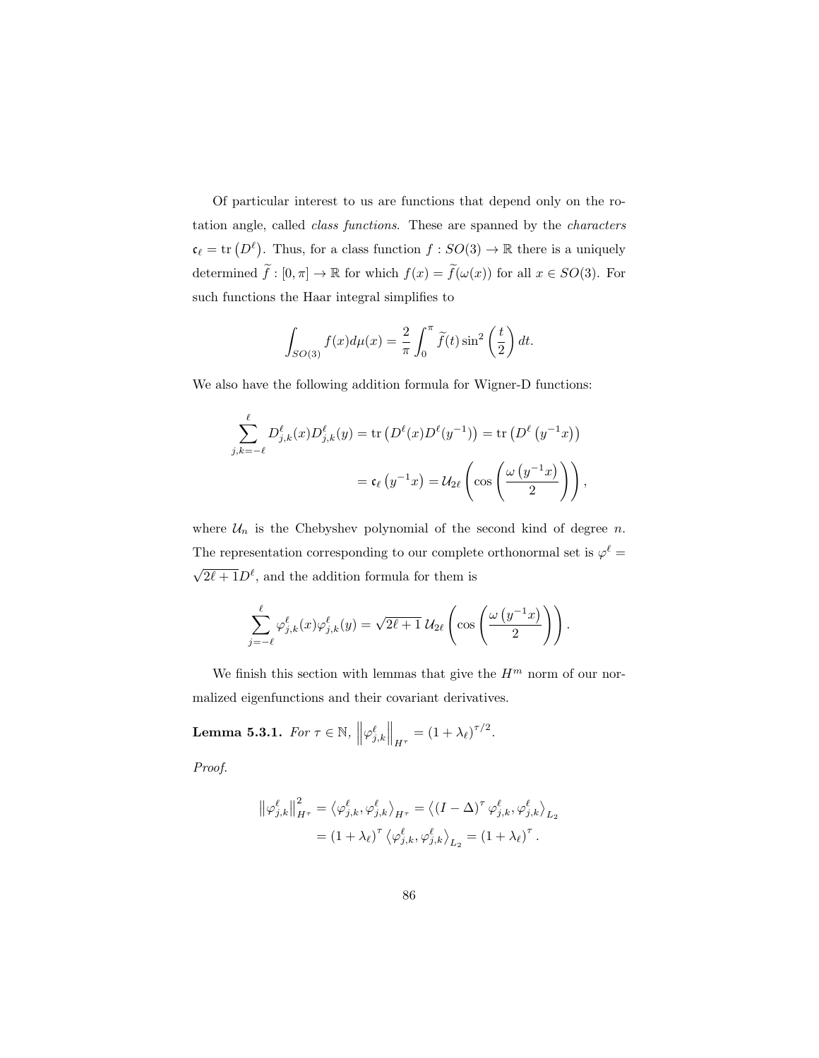Of particular interest to us are functions that depend only on the rotation angle, called class functions. These are spanned by the characters  $\mathfrak{c}_{\ell} = \text{tr}(D^{\ell})$ . Thus, for a class function  $f : SO(3) \to \mathbb{R}$  there is a uniquely determined  $\tilde{f} : [0, \pi] \to \mathbb{R}$  for which  $f(x) = \tilde{f}(\omega(x))$  for all  $x \in SO(3)$ . For such functions the Haar integral simplifies to

$$
\int_{SO(3)} f(x) d\mu(x) = \frac{2}{\pi} \int_0^{\pi} \tilde{f}(t) \sin^2\left(\frac{t}{2}\right) dt.
$$

We also have the following addition formula for Wigner-D functions:

$$
\sum_{j,k=-\ell}^{\ell} D_{j,k}^{\ell}(x) D_{j,k}^{\ell}(y) = \text{tr}\left(D^{\ell}(x) D^{\ell}(y^{-1})\right) = \text{tr}\left(D^{\ell}(y^{-1}x)\right)
$$

$$
= \mathfrak{c}_{\ell}(y^{-1}x) = \mathcal{U}_{2\ell}\left(\cos\left(\frac{\omega(y^{-1}x)}{2}\right)\right),
$$

where  $\mathcal{U}_n$  is the Chebyshev polynomial of the second kind of degree n. The representation corresponding to our complete orthonormal set is  $\varphi^{\ell} =$  $\sqrt{2\ell+1}D^{\ell}$ , and the addition formula for them is

$$
\sum_{j=-\ell}^{\ell} \varphi_{j,k}^{\ell}(x) \varphi_{j,k}^{\ell}(y) = \sqrt{2\ell+1} \; \mathcal{U}_{2\ell} \left( \cos \left( \frac{\omega \left( y^{-1} x \right)}{2} \right) \right).
$$

We finish this section with lemmas that give the  $H^m$  norm of our normalized eigenfunctions and their covariant derivatives.

**Lemma 5.3.1.** For  $\tau \in \mathbb{N}$ ,  $\left\| \varphi_{j,k}^{\ell} \right\|_{H^{\tau}} = (1 + \lambda_{\ell})^{\tau/2}$ .

Proof.

$$
\left\|\varphi_{j,k}^{\ell}\right\|_{H^{\tau}}^{2} = \left\langle \varphi_{j,k}^{\ell}, \varphi_{j,k}^{\ell}\right\rangle_{H^{\tau}} = \left\langle \left(I - \Delta\right)^{\tau} \varphi_{j,k}^{\ell}, \varphi_{j,k}^{\ell}\right\rangle_{L_{2}}
$$

$$
= \left(1 + \lambda_{\ell}\right)^{\tau} \left\langle \varphi_{j,k}^{\ell}, \varphi_{j,k}^{\ell}\right\rangle_{L_{2}} = \left(1 + \lambda_{\ell}\right)^{\tau}.
$$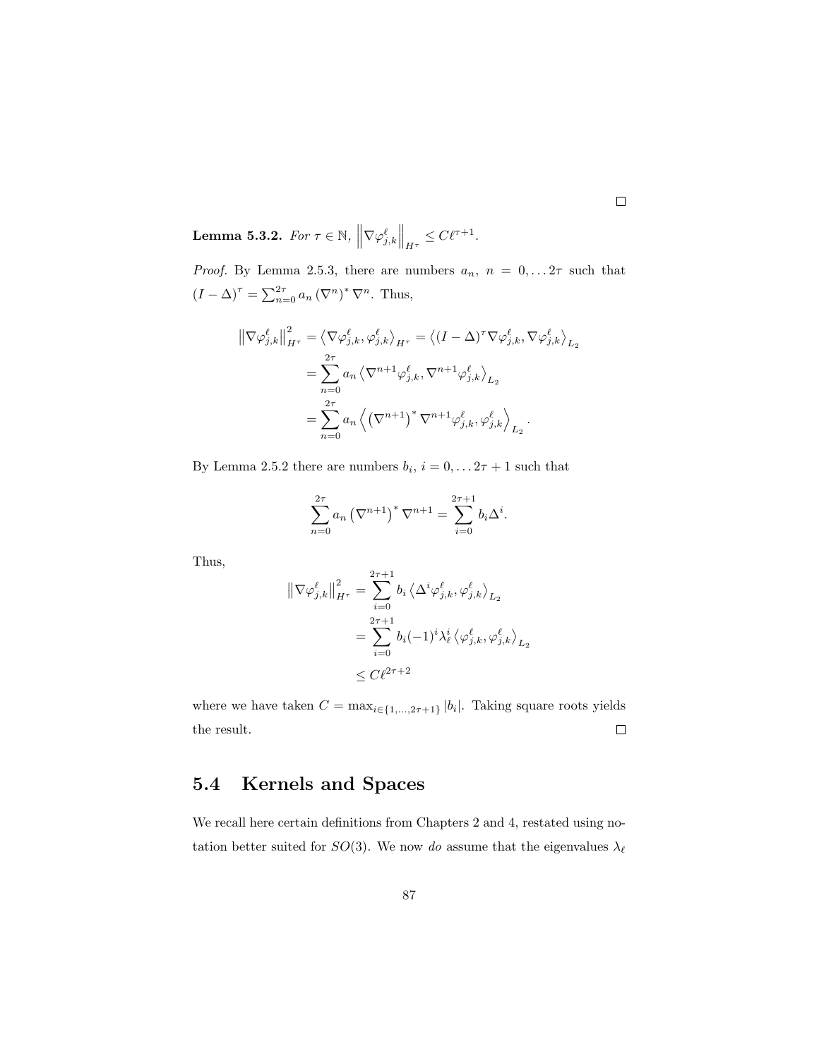**Lemma 5.3.2.** For  $\tau \in \mathbb{N}$ ,  $\left\| \nabla \varphi_{j,k}^{\ell} \right\|_{H^{\tau}} \leq C \ell^{\tau+1}$ .

*Proof.* By Lemma 2.5.3, there are numbers  $a_n$ ,  $n = 0, \ldots, 2\tau$  such that  $(I - \Delta)^{\tau} = \sum_{n=0}^{2\tau} a_n (\nabla^n)^* \nabla^n$ . Thus,

$$
\begin{split} \left\| \nabla \varphi_{j,k}^{\ell} \right\|_{H^{\tau}}^{2} &= \left\langle \nabla \varphi_{j,k}^{\ell}, \varphi_{j,k}^{\ell} \right\rangle_{H^{\tau}} = \left\langle (I - \Delta)^{\tau} \nabla \varphi_{j,k}^{\ell}, \nabla \varphi_{j,k}^{\ell} \right\rangle_{L_{2}} \\ &= \sum_{n=0}^{2\tau} a_{n} \left\langle \nabla^{n+1} \varphi_{j,k}^{\ell}, \nabla^{n+1} \varphi_{j,k}^{\ell} \right\rangle_{L_{2}} \\ &= \sum_{n=0}^{2\tau} a_{n} \left\langle \left( \nabla^{n+1} \right)^{*} \nabla^{n+1} \varphi_{j,k}^{\ell}, \varphi_{j,k}^{\ell} \right\rangle_{L_{2}}. \end{split}
$$

By Lemma 2.5.2 there are numbers  $b_i$ ,  $i = 0, \ldots 2\tau + 1$  such that

$$
\sum_{n=0}^{2\tau} a_n (\nabla^{n+1})^* \nabla^{n+1} = \sum_{i=0}^{2\tau+1} b_i \Delta^i.
$$

Thus,

$$
\begin{aligned} \left\| \nabla \varphi_{j,k}^{\ell} \right\|_{H^{\tau}}^2 &= \sum_{i=0}^{2\tau+1} b_i \left\langle \Delta^i \varphi_{j,k}^{\ell}, \varphi_{j,k}^{\ell} \right\rangle_{L_2} \\ &= \sum_{i=0}^{2\tau+1} b_i (-1)^i \lambda_{\ell}^i \left\langle \varphi_{j,k}^{\ell}, \varphi_{j,k}^{\ell} \right\rangle_{L_2} \\ &\leq C \ell^{2\tau+2} \end{aligned}
$$

where we have taken  $C = \max_{i \in \{1, ..., 2\tau+1\}} |b_i|$ . Taking square roots yields the result.  $\Box$ 

### 5.4 Kernels and Spaces

We recall here certain definitions from Chapters 2 and 4, restated using notation better suited for  $SO(3)$ . We now do assume that the eigenvalues  $\lambda_{\ell}$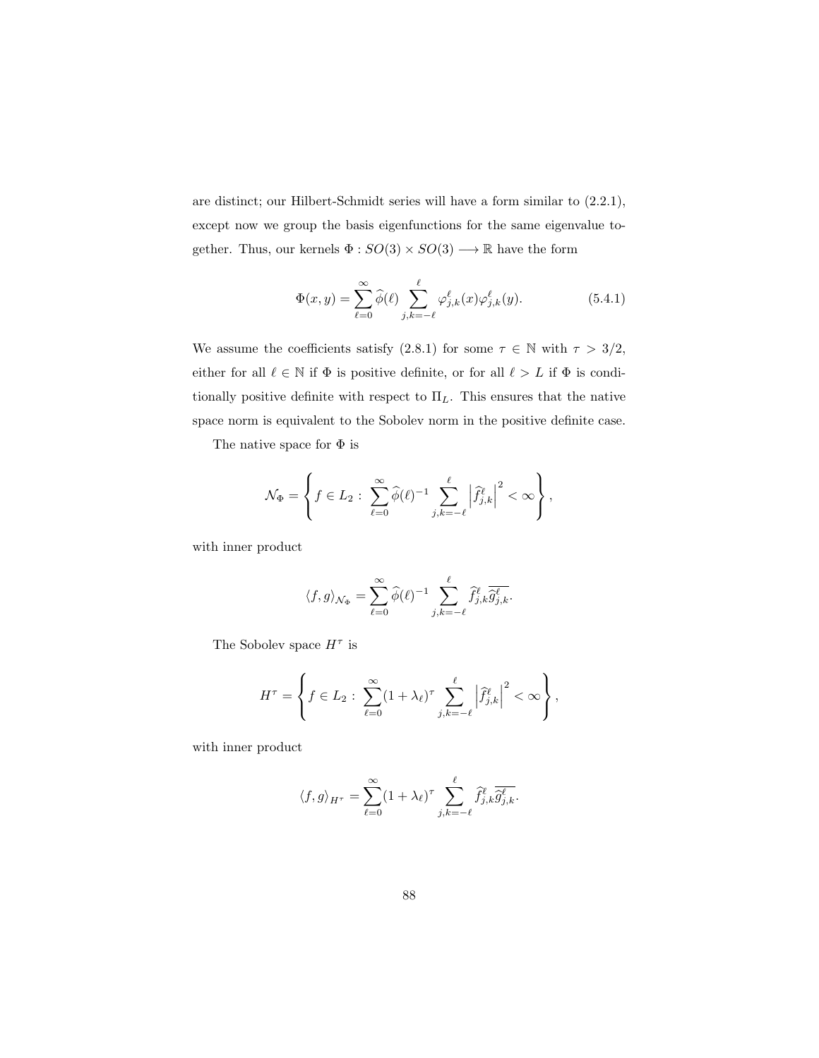are distinct; our Hilbert-Schmidt series will have a form similar to (2.2.1), except now we group the basis eigenfunctions for the same eigenvalue together. Thus, our kernels  $\Phi:SO(3)\times SO(3)\longrightarrow \mathbb{R}$  have the form

$$
\Phi(x,y) = \sum_{\ell=0}^{\infty} \widehat{\phi}(\ell) \sum_{j,k=-\ell}^{\ell} \varphi_{j,k}^{\ell}(x) \varphi_{j,k}^{\ell}(y). \tag{5.4.1}
$$

We assume the coefficients satisfy (2.8.1) for some  $\tau \in \mathbb{N}$  with  $\tau > 3/2$ , either for all  $\ell \in \mathbb{N}$  if  $\Phi$  is positive definite, or for all  $\ell > L$  if  $\Phi$  is conditionally positive definite with respect to  $\Pi_L$ . This ensures that the native space norm is equivalent to the Sobolev norm in the positive definite case.

The native space for  $\Phi$  is

$$
\mathcal{N}_{\Phi} = \left\{ f \in L_2 : \sum_{\ell=0}^{\infty} \widehat{\phi}(\ell)^{-1} \sum_{j,k=-\ell}^{\ell} \left| \widehat{f}_{j,k}^{\ell} \right|^2 < \infty \right\},\
$$

with inner product

$$
\langle f, g \rangle_{\mathcal{N}_{\Phi}} = \sum_{\ell=0}^{\infty} \widehat{\phi}(\ell)^{-1} \sum_{j,k=-\ell}^{\ell} \widehat{f}_{j,k}^{\ell} \overline{\widehat{g}_{j,k}^{\ell}}.
$$

The Sobolev space  $H^{\tau}$  is

$$
H^{\tau} = \left\{ f \in L_2 : \sum_{\ell=0}^{\infty} (1 + \lambda_{\ell})^{\tau} \sum_{j,k=-\ell}^{\ell} \left| \widehat{f}_{j,k}^{\ell} \right|^2 < \infty \right\},\,
$$

with inner product

$$
\langle f, g \rangle_{H^{\tau}} = \sum_{\ell=0}^{\infty} (1 + \lambda_{\ell})^{\tau} \sum_{j,k=-\ell}^{\ell} \widehat{f}_{j,k}^{\ell} \overline{\widehat{g}_{j,k}^{\ell}}.
$$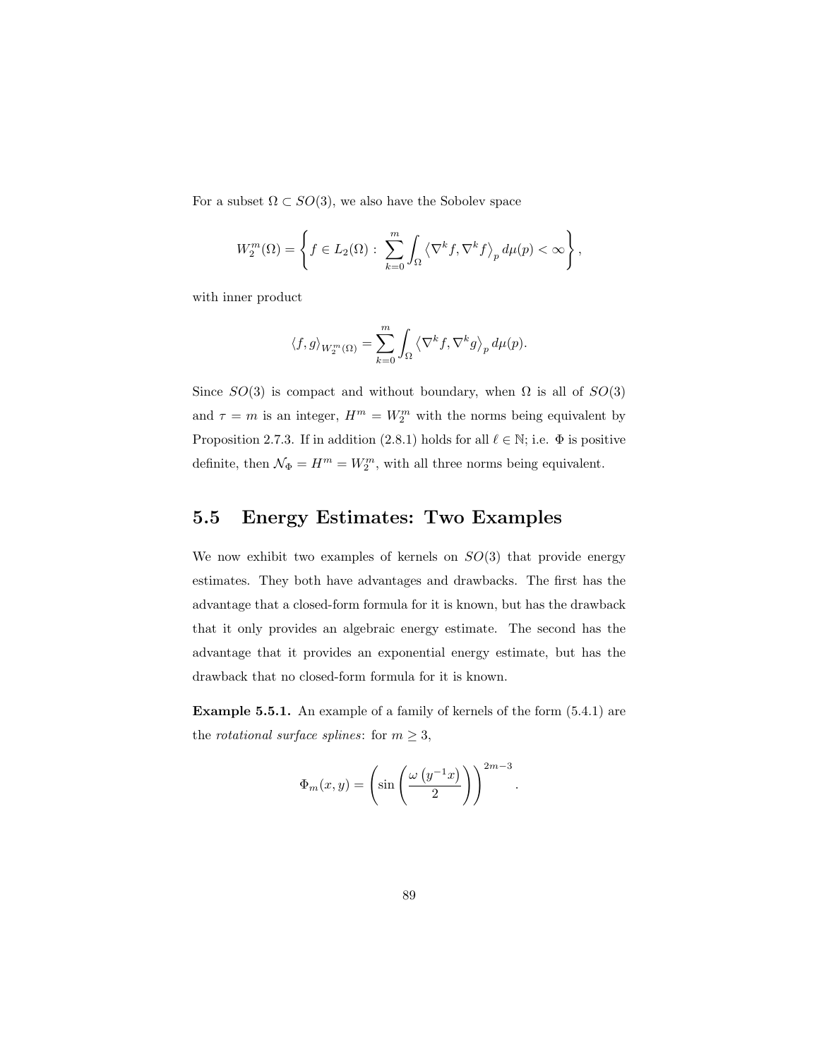For a subset  $\Omega \subset SO(3)$ , we also have the Sobolev space

$$
W_2^m(\Omega) = \left\{ f \in L_2(\Omega) : \sum_{k=0}^m \int_{\Omega} \left\langle \nabla^k f, \nabla^k f \right\rangle_p d\mu(p) < \infty \right\},\,
$$

with inner product

$$
\langle f, g \rangle_{W_2^m(\Omega)} = \sum_{k=0}^m \int_{\Omega} \langle \nabla^k f, \nabla^k g \rangle_p d\mu(p).
$$

Since  $SO(3)$  is compact and without boundary, when  $\Omega$  is all of  $SO(3)$ and  $\tau = m$  is an integer,  $H^m = W_2^m$  with the norms being equivalent by Proposition 2.7.3. If in addition (2.8.1) holds for all  $\ell \in \mathbb{N}$ ; i.e.  $\Phi$  is positive definite, then  $\mathcal{N}_{\Phi} = H^m = W_2^m$ , with all three norms being equivalent.

### 5.5 Energy Estimates: Two Examples

We now exhibit two examples of kernels on  $SO(3)$  that provide energy estimates. They both have advantages and drawbacks. The first has the advantage that a closed-form formula for it is known, but has the drawback that it only provides an algebraic energy estimate. The second has the advantage that it provides an exponential energy estimate, but has the drawback that no closed-form formula for it is known.

Example 5.5.1. An example of a family of kernels of the form (5.4.1) are the *rotational surface splines*: for  $m \geq 3$ ,

$$
\Phi_m(x,y) = \left(\sin\left(\frac{\omega\left(y^{-1}x\right)}{2}\right)\right)^{2m-3}
$$

.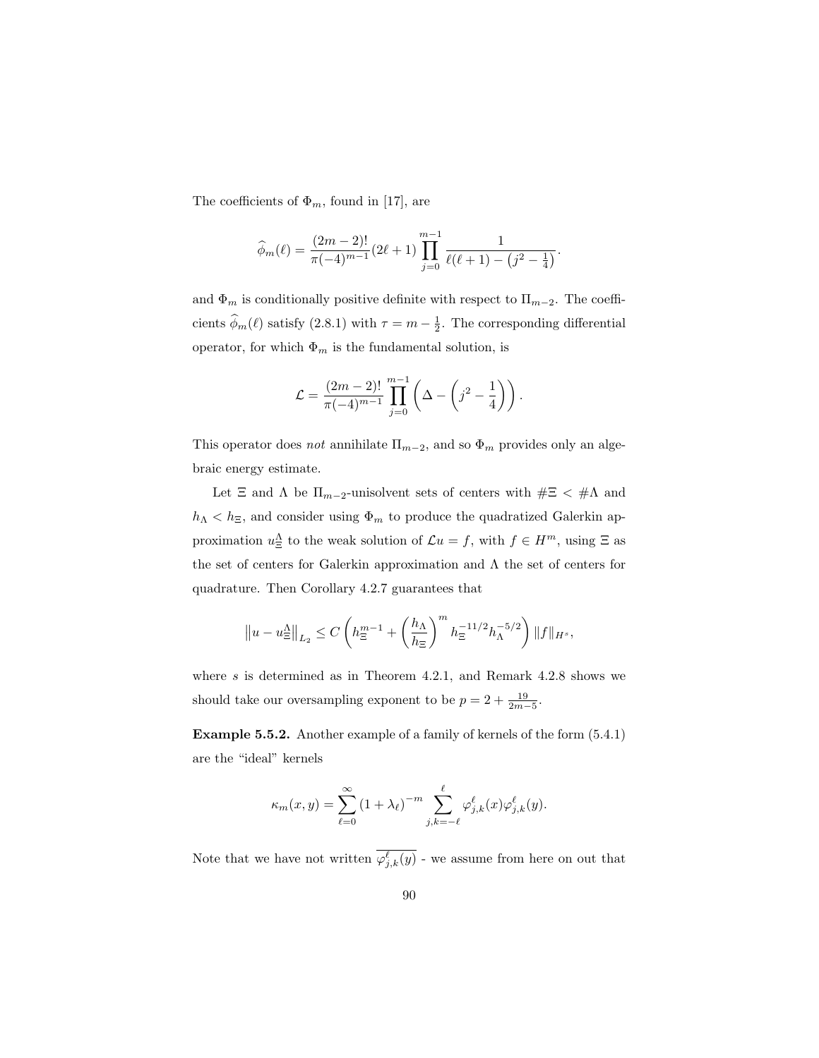The coefficients of  $\Phi_m$ , found in [17], are

$$
\widehat{\phi}_m(\ell) = \frac{(2m-2)!}{\pi(-4)^{m-1}} (2\ell+1) \prod_{j=0}^{m-1} \frac{1}{\ell(\ell+1) - (j^2 - \frac{1}{4})}.
$$

and  $\Phi_m$  is conditionally positive definite with respect to  $\Pi_{m-2}$ . The coefficients  $\hat{\phi}_m(\ell)$  satisfy (2.8.1) with  $\tau = m - \frac{1}{2}$ . The corresponding differential operator, for which  $\Phi_m$  is the fundamental solution, is

$$
\mathcal{L} = \frac{(2m-2)!}{\pi(-4)^{m-1}} \prod_{j=0}^{m-1} \left( \Delta - \left( j^2 - \frac{1}{4} \right) \right).
$$

This operator does *not* annihilate  $\Pi_{m-2}$ , and so  $\Phi_m$  provides only an algebraic energy estimate.

Let  $\Xi$  and  $\Lambda$  be  $\Pi_{m-2}$ -unisolvent sets of centers with  $\#\Xi$  <  $\#\Lambda$  and  $h_\Lambda < h_\Xi,$  and consider using  $\Phi_m$  to produce the quadratized Galerkin approximation  $u_{\Xi}^{\Lambda}$  to the weak solution of  $\mathcal{L}u = f$ , with  $f \in H^m$ , using  $\Xi$  as the set of centers for Galerkin approximation and Λ the set of centers for quadrature. Then Corollary 4.2.7 guarantees that

$$
\left\|u-u_{\Xi}^{\Lambda}\right\|_{L_2}\leq C\left(h_{\Xi}^{m-1}+\left(\frac{h_{\Lambda}}{h_{\Xi}}\right)^m h_{\Xi}^{-11/2}h_{\Lambda}^{-5/2}\right)\|f\|_{H^s},
$$

where  $s$  is determined as in Theorem 4.2.1, and Remark 4.2.8 shows we should take our oversampling exponent to be  $p = 2 + \frac{19}{2m-5}$ .

Example 5.5.2. Another example of a family of kernels of the form (5.4.1) are the "ideal" kernels

$$
\kappa_m(x, y) = \sum_{\ell=0}^{\infty} (1 + \lambda_{\ell})^{-m} \sum_{j,k=-\ell}^{\ell} \varphi_{j,k}^{\ell}(x) \varphi_{j,k}^{\ell}(y).
$$

Note that we have not written  $\varphi_{j,k}^{\ell}(y)$  - we assume from here on out that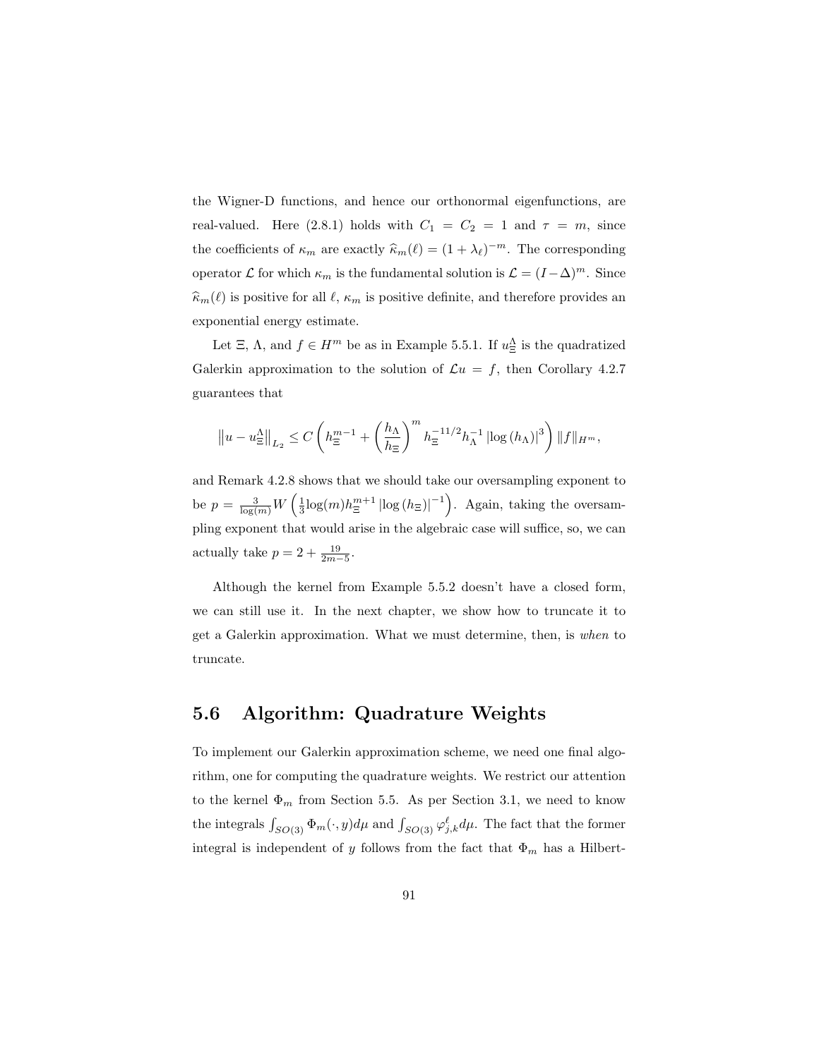the Wigner-D functions, and hence our orthonormal eigenfunctions, are real-valued. Here (2.8.1) holds with  $C_1 = C_2 = 1$  and  $\tau = m$ , since the coefficients of  $\kappa_m$  are exactly  $\widehat{\kappa}_m(\ell) = (1 + \lambda_\ell)^{-m}$ . The corresponding operator  $\mathcal L$  for which  $\kappa_m$  is the fundamental solution is  $\mathcal L = (I - \Delta)^m$ . Since  $\widehat{\kappa}_m(\ell)$  is positive for all  $\ell, \kappa_m$  is positive definite, and therefore provides an exponential energy estimate.

Let  $\Xi$ ,  $\Lambda$ , and  $f \in H^m$  be as in Example 5.5.1. If  $u_{\Xi}^{\Lambda}$  is the quadratized Galerkin approximation to the solution of  $\mathcal{L}u = f$ , then Corollary 4.2.7 guarantees that

$$
\left\|u - u_{\Xi}^{\Lambda}\right\|_{L_{2}} \leq C\left(h_{\Xi}^{m-1} + \left(\frac{h_{\Lambda}}{h_{\Xi}}\right)^{m} h_{\Xi}^{-11/2} h_{\Lambda}^{-1} \left|\log(h_{\Lambda})\right|^{3}\right) \|f\|_{H^{m}},
$$

and Remark 4.2.8 shows that we should take our oversampling exponent to be  $p = \frac{3}{\log(m)} W \left( \frac{1}{3} \log(m) h_{\Xi}^{m+1} |\log(h_{\Xi})|^{-1} \right)$ . Again, taking the oversampling exponent that would arise in the algebraic case will suffice, so, we can actually take  $p = 2 + \frac{19}{2m-5}$ .

Although the kernel from Example 5.5.2 doesn't have a closed form, we can still use it. In the next chapter, we show how to truncate it to get a Galerkin approximation. What we must determine, then, is when to truncate.

#### 5.6 Algorithm: Quadrature Weights

To implement our Galerkin approximation scheme, we need one final algorithm, one for computing the quadrature weights. We restrict our attention to the kernel  $\Phi_m$  from Section 5.5. As per Section 3.1, we need to know the integrals  $\int_{SO(3)} \Phi_m(\cdot, y) d\mu$  and  $\int_{SO(3)} \varphi_{j,k}^{\ell} d\mu$ . The fact that the former integral is independent of y follows from the fact that  $\Phi_m$  has a Hilbert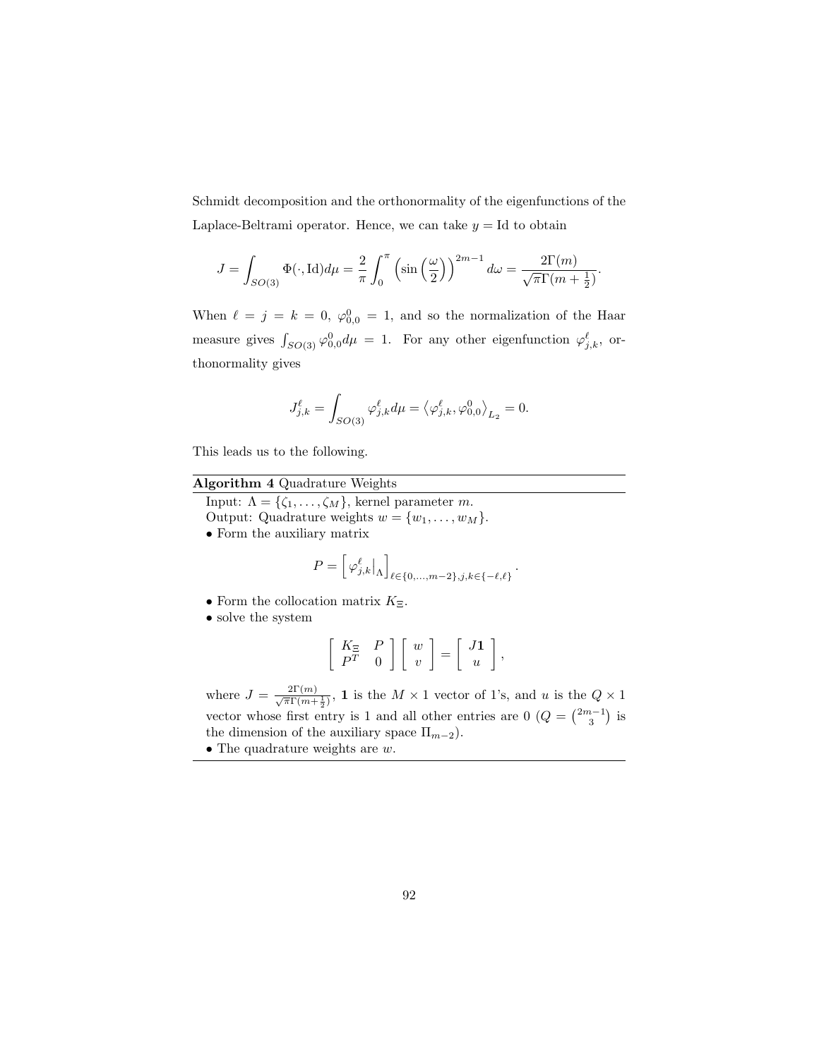Schmidt decomposition and the orthonormality of the eigenfunctions of the Laplace-Beltrami operator. Hence, we can take  $y = Id$  to obtain

$$
J = \int_{SO(3)} \Phi(\cdot, \text{Id}) d\mu = \frac{2}{\pi} \int_0^{\pi} \left( \sin\left(\frac{\omega}{2}\right) \right)^{2m-1} d\omega = \frac{2\Gamma(m)}{\sqrt{\pi}\Gamma(m + \frac{1}{2})}.
$$

When  $\ell = j = k = 0, \varphi_{0,0}^0 = 1$ , and so the normalization of the Haar measure gives  $\int_{SO(3)} \varphi_{0,0}^0 d\mu = 1$ . For any other eigenfunction  $\varphi_{j,k}^\ell$ , orthonormality gives

$$
J_{j,k}^{\ell} = \int_{SO(3)} \varphi_{j,k}^{\ell} d\mu = \left\langle \varphi_{j,k}^{\ell}, \varphi_{0,0}^{0} \right\rangle_{L_2} = 0.
$$

This leads us to the following.

#### Algorithm 4 Quadrature Weights

Input:  $\Lambda = {\zeta_1, \ldots, \zeta_M}$ , kernel parameter m.

Output: Quadrature weights  $w = \{w_1, \ldots, w_M\}.$ 

• Form the auxiliary matrix

$$
P = \left[ \varphi_{j,k}^{\ell} \big|_{\Lambda} \right]_{\ell \in \{0,\ldots,m-2\}, j,k \in \{-\ell,\ell\}}.
$$

- Form the collocation matrix  $K_{\Xi}$ .
- solve the system

$$
\left[\begin{array}{cc} K_{\Xi} & P \\ P^T & 0 \end{array}\right] \left[\begin{array}{c} w \\ v \end{array}\right] = \left[\begin{array}{c} J\mathbf{1} \\ u \end{array}\right],
$$

where  $J = \frac{2\Gamma(m)}{\sqrt{\pi}\Gamma(m+\frac{1}{2})}$ , **1** is the  $M \times 1$  vector of 1's, and u is the  $Q \times 1$ vector whose first entry is 1 and all other entries are  $0$   $(Q = \binom{2m-1}{3}$  is the dimension of the auxiliary space  $\Pi_{m-2}$ ).

• The quadrature weights are  $w$ .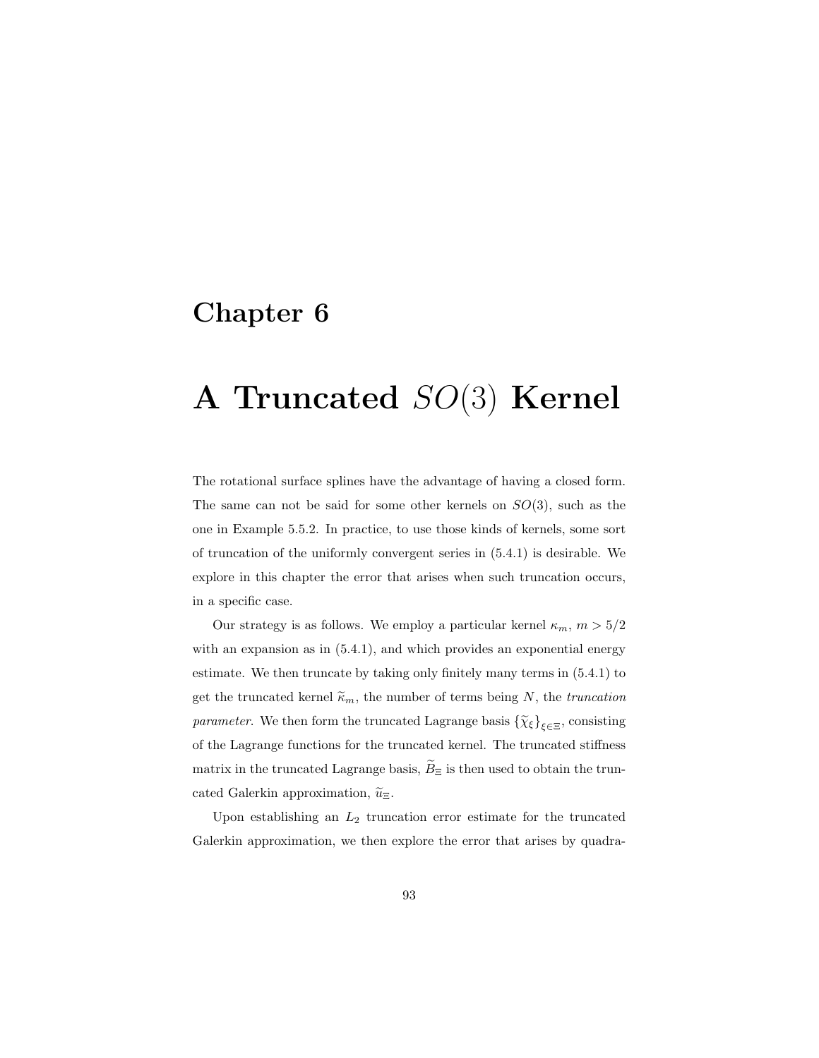## Chapter 6

# A Truncated SO(3) Kernel

The rotational surface splines have the advantage of having a closed form. The same can not be said for some other kernels on  $SO(3)$ , such as the one in Example 5.5.2. In practice, to use those kinds of kernels, some sort of truncation of the uniformly convergent series in (5.4.1) is desirable. We explore in this chapter the error that arises when such truncation occurs, in a specific case.

Our strategy is as follows. We employ a particular kernel  $\kappa_m$ ,  $m > 5/2$ with an expansion as in  $(5.4.1)$ , and which provides an exponential energy estimate. We then truncate by taking only finitely many terms in (5.4.1) to get the truncated kernel  $\widetilde{\kappa}_m$ , the number of terms being N, the truncation *parameter.* We then form the truncated Lagrange basis  $\{\tilde{\chi}_{\xi}\}_{\xi \in \Xi}$ , consisting of the Lagrange functions for the truncated kernel. The truncated stiffness matrix in the truncated Lagrange basis,  $\widetilde{B}_{\Xi}$  is then used to obtain the truncated Galerkin approximation,  $\widetilde{u}_{\Xi}$ .

Upon establishing an  $L_2$  truncation error estimate for the truncated Galerkin approximation, we then explore the error that arises by quadra-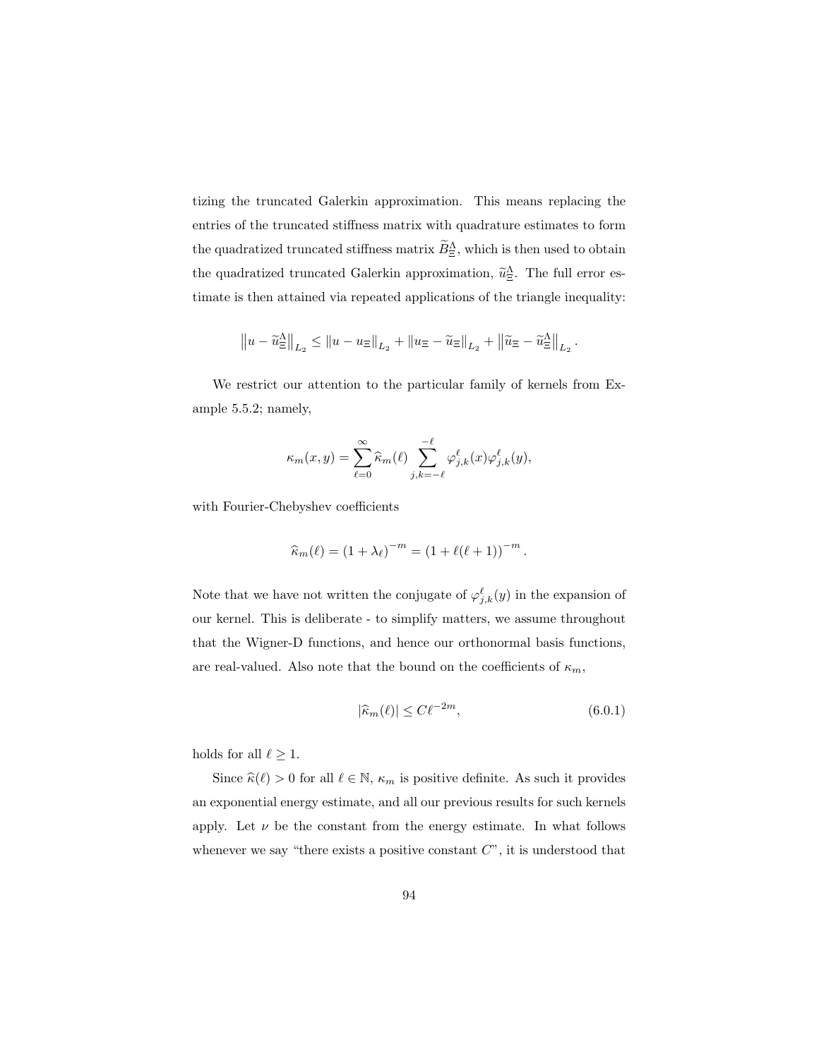tizing the truncated Galerkin approximation. This means replacing the entries of the truncated stiffness matrix with quadrature estimates to form the quadratized truncated stiffness matrix  $\overrightarrow{B}_{\Xi}^{\Lambda}$ , which is then used to obtain the quadratized truncated Galerkin approximation,  $\tilde{u}_{\Xi}^{\Lambda}$ . The full error estimate is then attained via repeated applications of the triangle inequality:

$$
||u - \widetilde{u}_{\Xi}^{\Delta}||_{L_2} \le ||u - u_{\Xi}||_{L_2} + ||u_{\Xi} - \widetilde{u}_{\Xi}||_{L_2} + ||\widetilde{u}_{\Xi} - \widetilde{u}_{\Xi}^{\Delta}||_{L_2}.
$$

We restrict our attention to the particular family of kernels from Example 5.5.2; namely,

$$
\kappa_m(x,y) = \sum_{\ell=0}^{\infty} \widehat{\kappa}_m(\ell) \sum_{j,k=-\ell}^{-\ell} \varphi_{j,k}^{\ell}(x) \varphi_{j,k}^{\ell}(y),
$$

with Fourier-Chebyshev coefficients

$$
\widehat{\kappa}_m(\ell) = (1 + \lambda_\ell)^{-m} = (1 + \ell(\ell + 1))^{-m}.
$$

Note that we have not written the conjugate of  $\varphi_{j,k}^{\ell}(y)$  in the expansion of our kernel. This is deliberate - to simplify matters, we assume throughout that the Wigner-D functions, and hence our orthonormal basis functions, are real-valued. Also note that the bound on the coefficients of  $\kappa_m,$ 

$$
|\widehat{\kappa}_m(\ell)| \le C\ell^{-2m},\tag{6.0.1}
$$

holds for all  $\ell \geq 1.$ 

Since  $\widehat{\kappa}(\ell) > 0$  for all  $\ell \in \mathbb{N}$ ,  $\kappa_m$  is positive definite. As such it provides an exponential energy estimate, and all our previous results for such kernels apply. Let  $\nu$  be the constant from the energy estimate. In what follows whenever we say "there exists a positive constant  $C$ ", it is understood that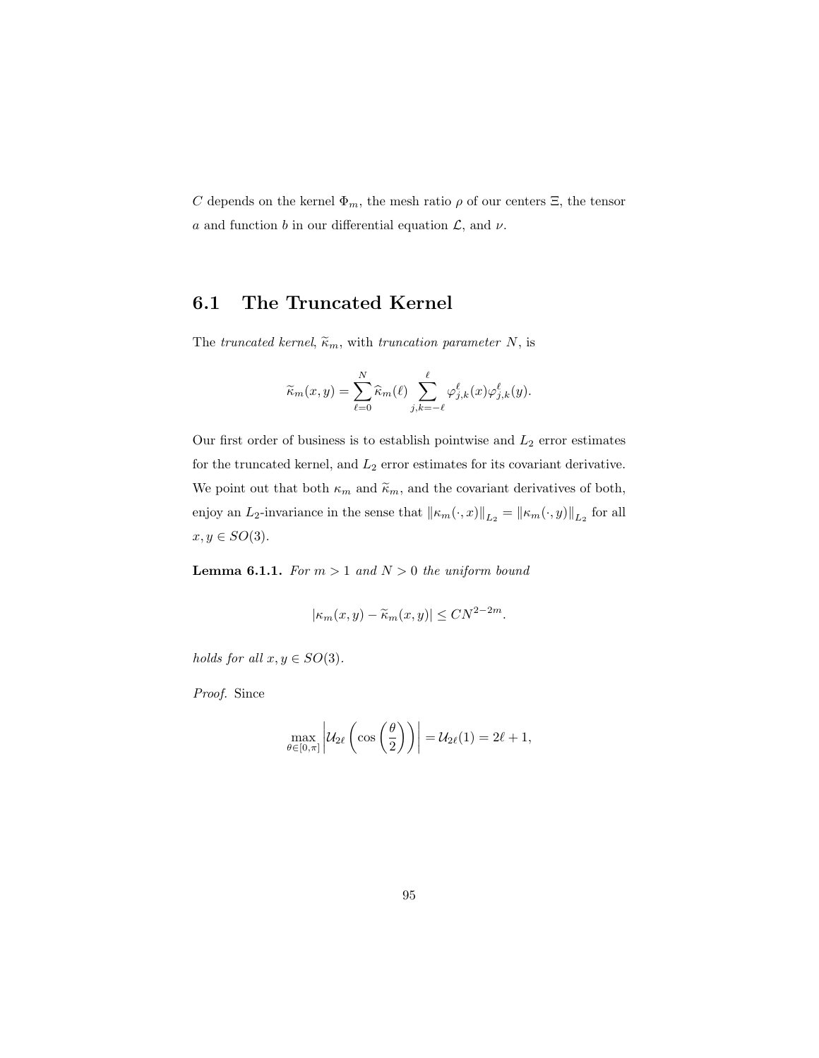C depends on the kernel  $\Phi_m$ , the mesh ratio  $\rho$  of our centers  $\Xi$ , the tensor a and function b in our differential equation  $\mathcal{L}$ , and  $\nu$ .

### 6.1 The Truncated Kernel

The truncated kernel,  $\tilde{\kappa}_m$ , with truncation parameter N, is

$$
\widetilde{\kappa}_m(x,y) = \sum_{\ell=0}^N \widehat{\kappa}_m(\ell) \sum_{j,k=-\ell}^{\ell} \varphi_{j,k}^{\ell}(x) \varphi_{j,k}^{\ell}(y).
$$

Our first order of business is to establish pointwise and  $L_2$  error estimates for the truncated kernel, and  $L_2$  error estimates for its covariant derivative. We point out that both  $\kappa_m$  and  $\widetilde{\kappa}_m,$  and the covariant derivatives of both, enjoy an  $L_2$ -invariance in the sense that  $\|\kappa_m(\cdot, x)\|_{L_2} = \|\kappa_m(\cdot, y)\|_{L_2}$  for all  $x, y \in SO(3)$ .

**Lemma 6.1.1.** For  $m > 1$  and  $N > 0$  the uniform bound

$$
|\kappa_m(x,y)-\widetilde{\kappa}_m(x,y)|\leq CN^{2-2m}.
$$

holds for all  $x, y \in SO(3)$ .

Proof. Since

$$
\max_{\theta \in [0,\pi]} \left| \mathcal{U}_{2\ell} \left( \cos \left( \frac{\theta}{2} \right) \right) \right| = \mathcal{U}_{2\ell}(1) = 2\ell + 1,
$$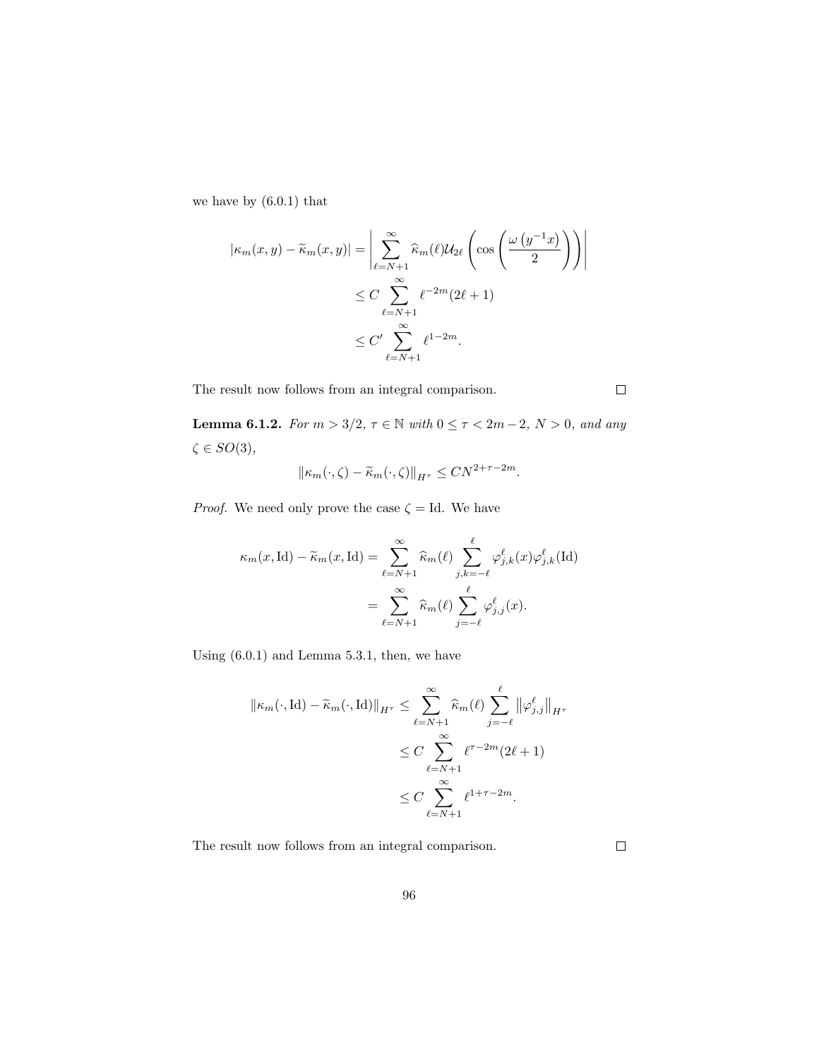we have by (6.0.1) that

$$
|\kappa_m(x, y) - \widetilde{\kappa}_m(x, y)| = \left| \sum_{\ell=N+1}^{\infty} \widehat{\kappa}_m(\ell) \mathcal{U}_{2\ell} \left( \cos \left( \frac{\omega (y^{-1} x)}{2} \right) \right) \right|
$$
  

$$
\leq C \sum_{\ell=N+1}^{\infty} \ell^{-2m} (2\ell + 1)
$$
  

$$
\leq C' \sum_{\ell=N+1}^{\infty} \ell^{1-2m}.
$$

The result now follows from an integral comparison.

Lemma 6.1.2. For  $m > 3/2$ ,  $\tau \in \mathbb{N}$  with  $0 \leq \tau < 2m-2$ ,  $N > 0$ , and any  $\zeta\in SO(3),$ 

$$
\|\kappa_m(\cdot,\zeta)-\widetilde{\kappa}_m(\cdot,\zeta)\|_{H^{\tau}} \leq CN^{2+\tau-2m}.
$$

*Proof.* We need only prove the case  $\zeta =$  Id. We have

$$
\kappa_m(x, \mathrm{Id}) - \widetilde{\kappa}_m(x, \mathrm{Id}) = \sum_{\ell=N+1}^{\infty} \widehat{\kappa}_m(\ell) \sum_{j,k=-\ell}^{\ell} \varphi_{j,k}^{\ell}(x) \varphi_{j,k}^{\ell}(\mathrm{Id})
$$

$$
= \sum_{\ell=N+1}^{\infty} \widehat{\kappa}_m(\ell) \sum_{j=-\ell}^{\ell} \varphi_{j,j}^{\ell}(x).
$$

Using (6.0.1) and Lemma 5.3.1, then, we have

$$
\|\kappa_m(\cdot, \mathrm{Id}) - \widetilde{\kappa}_m(\cdot, \mathrm{Id})\|_{H^{\tau}} \le \sum_{\ell=N+1}^{\infty} \widehat{\kappa}_m(\ell) \sum_{j=-\ell}^{\ell} \|\varphi_{j,j}^{\ell}\|_{H^{\tau}}
$$
  

$$
\le C \sum_{\ell=N+1}^{\infty} \ell^{\tau-2m} (2\ell+1)
$$
  

$$
\le C \sum_{\ell=N+1}^{\infty} \ell^{1+\tau-2m}.
$$

The result now follows from an integral comparison.

 $\Box$ 

 $\Box$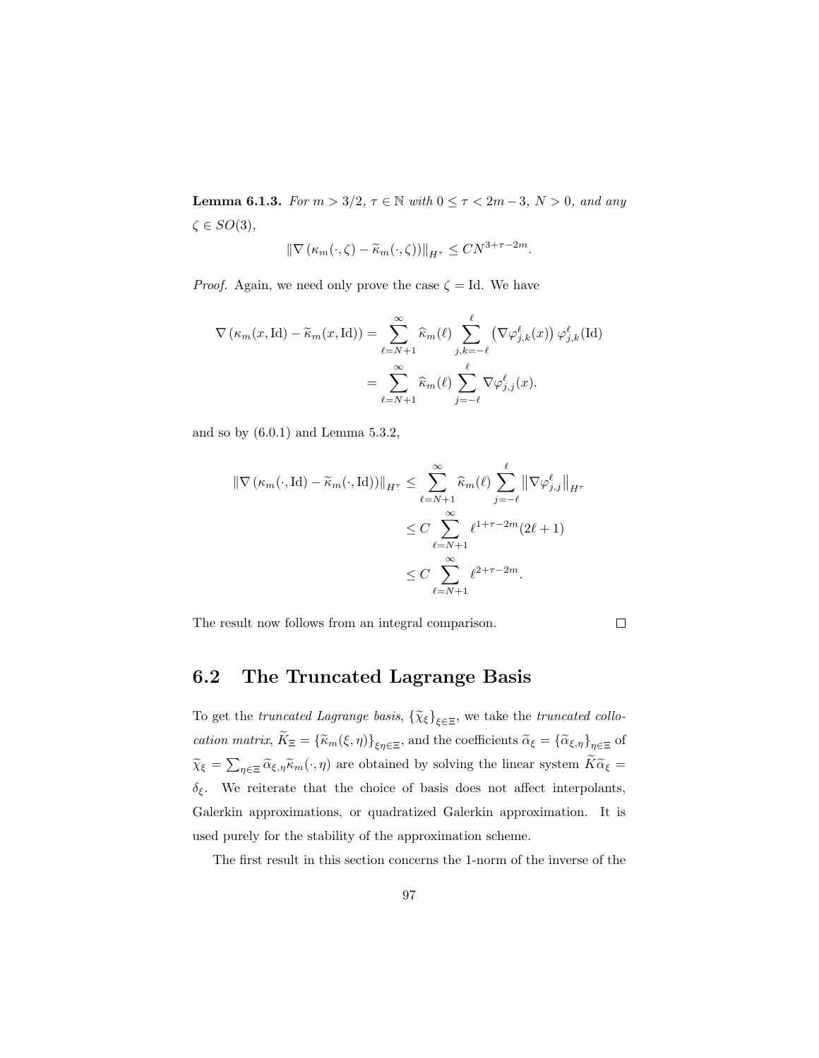**Lemma 6.1.3.** For  $m > 3/2$ ,  $\tau \in \mathbb{N}$  with  $0 \le \tau < 2m-3$ ,  $N > 0$ , and any  $\zeta \in SO(3),$ 

$$
\|\nabla (\kappa_m(\cdot,\zeta)-\widetilde{\kappa}_m(\cdot,\zeta))\|_{H^{\tau}} \leq CN^{3+\tau-2m}.
$$

*Proof.* Again, we need only prove the case  $\zeta = Id$ . We have

$$
\nabla (\kappa_m(x, \mathrm{Id}) - \widetilde{\kappa}_m(x, \mathrm{Id})) = \sum_{\ell=N+1}^{\infty} \widehat{\kappa}_m(\ell) \sum_{j,k=-\ell}^{\ell} (\nabla \varphi_{j,k}^{\ell}(x)) \varphi_{j,k}^{\ell}(\mathrm{Id})
$$

$$
= \sum_{\ell=N+1}^{\infty} \widehat{\kappa}_m(\ell) \sum_{j=-\ell}^{\ell} \nabla \varphi_{j,j}^{\ell}(x).
$$

and so by (6.0.1) and Lemma 5.3.2,

$$
\|\nabla (\kappa_m(\cdot, \mathrm{Id}) - \widetilde{\kappa}_m(\cdot, \mathrm{Id}))\|_{H^{\tau}} \leq \sum_{\ell=N+1}^{\infty} \widehat{\kappa}_m(\ell) \sum_{j=-\ell}^{\ell} \|\nabla \varphi_{j,j}^{\ell}\|_{H^{\tau}}
$$
  

$$
\leq C \sum_{\ell=N+1}^{\infty} \ell^{1+\tau-2m} (2\ell+1)
$$
  

$$
\leq C \sum_{\ell=N+1}^{\infty} \ell^{2+\tau-2m}.
$$

The result now follows from an integral comparison.

 $\Box$ 

## 6.2 The Truncated Lagrange Basis

To get the truncated Lagrange basis,  $\{\widetilde{\chi}_{\xi}\}_{\xi \in \Xi}$ , we take the truncated collocation matrix,  $K_{\Xi} = {\{\widetilde{\kappa}_m(\xi,\eta)\}}_{\xi\eta\in\Xi}$ , and the coefficients  $\widetilde{\alpha}_{\xi} = {\{\widetilde{\alpha}_{\xi,\eta}\}}_{\eta\in\Xi}$  of  $\tilde{\chi}_{\xi} = \sum_{\eta \in \Xi} \tilde{\alpha}_{\xi, \eta} \tilde{\kappa}_m(\cdot, \eta)$  are obtained by solving the linear system  $K \tilde{\alpha}_{\xi} =$  $\delta_{\xi}$ . We reiterate that the choice of basis does not affect interpolants, Galerkin approximations, or quadratized Galerkin approximation. It is used purely for the stability of the approximation scheme.

The first result in this section concerns the 1-norm of the inverse of the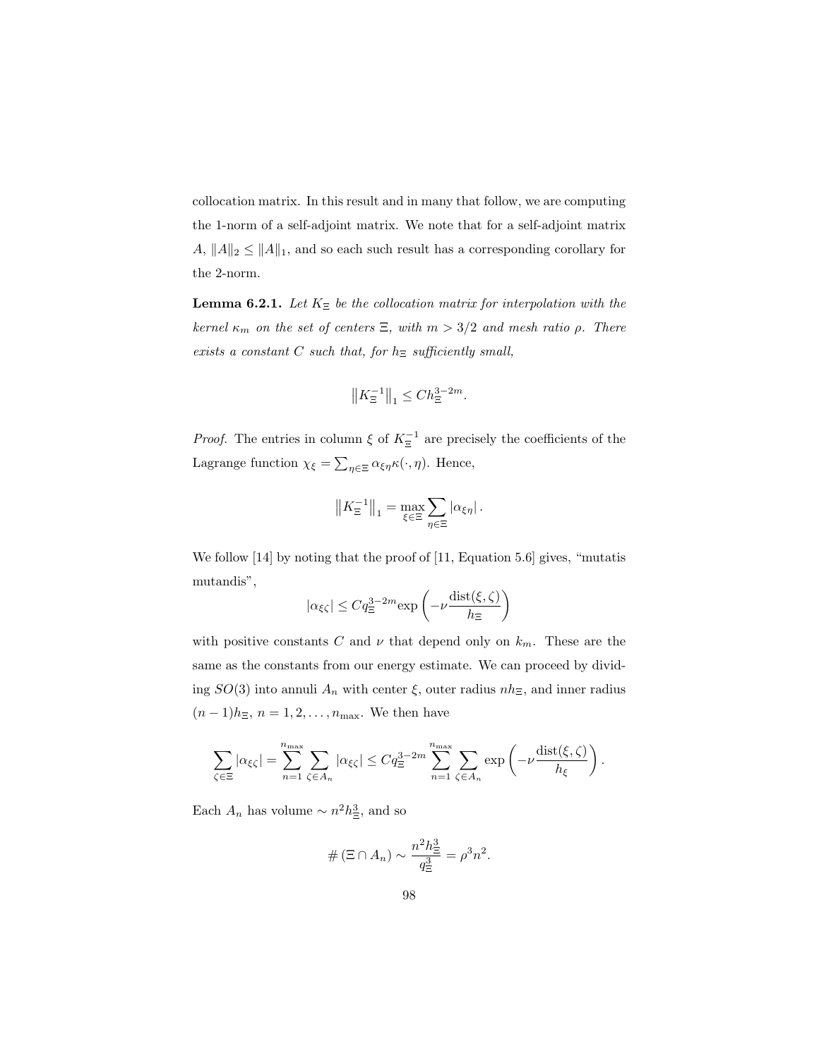collocation matrix. In this result and in many that follow, we are computing the 1-norm of a self-adjoint matrix. We note that for a self-adjoint matrix  $A, \|A\|_2 \leq \|A\|_1$ , and so each such result has a corresponding corollary for the 2-norm.

**Lemma 6.2.1.** Let  $K_{\Xi}$  be the collocation matrix for interpolation with the kernel  $\kappa_m$  on the set of centers  $\Xi$ , with  $m > 3/2$  and mesh ratio  $\rho$ . There exists a constant C such that, for  $h_{\Xi}$  sufficiently small,

$$
\left\|K_{\Xi}^{-1}\right\|_1\leq Ch_{\Xi}^{3-2m}.
$$

*Proof.* The entries in column  $\xi$  of  $K_{\Xi}^{-1}$  are precisely the coefficients of the Lagrange function  $\chi_{\xi} = \sum_{\eta \in \Xi} \alpha_{\xi \eta} \kappa(\cdot, \eta)$ . Hence,

$$
||K_{\Xi}^{-1}||_1 = \max_{\xi \in \Xi} \sum_{\eta \in \Xi} |\alpha_{\xi \eta}|.
$$

We follow [14] by noting that the proof of [11, Equation 5.6] gives, "mutatis mutandis",

$$
|\alpha_{\xi\zeta}|\le Cq_\Xi^{3-2m}\text{exp}\left(-\nu \frac{\text{dist}(\xi,\zeta)}{h_\Xi}\right)
$$

with positive constants C and  $\nu$  that depend only on  $k_m$ . These are the same as the constants from our energy estimate. We can proceed by dividing  $SO(3)$  into annuli  $A_n$  with center  $\xi$ , outer radius  $nh_{\Xi}$ , and inner radius  $(n-1)h_{\Xi}, n=1,2,\ldots,n_{\max}$ . We then have

$$
\sum_{\zeta \in \Xi} |\alpha_{\xi\zeta}| = \sum_{n=1}^{n_{\text{max}}} \sum_{\zeta \in A_n} |\alpha_{\xi\zeta}| \le C q_{\Xi}^{3-2m} \sum_{n=1}^{n_{\text{max}}} \sum_{\zeta \in A_n} \exp\left(-\nu \frac{\text{dist}(\xi,\zeta)}{h_{\xi}}\right).
$$

Each  $A_n$  has volume  $\sim n^2 h_{\Xi}^3$ , and so

$$
# (\Xi \cap A_n) \sim \frac{n^2 h_{\Xi}^2}{q_{\Xi}^2} = \rho^3 n^2.
$$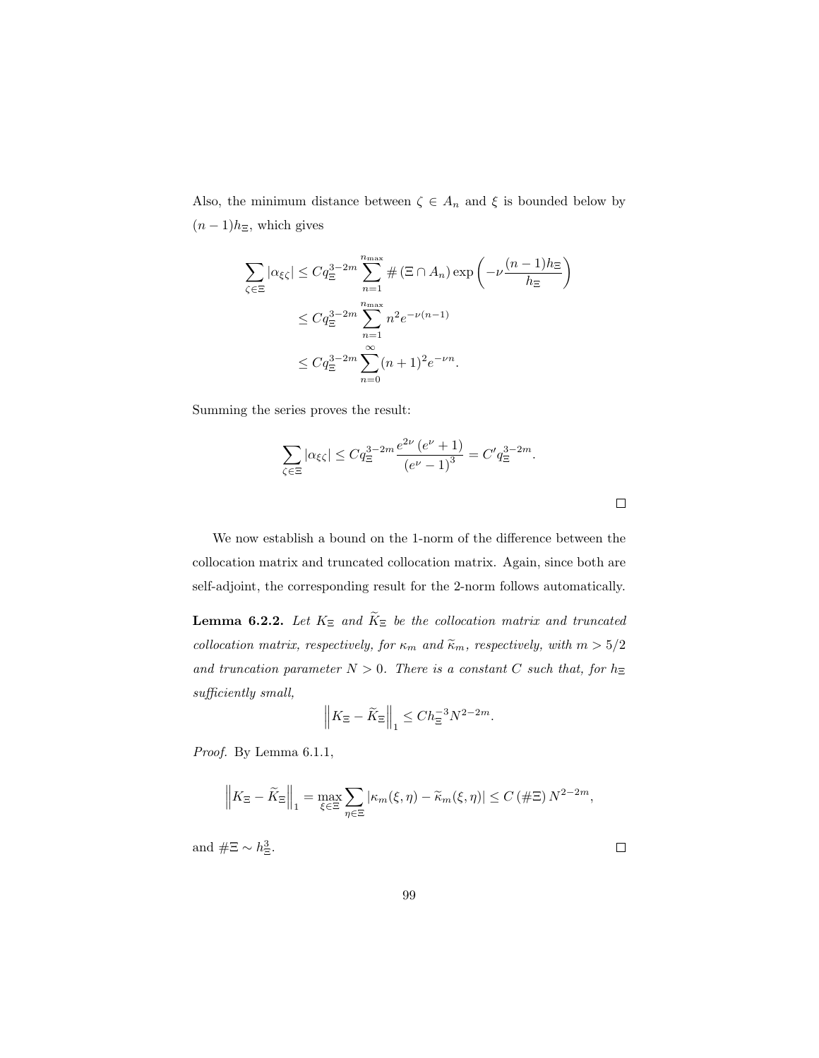Also, the minimum distance between  $\zeta \in A_n$  and  $\xi$  is bounded below by  $(n-1)h_{\Xi}$ , which gives

$$
\sum_{\zeta \in \Xi} |\alpha_{\xi\zeta}| \le C q_{\Xi}^{3-2m} \sum_{n=1}^{n_{\text{max}}} \# (\Xi \cap A_n) \exp\left(-\nu \frac{(n-1)h_{\Xi}}{h_{\Xi}}\right)
$$
  

$$
\le C q_{\Xi}^{3-2m} \sum_{n=1}^{n_{\text{max}}} n^2 e^{-\nu(n-1)}
$$
  

$$
\le C q_{\Xi}^{3-2m} \sum_{n=0}^{\infty} (n+1)^2 e^{-\nu n}.
$$

Summing the series proves the result:

$$
\sum_{\zeta \in \Xi} |\alpha_{\xi\zeta}| \le C q_{\Xi}^{3-2m} \frac{e^{2\nu} (e^{\nu} + 1)}{(e^{\nu} - 1)^3} = C' q_{\Xi}^{3-2m}.
$$

We now establish a bound on the 1-norm of the difference between the collocation matrix and truncated collocation matrix. Again, since both are self-adjoint, the corresponding result for the 2-norm follows automatically.

**Lemma 6.2.2.** Let  $K_{\Xi}$  and  $\widetilde{K}_{\Xi}$  be the collocation matrix and truncated collocation matrix, respectively, for  $\kappa_m$  and  $\widetilde{\kappa}_m$ , respectively, with  $m>5/2$ and truncation parameter  $N > 0$ . There is a constant C such that, for  $h_{\Xi}$ sufficiently small,

$$
\left\| K_{\Xi} - \widetilde{K}_{\Xi} \right\|_1 \le C h_{\Xi}^{-3} N^{2-2m}.
$$

Proof. By Lemma 6.1.1,

$$
\left\| K_{\Xi} - \widetilde{K}_{\Xi} \right\|_1 = \max_{\xi \in \Xi} \sum_{\eta \in \Xi} |\kappa_m(\xi, \eta) - \widetilde{\kappa}_m(\xi, \eta)| \le C \left( \#\Xi \right) N^{2-2m},
$$

and  $# \Xi \sim h_{\Xi}^3$ .

 $\Box$ 

 $\Box$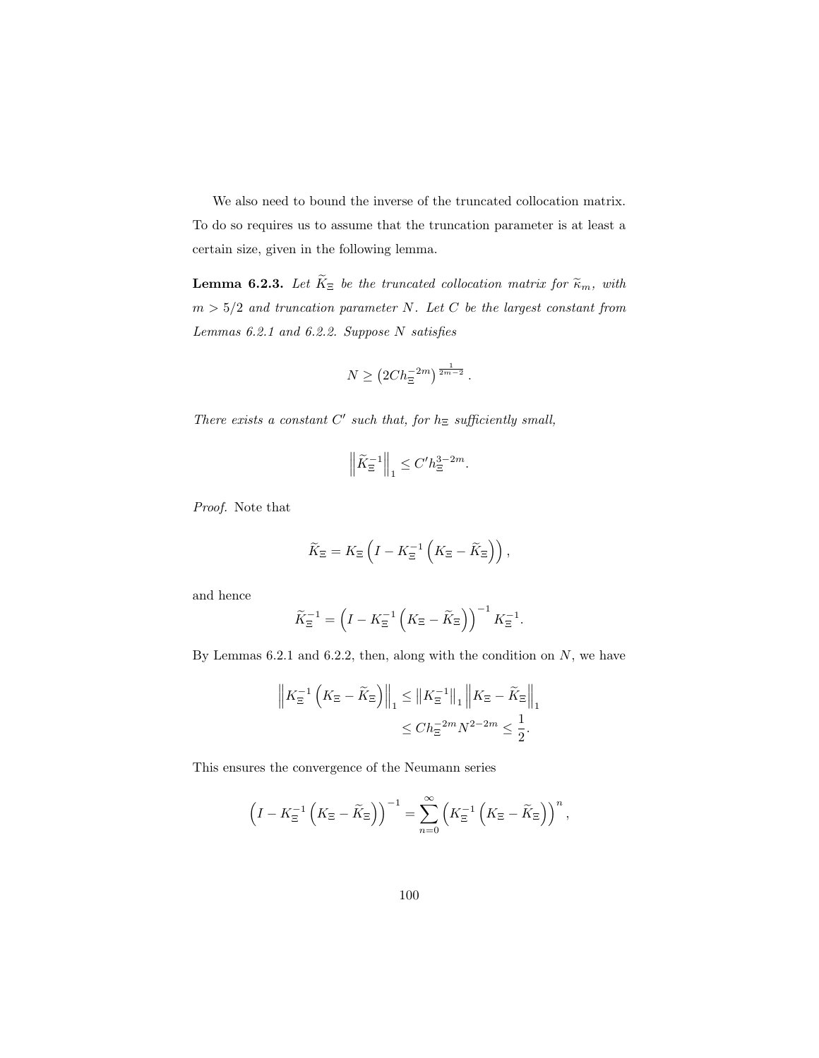We also need to bound the inverse of the truncated collocation matrix. To do so requires us to assume that the truncation parameter is at least a certain size, given in the following lemma.

**Lemma 6.2.3.** Let  $\widetilde{K}_{\Xi}$  be the truncated collocation matrix for  $\widetilde{\kappa}_m$ , with  $m > 5/2$  and truncation parameter N. Let C be the largest constant from Lemmas 6.2.1 and 6.2.2. Suppose N satisfies

$$
N \ge (2C h_{\Xi}^{-2m})^{\frac{1}{2m-2}}.
$$

There exists a constant  $C'$  such that, for  $h_{\Xi}$  sufficiently small,

$$
\left\|\widetilde{K}_{\Xi}^{-1}\right\|_1 \le C'h_{\Xi}^{3-2m}.
$$

Proof. Note that

$$
\widetilde{K}_{\Xi} = K_{\Xi} \left( I - K_{\Xi}^{-1} \left( K_{\Xi} - \widetilde{K}_{\Xi} \right) \right),
$$

and hence

$$
\widetilde{K}_{\Xi}^{-1} = \left(I - K_{\Xi}^{-1} \left(K_{\Xi} - \widetilde{K}_{\Xi}\right)\right)^{-1} K_{\Xi}^{-1}.
$$

By Lemmas  $6.2.1$  and  $6.2.2$ , then, along with the condition on N, we have

$$
\|K_{\Xi}^{-1}\left(K_{\Xi}-\widetilde{K}_{\Xi}\right)\|_{1} \leq \|K_{\Xi}^{-1}\|_{1} \|K_{\Xi}-\widetilde{K}_{\Xi}\|_{1}
$$

$$
\leq Ch_{\Xi}^{-2m}N^{2-2m} \leq \frac{1}{2}.
$$

This ensures the convergence of the Neumann series

$$
\left(I - K_{\Xi}^{-1}\left(K_{\Xi} - \widetilde{K}_{\Xi}\right)\right)^{-1} = \sum_{n=0}^{\infty} \left(K_{\Xi}^{-1}\left(K_{\Xi} - \widetilde{K}_{\Xi}\right)\right)^{n},
$$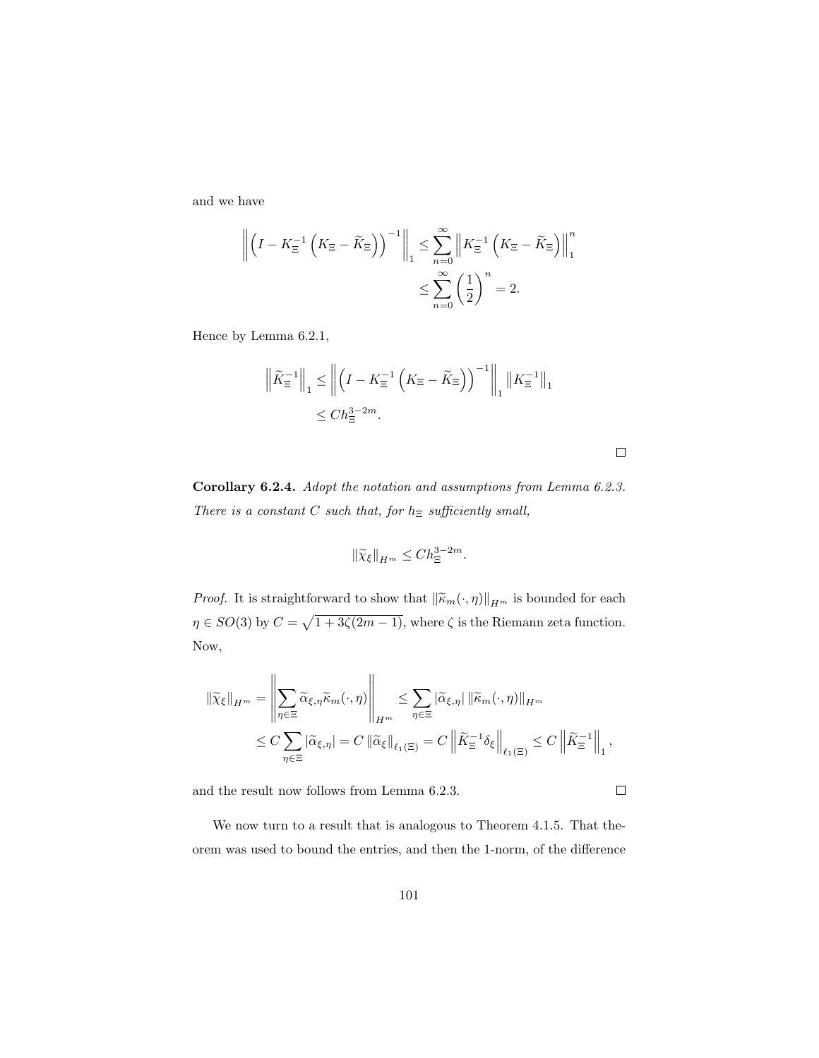and we have

$$
\left\| \left(I - K_{\Xi}^{-1} \left( K_{\Xi} - \widetilde{K}_{\Xi} \right) \right)^{-1} \right\|_{1} \leq \sum_{n=0}^{\infty} \left\| K_{\Xi}^{-1} \left( K_{\Xi} - \widetilde{K}_{\Xi} \right) \right\|_{1}^{n}
$$

$$
\leq \sum_{n=0}^{\infty} \left( \frac{1}{2} \right)^{n} = 2.
$$

Hence by Lemma 6.2.1,

$$
\left\| \widetilde{K}_{\Xi}^{-1} \right\|_{1} \leq \left\| \left( I - K_{\Xi}^{-1} \left( K_{\Xi} - \widetilde{K}_{\Xi} \right) \right)^{-1} \right\|_{1} \left\| K_{\Xi}^{-1} \right\|_{1}
$$

$$
\leq C h_{\Xi}^{3-2m}.
$$

Corollary 6.2.4. Adopt the notation and assumptions from Lemma 6.2.3. There is a constant  $C$  such that, for  $h_{\Xi}$  sufficiently small,

$$
\|\widetilde{\chi}_{\xi}\|_{H^m} \le Ch_{\Xi}^{3-2m}.
$$

*Proof.* It is straightforward to show that  $\|\widetilde{\kappa}_m(\cdot, \eta)\|_{H^m}$  is bounded for each  $\eta \in SO(3)$  by  $C = \sqrt{1 + 3\zeta(2m-1)}$ , where  $\zeta$  is the Riemann zeta function. Now,

$$
\begin{split} \left\| \widetilde{\chi}_{\xi} \right\|_{H^m} &= \left\| \sum_{\eta \in \Xi} \widetilde{\alpha}_{\xi, \eta} \widetilde{\kappa}_m(\cdot, \eta) \right\|_{H^m} \le \sum_{\eta \in \Xi} \left| \widetilde{\alpha}_{\xi, \eta} \right| \left\| \widetilde{\kappa}_m(\cdot, \eta) \right\|_{H^m} \\ &\le C \sum_{\eta \in \Xi} \left| \widetilde{\alpha}_{\xi, \eta} \right| = C \left\| \widetilde{\alpha}_{\xi} \right\|_{\ell_1(\Xi)} = C \left\| \widetilde{K}_{\Xi}^{-1} \delta_{\xi} \right\|_{\ell_1(\Xi)} \le C \left\| \widetilde{K}_{\Xi}^{-1} \right\|_{1}, \end{split}
$$

and the result now follows from Lemma 6.2.3.

 $\Box$ 

We now turn to a result that is analogous to Theorem 4.1.5. That theorem was used to bound the entries, and then the 1-norm, of the difference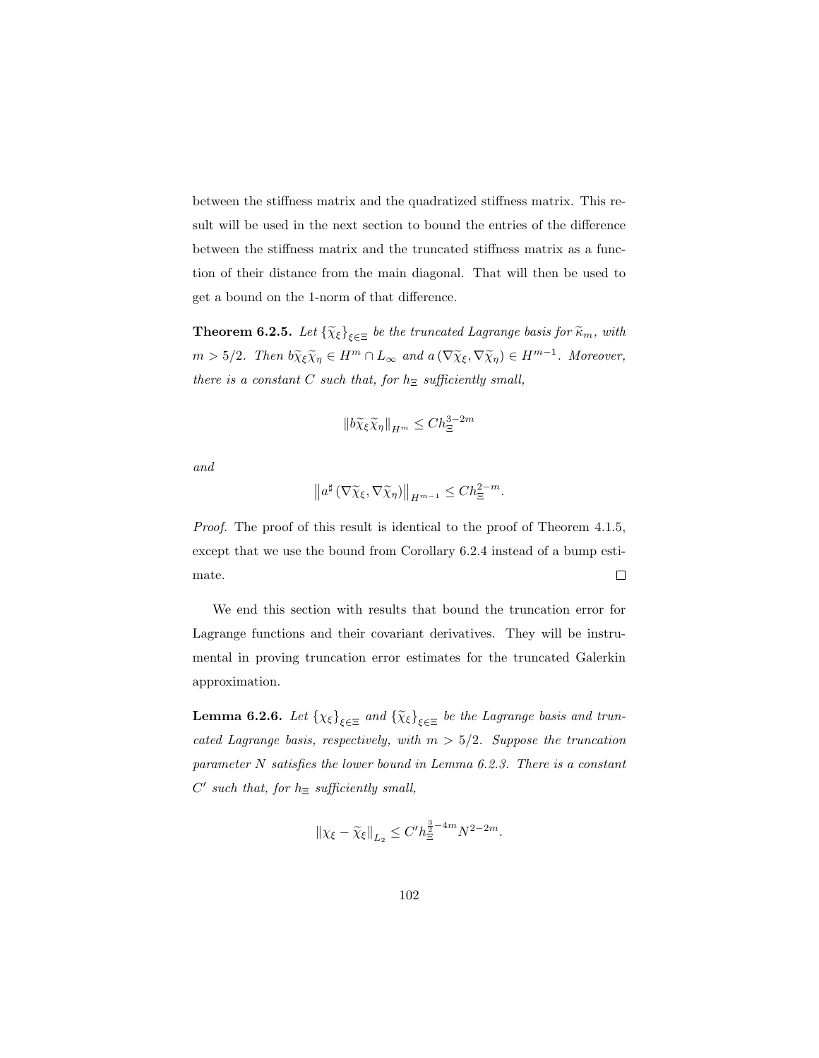between the stiffness matrix and the quadratized stiffness matrix. This result will be used in the next section to bound the entries of the difference between the stiffness matrix and the truncated stiffness matrix as a function of their distance from the main diagonal. That will then be used to get a bound on the 1-norm of that difference.

**Theorem 6.2.5.** Let  $\{\widetilde{\chi}_{\xi}\}_{\xi \in \Xi}$  be the truncated Lagrange basis for  $\widetilde{\kappa}_m$ , with  $m > 5/2$ . Then  $b\widetilde{\chi}_{\xi}\widetilde{\chi}_{\eta} \in H^m \cap L_{\infty}$  and  $a(\nabla \widetilde{\chi}_{\xi}, \nabla \widetilde{\chi}_{\eta}) \in H^{m-1}$ . Moreover, there is a constant C such that, for  $h_{\Xi}$  sufficiently small,

$$
||b\widetilde{\chi}_{\xi}\widetilde{\chi}_{\eta}||_{H^m} \le Ch_{\Xi}^{3-2m}
$$

and

$$
\left\|a^{\sharp}\left(\nabla\widetilde{\chi}_{\xi},\nabla\widetilde{\chi}_{\eta}\right)\right\|_{H^{m-1}}\leq Ch_{\Xi}^{2-m}.
$$

Proof. The proof of this result is identical to the proof of Theorem 4.1.5, except that we use the bound from Corollary 6.2.4 instead of a bump estimate.  $\Box$ 

We end this section with results that bound the truncation error for Lagrange functions and their covariant derivatives. They will be instrumental in proving truncation error estimates for the truncated Galerkin approximation.

**Lemma 6.2.6.** Let  $\{\chi_{\xi}\}_{\xi \in \Xi}$  and  $\{\widetilde{\chi}_{\xi}\}_{\xi \in \Xi}$  be the Lagrange basis and truncated Lagrange basis, respectively, with  $m > 5/2$ . Suppose the truncation parameter N satisfies the lower bound in Lemma 6.2.3. There is a constant  $C'$  such that, for  $h_{\Xi}$  sufficiently small,

$$
\|\chi_{\xi}-\widetilde{\chi}_{\xi}\|_{L_2} \leq C' h_{\Xi}^{\frac{3}{2}-4m} N^{2-2m}.
$$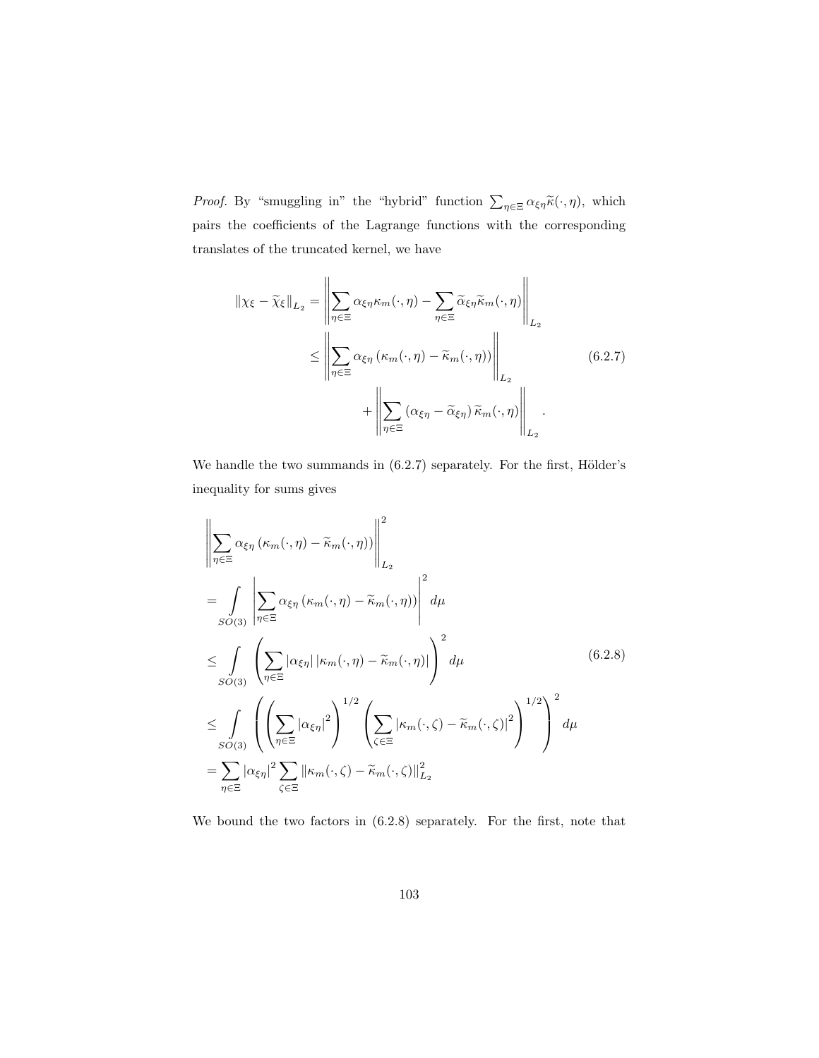*Proof.* By "smuggling in" the "hybrid" function  $\sum_{\eta \in \Xi} \alpha_{\xi \eta} \tilde{\kappa}(\cdot, \eta)$ , which pairs the coefficients of the Lagrange functions with the corresponding translates of the truncated kernel, we have

$$
\|\chi_{\xi} - \widetilde{\chi}_{\xi}\|_{L_{2}} = \left\|\sum_{\eta \in \Xi} \alpha_{\xi\eta} \kappa_{m}(\cdot, \eta) - \sum_{\eta \in \Xi} \widetilde{\alpha}_{\xi\eta} \widetilde{\kappa}_{m}(\cdot, \eta)\right\|_{L_{2}} \leq \left\|\sum_{\eta \in \Xi} \alpha_{\xi\eta} \left(\kappa_{m}(\cdot, \eta) - \widetilde{\kappa}_{m}(\cdot, \eta)\right)\right\|_{L_{2}} + \left\|\sum_{\eta \in \Xi} (\alpha_{\xi\eta} - \widetilde{\alpha}_{\xi\eta}) \widetilde{\kappa}_{m}(\cdot, \eta)\right\|_{L_{2}}.
$$
\n(6.2.7)

We handle the two summands in  $(6.2.7)$  separately. For the first, Hölder's inequality for sums gives

$$
\left\| \sum_{\eta \in \Xi} \alpha_{\xi \eta} \left( \kappa_m(\cdot, \eta) - \widetilde{\kappa}_m(\cdot, \eta) \right) \right\|_{L_2}^2
$$
\n
$$
= \int_{SO(3)} \left\| \sum_{\eta \in \Xi} \alpha_{\xi \eta} \left( \kappa_m(\cdot, \eta) - \widetilde{\kappa}_m(\cdot, \eta) \right) \right\|_{L_2}^2 d\mu
$$
\n
$$
\leq \int_{SO(3)} \left( \sum_{\eta \in \Xi} |\alpha_{\xi \eta}| |\kappa_m(\cdot, \eta) - \widetilde{\kappa}_m(\cdot, \eta)| \right)^2 d\mu
$$
\n
$$
\leq \int_{SO(3)} \left( \left( \sum_{\eta \in \Xi} |\alpha_{\xi \eta}|^2 \right)^{1/2} \left( \sum_{\zeta \in \Xi} |\kappa_m(\cdot, \zeta) - \widetilde{\kappa}_m(\cdot, \zeta)|^2 \right)^{1/2} \right)^2 d\mu
$$
\n
$$
= \sum_{\eta \in \Xi} |\alpha_{\xi \eta}|^2 \sum_{\zeta \in \Xi} ||\kappa_m(\cdot, \zeta) - \widetilde{\kappa}_m(\cdot, \zeta)||_{L_2}^2
$$
\n(6.2.8)

We bound the two factors in (6.2.8) separately. For the first, note that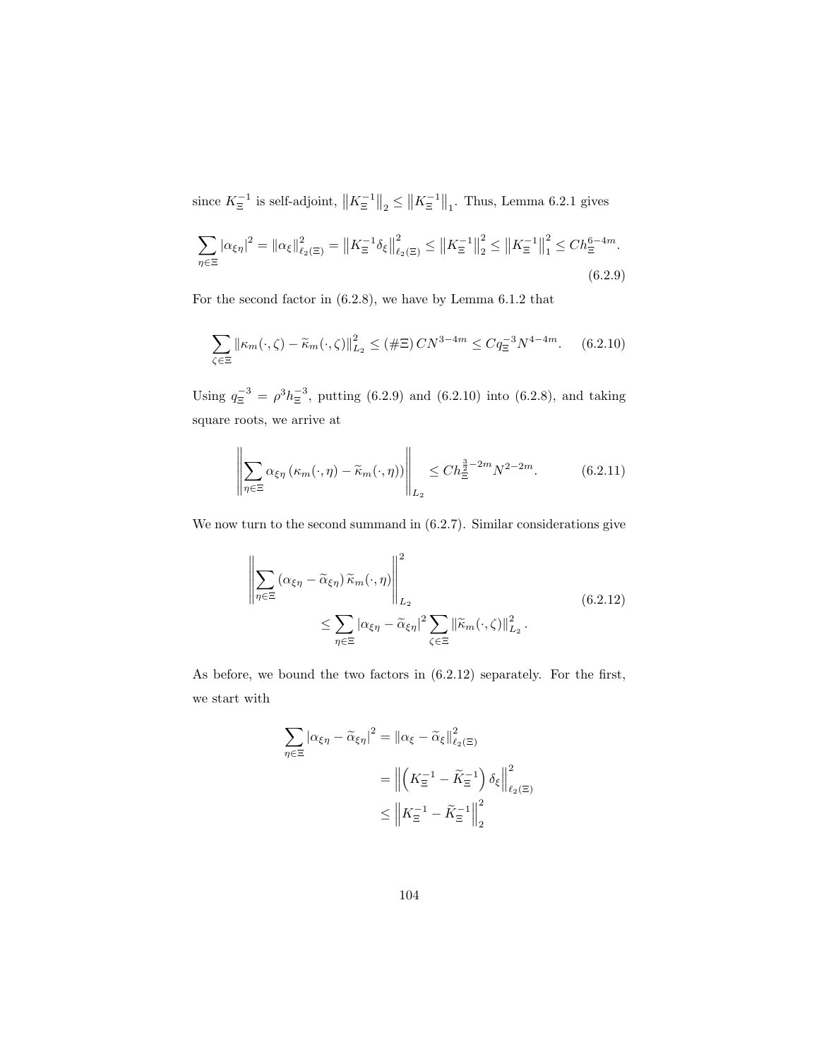since  $K_{\Xi}^{-1}$  is self-adjoint,  $||K_{\Xi}^{-1}||_2 \le ||K_{\Xi}^{-1}||_1$ . Thus, Lemma 6.2.1 gives

$$
\sum_{\eta \in \Xi} |\alpha_{\xi\eta}|^2 = ||\alpha_{\xi}||_{\ell_2(\Xi)}^2 = ||K_{\Xi}^{-1}\delta_{\xi}||_{\ell_2(\Xi)}^2 \le ||K_{\Xi}^{-1}||_2^2 \le ||K_{\Xi}^{-1}||_1^2 \le Ch_{\Xi}^{6-4m}.
$$
\n(6.2.9)

For the second factor in (6.2.8), we have by Lemma 6.1.2 that

$$
\sum_{\zeta \in \Xi} \|\kappa_m(\cdot, \zeta) - \tilde{\kappa}_m(\cdot, \zeta)\|_{L_2}^2 \le (\#\Xi) \, CN^{3-4m} \le Cq_{\Xi}^{-3} N^{4-4m}.\tag{6.2.10}
$$

Using  $q_{\Xi}^{-3} = \rho^3 h_{\Xi}^{-3}$ , putting (6.2.9) and (6.2.10) into (6.2.8), and taking square roots, we arrive at

$$
\left\| \sum_{\eta \in \Xi} \alpha_{\xi \eta} \left( \kappa_m(\cdot, \eta) - \widetilde{\kappa}_m(\cdot, \eta) \right) \right\|_{L_2} \le C h_{\Xi}^{\frac{3}{2} - 2m} N^{2 - 2m}.
$$
 (6.2.11)

We now turn to the second summand in  $(6.2.7)$ . Similar considerations give

$$
\left\| \sum_{\eta \in \Xi} (\alpha_{\xi\eta} - \widetilde{\alpha}_{\xi\eta}) \widetilde{\kappa}_m(\cdot, \eta) \right\|_{L_2}^2
$$
\n
$$
\leq \sum_{\eta \in \Xi} |\alpha_{\xi\eta} - \widetilde{\alpha}_{\xi\eta}|^2 \sum_{\zeta \in \Xi} ||\widetilde{\kappa}_m(\cdot, \zeta)||_{L_2}^2.
$$
\n(6.2.12)

As before, we bound the two factors in (6.2.12) separately. For the first, we start with

$$
\sum_{\eta \in \Xi} |\alpha_{\xi\eta} - \widetilde{\alpha}_{\xi\eta}|^2 = ||\alpha_{\xi} - \widetilde{\alpha}_{\xi}||_{\ell_2(\Xi)}^2
$$

$$
= ||\left(K_{\Xi}^{-1} - \widetilde{K}_{\Xi}^{-1}\right)\delta_{\xi}||_{\ell_2(\Xi)}^2
$$

$$
\leq ||K_{\Xi}^{-1} - \widetilde{K}_{\Xi}^{-1}||_2^2
$$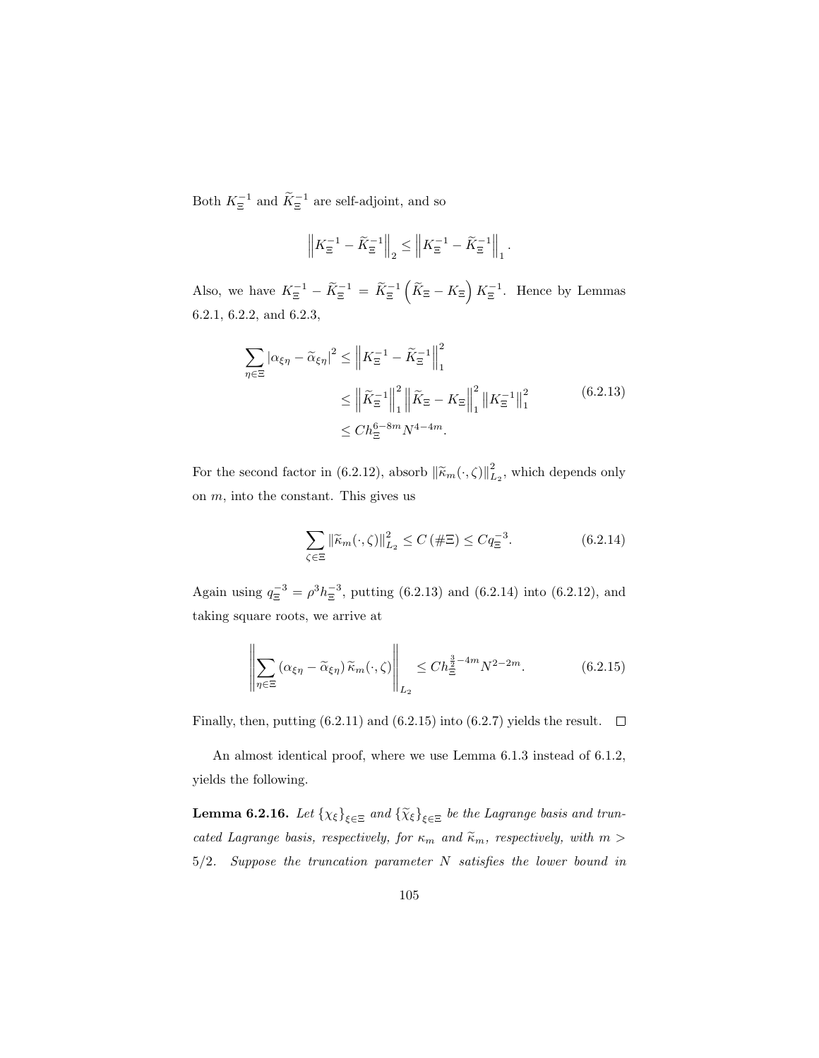Both  $K_{\Xi}^{-1}$  and  $\widetilde{K}_{\Xi}^{-1}$  are self-adjoint, and so

$$
\left\|K_{\Xi}^{-1} - \widetilde{K}_{\Xi}^{-1}\right\|_2 \le \left\|K_{\Xi}^{-1} - \widetilde{K}_{\Xi}^{-1}\right\|_1
$$

Also, we have  $K_{\Xi}^{-1} - \widetilde{K}_{\Xi}^{-1} = \widetilde{K}_{\Xi}^{-1} \left( \widetilde{K}_{\Xi} - K_{\Xi} \right) K_{\Xi}^{-1}$ . Hence by Lemmas 6.2.1, 6.2.2, and 6.2.3,

$$
\sum_{\eta \in \Xi} |\alpha_{\xi\eta} - \tilde{\alpha}_{\xi\eta}|^2 \le \|K_{\Xi}^{-1} - \tilde{K}_{\Xi}^{-1}\|_1^2
$$
  

$$
\le \|\tilde{K}_{\Xi}^{-1}\|_1^2 \|\tilde{K}_{\Xi} - K_{\Xi}\|_1^2 \|K_{\Xi}^{-1}\|_1^2
$$
(6.2.13)  

$$
\le Ch_{\Xi}^{6-8m} N^{4-4m}.
$$

.

For the second factor in (6.2.12), absorb  $\|\widetilde{\kappa}_m(\cdot,\zeta)\|_{L_2}^2$ , which depends only on m, into the constant. This gives us

$$
\sum_{\zeta \in \Xi} \left\| \widetilde{\kappa}_m(\cdot, \zeta) \right\|_{L_2}^2 \le C \left( \#\Xi \right) \le C q_{\Xi}^{-3}.
$$
 (6.2.14)

Again using  $q_{\Xi}^{-3} = \rho^3 h_{\Xi}^{-3}$ , putting (6.2.13) and (6.2.14) into (6.2.12), and taking square roots, we arrive at

$$
\left\| \sum_{\eta \in \Xi} \left( \alpha_{\xi\eta} - \widetilde{\alpha}_{\xi\eta} \right) \widetilde{\kappa}_m(\cdot, \zeta) \right\|_{L_2} \le C h_{\Xi}^{\frac{3}{2} - 4m} N^{2 - 2m}.
$$
 (6.2.15)

Finally, then, putting (6.2.11) and (6.2.15) into (6.2.7) yields the result.  $\Box$ 

An almost identical proof, where we use Lemma 6.1.3 instead of 6.1.2, yields the following.

**Lemma 6.2.16.** Let  $\{\chi_{\xi}\}_{\xi \in \Xi}$  and  $\{\widetilde{\chi}_{\xi}\}_{\xi \in \Xi}$  be the Lagrange basis and truncated Lagrange basis, respectively, for  $\kappa_m$  and  $\widetilde{\kappa}_m$ , respectively, with  $m >$ 5/2. Suppose the truncation parameter N satisfies the lower bound in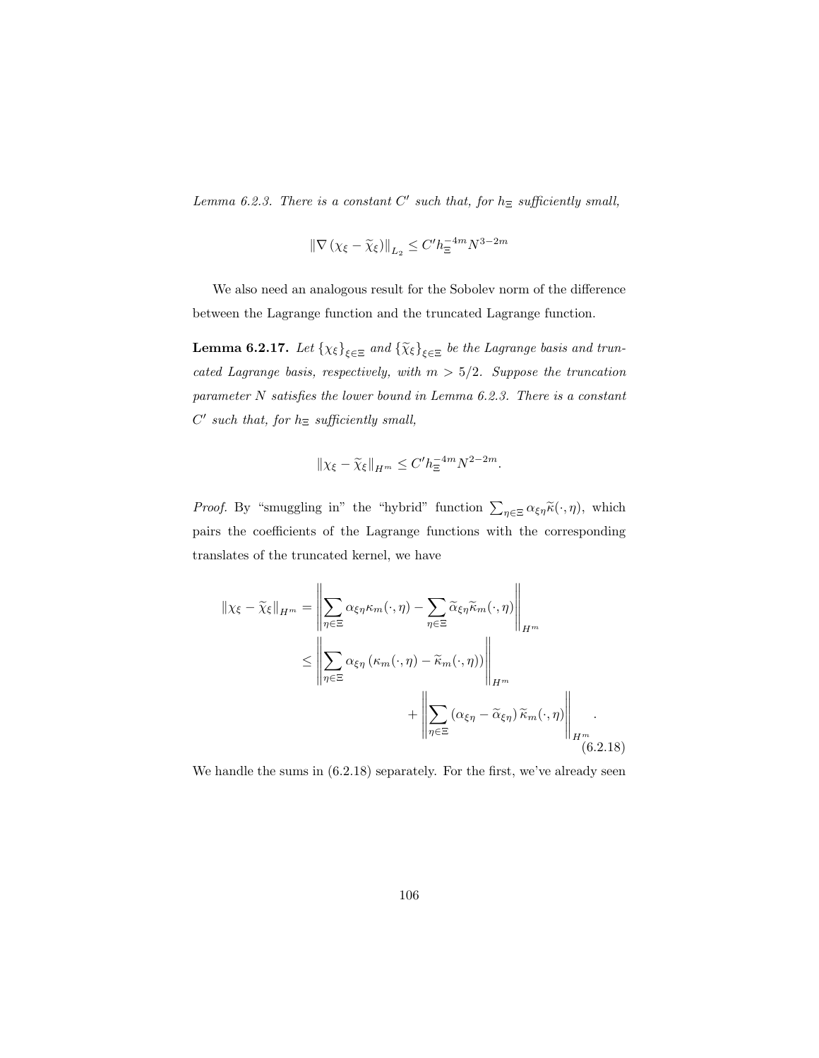Lemma 6.2.3. There is a constant  $C'$  such that, for  $h_{\Xi}$  sufficiently small,

$$
\left\|\nabla\left(\chi_{\xi}-\widetilde{\chi}_{\xi}\right)\right\|_{L_2}\leq C'h_{\Xi}^{-4m}N^{3-2m}
$$

We also need an analogous result for the Sobolev norm of the difference between the Lagrange function and the truncated Lagrange function.

**Lemma 6.2.17.** Let  $\{\chi_{\xi}\}_{\xi \in \Xi}$  and  $\{\widetilde{\chi}_{\xi}\}_{\xi \in \Xi}$  be the Lagrange basis and truncated Lagrange basis, respectively, with  $m > 5/2$ . Suppose the truncation parameter N satisfies the lower bound in Lemma 6.2.3. There is a constant  $C'$  such that, for  $h_{\Xi}$  sufficiently small,

$$
\|\chi_{\xi}-\widetilde{\chi}_{\xi}\|_{H^m} \leq C' h_{\Xi}^{-4m} N^{2-2m}.
$$

*Proof.* By "smuggling in" the "hybrid" function  $\sum_{\eta \in \Xi} \alpha_{\xi \eta} \tilde{\kappa}(\cdot, \eta)$ , which pairs the coefficients of the Lagrange functions with the corresponding translates of the truncated kernel, we have

$$
\|\chi_{\xi} - \widetilde{\chi}_{\xi}\|_{H^m} = \left\|\sum_{\eta \in \Xi} \alpha_{\xi\eta} \kappa_m(\cdot, \eta) - \sum_{\eta \in \Xi} \widetilde{\alpha}_{\xi\eta} \widetilde{\kappa}_m(\cdot, \eta)\right\|_{H^m}
$$
  

$$
\leq \left\|\sum_{\eta \in \Xi} \alpha_{\xi\eta} (\kappa_m(\cdot, \eta) - \widetilde{\kappa}_m(\cdot, \eta))\right\|_{H^m}
$$
  

$$
+ \left\|\sum_{\eta \in \Xi} (\alpha_{\xi\eta} - \widetilde{\alpha}_{\xi\eta}) \widetilde{\kappa}_m(\cdot, \eta)\right\|_{H^m}
$$
  
(6.2.18)

We handle the sums in  $(6.2.18)$  separately. For the first, we've already seen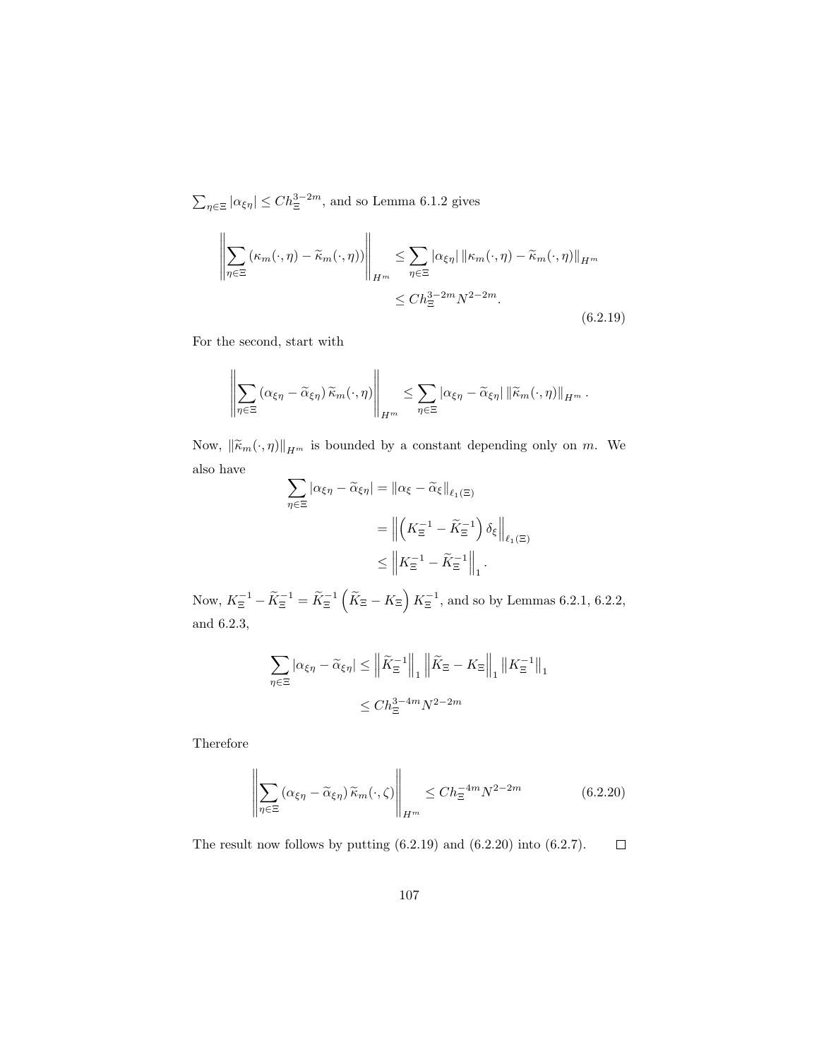$\sum_{\eta \in \Xi} |\alpha_{\xi\eta}| \leq C h_{\Xi}^{3-2m}$ , and so Lemma 6.1.2 gives

$$
\left\| \sum_{\eta \in \Xi} (\kappa_m(\cdot, \eta) - \widetilde{\kappa}_m(\cdot, \eta)) \right\|_{H^m} \leq \sum_{\eta \in \Xi} |\alpha_{\xi\eta}| \left\| \kappa_m(\cdot, \eta) - \widetilde{\kappa}_m(\cdot, \eta) \right\|_{H^m}
$$
  

$$
\leq Ch_{\Xi}^{3-2m} N^{2-2m}.
$$
 (6.2.19)

For the second, start with

$$
\left\|\sum_{\eta\in\Xi}\left(\alpha_{\xi\eta}-\widetilde{\alpha}_{\xi\eta}\right)\widetilde{\kappa}_m(\cdot,\eta)\right\|_{H^m}\leq \sum_{\eta\in\Xi}|\alpha_{\xi\eta}-\widetilde{\alpha}_{\xi\eta}|\left\|\widetilde{\kappa}_m(\cdot,\eta)\right\|_{H^m}.
$$

Now,  $\|\widetilde{\kappa}_m(\cdot, \eta)\|_{H^m}$  is bounded by a constant depending only on m. We also have

$$
\sum_{\eta \in \Xi} |\alpha_{\xi\eta} - \widetilde{\alpha}_{\xi\eta}| = \|\alpha_{\xi} - \widetilde{\alpha}_{\xi}\|_{\ell_1(\Xi)}
$$
  
= 
$$
\left\|\left(K_{\Xi}^{-1} - \widetilde{K}_{\Xi}^{-1}\right)\delta_{\xi}\right\|_{\ell_1(\Xi)}
$$
  

$$
\leq \left\|K_{\Xi}^{-1} - \widetilde{K}_{\Xi}^{-1}\right\|_{1}.
$$

Now,  $K_{\Xi}^{-1} - \widetilde{K}_{\Xi}^{-1} = \widetilde{K}_{\Xi}^{-1} \left( \widetilde{K}_{\Xi} - K_{\Xi} \right) K_{\Xi}^{-1}$ , and so by Lemmas 6.2.1, 6.2.2, and 6.2.3,

$$
\sum_{\eta \in \Xi} |\alpha_{\xi\eta} - \widetilde{\alpha}_{\xi\eta}| \le \left\| \widetilde{K}_{\Xi}^{-1} \right\|_{1} \left\| \widetilde{K}_{\Xi} - K_{\Xi} \right\|_{1} \left\| K_{\Xi}^{-1} \right\|_{1}
$$

$$
\le C h_{\Xi}^{3-4m} N^{2-2m}
$$

Therefore

$$
\left\| \sum_{\eta \in \Xi} \left( \alpha_{\xi\eta} - \widetilde{\alpha}_{\xi\eta} \right) \widetilde{\kappa}_m(\cdot, \zeta) \right\|_{H^m} \le C h_{\Xi}^{-4m} N^{2-2m} \tag{6.2.20}
$$

The result now follows by putting (6.2.19) and (6.2.20) into (6.2.7).  $\Box$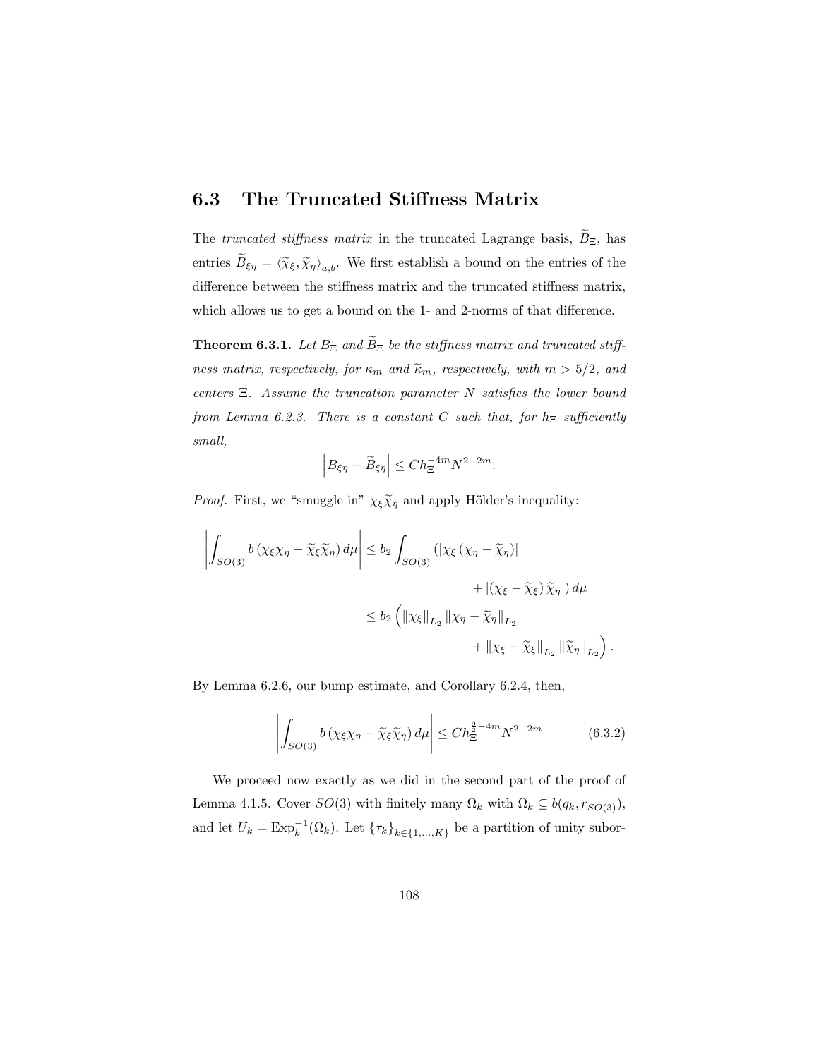### 6.3 The Truncated Stiffness Matrix

The truncated stiffness matrix in the truncated Lagrange basis,  $\widetilde{B}_{\Xi}$ , has entries  $B_{\xi\eta} = \langle \widetilde{\chi}_{\xi}, \widetilde{\chi}_{\eta} \rangle_{a,b}$ . We first establish a bound on the entries of the difference between the stiffness matrix and the truncated stiffness matrix, which allows us to get a bound on the 1- and 2-norms of that difference.

**Theorem 6.3.1.** Let  $B_{\Xi}$  and  $\widetilde{B}_{\Xi}$  be the stiffness matrix and truncated stiffness matrix, respectively, for  $\kappa_m$  and  $\tilde{\kappa}_m$ , respectively, with  $m > 5/2$ , and centers  $\Xi$ . Assume the truncation parameter N satisfies the lower bound from Lemma 6.2.3. There is a constant C such that, for  $h_{\Xi}$  sufficiently small,

$$
\left| B_{\xi \eta} - \widetilde{B}_{\xi \eta} \right| \le C h_{\Xi}^{-4m} N^{2-2m}.
$$

*Proof.* First, we "smuggle in"  $\chi_{\xi} \tilde{\chi}_{\eta}$  and apply Hölder's inequality:

$$
\left| \int_{SO(3)} b\left(\chi_{\xi}\chi_{\eta} - \widetilde{\chi}_{\xi}\widetilde{\chi}_{\eta}\right) d\mu \right| \leq b_2 \int_{SO(3)} \left( |\chi_{\xi}\left(\chi_{\eta} - \widetilde{\chi}_{\eta}\right)| + |(\chi_{\xi} - \widetilde{\chi}_{\xi})\widetilde{\chi}_{\eta}| \right) d\mu
$$
  

$$
\leq b_2 \left( \left\| \chi_{\xi} \right\|_{L_2} \left\| \chi_{\eta} - \widetilde{\chi}_{\eta} \right\|_{L_2} + \left\| \chi_{\xi} - \widetilde{\chi}_{\xi} \right\|_{L_2} \left\| \widetilde{\chi}_{\eta} \right\|_{L_2} \right)
$$

By Lemma 6.2.6, our bump estimate, and Corollary 6.2.4, then,

$$
\left| \int_{SO(3)} b\left(\chi_{\xi}\chi_{\eta} - \widetilde{\chi}_{\xi}\widetilde{\chi}_{\eta}\right) d\mu \right| \leq Ch_{\Xi}^{\frac{9}{2}-4m} N^{2-2m} \tag{6.3.2}
$$

.

We proceed now exactly as we did in the second part of the proof of Lemma 4.1.5. Cover  $SO(3)$  with finitely many  $\Omega_k$  with  $\Omega_k \subseteq b(q_k, r_{SO(3)})$ , and let  $U_k = \text{Exp}_k^{-1}(\Omega_k)$ . Let  $\{\tau_k\}_{k \in \{1,\dots,K\}}$  be a partition of unity subor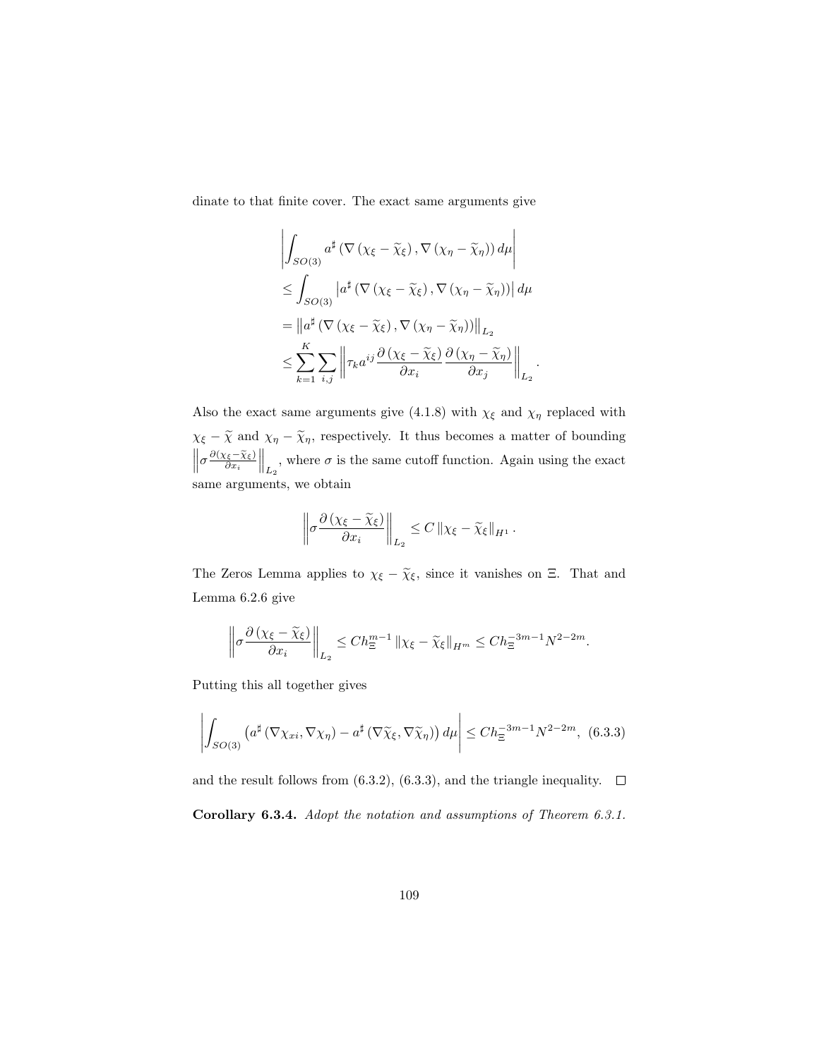dinate to that finite cover. The exact same arguments give

$$
\left| \int_{SO(3)} a^{\sharp} \left( \nabla \left( \chi_{\xi} - \widetilde{\chi}_{\xi} \right), \nabla \left( \chi_{\eta} - \widetilde{\chi}_{\eta} \right) \right) d\mu \right|
$$
  
\n
$$
\leq \int_{SO(3)} \left| a^{\sharp} \left( \nabla \left( \chi_{\xi} - \widetilde{\chi}_{\xi} \right), \nabla \left( \chi_{\eta} - \widetilde{\chi}_{\eta} \right) \right) \right| d\mu
$$
  
\n
$$
= \left\| a^{\sharp} \left( \nabla \left( \chi_{\xi} - \widetilde{\chi}_{\xi} \right), \nabla \left( \chi_{\eta} - \widetilde{\chi}_{\eta} \right) \right) \right\|_{L_{2}}
$$
  
\n
$$
\leq \sum_{k=1}^{K} \sum_{i,j} \left\| \tau_{k} a^{ij} \frac{\partial \left( \chi_{\xi} - \widetilde{\chi}_{\xi} \right)}{\partial x_{i}} \frac{\partial \left( \chi_{\eta} - \widetilde{\chi}_{\eta} \right)}{\partial x_{j}} \right\|_{L_{2}}
$$

.

Also the exact same arguments give (4.1.8) with  $\chi_{\xi}$  and  $\chi_{\eta}$  replaced with  $\chi_{\xi} - \tilde{\chi}$  and  $\chi_{\eta} - \tilde{\chi}_{\eta}$ , respectively. It thus becomes a matter of bounding  $\left\| \sigma \frac{\partial (\chi_{\xi} - \tilde{\chi}_{\xi})}{\partial x_i} \right\|_{L_2}$ , where  $\sigma$  is the same cutoff function. Again using the exact same arguments, we obtain

$$
\left\| \sigma \frac{\partial \left( \chi_{\xi} - \widetilde{\chi}_{\xi} \right)}{\partial x_i} \right\|_{L_2} \leq C \left\| \chi_{\xi} - \widetilde{\chi}_{\xi} \right\|_{H^1}.
$$

The Zeros Lemma applies to  $\chi_{\xi} - \widetilde{\chi}_{\xi}$ , since it vanishes on Ξ. That and Lemma 6.2.6 give

$$
\left\|\sigma\frac{\partial\left(\chi_{\xi}-\widetilde{\chi}_{\xi}\right)}{\partial x_{i}}\right\|_{L_{2}} \leq Ch_{\Xi}^{m-1}\left\|\chi_{\xi}-\widetilde{\chi}_{\xi}\right\|_{H^{m}} \leq Ch_{\Xi}^{-3m-1}N^{2-2m}.
$$

Putting this all together gives

$$
\left| \int_{SO(3)} \left( a^{\sharp} \left( \nabla \chi_{xi}, \nabla \chi_{\eta} \right) - a^{\sharp} \left( \nabla \widetilde{\chi}_{\xi}, \nabla \widetilde{\chi}_{\eta} \right) \right) d\mu \right| \leq Ch_{\Xi}^{-3m-1} N^{2-2m}, \tag{6.3.3}
$$

and the result follows from (6.3.2), (6.3.3), and the triangle inequality.  $\Box$ Corollary 6.3.4. Adopt the notation and assumptions of Theorem 6.3.1.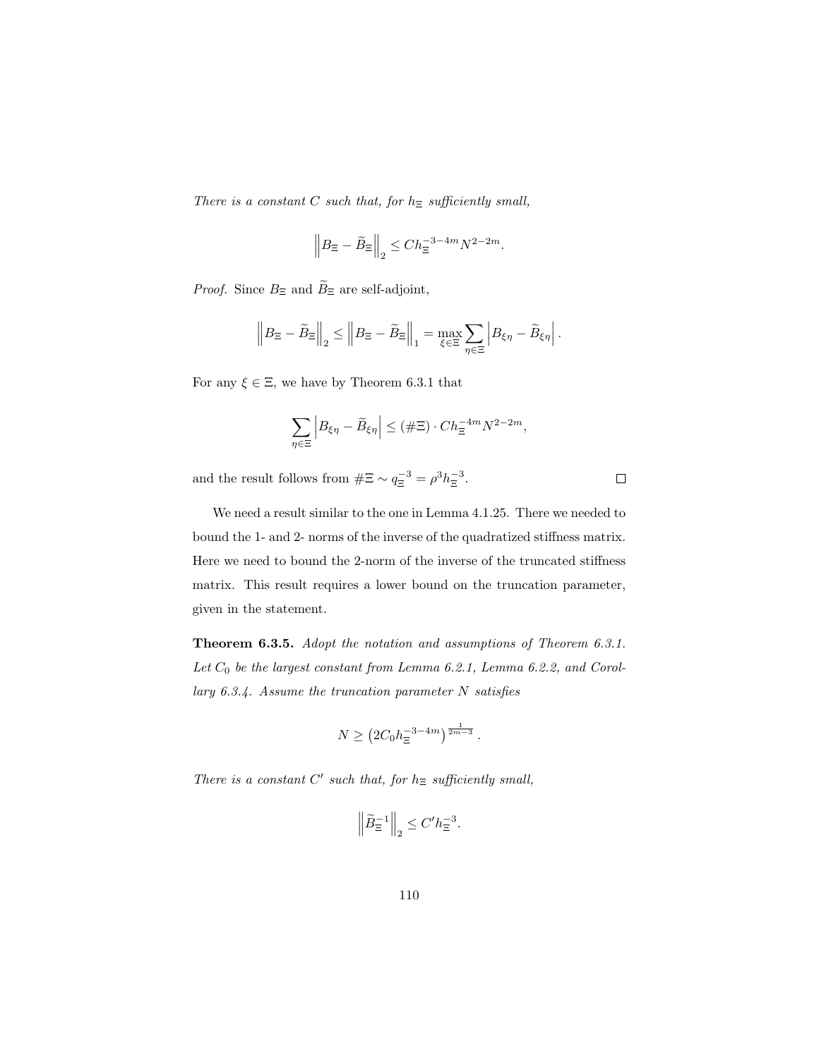There is a constant  $C$  such that, for  $h_{\Xi}$  sufficiently small,

$$
\left\| B_{\Xi} - \widetilde{B}_{\Xi} \right\|_2 \le C h_{\Xi}^{-3-4m} N^{2-2m}.
$$

*Proof.* Since  $B_{\Xi}$  and  $\widetilde{B}_{\Xi}$  are self-adjoint,

$$
\left\| B_{\Xi} - \widetilde{B}_{\Xi} \right\|_2 \leq \left\| B_{\Xi} - \widetilde{B}_{\Xi} \right\|_1 = \max_{\xi \in \Xi} \sum_{\eta \in \Xi} \left| B_{\xi \eta} - \widetilde{B}_{\xi \eta} \right|.
$$

For any  $\xi \in \Xi$ , we have by Theorem 6.3.1 that

$$
\sum_{\eta \in \Xi} \left| B_{\xi \eta} - \widetilde{B}_{\xi \eta} \right| \leq (\#\Xi) \cdot Ch_{\Xi}^{-4m} N^{2-2m},
$$

 $\Box$ 

and the result follows from  $\#\Xi \sim q_{\Xi}^{-3} = \rho^3 h_{\Xi}^{-3}$ .

We need a result similar to the one in Lemma 4.1.25. There we needed to bound the 1- and 2- norms of the inverse of the quadratized stiffness matrix. Here we need to bound the 2-norm of the inverse of the truncated stiffness matrix. This result requires a lower bound on the truncation parameter, given in the statement.

Theorem 6.3.5. Adopt the notation and assumptions of Theorem 6.3.1. Let  $C_0$  be the largest constant from Lemma 6.2.1, Lemma 6.2.2, and Corollary 6.3.4. Assume the truncation parameter N satisfies

$$
N \ge \left(2C_0h_{\Xi}^{-3-4m}\right)^{\frac{1}{2m-3}}.
$$

There is a constant  $C'$  such that, for  $h_{\Xi}$  sufficiently small,

$$
\left\|\widetilde{B}_{\Xi}^{-1}\right\|_2 \leq C' h_{\Xi}^{-3}.
$$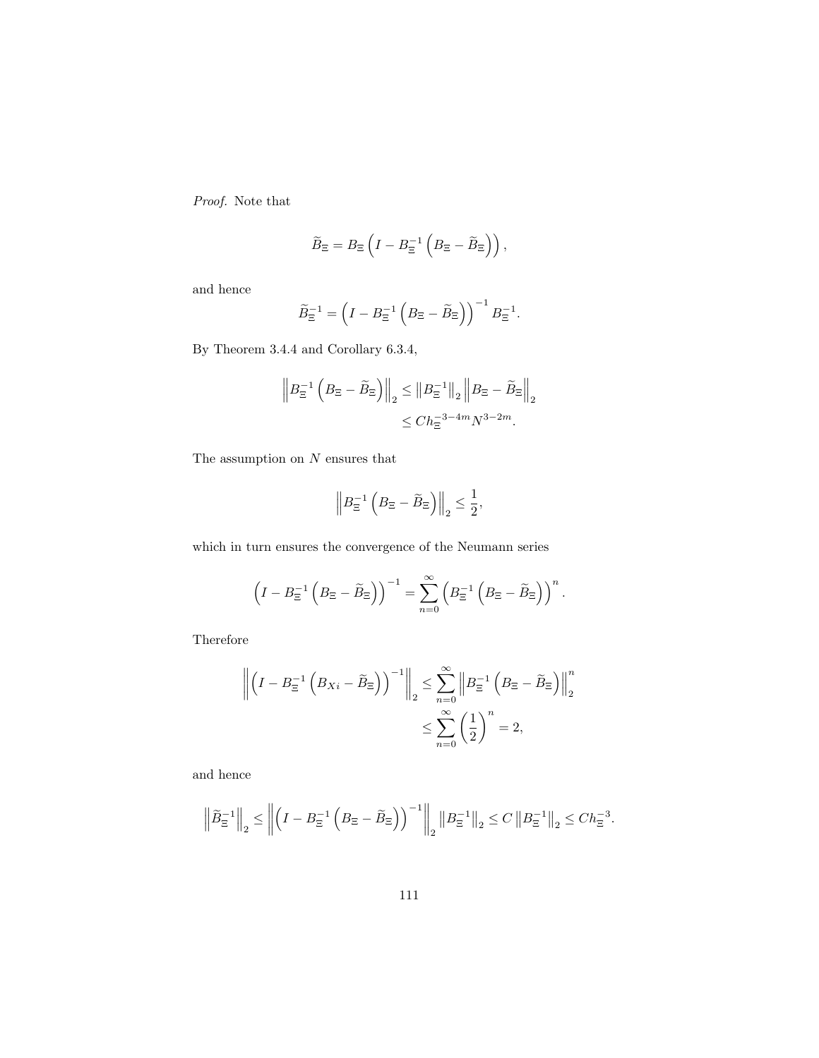Proof. Note that

$$
\widetilde{B}_{\Xi} = B_{\Xi} \left( I - B_{\Xi}^{-1} \left( B_{\Xi} - \widetilde{B}_{\Xi} \right) \right),
$$

and hence

$$
\widetilde{B}_{\Xi}^{-1} = \left(I - B_{\Xi}^{-1} \left(B_{\Xi} - \widetilde{B}_{\Xi}\right)\right)^{-1} B_{\Xi}^{-1}.
$$

By Theorem 3.4.4 and Corollary 6.3.4,

$$
\left\| B_{\Xi}^{-1} \left( B_{\Xi} - \widetilde{B}_{\Xi} \right) \right\|_2 \leq \left\| B_{\Xi}^{-1} \right\|_2 \left\| B_{\Xi} - \widetilde{B}_{\Xi} \right\|_2
$$
  

$$
\leq C h_{\Xi}^{-3-4m} N^{3-2m}.
$$

The assumption on  $\cal N$  ensures that

$$
\left\| B_{\Xi}^{-1} \left( B_{\Xi} - \widetilde{B}_{\Xi} \right) \right\|_2 \leq \frac{1}{2},
$$

which in turn ensures the convergence of the Neumann series

$$
\left(I - B_{\Xi}^{-1}\left(B_{\Xi} - \widetilde{B}_{\Xi}\right)\right)^{-1} = \sum_{n=0}^{\infty} \left(B_{\Xi}^{-1}\left(B_{\Xi} - \widetilde{B}_{\Xi}\right)\right)^{n}.
$$

Therefore

$$
\left\| \left(I - B_{\Xi}^{-1} \left(B_{Xi} - \widetilde{B}_{\Xi}\right)\right)^{-1} \right\|_{2} \leq \sum_{n=0}^{\infty} \left\| B_{\Xi}^{-1} \left(B_{\Xi} - \widetilde{B}_{\Xi}\right) \right\|_{2}^{n}
$$

$$
\leq \sum_{n=0}^{\infty} \left(\frac{1}{2}\right)^{n} = 2,
$$

and hence

$$
\left\|\widetilde{B}_{\Xi}^{-1}\right\|_2 \le \left\|\left(I - B_{\Xi}^{-1}\left(B_{\Xi} - \widetilde{B}_{\Xi}\right)\right)^{-1}\right\|_2 \left\|B_{\Xi}^{-1}\right\|_2 \le C\left\|B_{\Xi}^{-1}\right\|_2 \le C h_{\Xi}^{-3}.
$$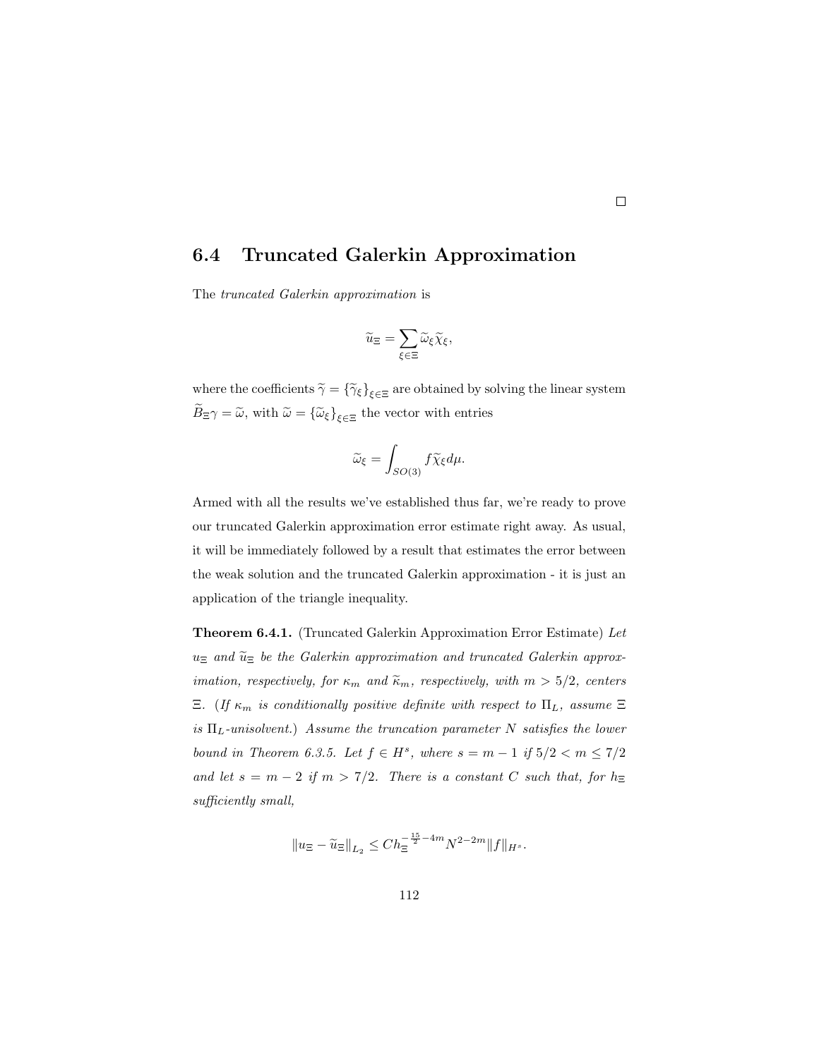#### 6.4 Truncated Galerkin Approximation

The truncated Galerkin approximation is

$$
\widetilde{u}_{\Xi} = \sum_{\xi \in \Xi} \widetilde{\omega}_{\xi} \widetilde{\chi}_{\xi},
$$

where the coefficients  $\widetilde{\gamma} = {\{\widetilde{\gamma}_{\xi}\}}_{\xi \in \Xi}$  are obtained by solving the linear system  $B_{\Xi}\gamma = \tilde{\omega}$ , with  $\tilde{\omega} = {\{\tilde{\omega}_{\xi}\}}_{\xi \in \Xi}$  the vector with entries

$$
\widetilde{\omega}_{\xi} = \int_{SO(3)} f \widetilde{\chi}_{\xi} d\mu.
$$

Armed with all the results we've established thus far, we're ready to prove our truncated Galerkin approximation error estimate right away. As usual, it will be immediately followed by a result that estimates the error between the weak solution and the truncated Galerkin approximation - it is just an application of the triangle inequality.

Theorem 6.4.1. (Truncated Galerkin Approximation Error Estimate) Let  $u_{\Xi}$  and  $\widetilde{u}_{\Xi}$  be the Galerkin approximation and truncated Galerkin approx*imation, respectively, for*  $\kappa_m$  *and*  $\tilde{\kappa}_m$ *, respectively, with*  $m > 5/2$ *, centers* Ξ. (If  $\kappa_m$  is conditionally positive definite with respect to  $\Pi_L$ , assume Ξ is  $\Pi_L$ -unisolvent.) Assume the truncation parameter N satisfies the lower bound in Theorem 6.3.5. Let  $f \in H^s$ , where  $s = m - 1$  if  $5/2 < m \le 7/2$ and let  $s = m - 2$  if  $m > 7/2$ . There is a constant C such that, for  $h_{\Xi}$ sufficiently small,

$$
||u_{\Xi} - \widetilde{u}_{\Xi}||_{L_2} \leq C h_{\Xi}^{-\frac{15}{2} - 4m} N^{2 - 2m} ||f||_{H^s}.
$$

112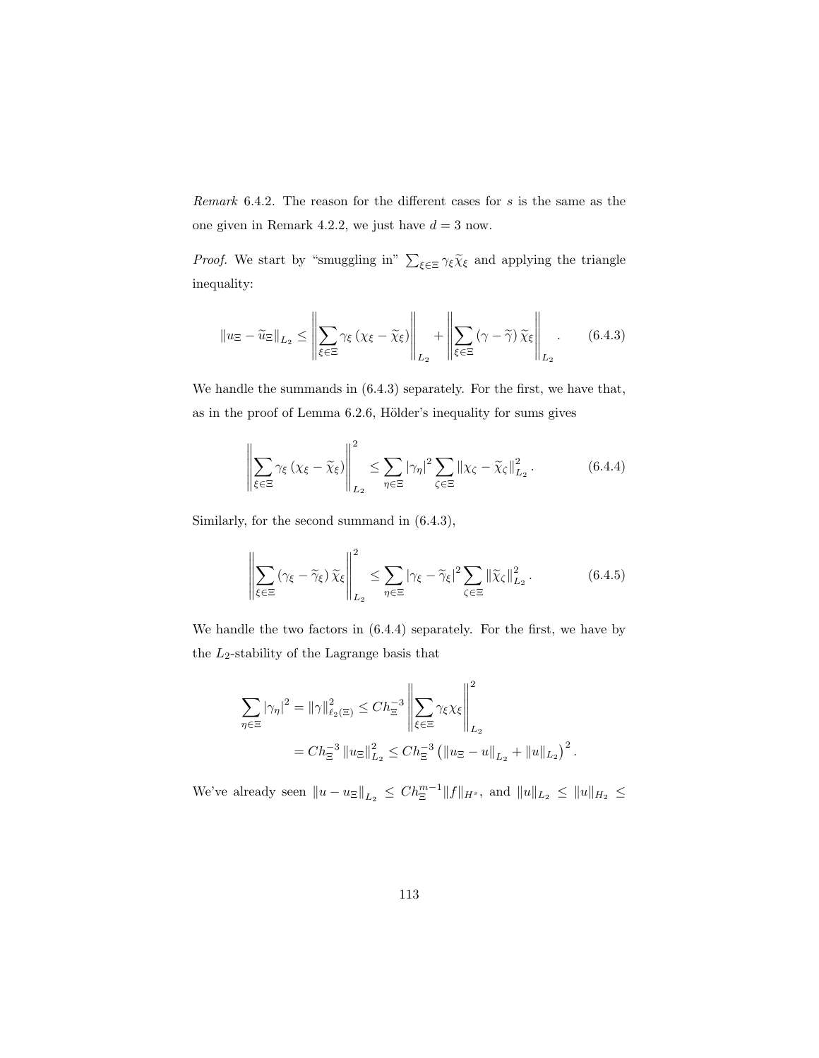Remark 6.4.2. The reason for the different cases for s is the same as the one given in Remark 4.2.2, we just have  $d = 3$  now.

*Proof.* We start by "smuggling in"  $\sum_{\xi \in \Xi} \gamma_{\xi} \widetilde{\chi}_{\xi}$  and applying the triangle inequality:

$$
\|u_{\Xi} - \widetilde{u}_{\Xi}\|_{L_2} \le \left\|\sum_{\xi \in \Xi} \gamma_{\xi} \left(\chi_{\xi} - \widetilde{\chi}_{\xi}\right)\right\|_{L_2} + \left\|\sum_{\xi \in \Xi} \left(\gamma - \widetilde{\gamma}\right) \widetilde{\chi}_{\xi}\right\|_{L_2}.
$$
 (6.4.3)

We handle the summands in (6.4.3) separately. For the first, we have that, as in the proof of Lemma  $6.2.6$ , Hölder's inequality for sums gives

$$
\left\| \sum_{\xi \in \Xi} \gamma_{\xi} \left( \chi_{\xi} - \widetilde{\chi}_{\xi} \right) \right\|_{L_2}^2 \le \sum_{\eta \in \Xi} |\gamma_{\eta}|^2 \sum_{\zeta \in \Xi} \left\| \chi_{\zeta} - \widetilde{\chi}_{\zeta} \right\|_{L_2}^2. \tag{6.4.4}
$$

Similarly, for the second summand in (6.4.3),

$$
\left\| \sum_{\xi \in \Xi} (\gamma_{\xi} - \widetilde{\gamma}_{\xi}) \widetilde{\chi}_{\xi} \right\|_{L_2}^2 \le \sum_{\eta \in \Xi} |\gamma_{\xi} - \widetilde{\gamma}_{\xi}|^2 \sum_{\zeta \in \Xi} ||\widetilde{\chi}_{\zeta}||_{L_2}^2. \tag{6.4.5}
$$

.

We handle the two factors in (6.4.4) separately. For the first, we have by the  $\mathcal{L}_2$ -stability of the Lagrange basis that

$$
\sum_{\eta \in \Xi} |\gamma_{\eta}|^{2} = ||\gamma||_{\ell_{2}(\Xi)}^{2} \le C h_{\Xi}^{-3} \left\| \sum_{\xi \in \Xi} \gamma_{\xi} \chi_{\xi} \right\|_{L_{2}}^{2}
$$

$$
= C h_{\Xi}^{-3} ||u_{\Xi}||_{L_{2}}^{2} \le C h_{\Xi}^{-3} (||u_{\Xi} - u||_{L_{2}} + ||u||_{L_{2}})^{2}
$$

We've already seen  $||u - u_{\Xi}||_{L_2} \leq Ch_{\Xi}^{m-1} ||f||_{H^s}$ , and  $||u||_{L_2} \leq ||u||_{H_2} \leq$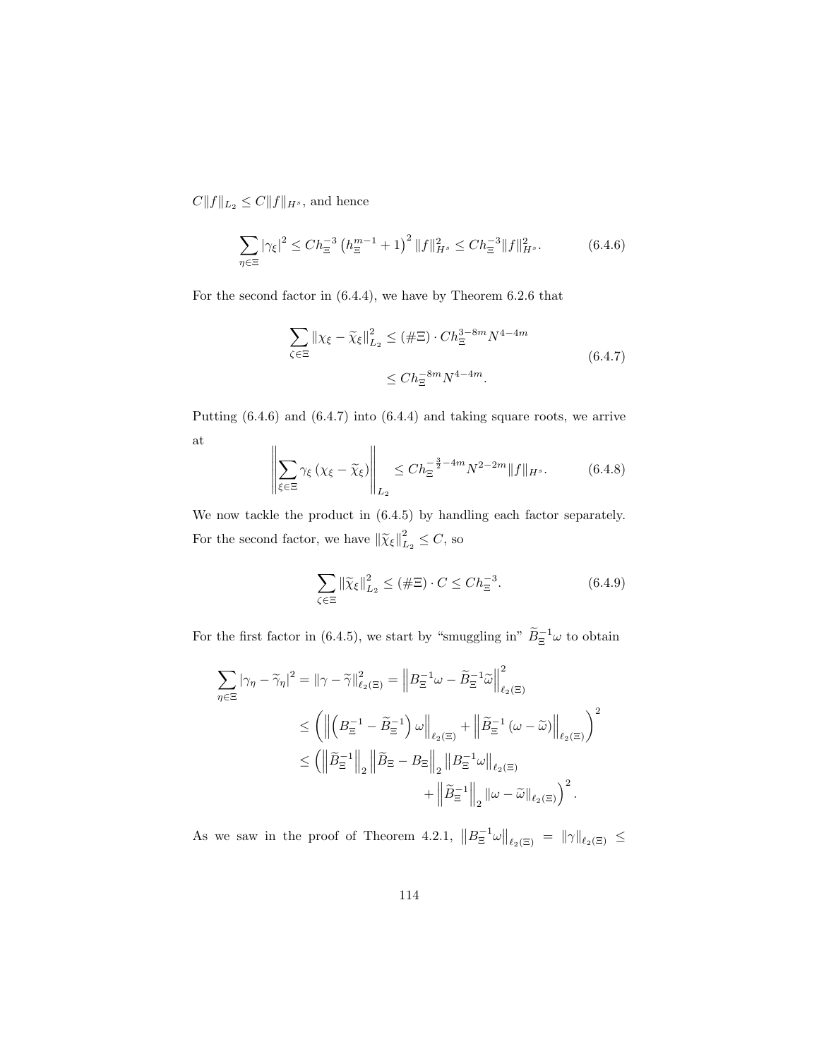$C||f||_{L_2} \leq C||f||_{H^s}$  , and hence

$$
\sum_{\eta \in \Xi} |\gamma_{\xi}|^2 \le Ch_{\Xi}^{-3} \left(h_{\Xi}^{m-1} + 1\right)^2 \|f\|_{H^s}^2 \le Ch_{\Xi}^{-3} \|f\|_{H^s}^2. \tag{6.4.6}
$$

For the second factor in (6.4.4), we have by Theorem 6.2.6 that

$$
\sum_{\zeta \in \Xi} ||\chi_{\xi} - \widetilde{\chi}_{\xi}||_{L_2}^2 \leq (\#\Xi) \cdot Ch_{\Xi}^{3-8m} N^{4-4m}
$$
  

$$
\leq Ch_{\Xi}^{-8m} N^{4-4m}.
$$
 (6.4.7)

Putting (6.4.6) and (6.4.7) into (6.4.4) and taking square roots, we arrive at

$$
\left\| \sum_{\xi \in \Xi} \gamma_{\xi} \left( \chi_{\xi} - \widetilde{\chi}_{\xi} \right) \right\|_{L_2} \le C h_{\Xi}^{-\frac{3}{2} - 4m} N^{2 - 2m} \| f \|_{H^s}.
$$
 (6.4.8)

We now tackle the product in (6.4.5) by handling each factor separately. For the second factor, we have  $\left\|\widetilde{\chi}_{\xi}\right\|_{L}^{2}$  $_{L_2}^2 \leq C$ , so

$$
\sum_{\zeta \in \Xi} \left\| \widetilde{\chi}_{\xi} \right\|_{L_2}^2 \le (\#\Xi) \cdot C \le Ch_{\Xi}^{-3}.
$$
\n(6.4.9)

For the first factor in (6.4.5), we start by "smuggling in"  $\widetilde{B}_{\Xi}^{-1}\omega$  to obtain

$$
\begin{split} \sum_{\eta \in \Xi} |\gamma_{\eta} - \widetilde{\gamma}_{\eta}|^{2} &= \left\| \gamma - \widetilde{\gamma} \right\|_{\ell_{2}(\Xi)}^{2} = \left\| B_{\Xi}^{-1} \omega - \widetilde{B}_{\Xi}^{-1} \widetilde{\omega} \right\|_{\ell_{2}(\Xi)}^{2} \\ &\leq \left( \left\| \left( B_{\Xi}^{-1} - \widetilde{B}_{\Xi}^{-1} \right) \omega \right\|_{\ell_{2}(\Xi)} + \left\| \widetilde{B}_{\Xi}^{-1} \left( \omega - \widetilde{\omega} \right) \right\|_{\ell_{2}(\Xi)} \right)^{2} \\ &\leq \left( \left\| \widetilde{B}_{\Xi}^{-1} \right\|_{2} \left\| \widetilde{B}_{\Xi} - B_{\Xi} \right\|_{2} \left\| B_{\Xi}^{-1} \omega \right\|_{\ell_{2}(\Xi)} \\ &\quad + \left\| \widetilde{B}_{\Xi}^{-1} \right\|_{2} \left\| \omega - \widetilde{\omega} \right\|_{\ell_{2}(\Xi)} \right)^{2} . \end{split}
$$

As we saw in the proof of Theorem 4.2.1,  $||B_{\Xi}^{-1}\omega||_{\ell_2(\Xi)} = ||\gamma||_{\ell_2(\Xi)} \leq$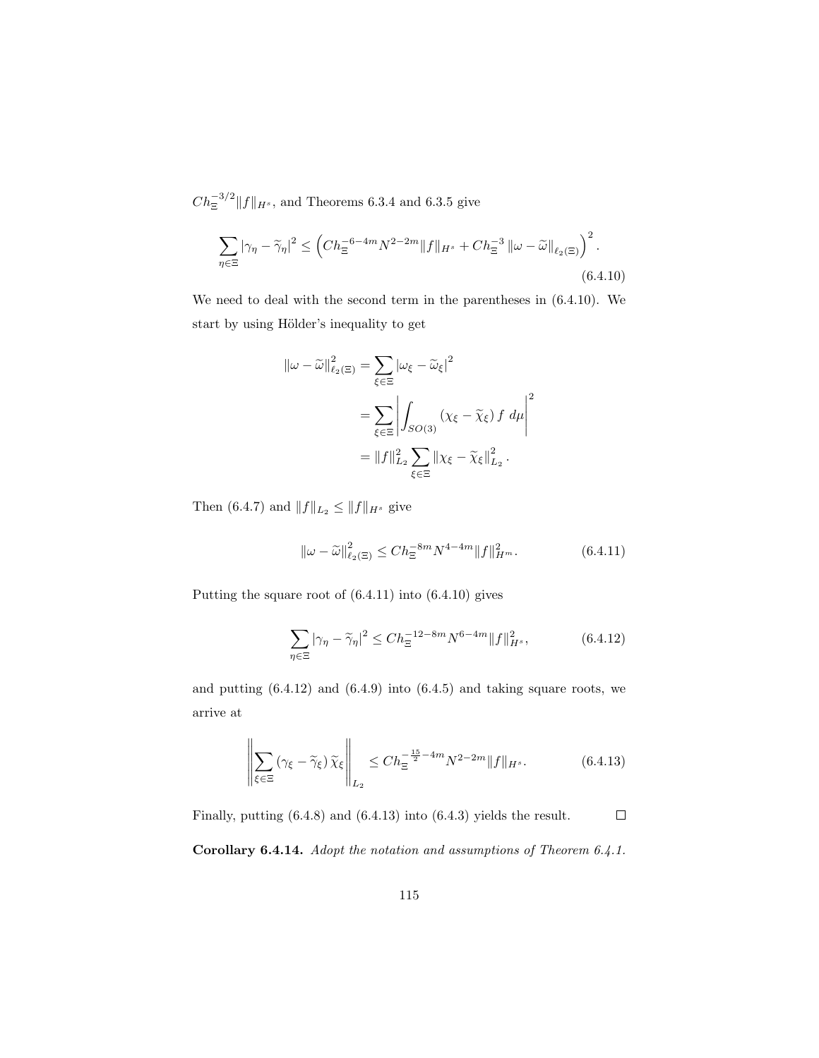$Ch_{\Xi}^{-3/2}||f||_{H^s}$ , and Theorems 6.3.4 and 6.3.5 give

$$
\sum_{\eta \in \Xi} |\gamma_{\eta} - \widetilde{\gamma}_{\eta}|^2 \le \left( Ch_{\Xi}^{-6 - 4m} N^{2 - 2m} \|f\|_{H^s} + Ch_{\Xi}^{-3} \left\| \omega - \widetilde{\omega} \right\|_{\ell_2(\Xi)} \right)^2.
$$
\n(6.4.10)

We need to deal with the second term in the parentheses in (6.4.10). We start by using Hölder's inequality to get

$$
\|\omega - \widetilde{\omega}\|_{\ell_2(\Xi)}^2 = \sum_{\xi \in \Xi} |\omega_{\xi} - \widetilde{\omega}_{\xi}|^2
$$
  
= 
$$
\sum_{\xi \in \Xi} \left| \int_{SO(3)} (\chi_{\xi} - \widetilde{\chi}_{\xi}) f d\mu \right|^2
$$
  
= 
$$
\|f\|_{L_2}^2 \sum_{\xi \in \Xi} \|\chi_{\xi} - \widetilde{\chi}_{\xi}\|_{L_2}^2.
$$

Then (6.4.7) and  $||f||_{L_2} \leq ||f||_{H^s}$  give

$$
\|\omega - \widetilde{\omega}\|_{\ell_2(\Xi)}^2 \le Ch_{\Xi}^{-8m} N^{4-4m} \|f\|_{H^m}^2. \tag{6.4.11}
$$

Putting the square root of (6.4.11) into (6.4.10) gives

$$
\sum_{\eta \in \Xi} |\gamma_{\eta} - \widetilde{\gamma}_{\eta}|^2 \le Ch_{\Xi}^{-12 - 8m} N^{6 - 4m} \|f\|_{H^s}^2, \tag{6.4.12}
$$

and putting  $(6.4.12)$  and  $(6.4.9)$  into  $(6.4.5)$  and taking square roots, we arrive at

$$
\left\| \sum_{\xi \in \Xi} (\gamma_{\xi} - \widetilde{\gamma}_{\xi}) \widetilde{\chi}_{\xi} \right\|_{L_2} \le C h_{\Xi}^{-\frac{15}{2} - 4m} N^{2 - 2m} \|f\|_{H^s}.
$$
 (6.4.13)

Finally, putting (6.4.8) and (6.4.13) into (6.4.3) yields the result.  $\Box$ 

Corollary 6.4.14. Adopt the notation and assumptions of Theorem 6.4.1.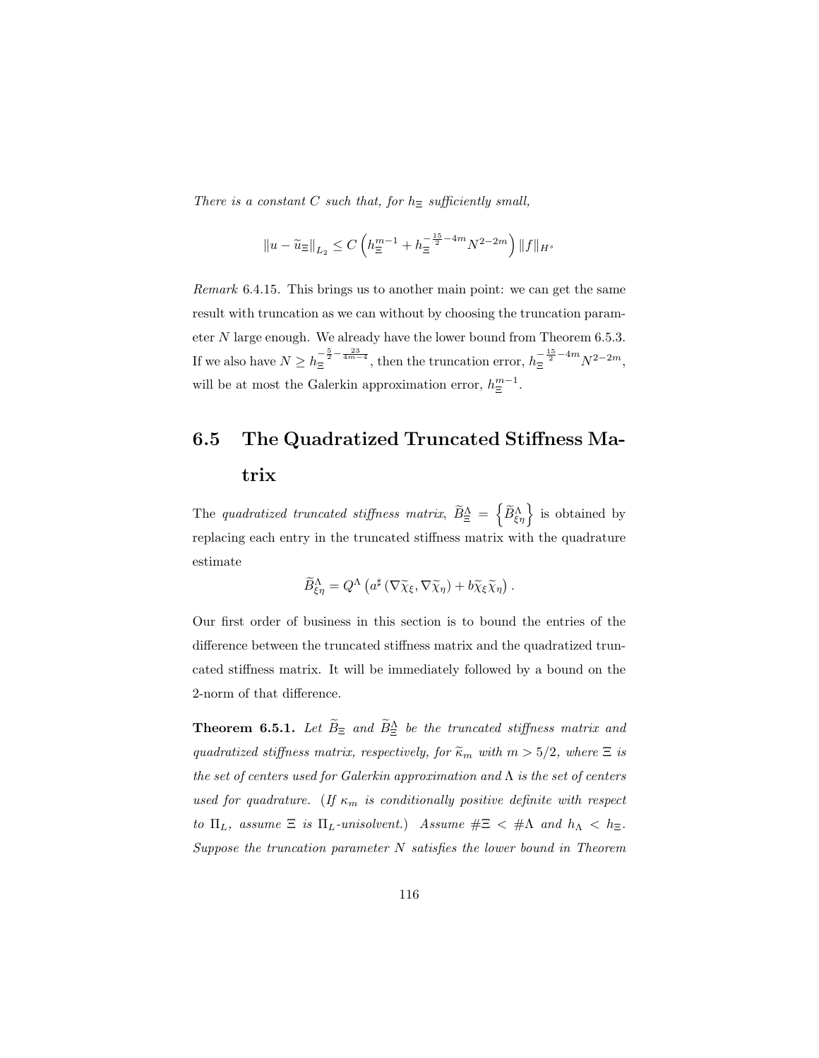There is a constant C such that, for  $h_{\Xi}$  sufficiently small,

$$
||u-\widetilde{u}_{\Xi}||_{L_2}\leq C\left(h^{m-1}_{\Xi}+h^{-\frac{15}{2}-4m}_{\Xi}N^{2-2m}\right)||f||_{H^s}
$$

Remark 6.4.15. This brings us to another main point: we can get the same result with truncation as we can without by choosing the truncation parameter N large enough. We already have the lower bound from Theorem 6.5.3. If we also have  $N \ge h_{\Xi}^{-\frac{5}{2} - \frac{23}{4m-4}}$ , then the truncation error,  $h_{\Xi}^{-\frac{15}{2} - 4m} N^{2-2m}$ , will be at most the Galerkin approximation error,  $h_{\Xi}^{m-1}$ .

## 6.5 The Quadratized Truncated Stiffness Matrix

The quadratized truncated stiffness matrix,  $\widetilde{B}_{\Xi}^{\Lambda} = \left\{ \widetilde{B}_{\xi\eta}^{\Lambda} \right\}$  is obtained by replacing each entry in the truncated stiffness matrix with the quadrature estimate

$$
\widetilde{B}_{\xi\eta}^{\Lambda} = Q^{\Lambda} \left( a^{\sharp} \left( \nabla \widetilde{\chi}_{\xi}, \nabla \widetilde{\chi}_{\eta} \right) + b \widetilde{\chi}_{\xi} \widetilde{\chi}_{\eta} \right).
$$

Our first order of business in this section is to bound the entries of the difference between the truncated stiffness matrix and the quadratized truncated stiffness matrix. It will be immediately followed by a bound on the 2-norm of that difference.

**Theorem 6.5.1.** Let  $\tilde{B}_{\Xi}$  and  $\tilde{B}_{\Xi}^{\Lambda}$  be the truncated stiffness matrix and quadratized stiffness matrix, respectively, for  $\widetilde{\kappa}_m$  with  $m > 5/2$ , where  $\Xi$  is the set of centers used for Galerkin approximation and  $\Lambda$  is the set of centers used for quadrature. (If  $\kappa_m$  is conditionally positive definite with respect to  $\Pi_L$ , assume  $\Xi$  is  $\Pi_L$ -unisolvent.) Assume  $\#\Xi < \#\Lambda$  and  $h_\Lambda < h_\Xi$ . Suppose the truncation parameter  $N$  satisfies the lower bound in Theorem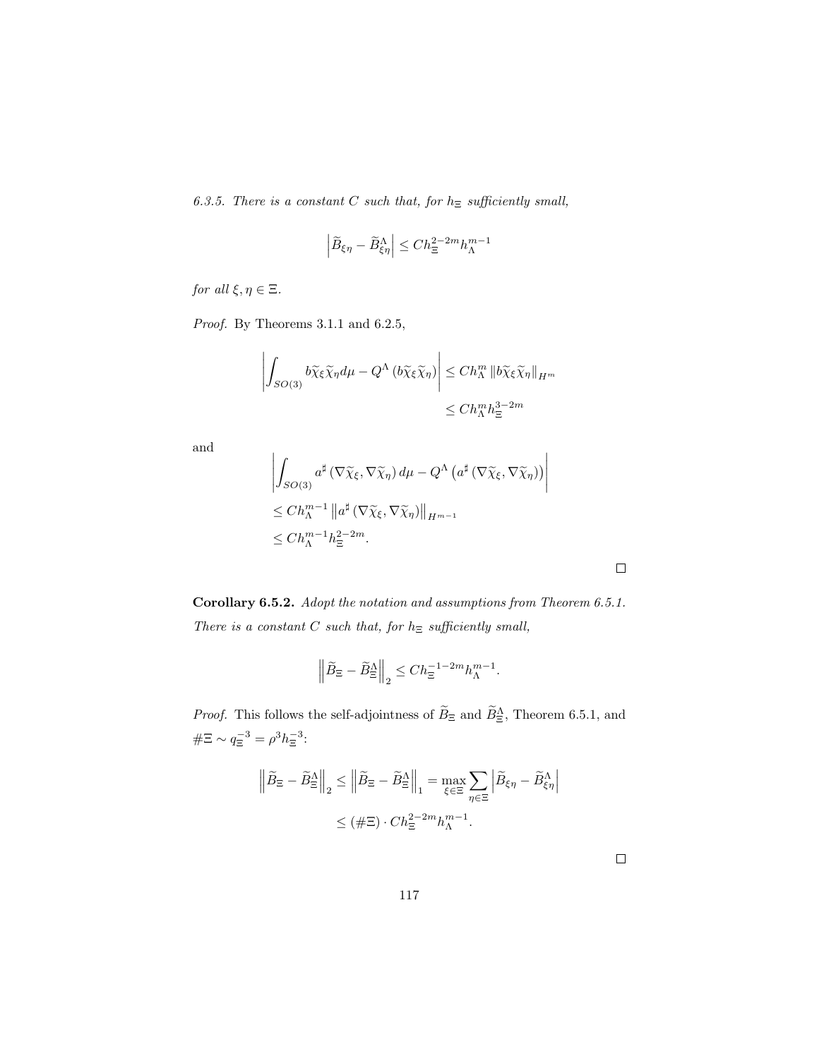6.3.5. There is a constant C such that, for  $h_{\Xi}$  sufficiently small,

$$
\left|\widetilde{B}_{\xi\eta}-\widetilde{B}_{\xi\eta}^{\Lambda}\right|\leq Ch_{\Xi}^{2-2m}h_{\Lambda}^{m-1}
$$

for all  $\xi, \eta \in \Xi$ .

Proof. By Theorems 3.1.1 and 6.2.5,

J.

$$
\left| \int_{SO(3)} b\tilde{\chi}_{\xi} \tilde{\chi}_{\eta} d\mu - Q^{\Lambda} (b\tilde{\chi}_{\xi} \tilde{\chi}_{\eta}) \right| \leq Ch_{\Lambda}^{m} \|b\tilde{\chi}_{\xi} \tilde{\chi}_{\eta}\|_{H^{m}}
$$
  

$$
\leq Ch_{\Lambda}^{m} h_{\Xi}^{3-2m}
$$

and

$$
\left| \int_{SO(3)} a^{\sharp} \left( \nabla \widetilde{\chi}_{\xi}, \nabla \widetilde{\chi}_{\eta} \right) d\mu - Q^{\Lambda} \left( a^{\sharp} \left( \nabla \widetilde{\chi}_{\xi}, \nabla \widetilde{\chi}_{\eta} \right) \right) \right|
$$
  
\n
$$
\leq Ch_{\Lambda}^{m-1} \left\| a^{\sharp} \left( \nabla \widetilde{\chi}_{\xi}, \nabla \widetilde{\chi}_{\eta} \right) \right\|_{H^{m-1}}
$$
  
\n
$$
\leq Ch_{\Lambda}^{m-1} h_{\Xi}^{2-2m}.
$$

 $\overline{1}$ 

Corollary 6.5.2. Adopt the notation and assumptions from Theorem 6.5.1. There is a constant  $C$  such that, for  $h_{\Xi}$  sufficiently small,

$$
\left\|\widetilde{B}_{\Xi}-\widetilde{B}_{\Xi}^{\Lambda}\right\|_2 \leq Ch_{\Xi}^{-1-2m}h_{\Lambda}^{m-1}.
$$

*Proof.* This follows the self-adjointness of  $\tilde{B}_{\Xi}$  and  $\tilde{B}_{\Xi}^{\Lambda}$ , Theorem 6.5.1, and  $\#\Xi \sim q_{\Xi}^{-3} = \rho^3 h_{\Xi}^{-3}$ :

$$
\left\|\widetilde{B}_{\Xi} - \widetilde{B}_{\Xi}^{\Lambda}\right\|_{2} \le \left\|\widetilde{B}_{\Xi} - \widetilde{B}_{\Xi}^{\Lambda}\right\|_{1} = \max_{\xi \in \Xi} \sum_{\eta \in \Xi} \left|\widetilde{B}_{\xi\eta} - \widetilde{B}_{\xi\eta}^{\Lambda}\right|
$$

$$
\le (\#\Xi) \cdot Ch_{\Xi}^{2-2m} h_{\Lambda}^{m-1}.
$$

 $\Box$ 

 $\Box$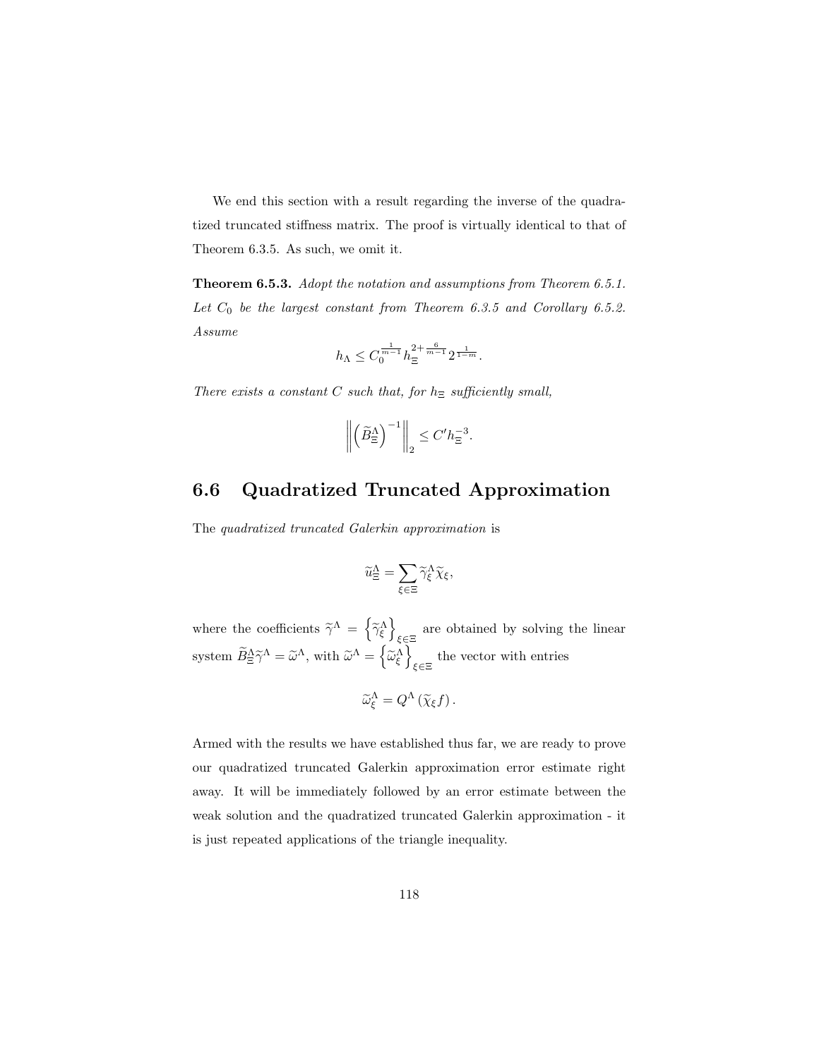We end this section with a result regarding the inverse of the quadratized truncated stiffness matrix. The proof is virtually identical to that of Theorem 6.3.5. As such, we omit it.

Theorem 6.5.3. Adopt the notation and assumptions from Theorem 6.5.1. Let  $C_0$  be the largest constant from Theorem 6.3.5 and Corollary 6.5.2. Assume

$$
h_\Lambda\leq C_0^{\frac{1}{m-1}}h_\Xi^{2+\frac{6}{m-1}}2^{\frac{1}{1-m}}.
$$

There exists a constant C such that, for  $h_{\Xi}$  sufficiently small,

$$
\left\| \left( \widetilde{B}^\Lambda_{\Xi} \right)^{-1} \right\|_2 \le C' h_{\Xi}^{-3}.
$$

### 6.6 Quadratized Truncated Approximation

The quadratized truncated Galerkin approximation is

$$
\widetilde{u}_{\Xi}^{\Lambda} = \sum_{\xi \in \Xi} \widetilde{\gamma}_{\xi}^{\Lambda} \widetilde{\chi}_{\xi},
$$

where the coefficients  $\widetilde{\gamma}^{\Lambda} = \left\{ \widetilde{\gamma}_{\xi}^{\Lambda} \right\}$ are obtained by solving the linear system  $\widetilde{B}_{\Xi}^{\Lambda} \widetilde{\gamma}^{\Lambda} = \widetilde{\omega}^{\Lambda}$ , with  $\widetilde{\omega}^{\Lambda} = \left\{ \widetilde{\omega}_{\xi}^{\Lambda} \right\}$ the vector with entries

$$
\widetilde{\omega}_{\xi}^{\Lambda} = Q^{\Lambda} \left( \widetilde{\chi}_{\xi} f \right).
$$

Armed with the results we have established thus far, we are ready to prove our quadratized truncated Galerkin approximation error estimate right away. It will be immediately followed by an error estimate between the weak solution and the quadratized truncated Galerkin approximation - it is just repeated applications of the triangle inequality.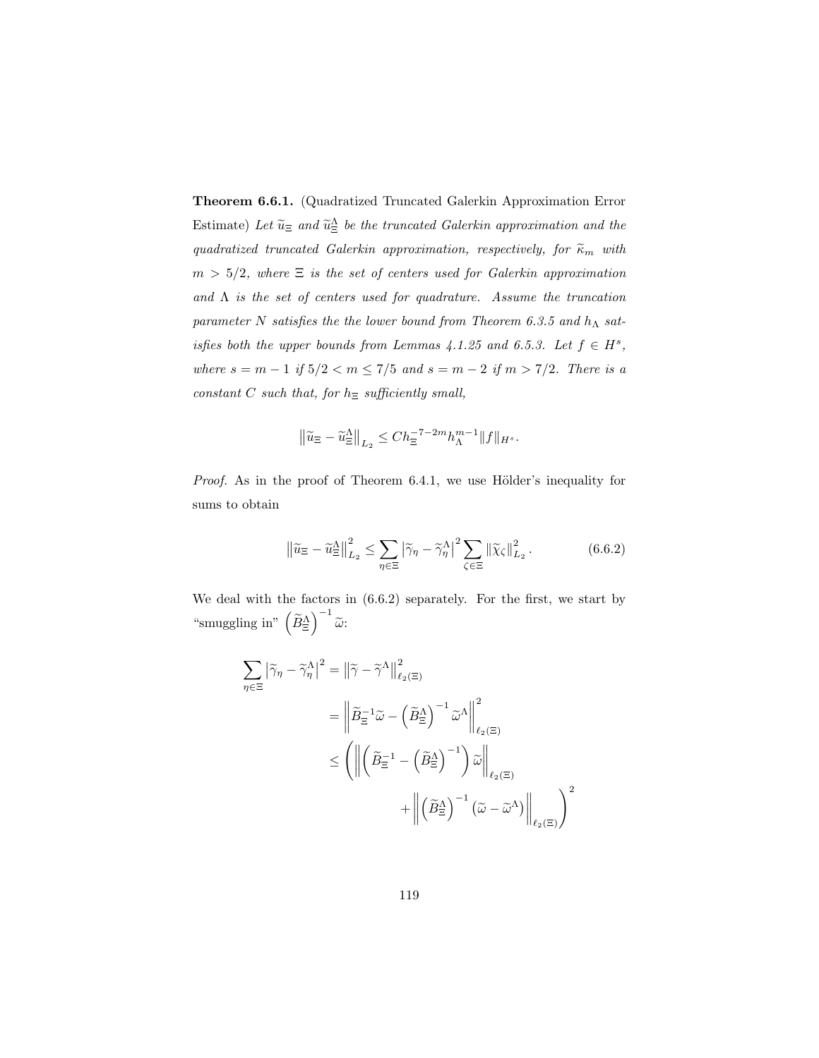Theorem 6.6.1. (Quadratized Truncated Galerkin Approximation Error Estimate) Let  $\widetilde{u}_{\Xi}$  and  $\widetilde{u}_{\Xi}^{\Delta}$  be the truncated Galerkin approximation and the quadratized truncated Galerkin approximation, respectively, for  $\widetilde{\kappa}_m$  with  $m > 5/2$ , where  $\Xi$  is the set of centers used for Galerkin approximation and  $\Lambda$  is the set of centers used for quadrature. Assume the truncation parameter N satisfies the the lower bound from Theorem 6.3.5 and  $h_{\Lambda}$  satisfies both the upper bounds from Lemmas  $4.1.25$  and 6.5.3. Let  $f \in H^s$ , where  $s = m - 1$  if  $5/2 < m \le 7/5$  and  $s = m - 2$  if  $m > 7/2$ . There is a constant  $C$  such that, for  $h_{\Xi}$  sufficiently small,

$$
\left\|\widetilde{u}_{\Xi} - \widetilde{u}_{\Xi}^{\Lambda}\right\|_{L_2} \le Ch_{\Xi}^{-7-2m}h_{\Lambda}^{m-1} \|f\|_{H^s}.
$$

Proof. As in the proof of Theorem 6.4.1, we use Hölder's inequality for sums to obtain

$$
\left\| \widetilde{u}_{\Xi} - \widetilde{u}_{\Xi}^{\Lambda} \right\|_{L_2}^2 \le \sum_{\eta \in \Xi} \left| \widetilde{\gamma}_{\eta} - \widetilde{\gamma}_{\eta}^{\Lambda} \right|^2 \sum_{\zeta \in \Xi} \left\| \widetilde{\chi}_{\zeta} \right\|_{L_2}^2. \tag{6.6.2}
$$

We deal with the factors in (6.6.2) separately. For the first, we start by "smuggling in"  $\left(\widetilde{B}_{\Xi}^{\Lambda}\right)^{-1}\widetilde{\omega}$ :

$$
\sum_{\eta \in \Xi} |\widetilde{\gamma}_{\eta} - \widetilde{\gamma}_{\eta}^{\Lambda}|^2 = ||\widetilde{\gamma} - \widetilde{\gamma}^{\Lambda}||_{\ell_2(\Xi)}^2
$$
  

$$
= \left\| \widetilde{B}_{\Xi}^{-1} \widetilde{\omega} - \left( \widetilde{B}_{\Xi}^{\Lambda} \right)^{-1} \widetilde{\omega}^{\Lambda} \right\|_{\ell_2(\Xi)}^2
$$
  

$$
\leq \left( \left\| \left( \widetilde{B}_{\Xi}^{-1} - \left( \widetilde{B}_{\Xi}^{\Lambda} \right)^{-1} \right) \widetilde{\omega} \right\|_{\ell_2(\Xi)} + \left\| \left( \widetilde{B}_{\Xi}^{\Lambda} \right)^{-1} \left( \widetilde{\omega} - \widetilde{\omega}^{\Lambda} \right) \right\|_{\ell_2(\Xi)} \right)^2
$$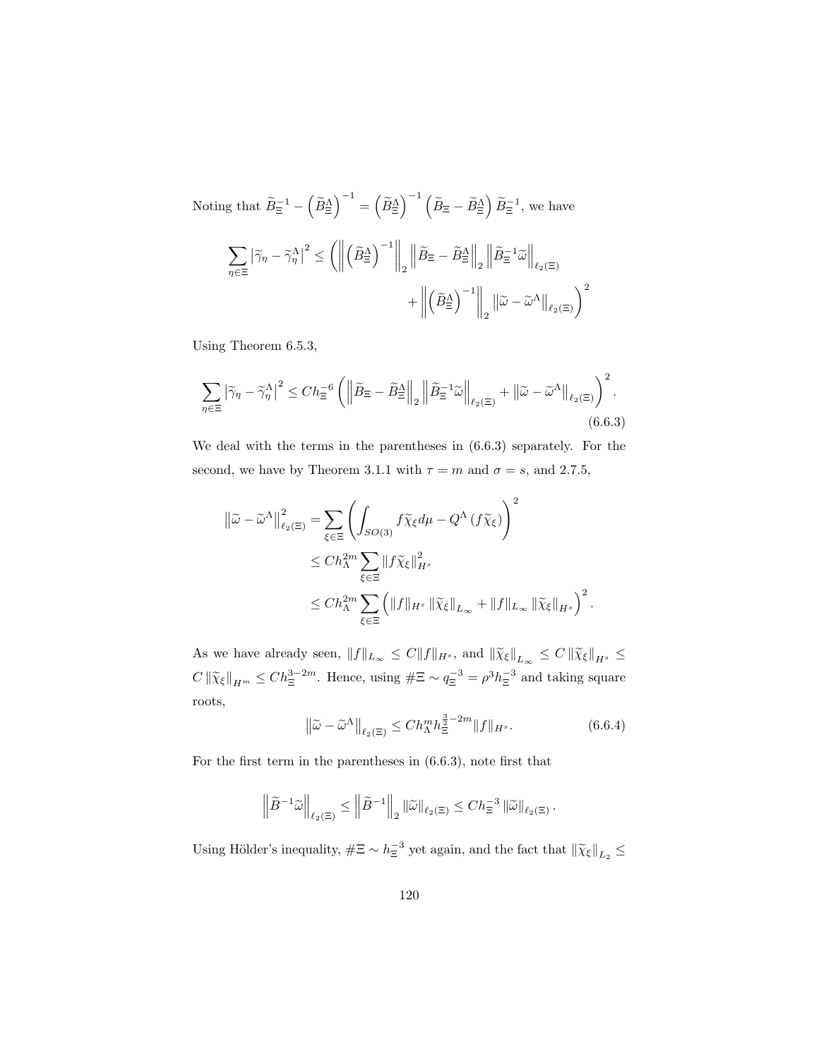Noting that  $\widetilde{B}_{\Xi}^{-1} - (\widetilde{B}_{\Xi}^{\Lambda})^{-1} = (\widetilde{B}_{\Xi}^{\Lambda})^{-1} (\widetilde{B}_{\Xi} - \widetilde{B}_{\Xi}^{\Lambda}) \widetilde{B}_{\Xi}^{-1}$ , we have  $\sum$ η∈Ξ  $\left|\widetilde{\gamma}_{\eta}-\widetilde{\gamma}_{\eta}^{\Lambda}\right|$  $2 \leq \left( \left\| \right\| \right)$  $\left(\widetilde{B}_{\Xi}^{\Lambda}\right)^{-1}\Biggr\|_2$  $\left\| \widetilde{B}_{\Xi} - \widetilde{B}^\Lambda_{\Xi} \right\|_2$  $\left\| \widetilde{B}^{-1}_{\Xi} \widetilde{\omega} \right\|_{\ell_2(\Xi)}$  $+$  $\left(\widetilde{B}_{\Xi}^{\Lambda}\right)^{-1}\Biggr\|_2$  $\left\|\widetilde{\boldsymbol{\omega}}-\widetilde{\boldsymbol{\omega}}^{\Lambda}\right\|_{\ell_2(\Xi)}\bigg)^2$ 

Using Theorem 6.5.3,

$$
\sum_{\eta \in \Xi} \left| \widetilde{\gamma}_{\eta} - \widetilde{\gamma}_{\eta}^{\Lambda} \right|^{2} \leq C h_{\Xi}^{-6} \left( \left\| \widetilde{B}_{\Xi} - \widetilde{B}_{\Xi}^{\Lambda} \right\|_{2} \left\| \widetilde{B}_{\Xi}^{-1} \widetilde{\omega} \right\|_{\ell_{2}(\Xi)} + \left\| \widetilde{\omega} - \widetilde{\omega}^{\Lambda} \right\|_{\ell_{2}(\Xi)} \right)^{2}.
$$
\n
$$
(6.6.3)
$$

We deal with the terms in the parentheses in (6.6.3) separately. For the second, we have by Theorem 3.1.1 with  $\tau = m$  and  $\sigma = s$ , and 2.7.5,

$$
\begin{split} \left\| \widetilde{\omega} - \widetilde{\omega}^{\Lambda} \right\|_{\ell_{2}(\Xi)}^{2} &= \sum_{\xi \in \Xi} \left( \int_{SO(3)} f \widetilde{\chi}_{\xi} d\mu - Q^{\Lambda} \left( f \widetilde{\chi}_{\xi} \right) \right)^{2} \\ &\leq Ch_{\Lambda}^{2m} \sum_{\xi \in \Xi} \left\| f \widetilde{\chi}_{\xi} \right\|_{H^{s}}^{2} \\ &\leq Ch_{\Lambda}^{2m} \sum_{\xi \in \Xi} \left( \left\| f \right\|_{H^{s}} \left\| \widetilde{\chi}_{\xi} \right\|_{L_{\infty}} + \left\| f \right\|_{L_{\infty}} \left\| \widetilde{\chi}_{\xi} \right\|_{H^{s}} \right)^{2} . \end{split}
$$

As we have already seen,  $||f||_{L_{\infty}} \leq C ||f||_{H^{s}}$ , and  $||\widetilde{\chi}_{\xi}||_{L_{\infty}} \leq C ||\widetilde{\chi}_{\xi}||_{H^{s}} \leq$  $C \|\widetilde{\chi}_{\xi}\|_{H^m} \leq C h_{\Xi}^{3-2m}$ . Hence, using  $\#\Xi \sim q_{\Xi}^{-3} = \rho^3 h_{\Xi}^{-3}$  and taking square roots,

$$
\left\|\tilde{\omega} - \tilde{\omega}^{\Lambda}\right\|_{\ell_2(\Xi)} \le Ch_{\Lambda}^m h_{\Xi}^{\frac{3}{2}-2m} \|f\|_{H^s}.
$$
\n(6.6.4)

For the first term in the parentheses in (6.6.3), note first that

$$
\left\|\widetilde{B}^{-1}\widetilde{\omega}\right\|_{\ell_2(\Xi)} \le \left\|\widetilde{B}^{-1}\right\|_2 \|\widetilde{\omega}\|_{\ell_2(\Xi)} \le Ch_{\Xi}^{-3} \left\|\widetilde{\omega}\right\|_{\ell_2(\Xi)}.
$$

Using Hölder's inequality,  $\#\Xi \sim h_{\Xi}^{-3}$  yet again, and the fact that  $\|\widetilde{\chi}_{\xi}\|_{L_2} \le$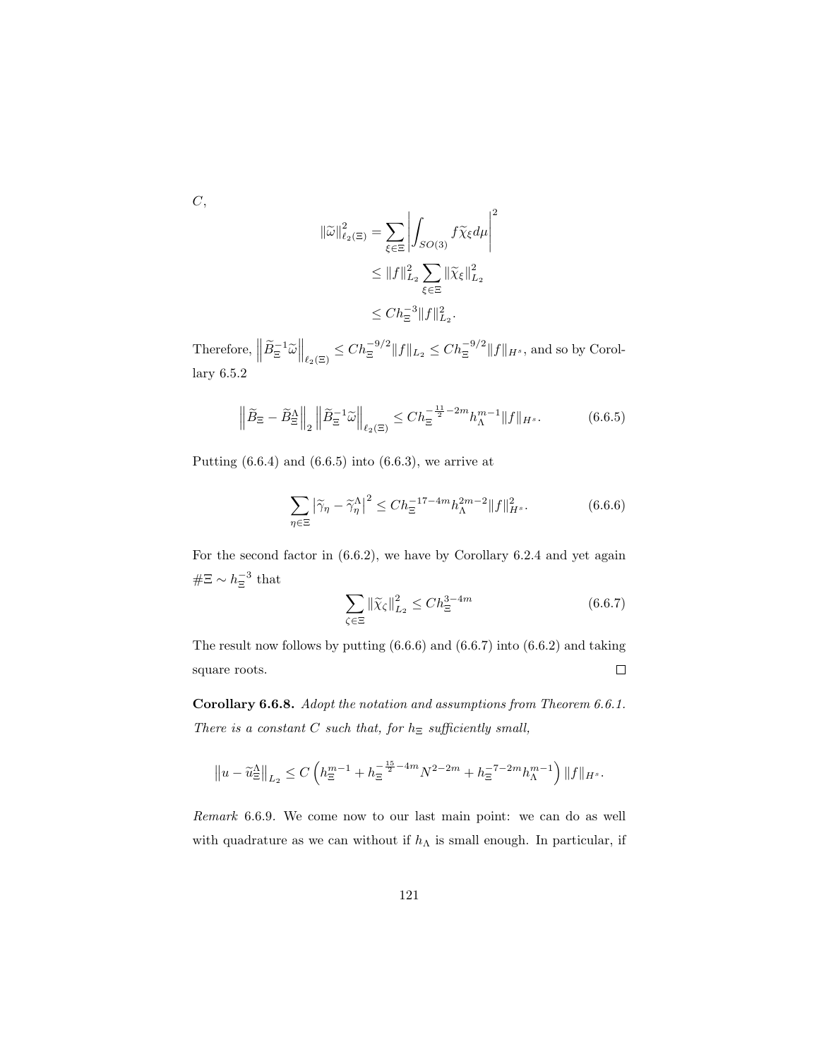$C,$ 

$$
\|\widetilde{\omega}\|_{\ell_2(\Xi)}^2 = \sum_{\xi \in \Xi} \left| \int_{SO(3)} f \widetilde{\chi}_{\xi} d\mu \right|^2
$$
  

$$
\leq \|f\|_{L_2}^2 \sum_{\xi \in \Xi} \|\widetilde{\chi}_{\xi}\|_{L_2}^2
$$
  

$$
\leq Ch_{\Xi}^{-3} \|f\|_{L_2}^2.
$$

Therefore,  $\left\|\widetilde{B}_{\Xi}^{-1}\widetilde{\omega}\right\|_{\ell_2(\Xi)} \leq Ch_{\Xi}^{-9/2} \|f\|_{L_2} \leq Ch_{\Xi}^{-9/2} \|f\|_{H^s}$ , and so by Corollary 6.5.2

$$
\left\|\widetilde{B}_{\Xi} - \widetilde{B}_{\Xi}^{\Lambda}\right\|_{2} \left\|\widetilde{B}_{\Xi}^{-1}\widetilde{\omega}\right\|_{\ell_{2}(\Xi)} \leq C h_{\Xi}^{-\frac{11}{2}-2m} h_{\Lambda}^{m-1} \|f\|_{H^{s}}.
$$
 (6.6.5)

Putting  $(6.6.4)$  and  $(6.6.5)$  into  $(6.6.3)$ , we arrive at

$$
\sum_{\eta \in \Xi} \left| \widetilde{\gamma}_{\eta} - \widetilde{\gamma}_{\eta}^{\Lambda} \right|^2 \le C h_{\Xi}^{-17 - 4m} h_{\Lambda}^{2m - 2} \| f \|_{H^s}^2. \tag{6.6.6}
$$

For the second factor in (6.6.2), we have by Corollary 6.2.4 and yet again  $#E \sim h_{\Xi}^{-3}$  that

$$
\sum_{\zeta \in \Xi} \left\| \widetilde{\chi}_{\zeta} \right\|_{L_2}^2 \le C h_{\Xi}^{3-4m} \tag{6.6.7}
$$

The result now follows by putting (6.6.6) and (6.6.7) into (6.6.2) and taking square roots.  $\Box$ 

Corollary 6.6.8. Adopt the notation and assumptions from Theorem 6.6.1. There is a constant C such that, for  $h_{\Xi}$  sufficiently small,

$$
||u - \widetilde{u}_{\Xi}^{\Lambda}||_{L_2} \le C\left(h_{\Xi}^{m-1} + h_{\Xi}^{-\frac{15}{2} - 4m}N^{2 - 2m} + h_{\Xi}^{-7 - 2m}h_{\Lambda}^{m-1}\right)||f||_{H^s}.
$$

Remark 6.6.9. We come now to our last main point: we can do as well with quadrature as we can without if  $h_{\Lambda}$  is small enough. In particular, if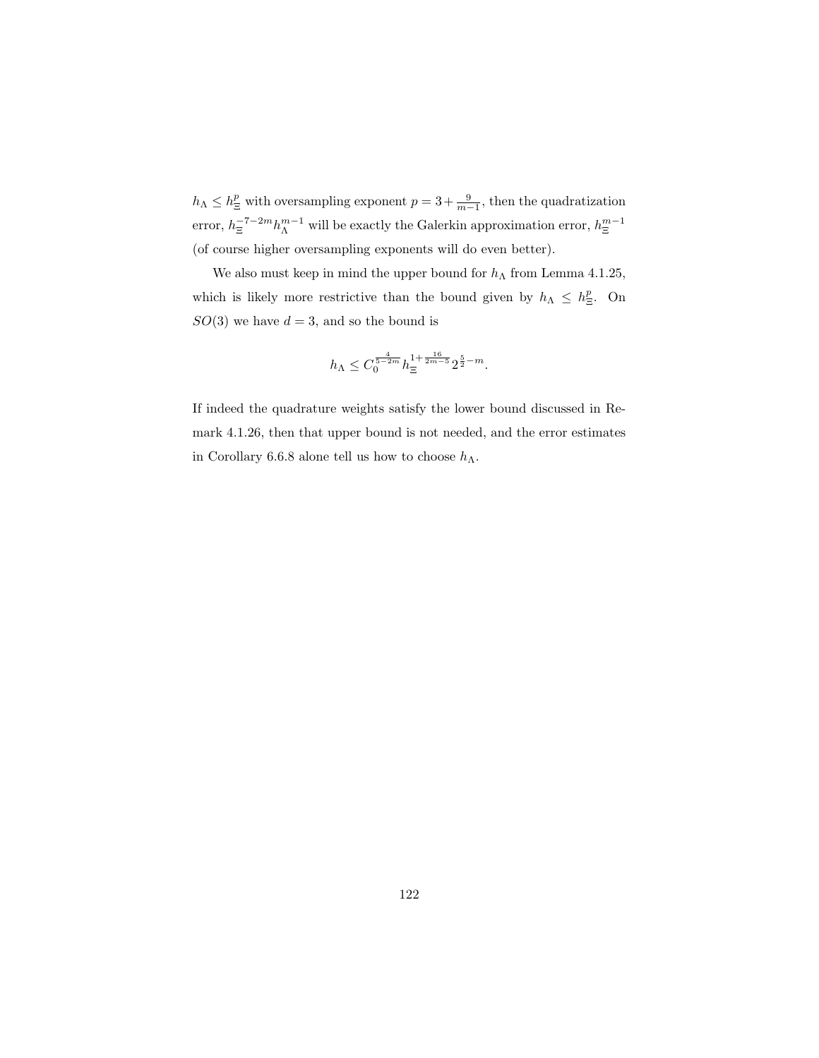$h_{\Lambda} \leq h_{\Xi}^p$  with oversampling exponent  $p = 3 + \frac{9}{m-1}$ , then the quadratization error,  $h_{\Xi}^{-7-2m} h_{\Lambda}^{m-1}$  will be exactly the Galerkin approximation error,  $h_{\Xi}^{m-1}$ (of course higher oversampling exponents will do even better).

We also must keep in mind the upper bound for  $h_{\Lambda}$  from Lemma 4.1.25, which is likely more restrictive than the bound given by  $h_{\Lambda} \leq h_{\Xi}^{p}$ . On  $SO(3)$  we have  $d = 3$ , and so the bound is

$$
h_\Lambda\leq C_0^{\frac{4}{5-2m}}h_\Xi^{1+\frac{16}{2m-5}}2^{\frac{5}{2}-m}.
$$

If indeed the quadrature weights satisfy the lower bound discussed in Remark 4.1.26, then that upper bound is not needed, and the error estimates in Corollary 6.6.8 alone tell us how to choose  $h_{\Lambda}$ .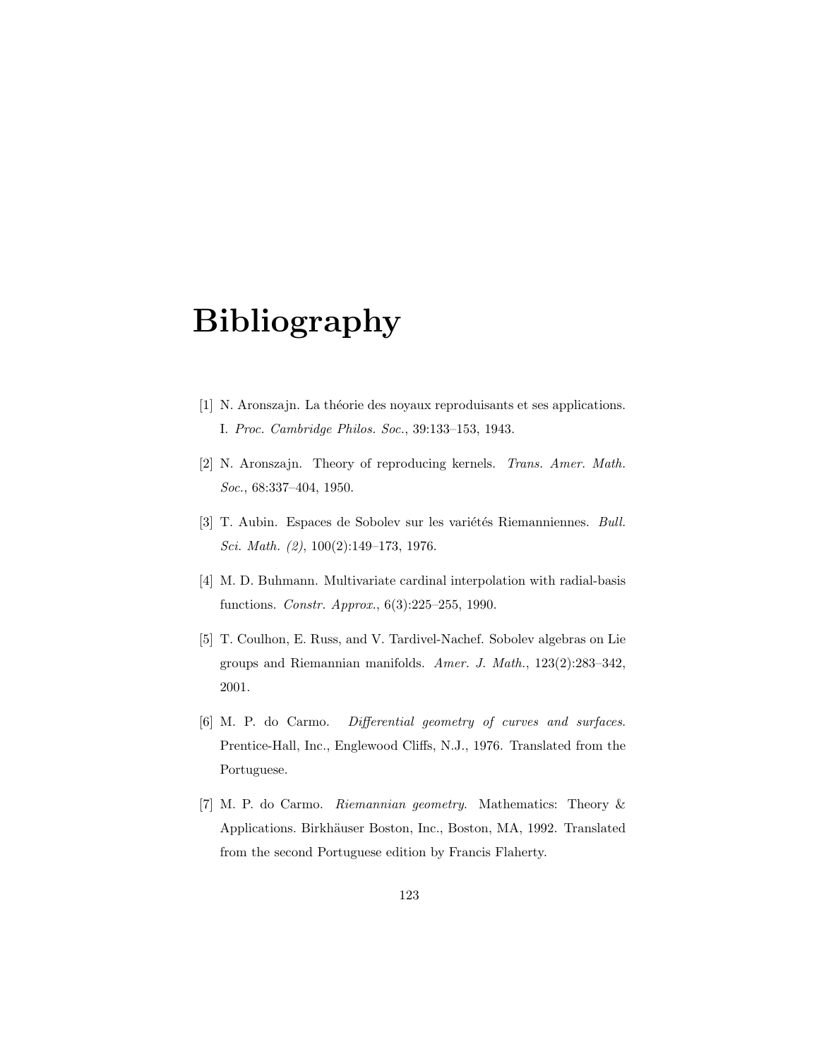# Bibliography

- [1] N. Aronszajn. La théorie des noyaux reproduisants et ses applications. I. Proc. Cambridge Philos. Soc., 39:133–153, 1943.
- [2] N. Aronszajn. Theory of reproducing kernels. Trans. Amer. Math. Soc., 68:337–404, 1950.
- [3] T. Aubin. Espaces de Sobolev sur les variétés Riemanniennes. Bull. Sci. Math. (2), 100(2):149–173, 1976.
- [4] M. D. Buhmann. Multivariate cardinal interpolation with radial-basis functions. Constr. Approx., 6(3):225–255, 1990.
- [5] T. Coulhon, E. Russ, and V. Tardivel-Nachef. Sobolev algebras on Lie groups and Riemannian manifolds. Amer. J. Math., 123(2):283–342, 2001.
- [6] M. P. do Carmo. Differential geometry of curves and surfaces. Prentice-Hall, Inc., Englewood Cliffs, N.J., 1976. Translated from the Portuguese.
- [7] M. P. do Carmo. Riemannian geometry. Mathematics: Theory & Applications. Birkhäuser Boston, Inc., Boston, MA, 1992. Translated from the second Portuguese edition by Francis Flaherty.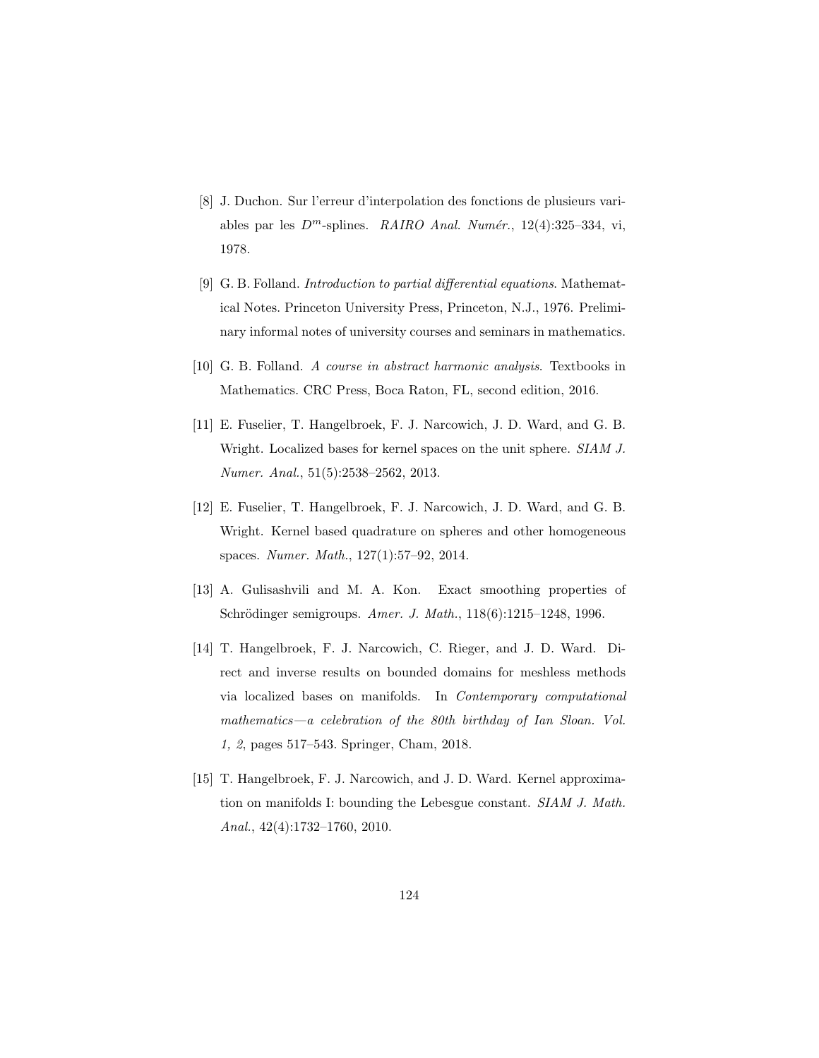- [8] J. Duchon. Sur l'erreur d'interpolation des fonctions de plusieurs variables par les  $D^m$ -splines. RAIRO Anal. Numér., 12(4):325-334, vi, 1978.
- [9] G. B. Folland. Introduction to partial differential equations. Mathematical Notes. Princeton University Press, Princeton, N.J., 1976. Preliminary informal notes of university courses and seminars in mathematics.
- [10] G. B. Folland. A course in abstract harmonic analysis. Textbooks in Mathematics. CRC Press, Boca Raton, FL, second edition, 2016.
- [11] E. Fuselier, T. Hangelbroek, F. J. Narcowich, J. D. Ward, and G. B. Wright. Localized bases for kernel spaces on the unit sphere. SIAM J. Numer. Anal., 51(5):2538–2562, 2013.
- [12] E. Fuselier, T. Hangelbroek, F. J. Narcowich, J. D. Ward, and G. B. Wright. Kernel based quadrature on spheres and other homogeneous spaces. Numer. Math., 127(1):57–92, 2014.
- [13] A. Gulisashvili and M. A. Kon. Exact smoothing properties of Schrödinger semigroups. Amer. J. Math., 118(6):1215–1248, 1996.
- [14] T. Hangelbroek, F. J. Narcowich, C. Rieger, and J. D. Ward. Direct and inverse results on bounded domains for meshless methods via localized bases on manifolds. In Contemporary computational mathematics—a celebration of the 80th birthday of Ian Sloan. Vol. 1, 2, pages 517–543. Springer, Cham, 2018.
- [15] T. Hangelbroek, F. J. Narcowich, and J. D. Ward. Kernel approximation on manifolds I: bounding the Lebesgue constant. SIAM J. Math. Anal., 42(4):1732–1760, 2010.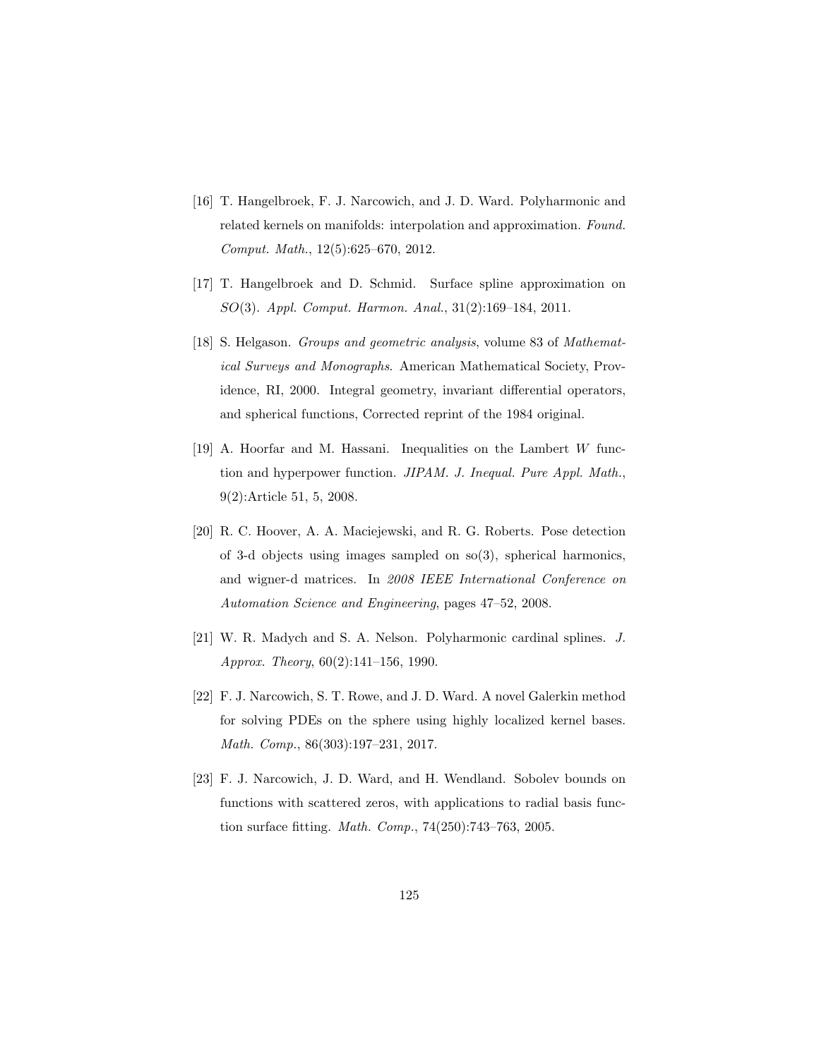- [16] T. Hangelbroek, F. J. Narcowich, and J. D. Ward. Polyharmonic and related kernels on manifolds: interpolation and approximation. Found. Comput. Math., 12(5):625–670, 2012.
- [17] T. Hangelbroek and D. Schmid. Surface spline approximation on SO(3). Appl. Comput. Harmon. Anal., 31(2):169–184, 2011.
- [18] S. Helgason. Groups and geometric analysis, volume 83 of Mathematical Surveys and Monographs. American Mathematical Society, Providence, RI, 2000. Integral geometry, invariant differential operators, and spherical functions, Corrected reprint of the 1984 original.
- [19] A. Hoorfar and M. Hassani. Inequalities on the Lambert  $W$  function and hyperpower function. JIPAM. J. Inequal. Pure Appl. Math., 9(2):Article 51, 5, 2008.
- [20] R. C. Hoover, A. A. Maciejewski, and R. G. Roberts. Pose detection of 3-d objects using images sampled on so(3), spherical harmonics, and wigner-d matrices. In 2008 IEEE International Conference on Automation Science and Engineering, pages 47–52, 2008.
- [21] W. R. Madych and S. A. Nelson. Polyharmonic cardinal splines. J. Approx. Theory, 60(2):141–156, 1990.
- [22] F. J. Narcowich, S. T. Rowe, and J. D. Ward. A novel Galerkin method for solving PDEs on the sphere using highly localized kernel bases. Math. Comp., 86(303):197–231, 2017.
- [23] F. J. Narcowich, J. D. Ward, and H. Wendland. Sobolev bounds on functions with scattered zeros, with applications to radial basis function surface fitting. Math. Comp., 74(250):743–763, 2005.